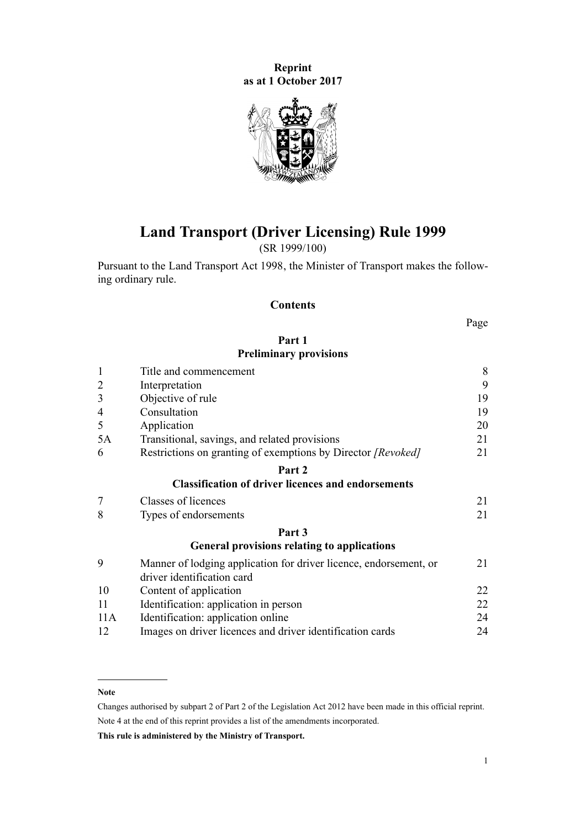**Reprint as at 1 October 2017**



# **Land Transport (Driver Licensing) Rule 1999**

(SR 1999/100)

Pursuant to the [Land Transport Act 1998,](http://prd-lgnz-nlb.prd.pco.net.nz/pdflink.aspx?id=DLM433612) the Minister of Transport makes the following ordinary rule.

# **Contents**

Page

# **[Part 1](#page-7-0) [Preliminary provisions](#page-7-0)**

| $\mathbf{1}$   | Title and commencement                                                                          |    |  |  |
|----------------|-------------------------------------------------------------------------------------------------|----|--|--|
| $\overline{2}$ | Interpretation                                                                                  |    |  |  |
| 3              | Objective of rule                                                                               |    |  |  |
| $\overline{4}$ | Consultation                                                                                    | 19 |  |  |
| 5              | Application                                                                                     | 20 |  |  |
| 5A             | Transitional, savings, and related provisions                                                   | 21 |  |  |
| 6              | Restrictions on granting of exemptions by Director [Revoked]                                    | 21 |  |  |
|                | Part 2                                                                                          |    |  |  |
|                | <b>Classification of driver licences and endorsements</b>                                       |    |  |  |
| 7              | Classes of licences                                                                             | 21 |  |  |
| 8              | Types of endorsements                                                                           | 21 |  |  |
|                | Part 3                                                                                          |    |  |  |
|                | <b>General provisions relating to applications</b>                                              |    |  |  |
| 9              | Manner of lodging application for driver licence, endorsement, or<br>driver identification card | 21 |  |  |
| 10             | Content of application                                                                          | 22 |  |  |
| 11             | Identification: application in person                                                           | 22 |  |  |
| 11A            | Identification: application online                                                              | 24 |  |  |
| 12             | Images on driver licences and driver identification cards                                       | 24 |  |  |

#### **Note**

Changes authorised by [subpart 2](http://prd-lgnz-nlb.prd.pco.net.nz/pdflink.aspx?id=DLM2998524) of Part 2 of the Legislation Act 2012 have been made in this official reprint. Note 4 at the end of this reprint provides a list of the amendments incorporated.

**This rule is administered by the Ministry of Transport.**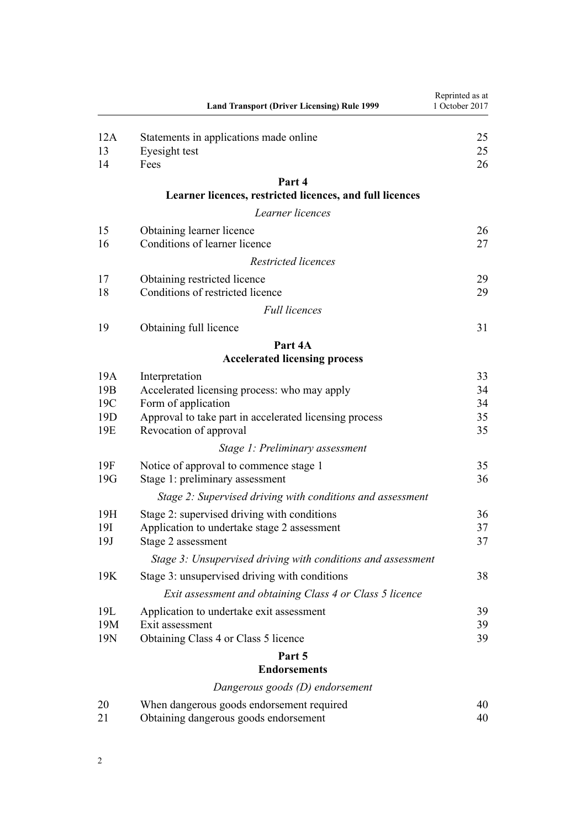|                 | <b>Land Transport (Driver Licensing) Rule 1999</b>           | Reprinted as at<br>1 October 2017 |
|-----------------|--------------------------------------------------------------|-----------------------------------|
| 12A             | Statements in applications made online                       | 25                                |
| 13              | Eyesight test                                                | 25                                |
| 14              | Fees                                                         | 26                                |
|                 | Part 4                                                       |                                   |
|                 | Learner licences, restricted licences, and full licences     |                                   |
|                 | Learner licences                                             |                                   |
| 15              | Obtaining learner licence                                    | 26                                |
| 16              | Conditions of learner licence                                | 27                                |
|                 | Restricted licences                                          |                                   |
| 17              | Obtaining restricted licence                                 | 29                                |
| 18              | Conditions of restricted licence                             | 29                                |
|                 | <b>Full licences</b>                                         |                                   |
| 19              | Obtaining full licence                                       | 31                                |
|                 | Part 4A                                                      |                                   |
|                 | <b>Accelerated licensing process</b>                         |                                   |
| 19A             | Interpretation                                               | 33                                |
| 19 <sub>B</sub> | Accelerated licensing process: who may apply                 | 34                                |
| 19C             | Form of application                                          | 34                                |
| 19 <sub>D</sub> | Approval to take part in accelerated licensing process       | 35                                |
| 19E             | Revocation of approval                                       | 35                                |
|                 | Stage 1: Preliminary assessment                              |                                   |
| 19F             | Notice of approval to commence stage 1                       | 35                                |
| 19G             | Stage 1: preliminary assessment                              | 36                                |
|                 | Stage 2: Supervised driving with conditions and assessment   |                                   |
| 19H             | Stage 2: supervised driving with conditions                  | 36                                |
| 19I             | Application to undertake stage 2 assessment                  | 37                                |
| 19J             | Stage 2 assessment                                           | 37                                |
|                 | Stage 3: Unsupervised driving with conditions and assessment |                                   |
| 19K             | Stage 3: unsupervised driving with conditions                | 38                                |
|                 | Exit assessment and obtaining Class 4 or Class 5 licence     |                                   |
| 19L             | Application to undertake exit assessment                     | 39                                |
| 19M             | Exit assessment                                              | 39                                |
| 19N             | Obtaining Class 4 or Class 5 licence                         | 39                                |
|                 | Part 5                                                       |                                   |
|                 | <b>Endorsements</b>                                          |                                   |
|                 | Dangerous goods (D) endorsement                              |                                   |
| 20              | When dangerous goods endorsement required                    | 40                                |
| 21              | Obtaining dangerous goods endorsement                        | 40                                |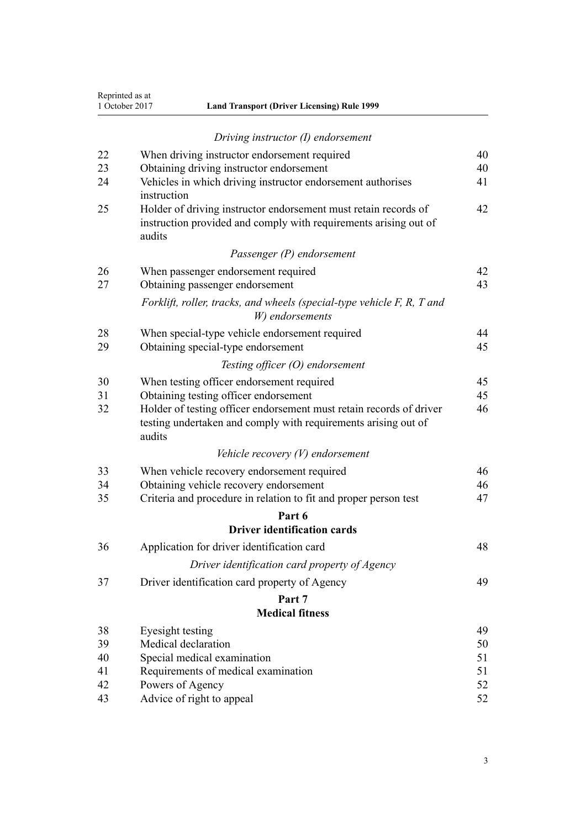| Reprinted as at |
|-----------------|
| 1 October 2017  |

|    | Driving instructor (I) endorsement                                                                                                              |    |
|----|-------------------------------------------------------------------------------------------------------------------------------------------------|----|
| 22 | When driving instructor endorsement required                                                                                                    | 40 |
| 23 | Obtaining driving instructor endorsement                                                                                                        | 40 |
| 24 | Vehicles in which driving instructor endorsement authorises<br>instruction                                                                      | 41 |
| 25 | Holder of driving instructor endorsement must retain records of<br>instruction provided and comply with requirements arising out of<br>audits   | 42 |
|    | Passenger (P) endorsement                                                                                                                       |    |
| 26 | When passenger endorsement required                                                                                                             | 42 |
| 27 | Obtaining passenger endorsement                                                                                                                 | 43 |
|    | Forklift, roller, tracks, and wheels (special-type vehicle F, R, T and<br>W) endorsements                                                       |    |
| 28 | When special-type vehicle endorsement required                                                                                                  | 44 |
| 29 | Obtaining special-type endorsement                                                                                                              | 45 |
|    | Testing officer $(O)$ endorsement                                                                                                               |    |
| 30 | When testing officer endorsement required                                                                                                       | 45 |
| 31 | Obtaining testing officer endorsement                                                                                                           | 45 |
| 32 | Holder of testing officer endorsement must retain records of driver<br>testing undertaken and comply with requirements arising out of<br>audits | 46 |
|    | Vehicle recovery $(V)$ endorsement                                                                                                              |    |
| 33 | When vehicle recovery endorsement required                                                                                                      | 46 |
| 34 | Obtaining vehicle recovery endorsement                                                                                                          | 46 |
| 35 | Criteria and procedure in relation to fit and proper person test                                                                                | 47 |
|    | Part 6                                                                                                                                          |    |
|    | <b>Driver identification cards</b>                                                                                                              |    |
| 36 | Application for driver identification card                                                                                                      | 48 |
|    | Driver identification card property of Agency                                                                                                   |    |
| 37 | Driver identification card property of Agency                                                                                                   | 49 |
|    | Part 7                                                                                                                                          |    |
|    | <b>Medical fitness</b>                                                                                                                          |    |
| 38 | Eyesight testing                                                                                                                                | 49 |
| 39 | Medical declaration                                                                                                                             | 50 |
| 40 | Special medical examination                                                                                                                     | 51 |
| 41 | Requirements of medical examination                                                                                                             | 51 |
| 42 | Powers of Agency                                                                                                                                | 52 |

[43](#page-51-0) [Advice of right to appeal](#page-51-0) [52](#page-51-0)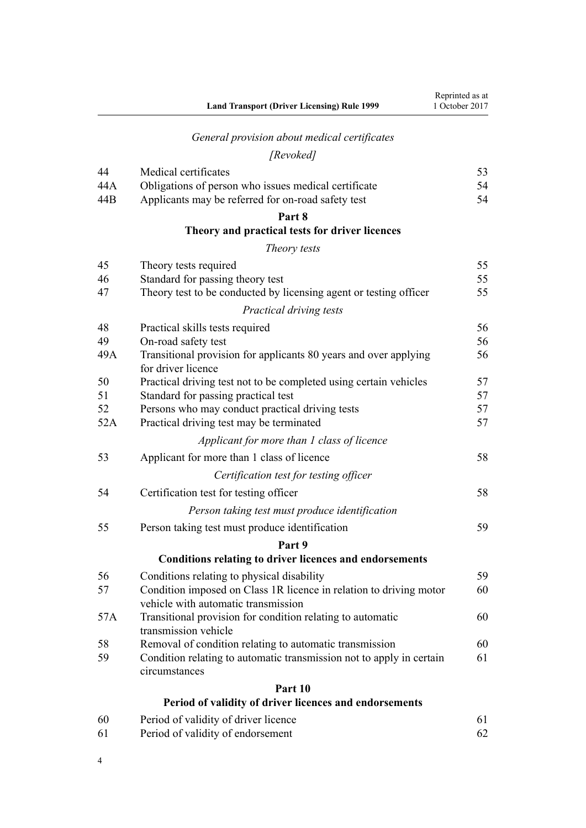|          | <b>Land Transport (Driver Licensing) Rule 1999</b>                                          | Reprinted as at<br>1 October 2017 |
|----------|---------------------------------------------------------------------------------------------|-----------------------------------|
|          | General provision about medical certificates                                                |                                   |
|          | [Revoked]                                                                                   |                                   |
| 44       | Medical certificates                                                                        | 53                                |
| 44A      | Obligations of person who issues medical certificate                                        | 54                                |
| 44B      | Applicants may be referred for on-road safety test                                          | 54                                |
|          | Part 8                                                                                      |                                   |
|          | Theory and practical tests for driver licences                                              |                                   |
|          | Theory tests                                                                                |                                   |
| 45       | Theory tests required                                                                       | 55                                |
| 46       | Standard for passing theory test                                                            | 55                                |
| 47       | Theory test to be conducted by licensing agent or testing officer                           | 55                                |
|          | Practical driving tests                                                                     |                                   |
| 48       | Practical skills tests required                                                             | 56                                |
| 49       | On-road safety test                                                                         | 56                                |
| 49A      | Transitional provision for applicants 80 years and over applying                            | 56                                |
|          | for driver licence                                                                          |                                   |
| 50       | Practical driving test not to be completed using certain vehicles                           | 57                                |
| 51<br>52 | Standard for passing practical test                                                         | 57<br>57                          |
| 52A      | Persons who may conduct practical driving tests<br>Practical driving test may be terminated | 57                                |
|          | Applicant for more than 1 class of licence                                                  |                                   |
|          |                                                                                             | 58                                |
| 53       | Applicant for more than 1 class of licence                                                  |                                   |
|          | Certification test for testing officer                                                      |                                   |
| 54       | Certification test for testing officer                                                      | 58                                |
|          | Person taking test must produce identification                                              |                                   |
| 55       | Person taking test must produce identification                                              | 59                                |
|          | Part 9                                                                                      |                                   |
|          | Conditions relating to driver licences and endorsements                                     |                                   |
| 56       | Conditions relating to physical disability                                                  | 59                                |
| 57       | Condition imposed on Class 1R licence in relation to driving motor                          | 60                                |
|          | vehicle with automatic transmission                                                         |                                   |
| 57A      | Transitional provision for condition relating to automatic<br>transmission vehicle          | 60                                |
| 58       | Removal of condition relating to automatic transmission                                     | 60                                |
| 59       | Condition relating to automatic transmission not to apply in certain                        | 61                                |
|          | circumstances                                                                               |                                   |
|          | Part 10                                                                                     |                                   |
|          | Period of validity of driver licences and endorsements                                      |                                   |
| 60       | Period of validity of driver licence                                                        | 61                                |
| 61       | Period of validity of endorsement                                                           | 62                                |

4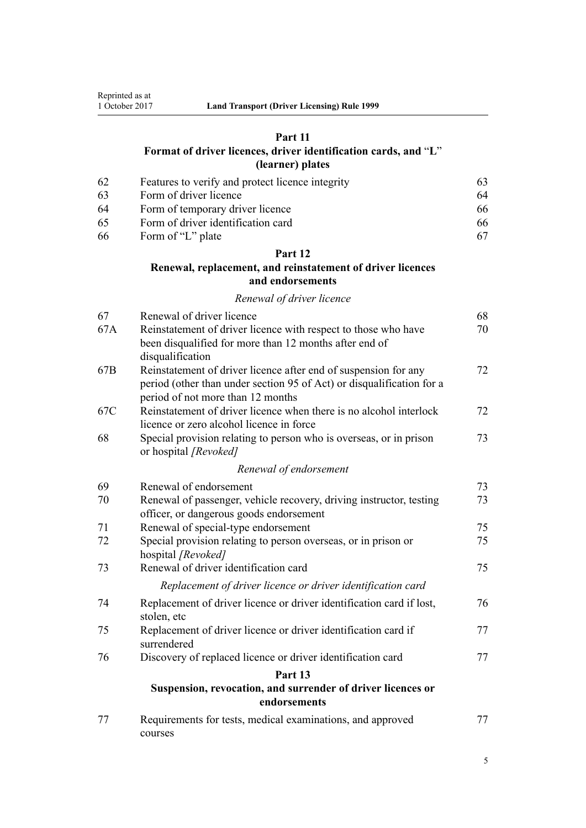# **[Part 11](#page-62-0)**

# **[Format of driver licences, driver identification cards, and](#page-62-0)** "**[L](#page-62-0)**" **[\(learner\) plates](#page-62-0)**

| -62 | Features to verify and protect licence integrity | 63. |
|-----|--------------------------------------------------|-----|
| -63 | Form of driver licence                           | 64  |
| -64 | Form of temporary driver licence                 | 66. |
| -65 | Form of driver identification card               | 66  |
| -66 | Form of "L" plate                                | 67  |

# **[Part 12](#page-67-0)**

# **[Renewal, replacement, and reinstatement of driver licences](#page-67-0) [and endorsements](#page-67-0)**

## *[Renewal of driver licence](#page-67-0)*

| 67              | Renewal of driver licence                                                                                                | 68 |
|-----------------|--------------------------------------------------------------------------------------------------------------------------|----|
| 67A             | Reinstatement of driver licence with respect to those who have<br>been disqualified for more than 12 months after end of | 70 |
|                 | disqualification                                                                                                         |    |
| 67 <sub>B</sub> | Reinstatement of driver licence after end of suspension for any                                                          | 72 |
|                 | period (other than under section 95 of Act) or disqualification for a<br>period of not more than 12 months               |    |
| 67C             | Reinstatement of driver licence when there is no alcohol interlock                                                       | 72 |
|                 | licence or zero alcohol licence in force                                                                                 |    |
| 68              | Special provision relating to person who is overseas, or in prison<br>or hospital [Revoked]                              | 73 |
|                 | Renewal of endorsement                                                                                                   |    |
| 69              | Renewal of endorsement                                                                                                   | 73 |
| 70              | Renewal of passenger, vehicle recovery, driving instructor, testing                                                      | 73 |
|                 | officer, or dangerous goods endorsement                                                                                  |    |
| 71              | Renewal of special-type endorsement                                                                                      | 75 |
| 72              | Special provision relating to person overseas, or in prison or<br>hospital [Revoked]                                     | 75 |
| 73              | Renewal of driver identification card                                                                                    | 75 |
|                 | Replacement of driver licence or driver identification card                                                              |    |
| 74              | Replacement of driver licence or driver identification card if lost,<br>stolen, etc                                      | 76 |
| 75              | Replacement of driver licence or driver identification card if<br>surrendered                                            | 77 |
| 76              | Discovery of replaced licence or driver identification card                                                              | 77 |
|                 | Part 13                                                                                                                  |    |
|                 | Suspension, revocation, and surrender of driver licences or<br>endorsements                                              |    |
| 77              | Requirements for tests, medical examinations, and approved<br>courses                                                    | 77 |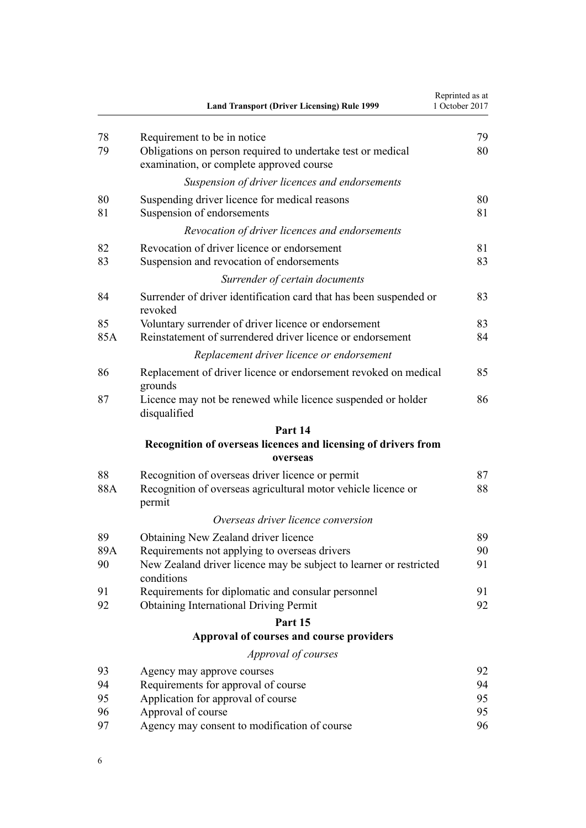|           | <b>Land Transport (Driver Licensing) Rule 1999</b>                                                                                | Reprinted as at<br>1 October 2017 |
|-----------|-----------------------------------------------------------------------------------------------------------------------------------|-----------------------------------|
| 78        | Requirement to be in notice                                                                                                       | 79                                |
| 79        | Obligations on person required to undertake test or medical<br>examination, or complete approved course                           | 80                                |
|           | Suspension of driver licences and endorsements                                                                                    |                                   |
| 80<br>81  | Suspending driver licence for medical reasons<br>Suspension of endorsements                                                       | 80<br>81                          |
|           | Revocation of driver licences and endorsements                                                                                    |                                   |
| 82<br>83  | Revocation of driver licence or endorsement<br>Suspension and revocation of endorsements                                          | 81<br>83                          |
|           | Surrender of certain documents                                                                                                    |                                   |
| 84        | Surrender of driver identification card that has been suspended or<br>revoked                                                     | 83                                |
| 85<br>85A | Voluntary surrender of driver licence or endorsement<br>Reinstatement of surrendered driver licence or endorsement                | 83<br>84                          |
|           | Replacement driver licence or endorsement                                                                                         |                                   |
| 86        | Replacement of driver licence or endorsement revoked on medical<br>grounds                                                        | 85                                |
| 87        | Licence may not be renewed while licence suspended or holder<br>disqualified                                                      | 86                                |
|           | Part 14                                                                                                                           |                                   |
|           | Recognition of overseas licences and licensing of drivers from                                                                    |                                   |
|           | overseas                                                                                                                          |                                   |
| 88        | Recognition of overseas driver licence or permit                                                                                  | 87                                |
| 88A       | Recognition of overseas agricultural motor vehicle licence or<br>permit                                                           | 88                                |
|           | Overseas driver licence conversion                                                                                                |                                   |
| 89        | Obtaining New Zealand driver licence                                                                                              | 89                                |
| 89A<br>90 | Requirements not applying to overseas drivers<br>New Zealand driver licence may be subject to learner or restricted<br>conditions | 90<br>91                          |
| 91        | Requirements for diplomatic and consular personnel                                                                                | 91                                |
| 92        | <b>Obtaining International Driving Permit</b>                                                                                     | 92                                |
|           | Part 15                                                                                                                           |                                   |
|           | Approval of courses and course providers                                                                                          |                                   |
|           | Approval of courses                                                                                                               |                                   |
| 93        | Agency may approve courses                                                                                                        | 92                                |
| 94        | Requirements for approval of course                                                                                               | 94                                |
| 95        | Application for approval of course                                                                                                | 95                                |
| 96        | Approval of course                                                                                                                | 95                                |
| 97        | Agency may consent to modification of course                                                                                      | 96                                |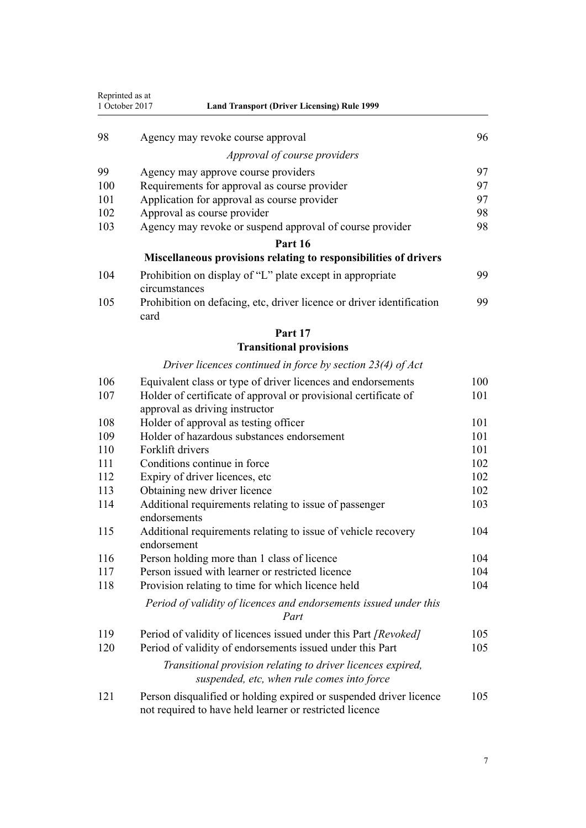| Reprinted as at<br>1 October 2017<br><b>Land Transport (Driver Licensing) Rule 1999</b> |                                                                                                                               |     |
|-----------------------------------------------------------------------------------------|-------------------------------------------------------------------------------------------------------------------------------|-----|
| 98                                                                                      | Agency may revoke course approval                                                                                             | 96  |
|                                                                                         | Approval of course providers                                                                                                  |     |
| 99                                                                                      | Agency may approve course providers                                                                                           | 97  |
| 100                                                                                     | Requirements for approval as course provider                                                                                  | 97  |
| 101                                                                                     | Application for approval as course provider                                                                                   | 97  |
| 102                                                                                     | Approval as course provider                                                                                                   | 98  |
| 103                                                                                     | Agency may revoke or suspend approval of course provider                                                                      | 98  |
|                                                                                         | Part 16                                                                                                                       |     |
|                                                                                         | Miscellaneous provisions relating to responsibilities of drivers                                                              |     |
| 104                                                                                     | Prohibition on display of "L" plate except in appropriate<br>circumstances                                                    | 99  |
| 105                                                                                     | Prohibition on defacing, etc, driver licence or driver identification<br>card                                                 | 99  |
|                                                                                         | Part 17                                                                                                                       |     |
|                                                                                         | <b>Transitional provisions</b>                                                                                                |     |
|                                                                                         | Driver licences continued in force by section $23(4)$ of Act                                                                  |     |
| 106                                                                                     | Equivalent class or type of driver licences and endorsements                                                                  | 100 |
| 107                                                                                     | Holder of certificate of approval or provisional certificate of<br>approval as driving instructor                             | 101 |
| 108                                                                                     | Holder of approval as testing officer                                                                                         | 101 |
| 109                                                                                     | Holder of hazardous substances endorsement                                                                                    | 101 |
| 110                                                                                     | Forklift drivers                                                                                                              | 101 |
| 111                                                                                     | Conditions continue in force                                                                                                  | 102 |
| 112                                                                                     | Expiry of driver licences, etc                                                                                                | 102 |
| 113                                                                                     | Obtaining new driver licence                                                                                                  | 102 |
| 114                                                                                     | Additional requirements relating to issue of passenger<br>endorsements                                                        | 103 |
| 115                                                                                     | Additional requirements relating to issue of vehicle recovery<br>endorsement                                                  | 104 |
| 116                                                                                     | Person holding more than 1 class of licence                                                                                   | 104 |
| 117                                                                                     | Person issued with learner or restricted licence                                                                              | 104 |
| 118                                                                                     | Provision relating to time for which licence held                                                                             | 104 |
|                                                                                         | Period of validity of licences and endorsements issued under this<br>Part                                                     |     |
| 119                                                                                     | Period of validity of licences issued under this Part [Revoked]                                                               | 105 |
| 120                                                                                     | Period of validity of endorsements issued under this Part                                                                     | 105 |
|                                                                                         | Transitional provision relating to driver licences expired,<br>suspended, etc, when rule comes into force                     |     |
| 121                                                                                     | Person disqualified or holding expired or suspended driver licence<br>not required to have held learner or restricted licence | 105 |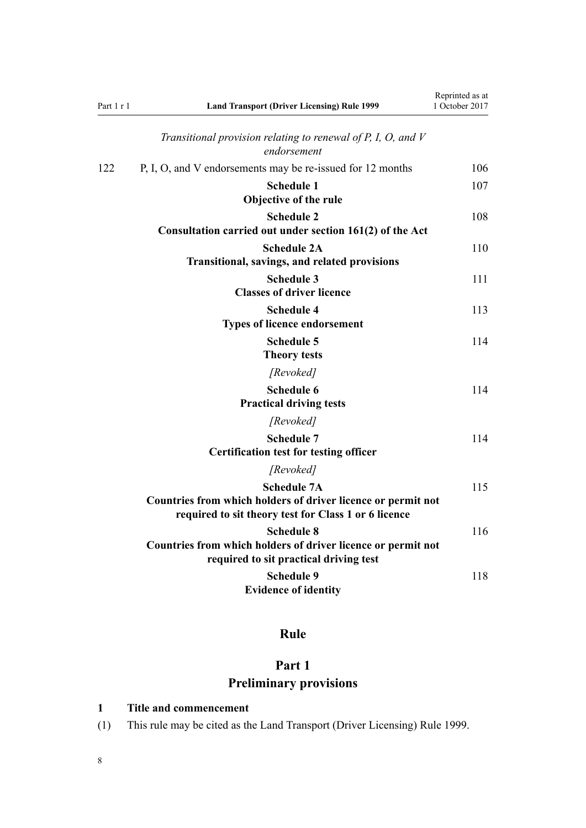<span id="page-7-0"></span>

| Part 1 r 1 | <b>Land Transport (Driver Licensing) Rule 1999</b>                                                                                         | Reprinted as at<br>1 October 2017 |
|------------|--------------------------------------------------------------------------------------------------------------------------------------------|-----------------------------------|
|            | Transitional provision relating to renewal of $P$ , $I$ , $O$ , and $V$<br>endorsement                                                     |                                   |
| 122        | P, I, O, and V endorsements may be re-issued for 12 months                                                                                 | 106                               |
|            | <b>Schedule 1</b><br>Objective of the rule                                                                                                 | 107                               |
|            | <b>Schedule 2</b><br>Consultation carried out under section 161(2) of the Act                                                              | 108                               |
|            | <b>Schedule 2A</b><br>Transitional, savings, and related provisions                                                                        | 110                               |
|            | <b>Schedule 3</b><br><b>Classes of driver licence</b>                                                                                      | 111                               |
|            | <b>Schedule 4</b><br><b>Types of licence endorsement</b>                                                                                   | 113                               |
|            | <b>Schedule 5</b><br><b>Theory tests</b>                                                                                                   | 114                               |
|            | [Revoked]                                                                                                                                  |                                   |
|            | <b>Schedule 6</b><br><b>Practical driving tests</b>                                                                                        | 114                               |
|            | [Revoked]                                                                                                                                  |                                   |
|            | <b>Schedule 7</b><br><b>Certification test for testing officer</b>                                                                         | 114                               |
|            | [Revoked]                                                                                                                                  |                                   |
|            | <b>Schedule 7A</b><br>Countries from which holders of driver licence or permit not<br>required to sit theory test for Class 1 or 6 licence | 115                               |
|            | <b>Schedule 8</b><br>Countries from which holders of driver licence or permit not<br>required to sit practical driving test                | 116                               |
|            | <b>Schedule 9</b><br><b>Evidence of identity</b>                                                                                           | 118                               |

# **Rule**

# **Part 1 Preliminary provisions**

# **1 Title and commencement**

(1) This rule may be cited as the Land Transport (Driver Licensing) Rule 1999.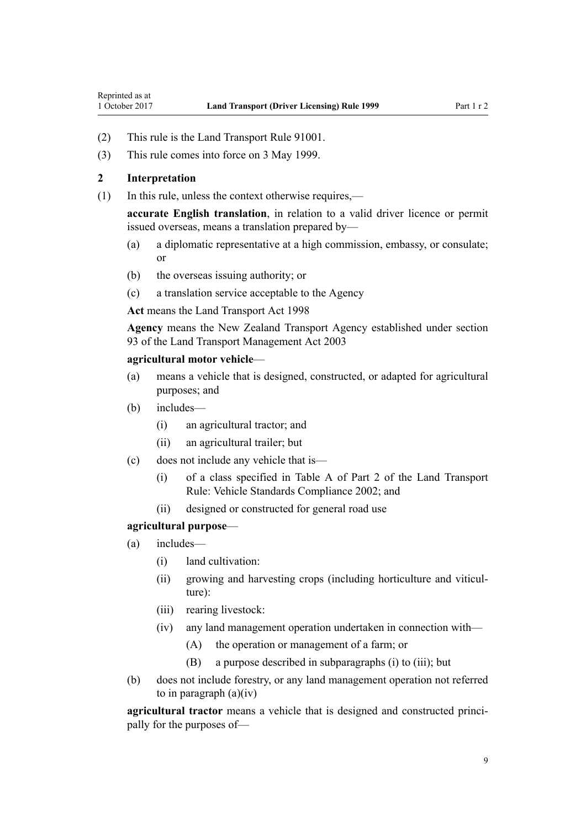- <span id="page-8-0"></span>(2) This rule is the Land Transport Rule 91001.
- (3) This rule comes into force on 3 May 1999.

# **2 Interpretation**

(1) In this rule, unless the context otherwise requires,—

**accurate English translation**, in relation to a valid driver licence or permit issued overseas, means a translation prepared by—

- (a) a diplomatic representative at a high commission, embassy, or consulate; or
- (b) the overseas issuing authority; or
- (c) a translation service acceptable to the Agency

**Act** means the [Land Transport Act 1998](http://prd-lgnz-nlb.prd.pco.net.nz/pdflink.aspx?id=DLM433612)

**Agency** means the New Zealand Transport Agency established under [section](http://prd-lgnz-nlb.prd.pco.net.nz/pdflink.aspx?id=DLM228044) [93](http://prd-lgnz-nlb.prd.pco.net.nz/pdflink.aspx?id=DLM228044) of the Land Transport Management Act 2003

## **agricultural motor vehicle**—

- (a) means a vehicle that is designed, constructed, or adapted for agricultural purposes; and
- (b) includes—
	- (i) an agricultural tractor; and
	- (ii) an agricultural trailer; but
- (c) does not include any vehicle that is—
	- (i) of a class specified in Table A of Part 2 of the Land Transport Rule: Vehicle Standards Compliance 2002; and
	- (ii) designed or constructed for general road use

#### **agricultural purpose**—

- (a) includes—
	- (i) land cultivation:
	- (ii) growing and harvesting crops (including horticulture and viticulture):
	- (iii) rearing livestock:
	- (iv) any land management operation undertaken in connection with—
		- (A) the operation or management of a farm; or
		- (B) a purpose described in subparagraphs (i) to (iii); but
- (b) does not include forestry, or any land management operation not referred to in paragraph  $(a)(iv)$

**agricultural tractor** means a vehicle that is designed and constructed principally for the purposes of—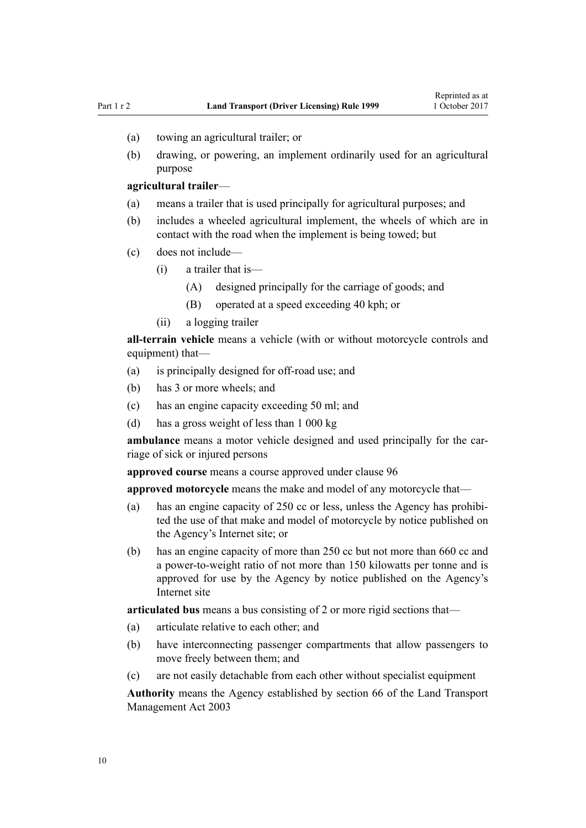- (a) towing an agricultural trailer; or
- (b) drawing, or powering, an implement ordinarily used for an agricultural purpose

#### **agricultural trailer**—

- (a) means a trailer that is used principally for agricultural purposes; and
- (b) includes a wheeled agricultural implement, the wheels of which are in contact with the road when the implement is being towed; but
- (c) does not include—
	- (i) a trailer that is—
		- (A) designed principally for the carriage of goods; and
		- (B) operated at a speed exceeding 40 kph; or
	- (ii) a logging trailer

**all-terrain vehicle** means a vehicle (with or without motorcycle controls and equipment) that—

- (a) is principally designed for off-road use; and
- (b) has 3 or more wheels; and
- (c) has an engine capacity exceeding 50 ml; and
- (d) has a gross weight of less than 1 000 kg

**ambulance** means a motor vehicle designed and used principally for the carriage of sick or injured persons

**approved course** means a course approved under [clause 96](#page-94-0)

**approved motorcycle** means the make and model of any motorcycle that—

- (a) has an engine capacity of 250 cc or less, unless the Agency has prohibited the use of that make and model of motorcycle by notice published on the Agency's Internet site; or
- (b) has an engine capacity of more than 250 cc but not more than 660 cc and a power-to-weight ratio of not more than 150 kilowatts per tonne and is approved for use by the Agency by notice published on the Agency's Internet site

**articulated bus** means a bus consisting of 2 or more rigid sections that—

- (a) articulate relative to each other; and
- (b) have interconnecting passenger compartments that allow passengers to move freely between them; and
- (c) are not easily detachable from each other without specialist equipment

**Authority** means the Agency established by [section 66](http://prd-lgnz-nlb.prd.pco.net.nz/pdflink.aspx?id=DLM227581) of the Land Transport Management Act 2003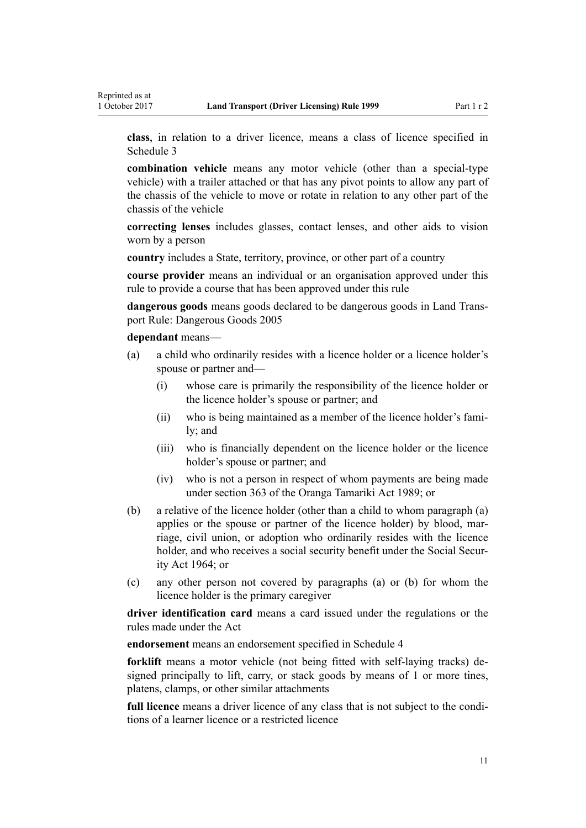**class**, in relation to a driver licence, means a class of licence specified in [Schedule 3](#page-110-0)

**combination vehicle** means any motor vehicle (other than a special-type vehicle) with a trailer attached or that has any pivot points to allow any part of the chassis of the vehicle to move or rotate in relation to any other part of the chassis of the vehicle

**correcting lenses** includes glasses, contact lenses, and other aids to vision worn by a person

**country** includes a State, territory, province, or other part of a country

**course provider** means an individual or an organisation approved under this rule to provide a course that has been approved under this rule

**dangerous goods** means goods declared to be dangerous goods in Land Transport Rule: Dangerous Goods 2005

**dependant** means—

- (a) a child who ordinarily resides with a licence holder or a licence holder's spouse or partner and—
	- (i) whose care is primarily the responsibility of the licence holder or the licence holder's spouse or partner; and
	- (ii) who is being maintained as a member of the licence holder's family; and
	- (iii) who is financially dependent on the licence holder or the licence holder's spouse or partner; and
	- (iv) who is not a person in respect of whom payments are being made under [section 363](http://prd-lgnz-nlb.prd.pco.net.nz/pdflink.aspx?id=DLM154316) of the Oranga Tamariki Act 1989; or
- (b) a relative of the licence holder (other than a child to whom paragraph (a) applies or the spouse or partner of the licence holder) by blood, marriage, civil union, or adoption who ordinarily resides with the licence holder, and who receives a social security benefit under the [Social Secur](http://prd-lgnz-nlb.prd.pco.net.nz/pdflink.aspx?id=DLM359106)[ity Act 1964;](http://prd-lgnz-nlb.prd.pco.net.nz/pdflink.aspx?id=DLM359106) or
- (c) any other person not covered by paragraphs (a) or (b) for whom the licence holder is the primary caregiver

**driver identification card** means a card issued under the regulations or the rules made under the Act

**endorsement** means an endorsement specified in [Schedule 4](#page-112-0)

**forklift** means a motor vehicle (not being fitted with self-laying tracks) designed principally to lift, carry, or stack goods by means of 1 or more tines, platens, clamps, or other similar attachments

**full licence** means a driver licence of any class that is not subject to the conditions of a learner licence or a restricted licence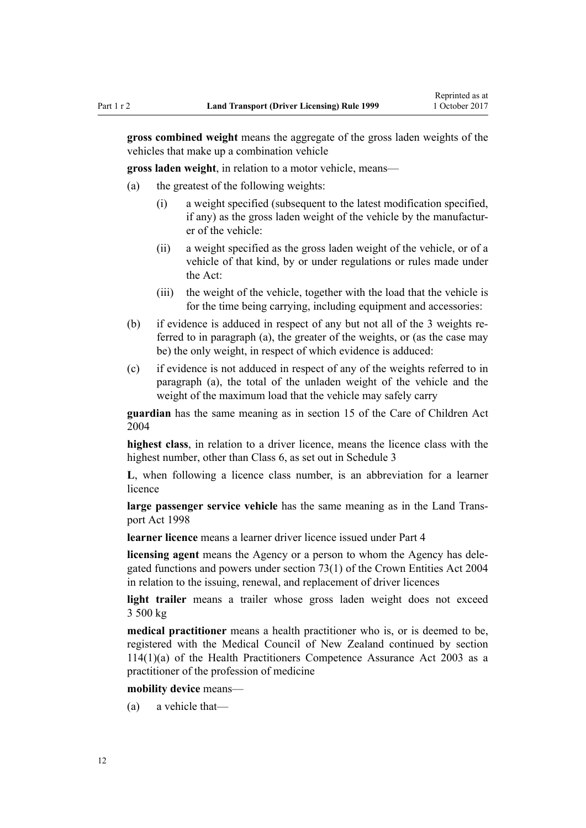**gross combined weight** means the aggregate of the gross laden weights of the vehicles that make up a combination vehicle

**gross laden weight**, in relation to a motor vehicle, means—

- (a) the greatest of the following weights:
	- (i) a weight specified (subsequent to the latest modification specified, if any) as the gross laden weight of the vehicle by the manufacturer of the vehicle:
	- (ii) a weight specified as the gross laden weight of the vehicle, or of a vehicle of that kind, by or under regulations or rules made under the Act:
	- (iii) the weight of the vehicle, together with the load that the vehicle is for the time being carrying, including equipment and accessories:
- (b) if evidence is adduced in respect of any but not all of the 3 weights referred to in paragraph (a), the greater of the weights, or (as the case may be) the only weight, in respect of which evidence is adduced:
- (c) if evidence is not adduced in respect of any of the weights referred to in paragraph (a), the total of the unladen weight of the vehicle and the weight of the maximum load that the vehicle may safely carry

**guardian** has the same meaning as in [section 15](http://prd-lgnz-nlb.prd.pco.net.nz/pdflink.aspx?id=DLM317411) of the Care of Children Act 2004

**highest class**, in relation to a driver licence, means the licence class with the highest number, other than Class 6, as set out in [Schedule 3](#page-110-0)

**L**, when following a licence class number, is an abbreviation for a learner licence

**large passenger service vehicle** has the same meaning as in the [Land Trans](http://prd-lgnz-nlb.prd.pco.net.nz/pdflink.aspx?id=DLM433612)[port Act 1998](http://prd-lgnz-nlb.prd.pco.net.nz/pdflink.aspx?id=DLM433612)

**learner licence** means a learner driver licence issued under [Part 4](#page-25-0)

**licensing agent** means the Agency or a person to whom the Agency has delegated functions and powers under [section 73\(1\)](http://prd-lgnz-nlb.prd.pco.net.nz/pdflink.aspx?id=DLM330308) of the Crown Entities Act 2004 in relation to the issuing, renewal, and replacement of driver licences

**light trailer** means a trailer whose gross laden weight does not exceed 3 500 kg

**medical practitioner** means a health practitioner who is, or is deemed to be, registered with the Medical Council of New Zealand continued by [section](http://prd-lgnz-nlb.prd.pco.net.nz/pdflink.aspx?id=DLM204329) [114\(1\)\(a\)](http://prd-lgnz-nlb.prd.pco.net.nz/pdflink.aspx?id=DLM204329) of the Health Practitioners Competence Assurance Act 2003 as a practitioner of the profession of medicine

#### **mobility device** means—

(a) a vehicle that—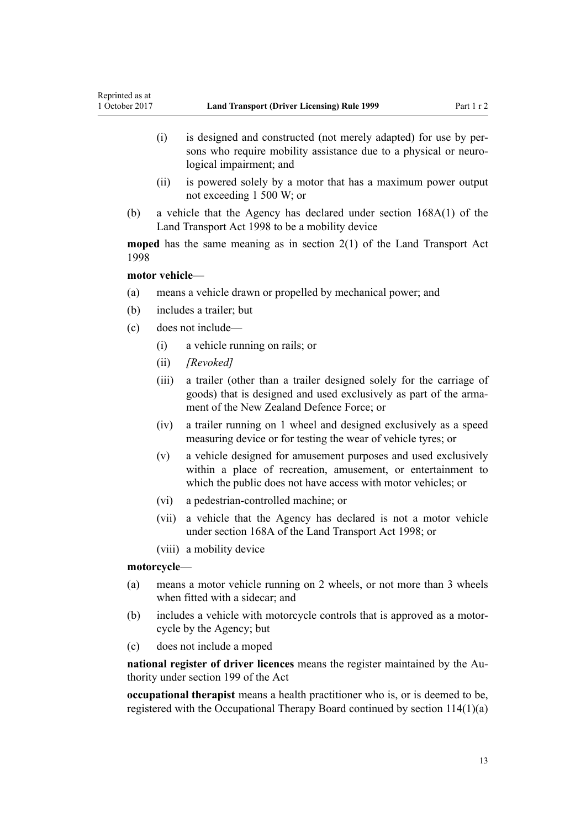- (i) is designed and constructed (not merely adapted) for use by persons who require mobility assistance due to a physical or neurological impairment; and
- (ii) is powered solely by a motor that has a maximum power output not exceeding 1 500 W; or
- (b) a vehicle that the Agency has declared under [section 168A\(1\)](http://prd-lgnz-nlb.prd.pco.net.nz/pdflink.aspx?id=DLM435415) of the Land Transport Act 1998 to be a mobility device

**moped** has the same meaning as in [section 2\(1\)](http://prd-lgnz-nlb.prd.pco.net.nz/pdflink.aspx?id=DLM433619) of the Land Transport Act 1998

## **motor vehicle**—

- (a) means a vehicle drawn or propelled by mechanical power; and
- (b) includes a trailer; but
- (c) does not include—
	- (i) a vehicle running on rails; or
	- (ii) *[Revoked]*
	- (iii) a trailer (other than a trailer designed solely for the carriage of goods) that is designed and used exclusively as part of the armament of the New Zealand Defence Force; or
	- (iv) a trailer running on 1 wheel and designed exclusively as a speed measuring device or for testing the wear of vehicle tyres; or
	- (v) a vehicle designed for amusement purposes and used exclusively within a place of recreation, amusement, or entertainment to which the public does not have access with motor vehicles; or
	- (vi) a pedestrian-controlled machine; or
	- (vii) a vehicle that the Agency has declared is not a motor vehicle under [section 168A](http://prd-lgnz-nlb.prd.pco.net.nz/pdflink.aspx?id=DLM435415) of the Land Transport Act 1998; or
	- (viii) a mobility device

## **motorcycle**—

- (a) means a motor vehicle running on 2 wheels, or not more than 3 wheels when fitted with a sidecar; and
- (b) includes a vehicle with motorcycle controls that is approved as a motorcycle by the Agency; but
- (c) does not include a moped

**national register of driver licences** means the register maintained by the Authority under [section 199](http://prd-lgnz-nlb.prd.pco.net.nz/pdflink.aspx?id=DLM435603) of the Act

**occupational therapist** means a health practitioner who is, or is deemed to be, registered with the Occupational Therapy Board continued by [section 114\(1\)\(a\)](http://prd-lgnz-nlb.prd.pco.net.nz/pdflink.aspx?id=DLM204329)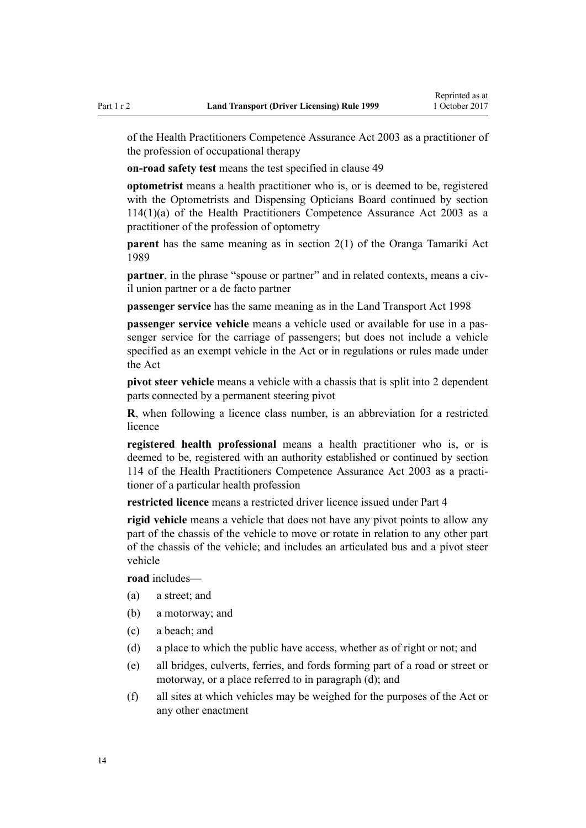of the Health Practitioners Competence Assurance Act 2003 as a practitioner of the profession of occupational therapy

**on-road safety test** means the test specified in [clause 49](#page-55-0)

**optometrist** means a health practitioner who is, or is deemed to be, registered with the Optometrists and Dispensing Opticians Board continued by [section](http://prd-lgnz-nlb.prd.pco.net.nz/pdflink.aspx?id=DLM204329) [114\(1\)\(a\)](http://prd-lgnz-nlb.prd.pco.net.nz/pdflink.aspx?id=DLM204329) of the Health Practitioners Competence Assurance Act 2003 as a practitioner of the profession of optometry

**parent** has the same meaning as in [section 2\(1\)](http://prd-lgnz-nlb.prd.pco.net.nz/pdflink.aspx?id=DLM147094) of the Oranga Tamariki Act 1989

**partner**, in the phrase "spouse or partner" and in related contexts, means a civil union partner or a de facto partner

**passenger service** has the same meaning as in the [Land Transport Act 1998](http://prd-lgnz-nlb.prd.pco.net.nz/pdflink.aspx?id=DLM433612)

**passenger service vehicle** means a vehicle used or available for use in a passenger service for the carriage of passengers; but does not include a vehicle specified as an exempt vehicle in the Act or in regulations or rules made under the Act

**pivot steer vehicle** means a vehicle with a chassis that is split into 2 dependent parts connected by a permanent steering pivot

**R**, when following a licence class number, is an abbreviation for a restricted licence

**registered health professional** means a health practitioner who is, or is deemed to be, registered with an authority established or continued by [section](http://prd-lgnz-nlb.prd.pco.net.nz/pdflink.aspx?id=DLM204329) [114](http://prd-lgnz-nlb.prd.pco.net.nz/pdflink.aspx?id=DLM204329) of the Health Practitioners Competence Assurance Act 2003 as a practitioner of a particular health profession

**restricted licence** means a restricted driver licence issued under [Part 4](#page-25-0)

**rigid vehicle** means a vehicle that does not have any pivot points to allow any part of the chassis of the vehicle to move or rotate in relation to any other part of the chassis of the vehicle; and includes an articulated bus and a pivot steer vehicle

**road** includes—

- (a) a street; and
- (b) a motorway; and
- (c) a beach; and
- (d) a place to which the public have access, whether as of right or not; and
- (e) all bridges, culverts, ferries, and fords forming part of a road or street or motorway, or a place referred to in paragraph (d); and
- (f) all sites at which vehicles may be weighed for the purposes of the Act or any other enactment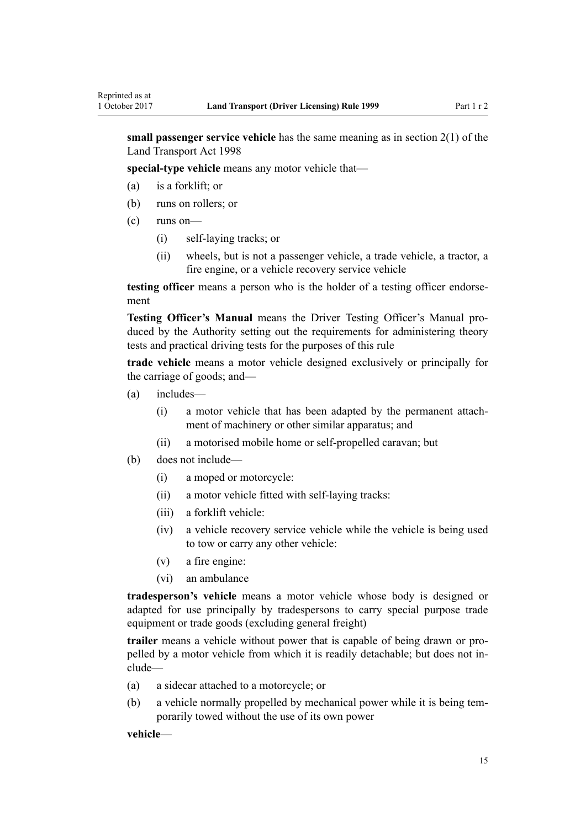**small passenger service vehicle** has the same meaning as in [section 2\(1\)](http://prd-lgnz-nlb.prd.pco.net.nz/pdflink.aspx?id=DLM433619) of the Land Transport Act 1998

**special-type vehicle** means any motor vehicle that—

- (a) is a forklift; or
- (b) runs on rollers; or
- (c) runs on—
	- (i) self-laying tracks; or
	- (ii) wheels, but is not a passenger vehicle, a trade vehicle, a tractor, a fire engine, or a vehicle recovery service vehicle

**testing officer** means a person who is the holder of a testing officer endorsement

**Testing Officer's Manual** means the Driver Testing Officer's Manual produced by the Authority setting out the requirements for administering theory tests and practical driving tests for the purposes of this rule

**trade vehicle** means a motor vehicle designed exclusively or principally for the carriage of goods; and—

- (a) includes—
	- (i) a motor vehicle that has been adapted by the permanent attachment of machinery or other similar apparatus; and
	- (ii) a motorised mobile home or self-propelled caravan; but
- (b) does not include—
	- (i) a moped or motorcycle:
	- (ii) a motor vehicle fitted with self-laying tracks:
	- (iii) a forklift vehicle:
	- (iv) a vehicle recovery service vehicle while the vehicle is being used to tow or carry any other vehicle:
	- (v) a fire engine:
	- (vi) an ambulance

**tradesperson's vehicle** means a motor vehicle whose body is designed or adapted for use principally by tradespersons to carry special purpose trade equipment or trade goods (excluding general freight)

**trailer** means a vehicle without power that is capable of being drawn or propelled by a motor vehicle from which it is readily detachable; but does not include—

- (a) a sidecar attached to a motorcycle; or
- (b) a vehicle normally propelled by mechanical power while it is being temporarily towed without the use of its own power

**vehicle**—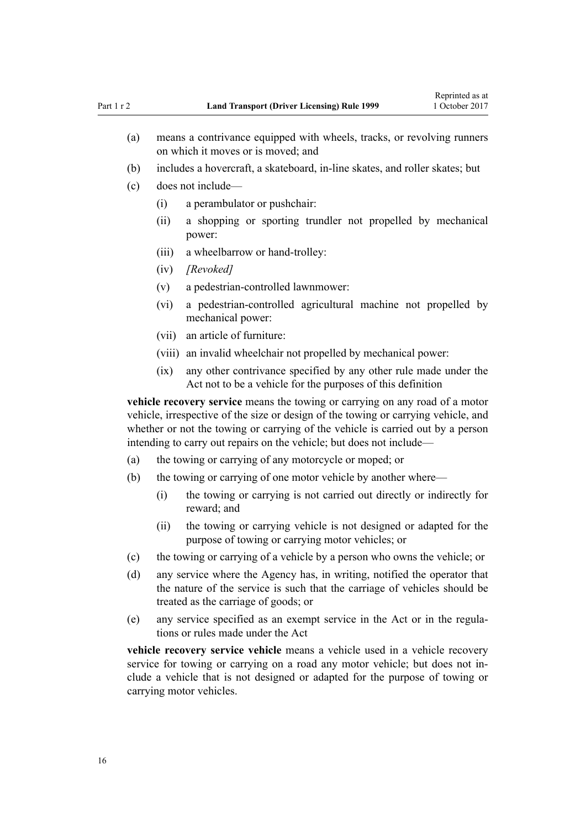- (a) means a contrivance equipped with wheels, tracks, or revolving runners on which it moves or is moved; and
- (b) includes a hovercraft, a skateboard, in-line skates, and roller skates; but
- (c) does not include—
	- (i) a perambulator or pushchair:
	- (ii) a shopping or sporting trundler not propelled by mechanical power:
	- (iii) a wheelbarrow or hand-trolley:
	- (iv) *[Revoked]*
	- (v) a pedestrian-controlled lawnmower:
	- (vi) a pedestrian-controlled agricultural machine not propelled by mechanical power:
	- (vii) an article of furniture:
	- (viii) an invalid wheelchair not propelled by mechanical power:
	- (ix) any other contrivance specified by any other rule made under the Act not to be a vehicle for the purposes of this definition

**vehicle recovery service** means the towing or carrying on any road of a motor vehicle, irrespective of the size or design of the towing or carrying vehicle, and whether or not the towing or carrying of the vehicle is carried out by a person intending to carry out repairs on the vehicle; but does not include—

- (a) the towing or carrying of any motorcycle or moped; or
- (b) the towing or carrying of one motor vehicle by another where—
	- (i) the towing or carrying is not carried out directly or indirectly for reward; and
	- (ii) the towing or carrying vehicle is not designed or adapted for the purpose of towing or carrying motor vehicles; or
- (c) the towing or carrying of a vehicle by a person who owns the vehicle; or
- (d) any service where the Agency has, in writing, notified the operator that the nature of the service is such that the carriage of vehicles should be treated as the carriage of goods; or
- (e) any service specified as an exempt service in the Act or in the regulations or rules made under the Act

**vehicle recovery service vehicle** means a vehicle used in a vehicle recovery service for towing or carrying on a road any motor vehicle; but does not include a vehicle that is not designed or adapted for the purpose of towing or carrying motor vehicles.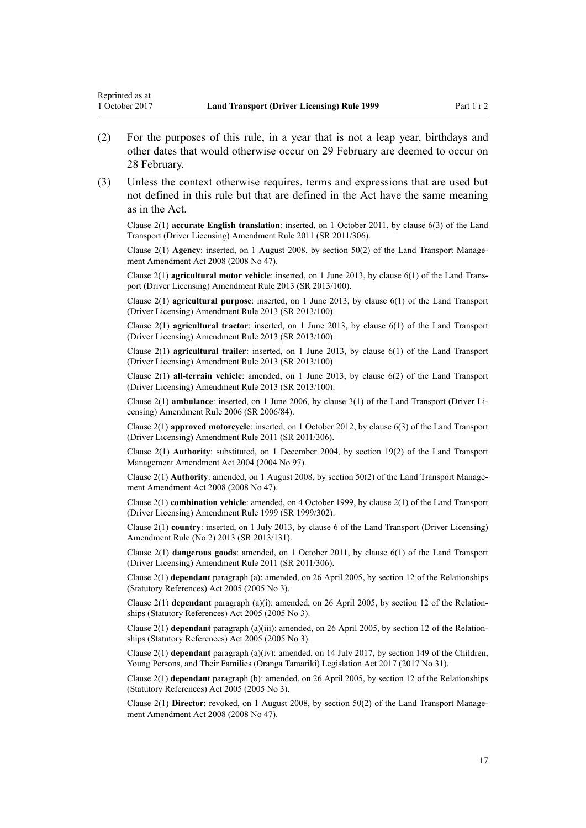Reprinted as at

- (2) For the purposes of this rule, in a year that is not a leap year, birthdays and other dates that would otherwise occur on 29 February are deemed to occur on 28 February.
- (3) Unless the context otherwise requires, terms and expressions that are used but not defined in this rule but that are defined in the Act have the same meaning as in the Act.

Clause 2(1) **accurate English translation**: inserted, on 1 October 2011, by [clause 6\(3\)](http://prd-lgnz-nlb.prd.pco.net.nz/pdflink.aspx?id=DLM3956501) of the Land Transport (Driver Licensing) Amendment Rule 2011 (SR 2011/306).

Clause 2(1) **Agency**: inserted, on 1 August 2008, by [section 50\(2\)](http://prd-lgnz-nlb.prd.pco.net.nz/pdflink.aspx?id=DLM1313622) of the Land Transport Management Amendment Act 2008 (2008 No 47).

Clause 2(1) **agricultural motor vehicle**: inserted, on 1 June 2013, by [clause 6\(1\)](http://prd-lgnz-nlb.prd.pco.net.nz/pdflink.aspx?id=DLM5102233) of the Land Transport (Driver Licensing) Amendment Rule 2013 (SR 2013/100).

Clause 2(1) **agricultural purpose**: inserted, on 1 June 2013, by [clause 6\(1\)](http://prd-lgnz-nlb.prd.pco.net.nz/pdflink.aspx?id=DLM5102233) of the Land Transport (Driver Licensing) Amendment Rule 2013 (SR 2013/100).

Clause 2(1) **agricultural tractor**: inserted, on 1 June 2013, by [clause 6\(1\)](http://prd-lgnz-nlb.prd.pco.net.nz/pdflink.aspx?id=DLM5102233) of the Land Transport (Driver Licensing) Amendment Rule 2013 (SR 2013/100).

Clause 2(1) **agricultural trailer**: inserted, on 1 June 2013, by [clause 6\(1\)](http://prd-lgnz-nlb.prd.pco.net.nz/pdflink.aspx?id=DLM5102233) of the Land Transport (Driver Licensing) Amendment Rule 2013 (SR 2013/100).

Clause 2(1) **all-terrain vehicle**: amended, on 1 June 2013, by [clause 6\(2\)](http://prd-lgnz-nlb.prd.pco.net.nz/pdflink.aspx?id=DLM5102233) of the Land Transport (Driver Licensing) Amendment Rule 2013 (SR 2013/100).

Clause 2(1) **ambulance**: inserted, on 1 June 2006, by [clause 3\(1\)](http://prd-lgnz-nlb.prd.pco.net.nz/pdflink.aspx?id=DLM375678) of the Land Transport (Driver Licensing) Amendment Rule 2006 (SR 2006/84).

Clause 2(1) **approved motorcycle**: inserted, on 1 October 2012, by [clause 6\(3\)](http://prd-lgnz-nlb.prd.pco.net.nz/pdflink.aspx?id=DLM3956501) of the Land Transport (Driver Licensing) Amendment Rule 2011 (SR 2011/306).

Clause 2(1) **Authority**: substituted, on 1 December 2004, by [section 19\(2\)](http://prd-lgnz-nlb.prd.pco.net.nz/pdflink.aspx?id=DLM321838) of the Land Transport Management Amendment Act 2004 (2004 No 97).

Clause 2(1) **Authority**: amended, on 1 August 2008, by [section 50\(2\)](http://prd-lgnz-nlb.prd.pco.net.nz/pdflink.aspx?id=DLM1313622) of the Land Transport Management Amendment Act 2008 (2008 No 47).

Clause 2(1) **combination vehicle**: amended, on 4 October 1999, by [clause 2\(1\)](http://prd-lgnz-nlb.prd.pco.net.nz/pdflink.aspx?id=DLM293670) of the Land Transport (Driver Licensing) Amendment Rule 1999 (SR 1999/302).

Clause 2(1) **country**: inserted, on 1 July 2013, by [clause 6](http://prd-lgnz-nlb.prd.pco.net.nz/pdflink.aspx?id=DLM5159809) of the Land Transport (Driver Licensing) Amendment Rule (No 2) 2013 (SR 2013/131).

Clause 2(1) **dangerous goods**: amended, on 1 October 2011, by [clause 6\(1\)](http://prd-lgnz-nlb.prd.pco.net.nz/pdflink.aspx?id=DLM3956501) of the Land Transport (Driver Licensing) Amendment Rule 2011 (SR 2011/306).

Clause 2(1) **dependant** paragraph (a): amended, on 26 April 2005, by [section 12](http://prd-lgnz-nlb.prd.pco.net.nz/pdflink.aspx?id=DLM334004) of the Relationships (Statutory References) Act 2005 (2005 No 3).

Clause 2(1) **dependant** paragraph (a)(i): amended, on 26 April 2005, by [section 12](http://prd-lgnz-nlb.prd.pco.net.nz/pdflink.aspx?id=DLM334004) of the Relationships (Statutory References) Act 2005 (2005 No 3).

Clause 2(1) **dependant** paragraph (a)(iii): amended, on 26 April 2005, by [section 12](http://prd-lgnz-nlb.prd.pco.net.nz/pdflink.aspx?id=DLM334004) of the Relationships (Statutory References) Act 2005 (2005 No 3).

Clause 2(1) **dependant** paragraph (a)(iv): amended, on 14 July 2017, by [section 149](http://prd-lgnz-nlb.prd.pco.net.nz/pdflink.aspx?id=DLM7287401) of the Children, Young Persons, and Their Families (Oranga Tamariki) Legislation Act 2017 (2017 No 31).

Clause 2(1) **dependant** paragraph (b): amended, on 26 April 2005, by [section 12](http://prd-lgnz-nlb.prd.pco.net.nz/pdflink.aspx?id=DLM334004) of the Relationships (Statutory References) Act 2005 (2005 No 3).

Clause 2(1) **Director**: revoked, on 1 August 2008, by [section 50\(2\)](http://prd-lgnz-nlb.prd.pco.net.nz/pdflink.aspx?id=DLM1313622) of the Land Transport Management Amendment Act 2008 (2008 No 47).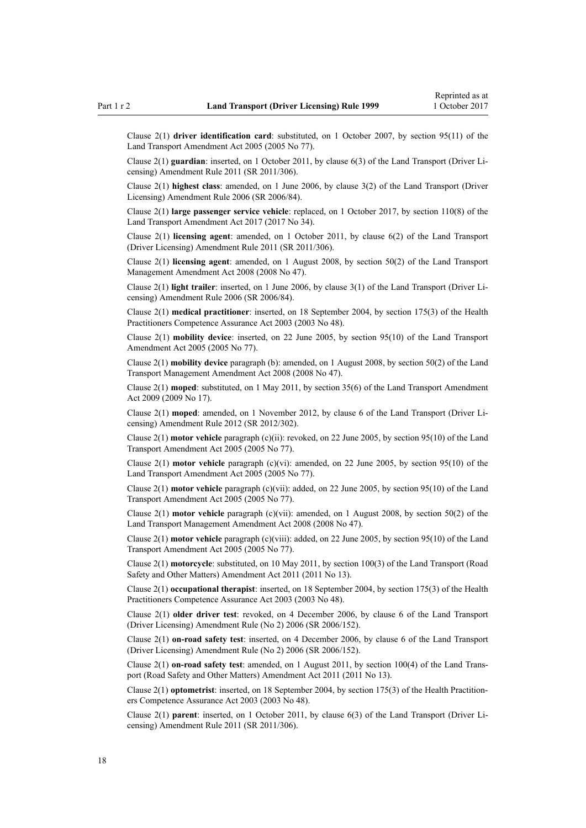Clause 2(1) **driver identification card**: substituted, on 1 October 2007, by [section 95\(11\)](http://prd-lgnz-nlb.prd.pco.net.nz/pdflink.aspx?id=DLM353501) of the Land Transport Amendment Act 2005 (2005 No 77).

Clause 2(1) **guardian**: inserted, on 1 October 2011, by [clause 6\(3\)](http://prd-lgnz-nlb.prd.pco.net.nz/pdflink.aspx?id=DLM3956501) of the Land Transport (Driver Licensing) Amendment Rule 2011 (SR 2011/306).

Clause 2(1) **highest class**: amended, on 1 June 2006, by [clause 3\(2\)](http://prd-lgnz-nlb.prd.pco.net.nz/pdflink.aspx?id=DLM375678) of the Land Transport (Driver Licensing) Amendment Rule 2006 (SR 2006/84).

Clause 2(1) **large passenger service vehicle**: replaced, on 1 October 2017, by [section 110\(8\)](http://prd-lgnz-nlb.prd.pco.net.nz/pdflink.aspx?id=DLM6960929) of the Land Transport Amendment Act 2017 (2017 No 34).

Clause 2(1) **licensing agent**: amended, on 1 October 2011, by [clause 6\(2\)](http://prd-lgnz-nlb.prd.pco.net.nz/pdflink.aspx?id=DLM3956501) of the Land Transport (Driver Licensing) Amendment Rule 2011 (SR 2011/306).

Clause 2(1) **licensing agent**: amended, on 1 August 2008, by [section 50\(2\)](http://prd-lgnz-nlb.prd.pco.net.nz/pdflink.aspx?id=DLM1313622) of the Land Transport Management Amendment Act 2008 (2008 No 47).

Clause 2(1) **light trailer**: inserted, on 1 June 2006, by [clause 3\(1\)](http://prd-lgnz-nlb.prd.pco.net.nz/pdflink.aspx?id=DLM375678) of the Land Transport (Driver Licensing) Amendment Rule 2006 (SR 2006/84).

Clause 2(1) **medical practitioner**: inserted, on 18 September 2004, by [section 175\(3\)](http://prd-lgnz-nlb.prd.pco.net.nz/pdflink.aspx?id=DLM205009) of the Health Practitioners Competence Assurance Act 2003 (2003 No 48).

Clause 2(1) **mobility device**: inserted, on 22 June 2005, by [section 95\(10\)](http://prd-lgnz-nlb.prd.pco.net.nz/pdflink.aspx?id=DLM353501) of the Land Transport Amendment Act 2005 (2005 No 77).

Clause 2(1) **mobility device** paragraph (b): amended, on 1 August 2008, by [section 50\(2\)](http://prd-lgnz-nlb.prd.pco.net.nz/pdflink.aspx?id=DLM1313622) of the Land Transport Management Amendment Act 2008 (2008 No 47).

Clause 2(1) **moped**: substituted, on 1 May 2011, by [section 35\(6\)](http://prd-lgnz-nlb.prd.pco.net.nz/pdflink.aspx?id=DLM2015063) of the Land Transport Amendment Act 2009 (2009 No 17).

Clause 2(1) **moped**: amended, on 1 November 2012, by [clause 6](http://prd-lgnz-nlb.prd.pco.net.nz/pdflink.aspx?id=DLM4773435) of the Land Transport (Driver Licensing) Amendment Rule 2012 (SR 2012/302).

Clause 2(1) **motor vehicle** paragraph (c)(ii): revoked, on 22 June 2005, by [section 95\(10\)](http://prd-lgnz-nlb.prd.pco.net.nz/pdflink.aspx?id=DLM353501) of the Land Transport Amendment Act 2005 (2005 No 77).

Clause 2(1) **motor vehicle** paragraph (c)(vi): amended, on 22 June 2005, by [section 95\(10\)](http://prd-lgnz-nlb.prd.pco.net.nz/pdflink.aspx?id=DLM353501) of the Land Transport Amendment Act 2005 (2005 No 77).

Clause 2(1) **motor vehicle** paragraph (c)(vii): added, on 22 June 2005, by [section 95\(10\)](http://prd-lgnz-nlb.prd.pco.net.nz/pdflink.aspx?id=DLM353501) of the Land Transport Amendment Act 2005 (2005 No 77).

Clause 2(1) **motor vehicle** paragraph (c)(vii): amended, on 1 August 2008, by [section 50\(2\)](http://prd-lgnz-nlb.prd.pco.net.nz/pdflink.aspx?id=DLM1313622) of the Land Transport Management Amendment Act 2008 (2008 No 47).

Clause 2(1) **motor vehicle** paragraph (c)(viii): added, on 22 June 2005, by [section 95\(10\)](http://prd-lgnz-nlb.prd.pco.net.nz/pdflink.aspx?id=DLM353501) of the Land Transport Amendment Act 2005 (2005 No 77).

Clause 2(1) **motorcycle**: substituted, on 10 May 2011, by [section 100\(3\)](http://prd-lgnz-nlb.prd.pco.net.nz/pdflink.aspx?id=DLM3231293) of the Land Transport (Road Safety and Other Matters) Amendment Act 2011 (2011 No 13).

Clause 2(1) **occupational therapist**: inserted, on 18 September 2004, by [section 175\(3\)](http://prd-lgnz-nlb.prd.pco.net.nz/pdflink.aspx?id=DLM205009) of the Health Practitioners Competence Assurance Act 2003 (2003 No 48).

Clause 2(1) **older driver test**: revoked, on 4 December 2006, by [clause 6](http://prd-lgnz-nlb.prd.pco.net.nz/pdflink.aspx?id=DLM386141) of the Land Transport (Driver Licensing) Amendment Rule (No 2) 2006 (SR 2006/152).

Clause 2(1) **on-road safety test**: inserted, on 4 December 2006, by [clause 6](http://prd-lgnz-nlb.prd.pco.net.nz/pdflink.aspx?id=DLM386141) of the Land Transport (Driver Licensing) Amendment Rule (No 2) 2006 (SR 2006/152).

Clause 2(1) **on-road safety test**: amended, on 1 August 2011, by [section 100\(4\)](http://prd-lgnz-nlb.prd.pco.net.nz/pdflink.aspx?id=DLM3231293) of the Land Transport (Road Safety and Other Matters) Amendment Act 2011 (2011 No 13).

Clause 2(1) **optometrist**: inserted, on 18 September 2004, by [section 175\(3\)](http://prd-lgnz-nlb.prd.pco.net.nz/pdflink.aspx?id=DLM205009) of the Health Practitioners Competence Assurance Act 2003 (2003 No 48).

Clause 2(1) **parent**: inserted, on 1 October 2011, by [clause 6\(3\)](http://prd-lgnz-nlb.prd.pco.net.nz/pdflink.aspx?id=DLM3956501) of the Land Transport (Driver Licensing) Amendment Rule 2011 (SR 2011/306).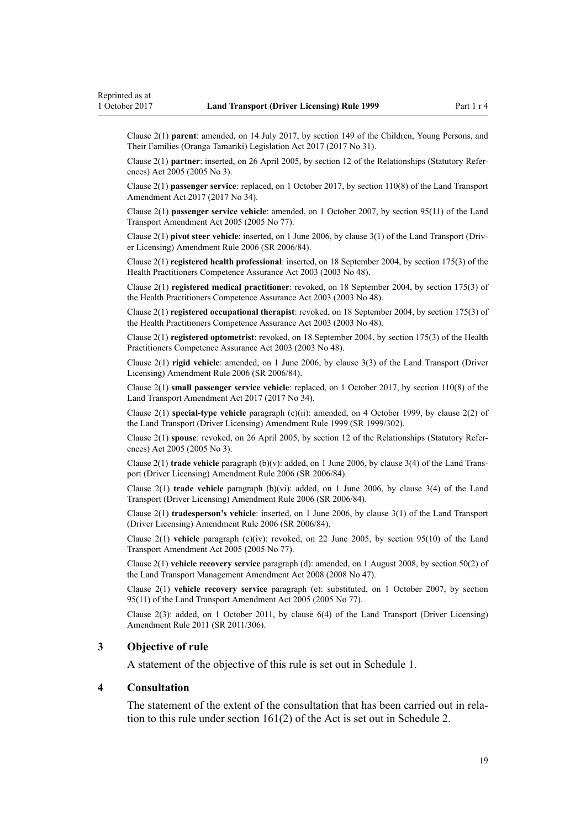<span id="page-18-0"></span>Clause 2(1) **parent**: amended, on 14 July 2017, by [section 149](http://prd-lgnz-nlb.prd.pco.net.nz/pdflink.aspx?id=DLM7287401) of the Children, Young Persons, and Their Families (Oranga Tamariki) Legislation Act 2017 (2017 No 31).

Clause 2(1) **partner**: inserted, on 26 April 2005, by [section 12](http://prd-lgnz-nlb.prd.pco.net.nz/pdflink.aspx?id=DLM334004) of the Relationships (Statutory References) Act 2005 (2005 No 3).

Clause 2(1) **passenger service**: replaced, on 1 October 2017, by [section 110\(8\)](http://prd-lgnz-nlb.prd.pco.net.nz/pdflink.aspx?id=DLM6960929) of the Land Transport Amendment Act 2017 (2017 No 34).

Clause 2(1) **passenger service vehicle**: amended, on 1 October 2007, by [section 95\(11\)](http://prd-lgnz-nlb.prd.pco.net.nz/pdflink.aspx?id=DLM353501) of the Land Transport Amendment Act 2005 (2005 No 77).

Clause 2(1) **pivot steer vehicle**: inserted, on 1 June 2006, by [clause 3\(1\)](http://prd-lgnz-nlb.prd.pco.net.nz/pdflink.aspx?id=DLM375678) of the Land Transport (Driver Licensing) Amendment Rule 2006 (SR 2006/84).

Clause 2(1) **registered health professional**: inserted, on 18 September 2004, by [section 175\(3\)](http://prd-lgnz-nlb.prd.pco.net.nz/pdflink.aspx?id=DLM205009) of the Health Practitioners Competence Assurance Act 2003 (2003 No 48).

Clause 2(1) **registered medical practitioner**: revoked, on 18 September 2004, by [section 175\(3\)](http://prd-lgnz-nlb.prd.pco.net.nz/pdflink.aspx?id=DLM205009) of the Health Practitioners Competence Assurance Act 2003 (2003 No 48).

Clause 2(1) **registered occupational therapist**: revoked, on 18 September 2004, by [section 175\(3\)](http://prd-lgnz-nlb.prd.pco.net.nz/pdflink.aspx?id=DLM205009) of the Health Practitioners Competence Assurance Act 2003 (2003 No 48).

Clause 2(1) **registered optometrist**: revoked, on 18 September 2004, by [section 175\(3\)](http://prd-lgnz-nlb.prd.pco.net.nz/pdflink.aspx?id=DLM205009) of the Health Practitioners Competence Assurance Act 2003 (2003 No 48).

Clause 2(1) **rigid vehicle**: amended, on 1 June 2006, by [clause 3\(3\)](http://prd-lgnz-nlb.prd.pco.net.nz/pdflink.aspx?id=DLM375678) of the Land Transport (Driver Licensing) Amendment Rule 2006 (SR 2006/84).

Clause 2(1) **small passenger service vehicle**: replaced, on 1 October 2017, by [section 110\(8\)](http://prd-lgnz-nlb.prd.pco.net.nz/pdflink.aspx?id=DLM6960929) of the Land Transport Amendment Act 2017 (2017 No 34).

Clause 2(1) **special-type vehicle** paragraph (c)(ii): amended, on 4 October 1999, by [clause 2\(2\)](http://prd-lgnz-nlb.prd.pco.net.nz/pdflink.aspx?id=DLM293670) of the Land Transport (Driver Licensing) Amendment Rule 1999 (SR 1999/302).

Clause 2(1) **spouse**: revoked, on 26 April 2005, by [section 12](http://prd-lgnz-nlb.prd.pco.net.nz/pdflink.aspx?id=DLM334004) of the Relationships (Statutory References) Act 2005 (2005 No 3).

Clause 2(1) **trade vehicle** paragraph (b)(v): added, on 1 June 2006, by [clause 3\(4\)](http://prd-lgnz-nlb.prd.pco.net.nz/pdflink.aspx?id=DLM375678) of the Land Transport (Driver Licensing) Amendment Rule 2006 (SR 2006/84).

Clause 2(1) **trade vehicle** paragraph (b)(vi): added, on 1 June 2006, by [clause 3\(4\)](http://prd-lgnz-nlb.prd.pco.net.nz/pdflink.aspx?id=DLM375678) of the Land Transport (Driver Licensing) Amendment Rule 2006 (SR 2006/84).

Clause 2(1) **tradesperson's vehicle**: inserted, on 1 June 2006, by [clause 3\(1\)](http://prd-lgnz-nlb.prd.pco.net.nz/pdflink.aspx?id=DLM375678) of the Land Transport (Driver Licensing) Amendment Rule 2006 (SR 2006/84).

Clause 2(1) **vehicle** paragraph (c)(iv): revoked, on 22 June 2005, by [section 95\(10\)](http://prd-lgnz-nlb.prd.pco.net.nz/pdflink.aspx?id=DLM353501) of the Land Transport Amendment Act 2005 (2005 No 77).

Clause 2(1) **vehicle recovery service** paragraph (d): amended, on 1 August 2008, by [section 50\(2\)](http://prd-lgnz-nlb.prd.pco.net.nz/pdflink.aspx?id=DLM1313622) of the Land Transport Management Amendment Act 2008 (2008 No 47).

Clause 2(1) **vehicle recovery service** paragraph (e): substituted, on 1 October 2007, by [section](http://prd-lgnz-nlb.prd.pco.net.nz/pdflink.aspx?id=DLM353501) [95\(11\)](http://prd-lgnz-nlb.prd.pco.net.nz/pdflink.aspx?id=DLM353501) of the Land Transport Amendment Act 2005 (2005 No 77).

Clause 2(3): added, on 1 October 2011, by [clause 6\(4\)](http://prd-lgnz-nlb.prd.pco.net.nz/pdflink.aspx?id=DLM3956501) of the Land Transport (Driver Licensing) Amendment Rule 2011 (SR 2011/306).

#### **3 Objective of rule**

A statement of the objective of this rule is set out in [Schedule 1.](#page-106-0)

## **4 Consultation**

The statement of the extent of the consultation that has been carried out in relation to this rule under [section 161\(2\)](http://prd-lgnz-nlb.prd.pco.net.nz/pdflink.aspx?id=DLM435195) of the Act is set out in [Schedule 2](#page-107-0).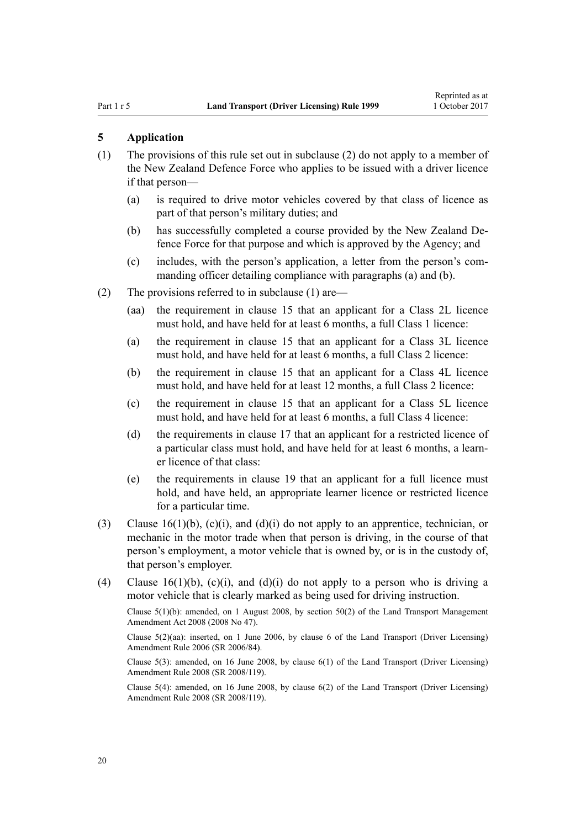#### <span id="page-19-0"></span>**5 Application**

- (1) The provisions of this rule set out in subclause (2) do not apply to a member of the New Zealand Defence Force who applies to be issued with a driver licence if that person—
	- (a) is required to drive motor vehicles covered by that class of licence as part of that person's military duties; and
	- (b) has successfully completed a course provided by the New Zealand Defence Force for that purpose and which is approved by the Agency; and
	- (c) includes, with the person's application, a letter from the person's commanding officer detailing compliance with paragraphs (a) and (b).
- (2) The provisions referred to in subclause (1) are—
	- (aa) the requirement in [clause 15](#page-25-0) that an applicant for a Class 2L licence must hold, and have held for at least 6 months, a full Class 1 licence:
	- (a) the requirement in [clause 15](#page-25-0) that an applicant for a Class 3L licence must hold, and have held for at least 6 months, a full Class 2 licence:
	- (b) the requirement in [clause 15](#page-25-0) that an applicant for a Class 4L licence must hold, and have held for at least 12 months, a full Class 2 licence:
	- (c) the requirement in [clause 15](#page-25-0) that an applicant for a Class 5L licence must hold, and have held for at least 6 months, a full Class 4 licence:
	- (d) the requirements in [clause 17](#page-28-0) that an applicant for a restricted licence of a particular class must hold, and have held for at least 6 months, a learner licence of that class:
	- (e) the requirements in [clause 19](#page-30-0) that an applicant for a full licence must hold, and have held, an appropriate learner licence or restricted licence for a particular time.
- (3) [Clause 16\(1\)\(b\), \(c\)\(i\), and \(d\)\(i\)](#page-26-0) do not apply to an apprentice, technician, or mechanic in the motor trade when that person is driving, in the course of that person's employment, a motor vehicle that is owned by, or is in the custody of, that person's employer.
- (4) [Clause 16\(1\)\(b\), \(c\)\(i\), and \(d\)\(i\)](#page-26-0) do not apply to a person who is driving a motor vehicle that is clearly marked as being used for driving instruction.

Clause  $5(1)(b)$ : amended, on 1 August 2008, by section  $50(2)$  of the Land Transport Management Amendment Act 2008 (2008 No 47).

Clause 5(2)(aa): inserted, on 1 June 2006, by [clause 6](http://prd-lgnz-nlb.prd.pco.net.nz/pdflink.aspx?id=DLM375691) of the Land Transport (Driver Licensing) Amendment Rule 2006 (SR 2006/84).

Clause  $5(3)$ : amended, on 16 June 2008, by clause  $6(1)$  of the Land Transport (Driver Licensing) Amendment Rule 2008 (SR 2008/119).

Clause 5(4): amended, on 16 June 2008, by [clause 6\(2\)](http://prd-lgnz-nlb.prd.pco.net.nz/pdflink.aspx?id=DLM1317909) of the Land Transport (Driver Licensing) Amendment Rule 2008 (SR 2008/119).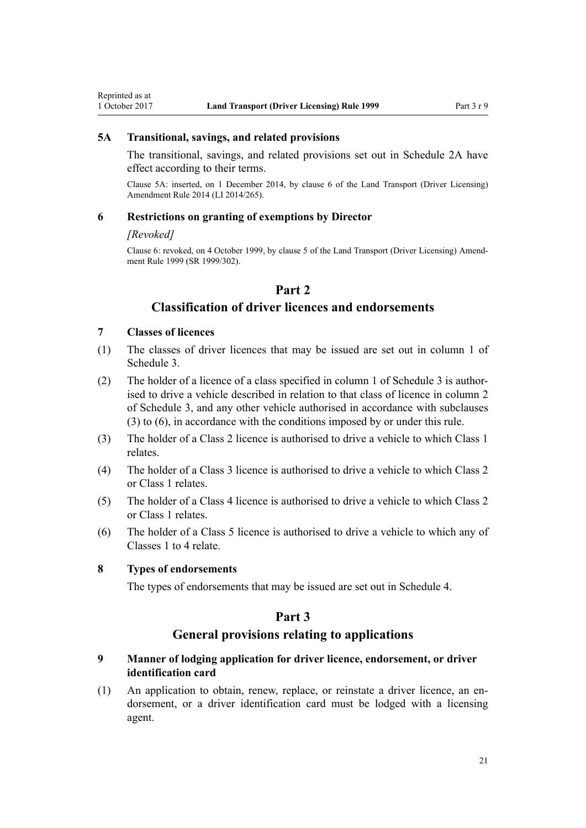# <span id="page-20-0"></span>**5A Transitional, savings, and related provisions**

The transitional, savings, and related provisions set out in [Schedule 2A](#page-109-0) have effect according to their terms.

Clause 5A: inserted, on 1 December 2014, by [clause 6](http://prd-lgnz-nlb.prd.pco.net.nz/pdflink.aspx?id=DLM6216910) of the Land Transport (Driver Licensing) Amendment Rule 2014 (LI 2014/265).

#### **6 Restrictions on granting of exemptions by Director**

#### *[Revoked]*

Clause 6: revoked, on 4 October 1999, by [clause 5](http://prd-lgnz-nlb.prd.pco.net.nz/pdflink.aspx?id=DLM293673) of the Land Transport (Driver Licensing) Amendment Rule 1999 (SR 1999/302).

# **Part 2**

# **Classification of driver licences and endorsements**

#### **7 Classes of licences**

- (1) The classes of driver licences that may be issued are set out in column 1 of [Schedule 3.](#page-110-0)
- (2) The holder of a licence of a class specified in column 1 of [Schedule 3](#page-110-0) is authorised to drive a vehicle described in relation to that class of licence in column 2 of Schedule 3, and any other vehicle authorised in accordance with subclauses (3) to (6), in accordance with the conditions imposed by or under this rule.
- (3) The holder of a Class 2 licence is authorised to drive a vehicle to which Class 1 relates.
- (4) The holder of a Class 3 licence is authorised to drive a vehicle to which Class 2 or Class 1 relates.
- (5) The holder of a Class 4 licence is authorised to drive a vehicle to which Class 2 or Class 1 relates.
- (6) The holder of a Class 5 licence is authorised to drive a vehicle to which any of Classes 1 to 4 relate.

## **8 Types of endorsements**

The types of endorsements that may be issued are set out in [Schedule 4.](#page-112-0)

## **Part 3**

## **General provisions relating to applications**

## **9 Manner of lodging application for driver licence, endorsement, or driver identification card**

(1) An application to obtain, renew, replace, or reinstate a driver licence, an endorsement, or a driver identification card must be lodged with a licensing agent.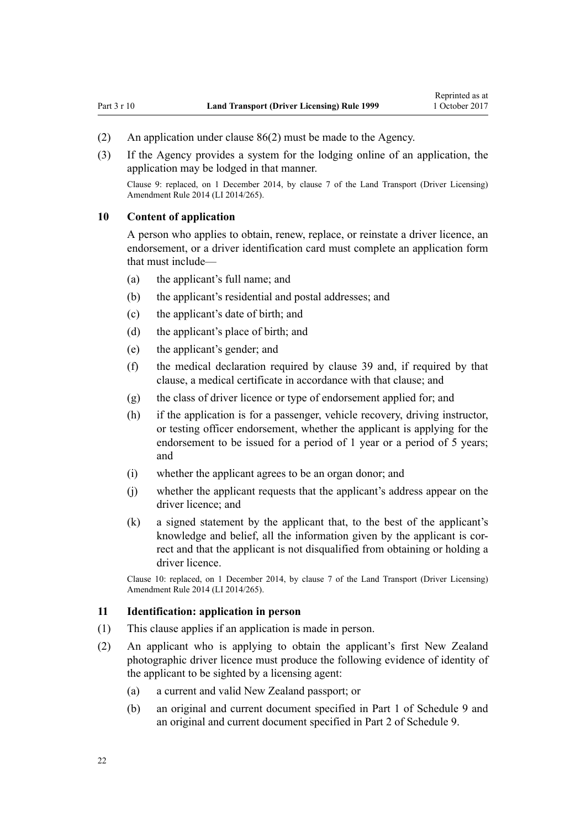- <span id="page-21-0"></span>(2) An application under [clause 86\(2\)](#page-84-0) must be made to the Agency.
- (3) If the Agency provides a system for the lodging online of an application, the application may be lodged in that manner.

Clause 9: replaced, on 1 December 2014, by [clause 7](http://prd-lgnz-nlb.prd.pco.net.nz/pdflink.aspx?id=DLM6216912) of the Land Transport (Driver Licensing) Amendment Rule 2014 (LI 2014/265).

## **10 Content of application**

A person who applies to obtain, renew, replace, or reinstate a driver licence, an endorsement, or a driver identification card must complete an application form that must include—

- (a) the applicant's full name; and
- (b) the applicant's residential and postal addresses; and
- (c) the applicant's date of birth; and
- (d) the applicant's place of birth; and
- (e) the applicant's gender; and
- (f) the medical declaration required by [clause 39](#page-49-0) and, if required by that clause, a medical certificate in accordance with that clause; and
- (g) the class of driver licence or type of endorsement applied for; and
- (h) if the application is for a passenger, vehicle recovery, driving instructor, or testing officer endorsement, whether the applicant is applying for the endorsement to be issued for a period of 1 year or a period of 5 years; and
- (i) whether the applicant agrees to be an organ donor; and
- (j) whether the applicant requests that the applicant's address appear on the driver licence; and
- (k) a signed statement by the applicant that, to the best of the applicant's knowledge and belief, all the information given by the applicant is correct and that the applicant is not disqualified from obtaining or holding a driver licence.

Clause 10: replaced, on 1 December 2014, by [clause 7](http://prd-lgnz-nlb.prd.pco.net.nz/pdflink.aspx?id=DLM6216912) of the Land Transport (Driver Licensing) Amendment Rule 2014 (LI 2014/265).

## **11 Identification: application in person**

- (1) This clause applies if an application is made in person.
- (2) An applicant who is applying to obtain the applicant's first New Zealand photographic driver licence must produce the following evidence of identity of the applicant to be sighted by a licensing agent:
	- (a) a current and valid New Zealand passport; or
	- (b) an original and current document specified in [Part 1](#page-117-0) of Schedule 9 and an original and current document specified in [Part 2](#page-117-0) of Schedule 9.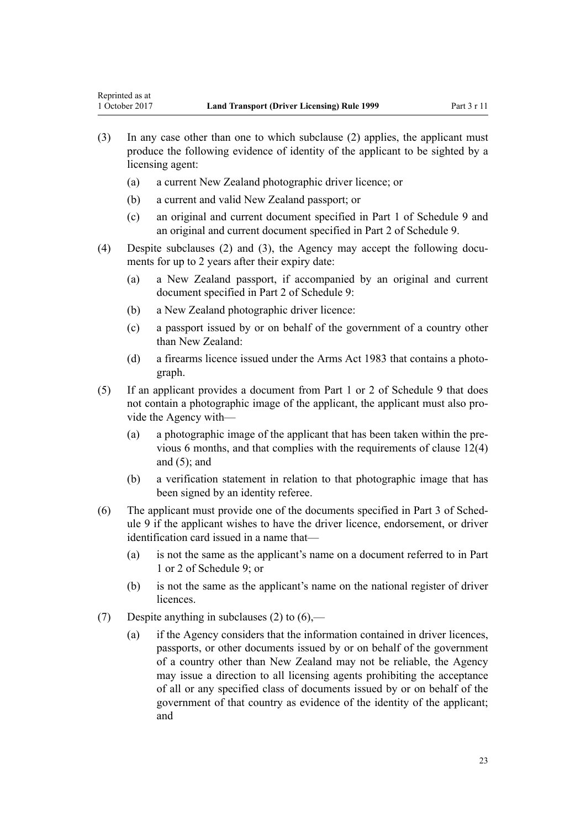- (3) In any case other than one to which subclause (2) applies, the applicant must produce the following evidence of identity of the applicant to be sighted by a licensing agent:
	- (a) a current New Zealand photographic driver licence; or
	- (b) a current and valid New Zealand passport; or
	- (c) an original and current document specified in [Part 1](#page-117-0) of Schedule 9 and an original and current document specified in [Part 2](#page-117-0) of Schedule 9.
- (4) Despite subclauses (2) and (3), the Agency may accept the following documents for up to 2 years after their expiry date:
	- (a) a New Zealand passport, if accompanied by an original and current document specified in [Part 2](#page-117-0) of Schedule 9:
	- (b) a New Zealand photographic driver licence:
	- (c) a passport issued by or on behalf of the government of a country other than New Zealand:
	- (d) a firearms licence issued under the [Arms Act 1983](http://prd-lgnz-nlb.prd.pco.net.nz/pdflink.aspx?id=DLM72621) that contains a photograph.
- (5) If an applicant provides a document from [Part 1](#page-117-0) or [2](#page-117-0) of Schedule 9 that does not contain a photographic image of the applicant, the applicant must also provide the Agency with—
	- (a) a photographic image of the applicant that has been taken within the previous 6 months, and that complies with the requirements of [clause 12\(4\)](#page-23-0) and  $(5)$ ; and
	- (b) a verification statement in relation to that photographic image that has been signed by an identity referee.
- (6) The applicant must provide one of the documents specified in [Part 3](#page-118-0) of Schedule 9 if the applicant wishes to have the driver licence, endorsement, or driver identification card issued in a name that—
	- (a) is not the same as the applicant's name on a document referred to in [Part](#page-117-0) [1](#page-117-0) or [2](#page-117-0) of Schedule 9; or
	- (b) is not the same as the applicant's name on the national register of driver **licences**
- (7) Despite anything in subclauses (2) to  $(6)$ ,—
	- (a) if the Agency considers that the information contained in driver licences, passports, or other documents issued by or on behalf of the government of a country other than New Zealand may not be reliable, the Agency may issue a direction to all licensing agents prohibiting the acceptance of all or any specified class of documents issued by or on behalf of the government of that country as evidence of the identity of the applicant; and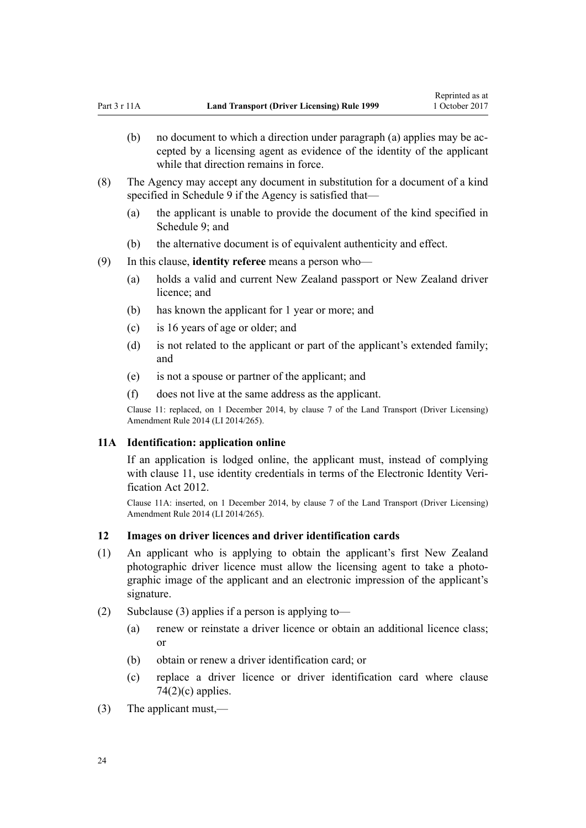- <span id="page-23-0"></span>(b) no document to which a direction under paragraph (a) applies may be accepted by a licensing agent as evidence of the identity of the applicant while that direction remains in force.
- (8) The Agency may accept any document in substitution for a document of a kind specified in [Schedule 9](#page-117-0) if the Agency is satisfied that—
	- (a) the applicant is unable to provide the document of the kind specified in [Schedule 9;](#page-117-0) and
	- (b) the alternative document is of equivalent authenticity and effect.
- (9) In this clause, **identity referee** means a person who—
	- (a) holds a valid and current New Zealand passport or New Zealand driver licence; and
	- (b) has known the applicant for 1 year or more; and
	- (c) is 16 years of age or older; and
	- (d) is not related to the applicant or part of the applicant's extended family; and
	- (e) is not a spouse or partner of the applicant; and
	- (f) does not live at the same address as the applicant.

Clause 11: replaced, on 1 December 2014, by [clause 7](http://prd-lgnz-nlb.prd.pco.net.nz/pdflink.aspx?id=DLM6216912) of the Land Transport (Driver Licensing) Amendment Rule 2014 (LI 2014/265).

#### **11A Identification: application online**

If an application is lodged online, the applicant must, instead of complying with [clause 11](#page-21-0), use identity credentials in terms of the [Electronic Identity Veri](http://prd-lgnz-nlb.prd.pco.net.nz/pdflink.aspx?id=DLM1777800)[fication Act 2012.](http://prd-lgnz-nlb.prd.pco.net.nz/pdflink.aspx?id=DLM1777800)

Clause 11A: inserted, on 1 December 2014, by [clause 7](http://prd-lgnz-nlb.prd.pco.net.nz/pdflink.aspx?id=DLM6216912) of the Land Transport (Driver Licensing) Amendment Rule 2014 (LI 2014/265).

#### **12 Images on driver licences and driver identification cards**

- (1) An applicant who is applying to obtain the applicant's first New Zealand photographic driver licence must allow the licensing agent to take a photographic image of the applicant and an electronic impression of the applicant's signature.
- (2) Subclause (3) applies if a person is applying to—
	- (a) renew or reinstate a driver licence or obtain an additional licence class; or
	- (b) obtain or renew a driver identification card; or
	- (c) replace a driver licence or driver identification card where [clause](#page-75-0)  $74(2)(c)$  applies.
- (3) The applicant must,—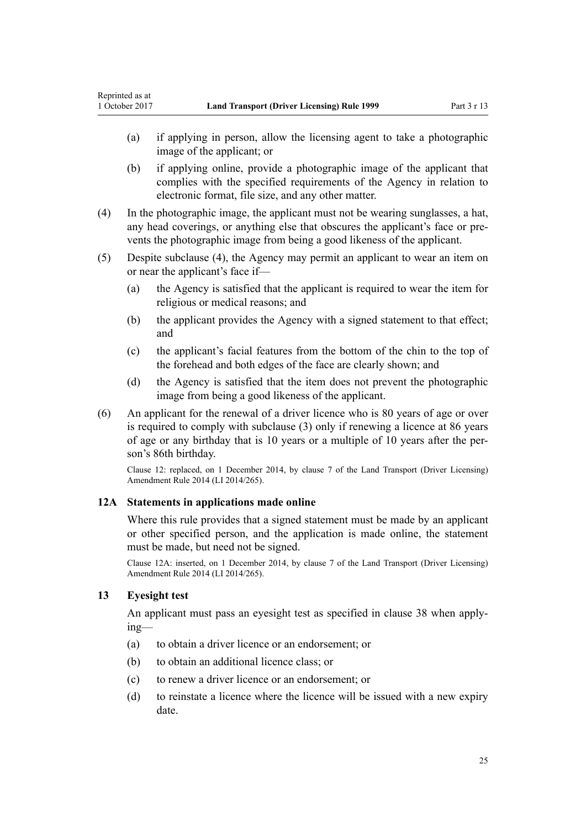- <span id="page-24-0"></span>(a) if applying in person, allow the licensing agent to take a photographic image of the applicant; or
- (b) if applying online, provide a photographic image of the applicant that complies with the specified requirements of the Agency in relation to electronic format, file size, and any other matter.
- (4) In the photographic image, the applicant must not be wearing sunglasses, a hat, any head coverings, or anything else that obscures the applicant's face or prevents the photographic image from being a good likeness of the applicant.
- (5) Despite subclause (4), the Agency may permit an applicant to wear an item on or near the applicant's face if—
	- (a) the Agency is satisfied that the applicant is required to wear the item for religious or medical reasons; and
	- (b) the applicant provides the Agency with a signed statement to that effect; and
	- (c) the applicant's facial features from the bottom of the chin to the top of the forehead and both edges of the face are clearly shown; and
	- (d) the Agency is satisfied that the item does not prevent the photographic image from being a good likeness of the applicant.
- (6) An applicant for the renewal of a driver licence who is 80 years of age or over is required to comply with subclause (3) only if renewing a licence at 86 years of age or any birthday that is 10 years or a multiple of 10 years after the person's 86th birthday.

Clause 12: replaced, on 1 December 2014, by [clause 7](http://prd-lgnz-nlb.prd.pco.net.nz/pdflink.aspx?id=DLM6216912) of the Land Transport (Driver Licensing) Amendment Rule 2014 (LI 2014/265).

## **12A Statements in applications made online**

Where this rule provides that a signed statement must be made by an applicant or other specified person, and the application is made online, the statement must be made, but need not be signed.

Clause 12A: inserted, on 1 December 2014, by [clause 7](http://prd-lgnz-nlb.prd.pco.net.nz/pdflink.aspx?id=DLM6216912) of the Land Transport (Driver Licensing) Amendment Rule 2014 (LI 2014/265).

## **13 Eyesight test**

An applicant must pass an eyesight test as specified in [clause 38](#page-48-0) when applying—

- (a) to obtain a driver licence or an endorsement; or
- (b) to obtain an additional licence class; or
- (c) to renew a driver licence or an endorsement; or
- (d) to reinstate a licence where the licence will be issued with a new expiry date.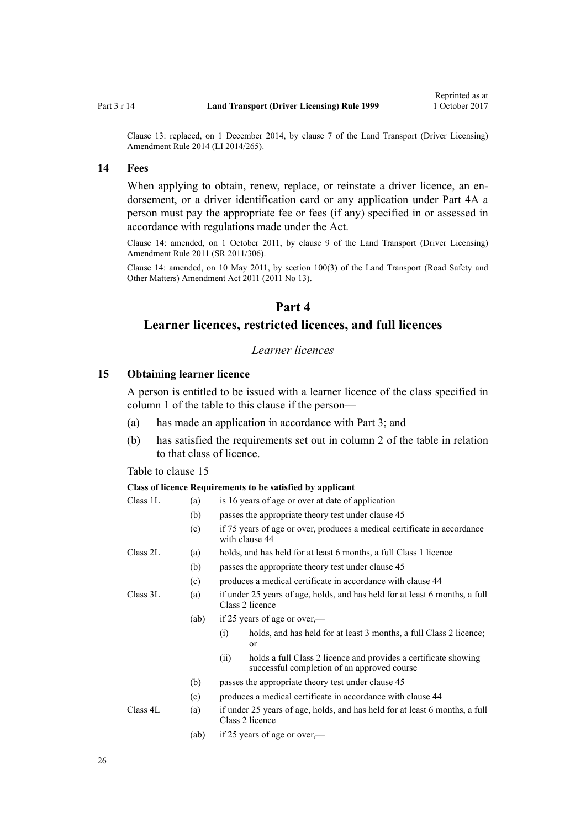<span id="page-25-0"></span>Clause 13: replaced, on 1 December 2014, by [clause 7](http://prd-lgnz-nlb.prd.pco.net.nz/pdflink.aspx?id=DLM6216912) of the Land Transport (Driver Licensing) Amendment Rule 2014 (LI 2014/265).

#### **14 Fees**

When applying to obtain, renew, replace, or reinstate a driver licence, an endorsement, or a driver identification card or any application under [Part 4A](#page-32-0) a person must pay the appropriate fee or fees (if any) specified in or assessed in accordance with regulations made under the Act.

Clause 14: amended, on 1 October 2011, by [clause 9](http://prd-lgnz-nlb.prd.pco.net.nz/pdflink.aspx?id=DLM3956593) of the Land Transport (Driver Licensing) Amendment Rule 2011 (SR 2011/306).

Clause 14: amended, on 10 May 2011, by [section 100\(3\)](http://prd-lgnz-nlb.prd.pco.net.nz/pdflink.aspx?id=DLM3231293) of the Land Transport (Road Safety and Other Matters) Amendment Act 2011 (2011 No 13).

## **Part 4**

## **Learner licences, restricted licences, and full licences**

## *Learner licences*

## **15 Obtaining learner licence**

A person is entitled to be issued with a learner licence of the class specified in column 1 of the table to this clause if the person—

- (a) has made an application in accordance with [Part 3;](#page-20-0) and
- (b) has satisfied the requirements set out in column 2 of the table in relation to that class of licence.

Table to clause 15

#### **Class of licence Requirements to be satisfied by applicant**

| Class 1L | (a)  | is 16 years of age or over at date of application                                                                     |  |  |  |
|----------|------|-----------------------------------------------------------------------------------------------------------------------|--|--|--|
|          | (b)  | passes the appropriate theory test under clause 45                                                                    |  |  |  |
|          | (c)  | if 75 years of age or over, produces a medical certificate in accordance<br>with clause 44                            |  |  |  |
| Class 2L | (a)  | holds, and has held for at least 6 months, a full Class 1 licence                                                     |  |  |  |
|          | (b)  | passes the appropriate theory test under clause 45                                                                    |  |  |  |
|          | (c)  | produces a medical certificate in accordance with clause 44                                                           |  |  |  |
| Class 3L | (a)  | if under 25 years of age, holds, and has held for at least 6 months, a full<br>Class 2 licence                        |  |  |  |
|          | (ab) | if 25 years of age or over,—                                                                                          |  |  |  |
|          |      | holds, and has held for at least 3 months, a full Class 2 licence;<br>(i)<br>or                                       |  |  |  |
|          |      | holds a full Class 2 licence and provides a certificate showing<br>(i)<br>successful completion of an approved course |  |  |  |
|          | (b)  | passes the appropriate theory test under clause 45                                                                    |  |  |  |
|          | (c)  | produces a medical certificate in accordance with clause 44                                                           |  |  |  |
| Class 4L | (a)  | if under 25 years of age, holds, and has held for at least 6 months, a full<br>Class 2 licence                        |  |  |  |
|          | (ab) | if 25 years of age or over,—                                                                                          |  |  |  |

26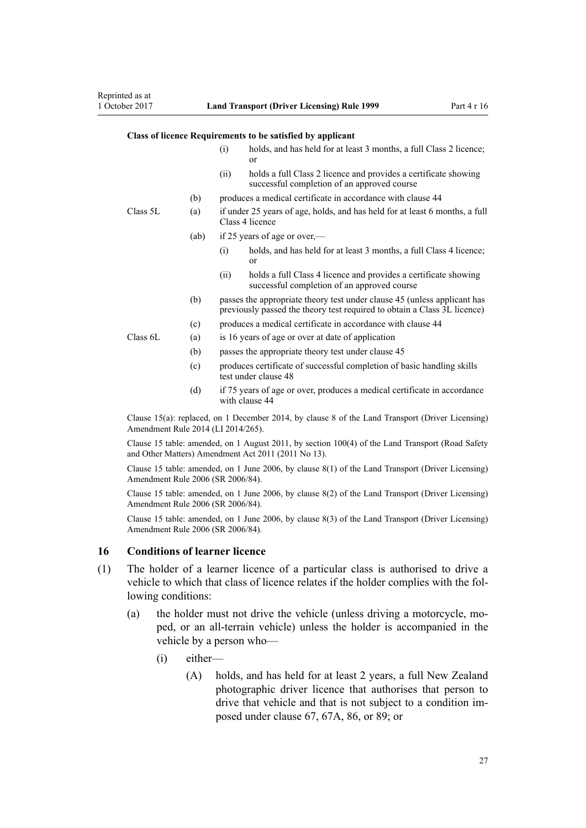#### <span id="page-26-0"></span>**Class of licence Requirements to be satisfied by applicant**

|          |                  | (i)                                                                                            | holds, and has held for at least 3 months, a full Class 2 licence;<br><sub>or</sub>                                                                  |  |
|----------|------------------|------------------------------------------------------------------------------------------------|------------------------------------------------------------------------------------------------------------------------------------------------------|--|
|          |                  | (i)                                                                                            | holds a full Class 2 licence and provides a certificate showing<br>successful completion of an approved course                                       |  |
|          | (b)              |                                                                                                | produces a medical certificate in accordance with clause 44                                                                                          |  |
| Class 5L | (a)              | if under 25 years of age, holds, and has held for at least 6 months, a full<br>Class 4 licence |                                                                                                                                                      |  |
|          | (ab)             |                                                                                                | if 25 years of age or over,—                                                                                                                         |  |
|          |                  | (i)                                                                                            | holds, and has held for at least 3 months, a full Class 4 licence;<br><sub>or</sub>                                                                  |  |
|          |                  | (i)                                                                                            | holds a full Class 4 licence and provides a certificate showing<br>successful completion of an approved course                                       |  |
|          | (b)              |                                                                                                | passes the appropriate theory test under clause 45 (unless applicant has<br>previously passed the theory test required to obtain a Class 3L licence) |  |
|          | (c)              |                                                                                                | produces a medical certificate in accordance with clause 44                                                                                          |  |
| Class 6L | (a)              | is 16 years of age or over at date of application                                              |                                                                                                                                                      |  |
|          | (b)              |                                                                                                | passes the appropriate theory test under clause 45                                                                                                   |  |
|          | (c)              |                                                                                                | produces certificate of successful completion of basic handling skills<br>test under clause 48                                                       |  |
|          | $\left(1\right)$ |                                                                                                | $1 \t 1 \t 1 \t 1$                                                                                                                                   |  |

(d) if 75 years of age or over, produces a medical certificate in accordance with [clause 44](#page-52-0)

Clause 15(a): replaced, on 1 December 2014, by [clause 8](http://prd-lgnz-nlb.prd.pco.net.nz/pdflink.aspx?id=DLM6216921) of the Land Transport (Driver Licensing) Amendment Rule 2014 (LI 2014/265).

Clause 15 table: amended, on 1 August 2011, by [section 100\(4\)](http://prd-lgnz-nlb.prd.pco.net.nz/pdflink.aspx?id=DLM3231293) of the Land Transport (Road Safety and Other Matters) Amendment Act 2011 (2011 No 13).

Clause 15 table: amended, on 1 June 2006, by [clause 8\(1\)](http://prd-lgnz-nlb.prd.pco.net.nz/pdflink.aspx?id=DLM375693) of the Land Transport (Driver Licensing) Amendment Rule 2006 (SR 2006/84).

Clause 15 table: amended, on 1 June 2006, by [clause 8\(2\)](http://prd-lgnz-nlb.prd.pco.net.nz/pdflink.aspx?id=DLM375693) of the Land Transport (Driver Licensing) Amendment Rule 2006 (SR 2006/84).

Clause 15 table: amended, on 1 June 2006, by [clause 8\(3\)](http://prd-lgnz-nlb.prd.pco.net.nz/pdflink.aspx?id=DLM375693) of the Land Transport (Driver Licensing) Amendment Rule 2006 (SR 2006/84).

#### **16 Conditions of learner licence**

- (1) The holder of a learner licence of a particular class is authorised to drive a vehicle to which that class of licence relates if the holder complies with the following conditions:
	- (a) the holder must not drive the vehicle (unless driving a motorcycle, moped, or an all-terrain vehicle) unless the holder is accompanied in the vehicle by a person who—
		- (i) either—
			- (A) holds, and has held for at least 2 years, a full New Zealand photographic driver licence that authorises that person to drive that vehicle and that is not subject to a condition imposed under [clause 67](#page-67-0), [67A,](#page-69-0) [86,](#page-84-0) or [89;](#page-88-0) or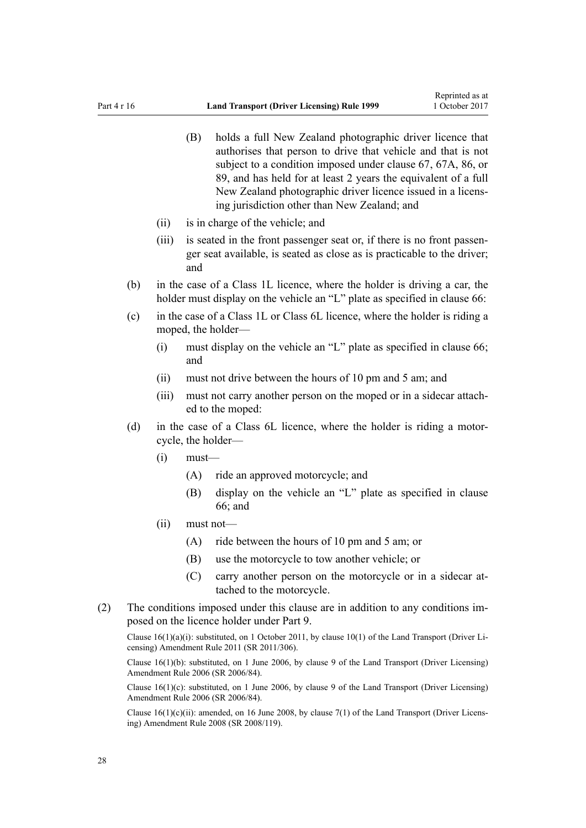- (B) holds a full New Zealand photographic driver licence that authorises that person to drive that vehicle and that is not subject to a condition imposed under [clause 67,](#page-67-0) [67A,](#page-69-0) [86](#page-84-0), or [89,](#page-88-0) and has held for at least 2 years the equivalent of a full New Zealand photographic driver licence issued in a licensing jurisdiction other than New Zealand; and
- (ii) is in charge of the vehicle; and
- (iii) is seated in the front passenger seat or, if there is no front passenger seat available, is seated as close as is practicable to the driver; and
- (b) in the case of a Class 1L licence, where the holder is driving a car, the holder must display on the vehicle an "L" plate as specified in [clause 66](#page-66-0):
- (c) in the case of a Class 1L or Class 6L licence, where the holder is riding a moped, the holder—
	- (i) must display on the vehicle an "L" plate as specified in [clause 66;](#page-66-0) and
	- (ii) must not drive between the hours of 10 pm and 5 am; and
	- (iii) must not carry another person on the moped or in a sidecar attached to the moped:
- (d) in the case of a Class 6L licence, where the holder is riding a motorcycle, the holder—
	- $(i)$  must—
		- (A) ride an approved motorcycle; and
		- (B) display on the vehicle an "L" plate as specified in [clause](#page-66-0) [66;](#page-66-0) and
	- (ii) must not—
		- (A) ride between the hours of 10 pm and 5 am; or
		- (B) use the motorcycle to tow another vehicle; or
		- (C) carry another person on the motorcycle or in a sidecar attached to the motorcycle.
- (2) The conditions imposed under this clause are in addition to any conditions imposed on the licence holder under [Part 9](#page-58-0).

Clause  $16(1)(a)(i)$ : substituted, on 1 October 2011, by clause  $10(1)$  of the Land Transport (Driver Licensing) Amendment Rule 2011 (SR 2011/306).

Clause 16(1)(b): substituted, on 1 June 2006, by [clause 9](http://prd-lgnz-nlb.prd.pco.net.nz/pdflink.aspx?id=DLM375694) of the Land Transport (Driver Licensing) Amendment Rule 2006 (SR 2006/84).

Clause  $16(1)(c)$ : substituted, on 1 June 2006, by [clause 9](http://prd-lgnz-nlb.prd.pco.net.nz/pdflink.aspx?id=DLM375694) of the Land Transport (Driver Licensing) Amendment Rule 2006 (SR 2006/84).

Clause  $16(1)(c)(ii)$ : amended, on 16 June 2008, by [clause 7\(1\)](http://prd-lgnz-nlb.prd.pco.net.nz/pdflink.aspx?id=DLM1317910) of the Land Transport (Driver Licensing) Amendment Rule 2008 (SR 2008/119).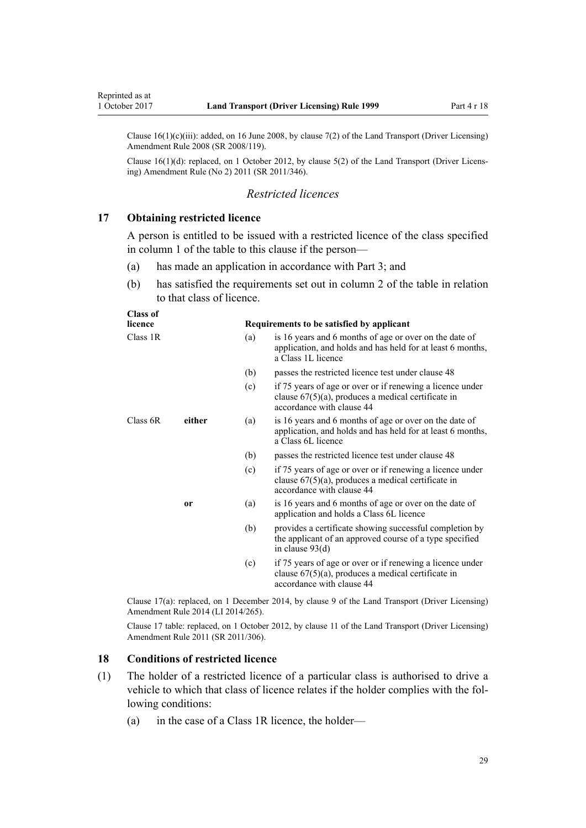<span id="page-28-0"></span>Clause  $16(1)(c)(iii)$ : added, on 16 June 2008, by [clause 7\(2\)](http://prd-lgnz-nlb.prd.pco.net.nz/pdflink.aspx?id=DLM1317910) of the Land Transport (Driver Licensing) Amendment Rule 2008 (SR 2008/119).

Clause 16(1)(d): replaced, on 1 October 2012, by [clause 5\(2\)](http://prd-lgnz-nlb.prd.pco.net.nz/pdflink.aspx?id=DLM4064302) of the Land Transport (Driver Licensing) Amendment Rule (No 2) 2011 (SR 2011/346).

# *Restricted licences*

#### **17 Obtaining restricted licence**

A person is entitled to be issued with a restricted licence of the class specified in column 1 of the table to this clause if the person—

- (a) has made an application in accordance with [Part 3;](#page-20-0) and
- (b) has satisfied the requirements set out in column 2 of the table in relation to that class of licence.

| licence  |        | Requirements to be satisfied by applicant |                                                                                                                                                 |  |
|----------|--------|-------------------------------------------|-------------------------------------------------------------------------------------------------------------------------------------------------|--|
| Class 1R |        | (a)                                       | is 16 years and 6 months of age or over on the date of<br>application, and holds and has held for at least 6 months,<br>a Class 1L licence      |  |
|          |        | (b)                                       | passes the restricted licence test under clause 48                                                                                              |  |
|          |        | (c)                                       | if 75 years of age or over or if renewing a licence under<br>clause $67(5)(a)$ , produces a medical certificate in<br>accordance with clause 44 |  |
| Class 6R | either | (a)                                       | is 16 years and 6 months of age or over on the date of<br>application, and holds and has held for at least 6 months,<br>a Class 6L licence      |  |
|          |        | (b)                                       | passes the restricted licence test under clause 48                                                                                              |  |
|          |        | (c)                                       | if 75 years of age or over or if renewing a licence under<br>clause $67(5)(a)$ , produces a medical certificate in<br>accordance with clause 44 |  |
|          | 0r     | (a)                                       | is 16 years and 6 months of age or over on the date of<br>application and holds a Class 6L licence                                              |  |
|          |        | (b)                                       | provides a certificate showing successful completion by<br>the applicant of an approved course of a type specified<br>in clause $93(d)$         |  |
|          |        | (c)                                       | if 75 years of age or over or if renewing a licence under<br>clause $67(5)(a)$ , produces a medical certificate in<br>accordance with clause 44 |  |

Clause 17(a): replaced, on 1 December 2014, by [clause 9](http://prd-lgnz-nlb.prd.pco.net.nz/pdflink.aspx?id=DLM6216922) of the Land Transport (Driver Licensing) Amendment Rule 2014 (LI 2014/265).

Clause 17 table: replaced, on 1 October 2012, by [clause 11](http://prd-lgnz-nlb.prd.pco.net.nz/pdflink.aspx?id=DLM3956505) of the Land Transport (Driver Licensing) Amendment Rule 2011 (SR 2011/306).

#### **18 Conditions of restricted licence**

- (1) The holder of a restricted licence of a particular class is authorised to drive a vehicle to which that class of licence relates if the holder complies with the following conditions:
	- (a) in the case of a Class 1R licence, the holder—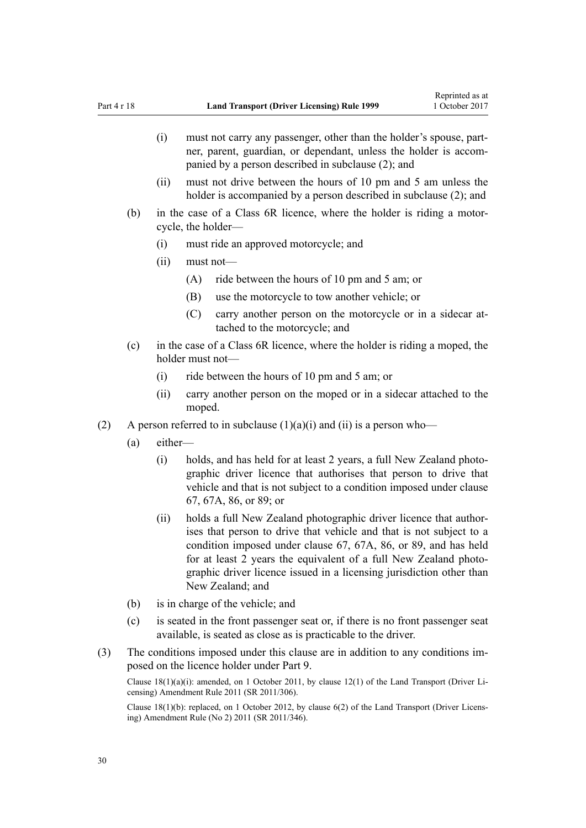- (i) must not carry any passenger, other than the holder's spouse, partner, parent, guardian, or dependant, unless the holder is accompanied by a person described in subclause (2); and
- (ii) must not drive between the hours of 10 pm and 5 am unless the holder is accompanied by a person described in subclause (2); and
- (b) in the case of a Class 6R licence, where the holder is riding a motorcycle, the holder—
	- (i) must ride an approved motorcycle; and
	- (ii) must not—
		- (A) ride between the hours of 10 pm and 5 am; or
		- (B) use the motorcycle to tow another vehicle; or
		- (C) carry another person on the motorcycle or in a sidecar attached to the motorcycle; and
- (c) in the case of a Class 6R licence, where the holder is riding a moped, the holder must not—
	- (i) ride between the hours of 10 pm and 5 am; or
	- (ii) carry another person on the moped or in a sidecar attached to the moped.
- (2) A person referred to in subclause  $(1)(a)(i)$  and  $(ii)$  is a person who—
	- (a) either—
		- (i) holds, and has held for at least 2 years, a full New Zealand photographic driver licence that authorises that person to drive that vehicle and that is not subject to a condition imposed under [clause](#page-67-0) [67,](#page-67-0) [67A](#page-69-0), [86,](#page-84-0) or [89](#page-88-0); or
		- (ii) holds a full New Zealand photographic driver licence that authorises that person to drive that vehicle and that is not subject to a condition imposed under [clause 67](#page-67-0), [67A,](#page-69-0) [86](#page-84-0), or [89,](#page-88-0) and has held for at least 2 years the equivalent of a full New Zealand photographic driver licence issued in a licensing jurisdiction other than New Zealand; and
	- (b) is in charge of the vehicle; and
	- (c) is seated in the front passenger seat or, if there is no front passenger seat available, is seated as close as is practicable to the driver.
- (3) The conditions imposed under this clause are in addition to any conditions imposed on the licence holder under [Part 9](#page-58-0).

Clause 18(1)(a)(i): amended, on 1 October 2011, by [clause 12\(1\)](http://prd-lgnz-nlb.prd.pco.net.nz/pdflink.aspx?id=DLM3956507) of the Land Transport (Driver Licensing) Amendment Rule 2011 (SR 2011/306).

Clause 18(1)(b): replaced, on 1 October 2012, by [clause 6\(2\)](http://prd-lgnz-nlb.prd.pco.net.nz/pdflink.aspx?id=DLM4064304) of the Land Transport (Driver Licensing) Amendment Rule (No 2) 2011 (SR 2011/346).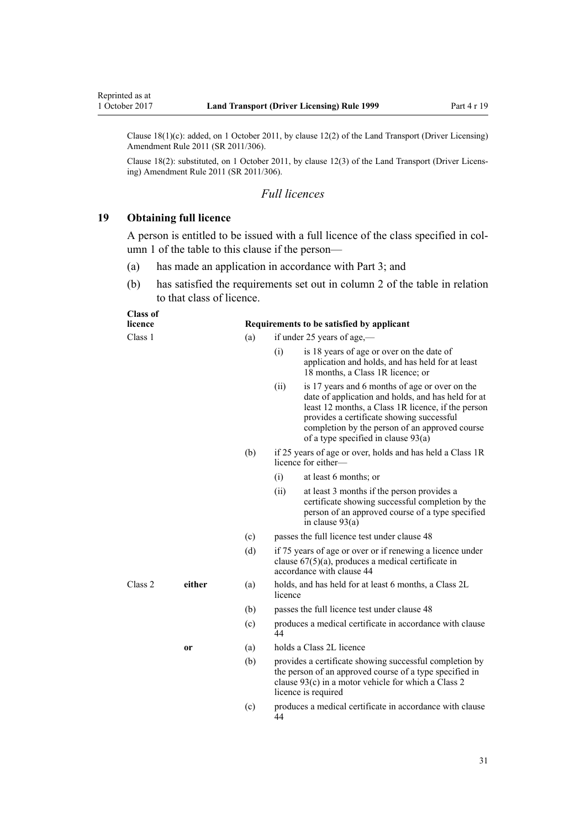<span id="page-30-0"></span>Reprinted as at

Clause 18(1)(c): added, on 1 October 2011, by [clause 12\(2\)](http://prd-lgnz-nlb.prd.pco.net.nz/pdflink.aspx?id=DLM3956507) of the Land Transport (Driver Licensing) Amendment Rule 2011 (SR 2011/306).

Clause 18(2): substituted, on 1 October 2011, by [clause 12\(3\)](http://prd-lgnz-nlb.prd.pco.net.nz/pdflink.aspx?id=DLM3956507) of the Land Transport (Driver Licensing) Amendment Rule 2011 (SR 2011/306).

### *Full licences*

#### **19 Obtaining full licence**

A person is entitled to be issued with a full licence of the class specified in column 1 of the table to this clause if the person—

- (a) has made an application in accordance with [Part 3;](#page-20-0) and
- (b) has satisfied the requirements set out in column 2 of the table in relation to that class of licence.

| :lass of |  |
|----------|--|
|----------|--|

#### **licence Requirements to be satisfied by applicant**

Class 1 (a) if under 25 years of age,—

- (i) is 18 years of age or over on the date of application and holds, and has held for at least 18 months, a Class 1R licence; or
- (ii) is 17 years and 6 months of age or over on the date of application and holds, and has held for at least 12 months, a Class 1R licence, if the person provides a certificate showing successful completion by the person of an approved course of a type specified in [clause 93\(a\)](#page-91-0)
- (b) if 25 years of age or over, holds and has held a Class 1R licence for either—
	- (i) at least 6 months; or
	- (ii) at least 3 months if the person provides a certificate showing successful completion by the person of an approved course of a type specified in [clause 93\(a\)](#page-91-0)
- (c) passes the full licence test under [clause 48](#page-55-0)
- (d) if 75 years of age or over or if renewing a licence under [clause 67\(5\)\(a\)](#page-67-0), produces a medical certificate in accordance with [clause 44](#page-52-0)
- Class 2 **either** (a) holds, and has held for at least 6 months, a Class 2L licence
	- (b) passes the full licence test under [clause 48](#page-55-0)
	- (c) produces a medical certificate in accordance with clause 44
	- **or** (a) holds a Class 2L licence
		- (b) provides a certificate showing successful completion by the person of an approved course of a type specified in clause 93(c) in a motor vehicle for which a Class 2 licence is required
		- (c) produces a medical certificate in accordance with [clause](#page-52-0) [44](#page-52-0)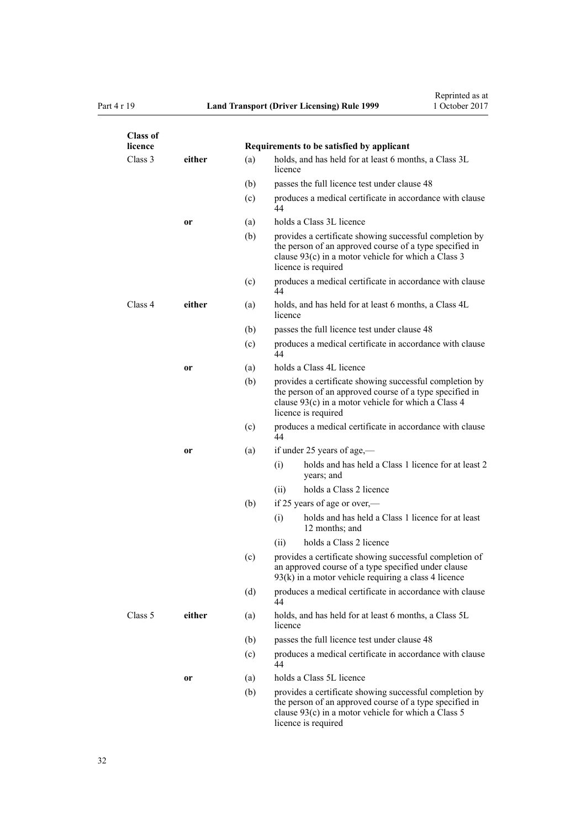| <b>Class of</b><br>licence |               |     |                                                                                                                                                                                                    |
|----------------------------|---------------|-----|----------------------------------------------------------------------------------------------------------------------------------------------------------------------------------------------------|
|                            |               |     | Requirements to be satisfied by applicant                                                                                                                                                          |
| Class 3                    | either        | (a) | holds, and has held for at least 6 months, a Class 3L<br>licence                                                                                                                                   |
|                            |               | (b) | passes the full licence test under clause 48                                                                                                                                                       |
|                            |               | (c) | produces a medical certificate in accordance with clause<br>44                                                                                                                                     |
|                            | or            | (a) | holds a Class 3L licence                                                                                                                                                                           |
|                            |               | (b) | provides a certificate showing successful completion by<br>the person of an approved course of a type specified in<br>clause $93(c)$ in a motor vehicle for which a Class 3<br>licence is required |
|                            |               | (c) | produces a medical certificate in accordance with clause<br>44                                                                                                                                     |
| Class 4                    | either        | (a) | holds, and has held for at least 6 months, a Class 4L<br>licence                                                                                                                                   |
|                            |               | (b) | passes the full licence test under clause 48                                                                                                                                                       |
|                            |               | (c) | produces a medical certificate in accordance with clause<br>44                                                                                                                                     |
|                            | <sub>or</sub> | (a) | holds a Class 4L licence                                                                                                                                                                           |
|                            |               | (b) | provides a certificate showing successful completion by<br>the person of an approved course of a type specified in<br>clause 93(c) in a motor vehicle for which a Class 4<br>licence is required   |
|                            |               | (c) | produces a medical certificate in accordance with clause<br>44                                                                                                                                     |
|                            | or            | (a) | if under 25 years of age,—                                                                                                                                                                         |
|                            |               |     | holds and has held a Class 1 licence for at least 2<br>(i)<br>years; and                                                                                                                           |
|                            |               |     | holds a Class 2 licence<br>(ii)                                                                                                                                                                    |
|                            |               | (b) | if 25 years of age or over,—                                                                                                                                                                       |
|                            |               |     | holds and has held a Class 1 licence for at least<br>(i)<br>12 months; and                                                                                                                         |
|                            |               |     | holds a Class 2 licence<br>(ii)                                                                                                                                                                    |
|                            |               | (c) | provides a certificate showing successful completion of<br>an approved course of a type specified under clause<br>$93(k)$ in a motor vehicle requiring a class 4 licence                           |
|                            |               | (d) | produces a medical certificate in accordance with clause<br>44                                                                                                                                     |
| Class 5                    | either        | (a) | holds, and has held for at least 6 months, a Class 5L<br>licence                                                                                                                                   |
|                            |               | (b) | passes the full licence test under clause 48                                                                                                                                                       |
|                            |               | (c) | produces a medical certificate in accordance with clause<br>44                                                                                                                                     |
|                            | 0r            | (a) | holds a Class 5L licence                                                                                                                                                                           |
|                            |               | (b) | provides a certificate showing successful completion by<br>the person of an approved course of a type specified in<br>clause $93(c)$ in a motor vehicle for which a Class 5<br>licence is required |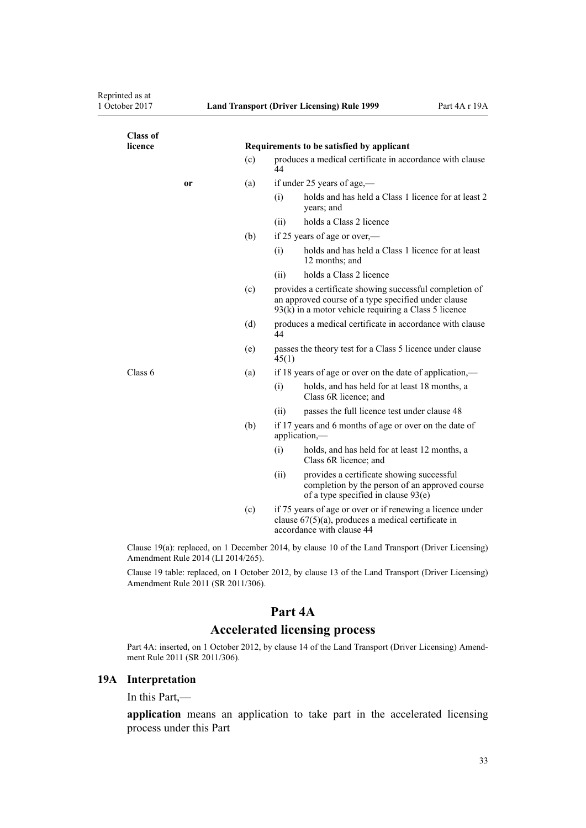<span id="page-32-0"></span>

| <b>Class of</b><br>licence         | Requirements to be satisfied by applicant |                                                                                                                                                 |                                                                                                                                                                          |  |
|------------------------------------|-------------------------------------------|-------------------------------------------------------------------------------------------------------------------------------------------------|--------------------------------------------------------------------------------------------------------------------------------------------------------------------------|--|
|                                    | (c)                                       | produces a medical certificate in accordance with clause<br>44                                                                                  |                                                                                                                                                                          |  |
| or                                 | (a)                                       |                                                                                                                                                 | if under 25 years of age,—                                                                                                                                               |  |
|                                    |                                           | (i)                                                                                                                                             | holds and has held a Class 1 licence for at least 2<br>years; and                                                                                                        |  |
|                                    |                                           | (ii)                                                                                                                                            | holds a Class 2 licence                                                                                                                                                  |  |
|                                    | (b)                                       | if 25 years of age or over,—                                                                                                                    |                                                                                                                                                                          |  |
|                                    |                                           | (i)                                                                                                                                             | holds and has held a Class 1 licence for at least<br>12 months; and                                                                                                      |  |
|                                    |                                           | (ii)                                                                                                                                            | holds a Class 2 licence                                                                                                                                                  |  |
|                                    | (c)                                       |                                                                                                                                                 | provides a certificate showing successful completion of<br>an approved course of a type specified under clause<br>$93(k)$ in a motor vehicle requiring a Class 5 licence |  |
|                                    | (d)                                       | produces a medical certificate in accordance with clause<br>44                                                                                  |                                                                                                                                                                          |  |
|                                    | (e)                                       | passes the theory test for a Class 5 licence under clause<br>45(1)                                                                              |                                                                                                                                                                          |  |
| Class 6                            | (a)                                       | if 18 years of age or over on the date of application,—                                                                                         |                                                                                                                                                                          |  |
|                                    |                                           | (i)                                                                                                                                             | holds, and has held for at least 18 months, a<br>Class 6R licence; and                                                                                                   |  |
|                                    |                                           | (ii)                                                                                                                                            | passes the full licence test under clause 48                                                                                                                             |  |
|                                    | (b)                                       | if 17 years and 6 months of age or over on the date of<br>application,-                                                                         |                                                                                                                                                                          |  |
|                                    |                                           | (i)                                                                                                                                             | holds, and has held for at least 12 months, a<br>Class 6R licence; and                                                                                                   |  |
|                                    |                                           | (ii)                                                                                                                                            | provides a certificate showing successful<br>completion by the person of an approved course<br>of a type specified in clause 93(e)                                       |  |
|                                    | (c)                                       | if 75 years of age or over or if renewing a licence under<br>clause $67(5)(a)$ , produces a medical certificate in<br>accordance with clause 44 |                                                                                                                                                                          |  |
| Amendment Rule 2014 (LI 2014/265). |                                           |                                                                                                                                                 | Clause 19(a): replaced, on 1 December 2014, by clause 10 of the Land Transport (Driver Licensing)                                                                        |  |
| Amendment Rule 2011 (SR 2011/306). |                                           |                                                                                                                                                 | Clause 19 table: replaced, on 1 October 2012, by clause 13 of the Land Transport (Driver Licensing)                                                                      |  |

# **Part 4A**

# **Accelerated licensing process**

Part 4A: inserted, on 1 October 2012, by [clause 14](http://prd-lgnz-nlb.prd.pco.net.nz/pdflink.aspx?id=DLM3956511) of the Land Transport (Driver Licensing) Amendment Rule 2011 (SR 2011/306).

## **19A Interpretation**

In this Part,—

**application** means an application to take part in the accelerated licensing process under this Part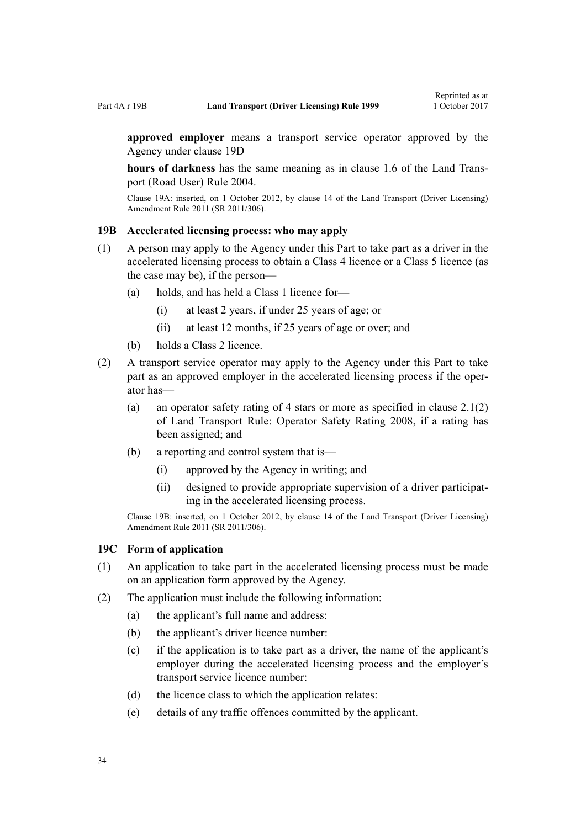<span id="page-33-0"></span>**approved employer** means a transport service operator approved by the Agency under [clause 19D](#page-34-0)

**hours of darkness** has the same meaning as in [clause 1.6](http://prd-lgnz-nlb.prd.pco.net.nz/pdflink.aspx?id=DLM302197) of the Land Transport (Road User) Rule 2004.

Clause 19A: inserted, on 1 October 2012, by [clause 14](http://prd-lgnz-nlb.prd.pco.net.nz/pdflink.aspx?id=DLM3956511) of the Land Transport (Driver Licensing) Amendment Rule 2011 (SR 2011/306).

## **19B Accelerated licensing process: who may apply**

- (1) A person may apply to the Agency under this Part to take part as a driver in the accelerated licensing process to obtain a Class 4 licence or a Class 5 licence (as the case may be), if the person—
	- (a) holds, and has held a Class 1 licence for—
		- (i) at least 2 years, if under 25 years of age; or
		- (ii) at least 12 months, if 25 years of age or over; and
	- (b) holds a Class 2 licence.
- (2) A transport service operator may apply to the Agency under this Part to take part as an approved employer in the accelerated licensing process if the operator has—
	- (a) an operator safety rating of 4 stars or more as specified in clause  $2.1(2)$ of Land Transport Rule: Operator Safety Rating 2008, if a rating has been assigned; and
	- (b) a reporting and control system that is—
		- (i) approved by the Agency in writing; and
		- (ii) designed to provide appropriate supervision of a driver participating in the accelerated licensing process.

Clause 19B: inserted, on 1 October 2012, by [clause 14](http://prd-lgnz-nlb.prd.pco.net.nz/pdflink.aspx?id=DLM3956511) of the Land Transport (Driver Licensing) Amendment Rule 2011 (SR 2011/306).

#### **19C Form of application**

- (1) An application to take part in the accelerated licensing process must be made on an application form approved by the Agency.
- (2) The application must include the following information:
	- (a) the applicant's full name and address:
	- (b) the applicant's driver licence number:
	- (c) if the application is to take part as a driver, the name of the applicant's employer during the accelerated licensing process and the employer's transport service licence number:
	- (d) the licence class to which the application relates:
	- (e) details of any traffic offences committed by the applicant.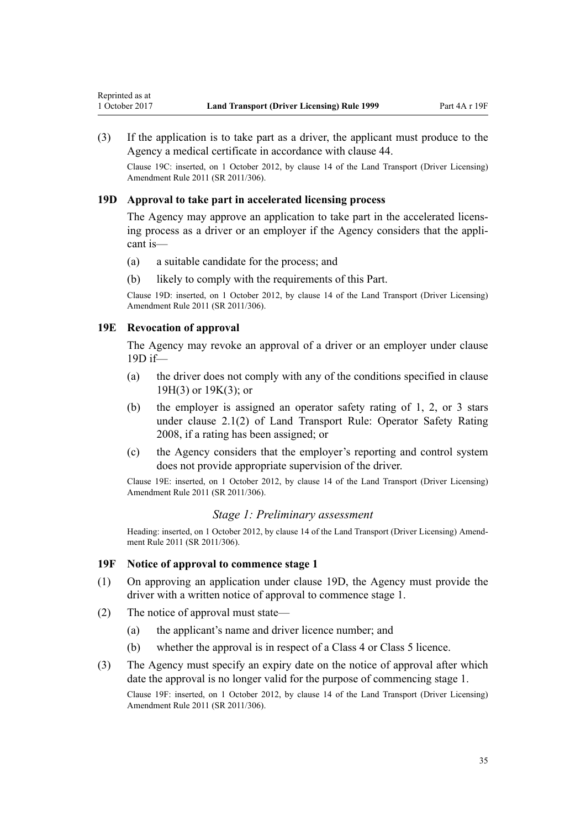<span id="page-34-0"></span>(3) If the application is to take part as a driver, the applicant must produce to the Agency a medical certificate in accordance with [clause 44.](#page-52-0)

Clause 19C: inserted, on 1 October 2012, by [clause 14](http://prd-lgnz-nlb.prd.pco.net.nz/pdflink.aspx?id=DLM3956511) of the Land Transport (Driver Licensing) Amendment Rule 2011 (SR 2011/306).

## **19D Approval to take part in accelerated licensing process**

The Agency may approve an application to take part in the accelerated licensing process as a driver or an employer if the Agency considers that the applicant is—

- (a) a suitable candidate for the process; and
- (b) likely to comply with the requirements of this Part.

Clause 19D: inserted, on 1 October 2012, by [clause 14](http://prd-lgnz-nlb.prd.pco.net.nz/pdflink.aspx?id=DLM3956511) of the Land Transport (Driver Licensing) Amendment Rule 2011 (SR 2011/306).

## **19E Revocation of approval**

The Agency may revoke an approval of a driver or an employer under clause 19D if—

- (a) the driver does not comply with any of the conditions specified in [clause](#page-35-0) [19H\(3\)](#page-35-0) or [19K\(3\);](#page-37-0) or
- (b) the employer is assigned an operator safety rating of 1, 2, or 3 stars under clause 2.1(2) of Land Transport Rule: Operator Safety Rating 2008, if a rating has been assigned; or
- (c) the Agency considers that the employer's reporting and control system does not provide appropriate supervision of the driver.

Clause 19E: inserted, on 1 October 2012, by [clause 14](http://prd-lgnz-nlb.prd.pco.net.nz/pdflink.aspx?id=DLM3956511) of the Land Transport (Driver Licensing) Amendment Rule 2011 (SR 2011/306).

## *Stage 1: Preliminary assessment*

Heading: inserted, on 1 October 2012, by [clause 14](http://prd-lgnz-nlb.prd.pco.net.nz/pdflink.aspx?id=DLM3956511) of the Land Transport (Driver Licensing) Amendment Rule 2011 (SR 2011/306).

## **19F Notice of approval to commence stage 1**

- (1) On approving an application under clause 19D, the Agency must provide the driver with a written notice of approval to commence stage 1.
- (2) The notice of approval must state—
	- (a) the applicant's name and driver licence number; and
	- (b) whether the approval is in respect of a Class 4 or Class 5 licence.
- (3) The Agency must specify an expiry date on the notice of approval after which date the approval is no longer valid for the purpose of commencing stage 1.

Clause 19F: inserted, on 1 October 2012, by [clause 14](http://prd-lgnz-nlb.prd.pco.net.nz/pdflink.aspx?id=DLM3956511) of the Land Transport (Driver Licensing) Amendment Rule 2011 (SR 2011/306).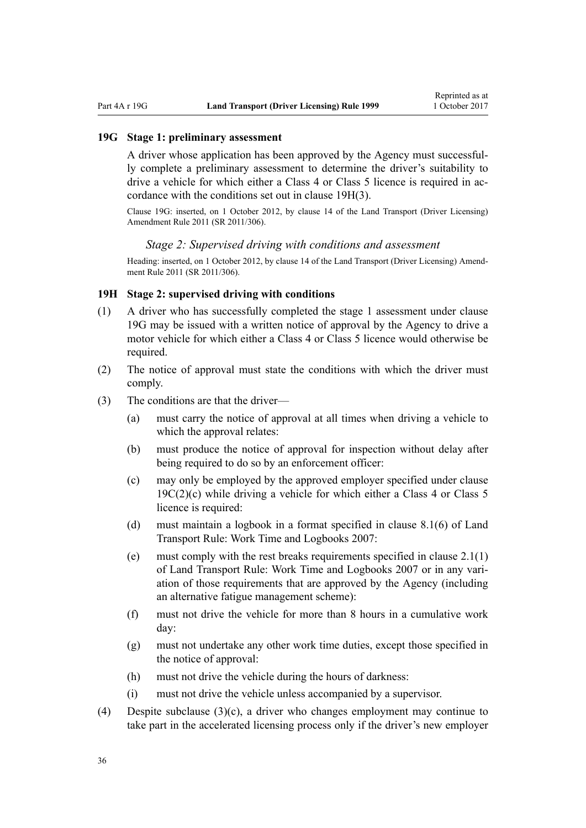#### <span id="page-35-0"></span>**19G Stage 1: preliminary assessment**

A driver whose application has been approved by the Agency must successfully complete a preliminary assessment to determine the driver's suitability to drive a vehicle for which either a Class 4 or Class 5 licence is required in accordance with the conditions set out in clause 19H(3).

Clause 19G: inserted, on 1 October 2012, by [clause 14](http://prd-lgnz-nlb.prd.pco.net.nz/pdflink.aspx?id=DLM3956511) of the Land Transport (Driver Licensing) Amendment Rule 2011 (SR 2011/306).

#### *Stage 2: Supervised driving with conditions and assessment*

Heading: inserted, on 1 October 2012, by [clause 14](http://prd-lgnz-nlb.prd.pco.net.nz/pdflink.aspx?id=DLM3956511) of the Land Transport (Driver Licensing) Amendment Rule 2011 (SR 2011/306).

#### **19H Stage 2: supervised driving with conditions**

- (1) A driver who has successfully completed the stage 1 assessment under clause 19G may be issued with a written notice of approval by the Agency to drive a motor vehicle for which either a Class 4 or Class 5 licence would otherwise be required.
- (2) The notice of approval must state the conditions with which the driver must comply.
- (3) The conditions are that the driver—
	- (a) must carry the notice of approval at all times when driving a vehicle to which the approval relates:
	- (b) must produce the notice of approval for inspection without delay after being required to do so by an enforcement officer:
	- (c) may only be employed by the approved employer specified under [clause](#page-33-0)  $19C(2)(c)$  while driving a vehicle for which either a Class 4 or Class 5 licence is required:
	- (d) must maintain a logbook in a format specified in clause 8.1(6) of Land Transport Rule: Work Time and Logbooks 2007:
	- (e) must comply with the rest breaks requirements specified in clause 2.1(1) of Land Transport Rule: Work Time and Logbooks 2007 or in any variation of those requirements that are approved by the Agency (including an alternative fatigue management scheme):
	- (f) must not drive the vehicle for more than 8 hours in a cumulative work day:
	- (g) must not undertake any other work time duties, except those specified in the notice of approval:
	- (h) must not drive the vehicle during the hours of darkness:
	- (i) must not drive the vehicle unless accompanied by a supervisor.
- (4) Despite subclause (3)(c), a driver who changes employment may continue to take part in the accelerated licensing process only if the driver's new employer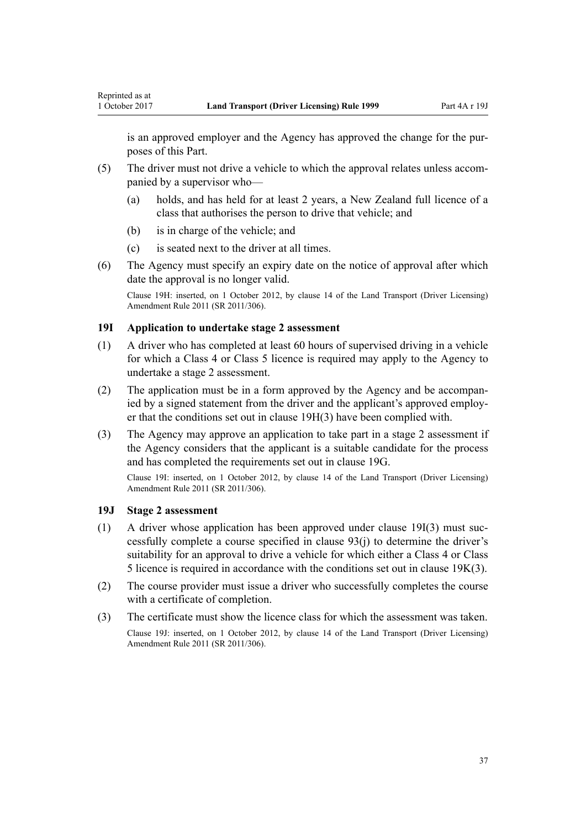is an approved employer and the Agency has approved the change for the purposes of this Part.

- (5) The driver must not drive a vehicle to which the approval relates unless accompanied by a supervisor who—
	- (a) holds, and has held for at least 2 years, a New Zealand full licence of a class that authorises the person to drive that vehicle; and
	- (b) is in charge of the vehicle; and

<span id="page-36-0"></span>Reprinted as at

- (c) is seated next to the driver at all times.
- (6) The Agency must specify an expiry date on the notice of approval after which date the approval is no longer valid.

Clause 19H: inserted, on 1 October 2012, by [clause 14](http://prd-lgnz-nlb.prd.pco.net.nz/pdflink.aspx?id=DLM3956511) of the Land Transport (Driver Licensing) Amendment Rule 2011 (SR 2011/306).

# **19I Application to undertake stage 2 assessment**

- (1) A driver who has completed at least 60 hours of supervised driving in a vehicle for which a Class 4 or Class 5 licence is required may apply to the Agency to undertake a stage 2 assessment.
- (2) The application must be in a form approved by the Agency and be accompanied by a signed statement from the driver and the applicant's approved employer that the conditions set out in [clause 19H\(3\)](#page-35-0) have been complied with.
- (3) The Agency may approve an application to take part in a stage 2 assessment if the Agency considers that the applicant is a suitable candidate for the process and has completed the requirements set out in [clause 19G.](#page-35-0)

Clause 19I: inserted, on 1 October 2012, by [clause 14](http://prd-lgnz-nlb.prd.pco.net.nz/pdflink.aspx?id=DLM3956511) of the Land Transport (Driver Licensing) Amendment Rule 2011 (SR 2011/306).

### **19J Stage 2 assessment**

- (1) A driver whose application has been approved under clause 19I(3) must successfully complete a course specified in [clause 93\(j\)](#page-91-0) to determine the driver's suitability for an approval to drive a vehicle for which either a Class 4 or Class 5 licence is required in accordance with the conditions set out in [clause 19K\(3\)](#page-37-0).
- (2) The course provider must issue a driver who successfully completes the course with a certificate of completion.
- (3) The certificate must show the licence class for which the assessment was taken. Clause 19J: inserted, on 1 October 2012, by [clause 14](http://prd-lgnz-nlb.prd.pco.net.nz/pdflink.aspx?id=DLM3956511) of the Land Transport (Driver Licensing) Amendment Rule 2011 (SR 2011/306).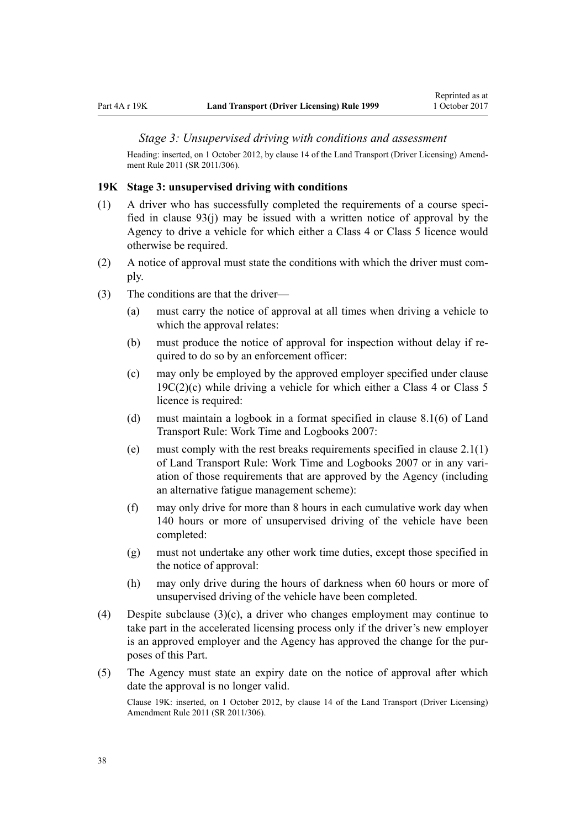#### <span id="page-37-0"></span>*Stage 3: Unsupervised driving with conditions and assessment*

Heading: inserted, on 1 October 2012, by [clause 14](http://prd-lgnz-nlb.prd.pco.net.nz/pdflink.aspx?id=DLM3956511) of the Land Transport (Driver Licensing) Amendment Rule 2011 (SR 2011/306).

#### **19K Stage 3: unsupervised driving with conditions**

- (1) A driver who has successfully completed the requirements of a course specified in [clause 93\(j\)](#page-91-0) may be issued with a written notice of approval by the Agency to drive a vehicle for which either a Class 4 or Class 5 licence would otherwise be required.
- (2) A notice of approval must state the conditions with which the driver must comply.
- (3) The conditions are that the driver—
	- (a) must carry the notice of approval at all times when driving a vehicle to which the approval relates:
	- (b) must produce the notice of approval for inspection without delay if required to do so by an enforcement officer:
	- (c) may only be employed by the approved employer specified under [clause](#page-33-0)  $19C(2)(c)$  while driving a vehicle for which either a Class 4 or Class 5 licence is required:
	- (d) must maintain a logbook in a format specified in clause 8.1(6) of Land Transport Rule: Work Time and Logbooks 2007:
	- (e) must comply with the rest breaks requirements specified in clause  $2.1(1)$ of Land Transport Rule: Work Time and Logbooks 2007 or in any variation of those requirements that are approved by the Agency (including an alternative fatigue management scheme):
	- (f) may only drive for more than 8 hours in each cumulative work day when 140 hours or more of unsupervised driving of the vehicle have been completed:
	- (g) must not undertake any other work time duties, except those specified in the notice of approval:
	- (h) may only drive during the hours of darkness when 60 hours or more of unsupervised driving of the vehicle have been completed.
- (4) Despite subclause (3)(c), a driver who changes employment may continue to take part in the accelerated licensing process only if the driver's new employer is an approved employer and the Agency has approved the change for the purposes of this Part.
- (5) The Agency must state an expiry date on the notice of approval after which date the approval is no longer valid.

Clause 19K: inserted, on 1 October 2012, by [clause 14](http://prd-lgnz-nlb.prd.pco.net.nz/pdflink.aspx?id=DLM3956511) of the Land Transport (Driver Licensing) Amendment Rule 2011 (SR 2011/306).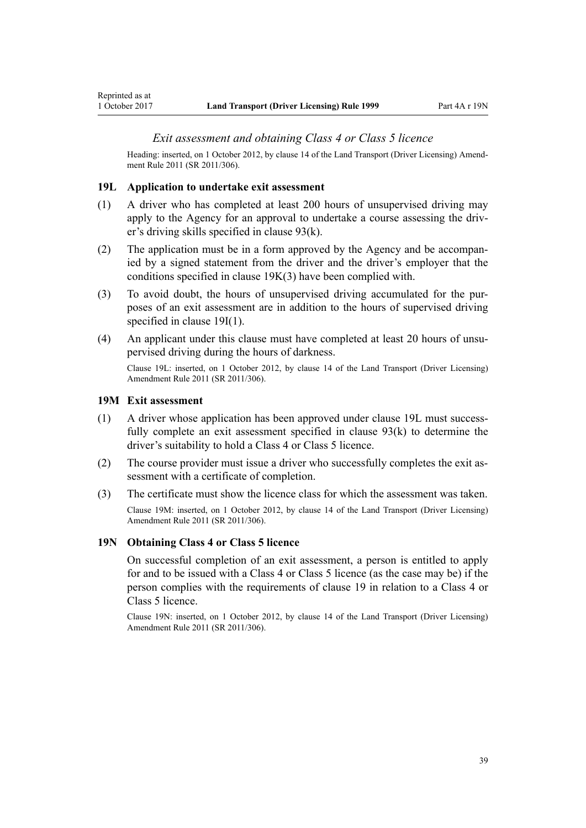Heading: inserted, on 1 October 2012, by [clause 14](http://prd-lgnz-nlb.prd.pco.net.nz/pdflink.aspx?id=DLM3956511) of the Land Transport (Driver Licensing) Amendment Rule 2011 (SR 2011/306).

#### **19L Application to undertake exit assessment**

- (1) A driver who has completed at least 200 hours of unsupervised driving may apply to the Agency for an approval to undertake a course assessing the driver's driving skills specified in [clause 93\(k\)](#page-91-0).
- (2) The application must be in a form approved by the Agency and be accompanied by a signed statement from the driver and the driver's employer that the conditions specified in [clause 19K\(3\)](#page-37-0) have been complied with.
- (3) To avoid doubt, the hours of unsupervised driving accumulated for the purposes of an exit assessment are in addition to the hours of supervised driving specified in [clause 19I\(1\).](#page-36-0)
- (4) An applicant under this clause must have completed at least 20 hours of unsupervised driving during the hours of darkness.

Clause 19L: inserted, on 1 October 2012, by [clause 14](http://prd-lgnz-nlb.prd.pco.net.nz/pdflink.aspx?id=DLM3956511) of the Land Transport (Driver Licensing) Amendment Rule 2011 (SR 2011/306).

#### **19M Exit assessment**

Reprinted as at

- (1) A driver whose application has been approved under clause 19L must successfully complete an exit assessment specified in [clause 93\(k\)](#page-91-0) to determine the driver's suitability to hold a Class 4 or Class 5 licence.
- (2) The course provider must issue a driver who successfully completes the exit assessment with a certificate of completion.
- (3) The certificate must show the licence class for which the assessment was taken. Clause 19M: inserted, on 1 October 2012, by [clause 14](http://prd-lgnz-nlb.prd.pco.net.nz/pdflink.aspx?id=DLM3956511) of the Land Transport (Driver Licensing) Amendment Rule 2011 (SR 2011/306).

### **19N Obtaining Class 4 or Class 5 licence**

On successful completion of an exit assessment, a person is entitled to apply for and to be issued with a Class 4 or Class 5 licence (as the case may be) if the person complies with the requirements of [clause 19](#page-30-0) in relation to a Class 4 or Class 5 licence.

Clause 19N: inserted, on 1 October 2012, by [clause 14](http://prd-lgnz-nlb.prd.pco.net.nz/pdflink.aspx?id=DLM3956511) of the Land Transport (Driver Licensing) Amendment Rule 2011 (SR 2011/306).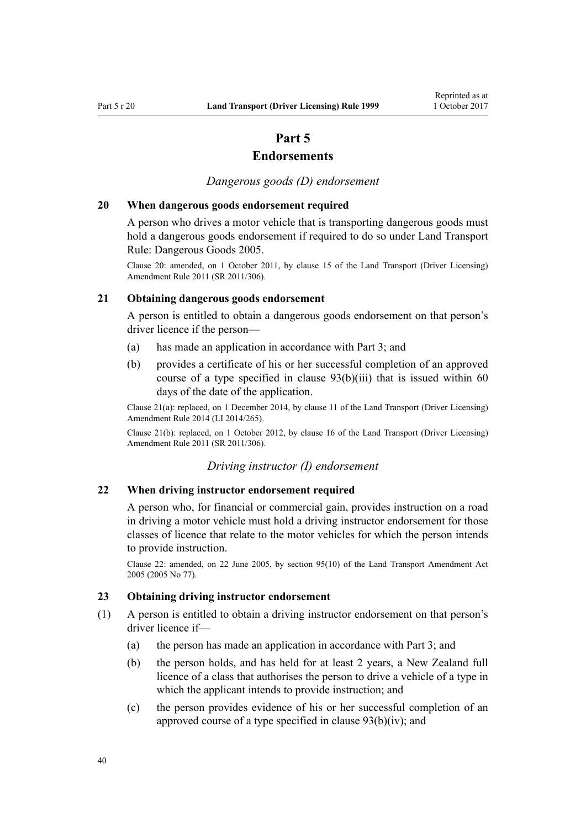# **Part 5**

# **Endorsements**

*Dangerous goods (D) endorsement*

### **20 When dangerous goods endorsement required**

A person who drives a motor vehicle that is transporting dangerous goods must hold a dangerous goods endorsement if required to do so under Land Transport Rule: Dangerous Goods 2005.

Clause 20: amended, on 1 October 2011, by [clause 15](http://prd-lgnz-nlb.prd.pco.net.nz/pdflink.aspx?id=DLM3956721) of the Land Transport (Driver Licensing) Amendment Rule 2011 (SR 2011/306).

# **21 Obtaining dangerous goods endorsement**

A person is entitled to obtain a dangerous goods endorsement on that person's driver licence if the person—

- (a) has made an application in accordance with [Part 3;](#page-20-0) and
- (b) provides a certificate of his or her successful completion of an approved course of a type specified in [clause 93\(b\)\(iii\)](#page-91-0) that is issued within 60 days of the date of the application.

Clause 21(a): replaced, on 1 December 2014, by [clause 11](http://prd-lgnz-nlb.prd.pco.net.nz/pdflink.aspx?id=DLM6216924) of the Land Transport (Driver Licensing) Amendment Rule 2014 (LI 2014/265).

Clause 21(b): replaced, on 1 October 2012, by [clause 16](http://prd-lgnz-nlb.prd.pco.net.nz/pdflink.aspx?id=DLM3956513) of the Land Transport (Driver Licensing) Amendment Rule 2011 (SR 2011/306).

#### *Driving instructor (I) endorsement*

### **22 When driving instructor endorsement required**

A person who, for financial or commercial gain, provides instruction on a road in driving a motor vehicle must hold a driving instructor endorsement for those classes of licence that relate to the motor vehicles for which the person intends to provide instruction.

Clause 22: amended, on 22 June 2005, by [section 95\(10\)](http://prd-lgnz-nlb.prd.pco.net.nz/pdflink.aspx?id=DLM353501) of the Land Transport Amendment Act 2005 (2005 No 77).

# **23 Obtaining driving instructor endorsement**

- (1) A person is entitled to obtain a driving instructor endorsement on that person's driver licence if—
	- (a) the person has made an application in accordance with [Part 3](#page-20-0); and
	- (b) the person holds, and has held for at least 2 years, a New Zealand full licence of a class that authorises the person to drive a vehicle of a type in which the applicant intends to provide instruction; and
	- (c) the person provides evidence of his or her successful completion of an approved course of a type specified in [clause 93\(b\)\(iv\)](#page-91-0); and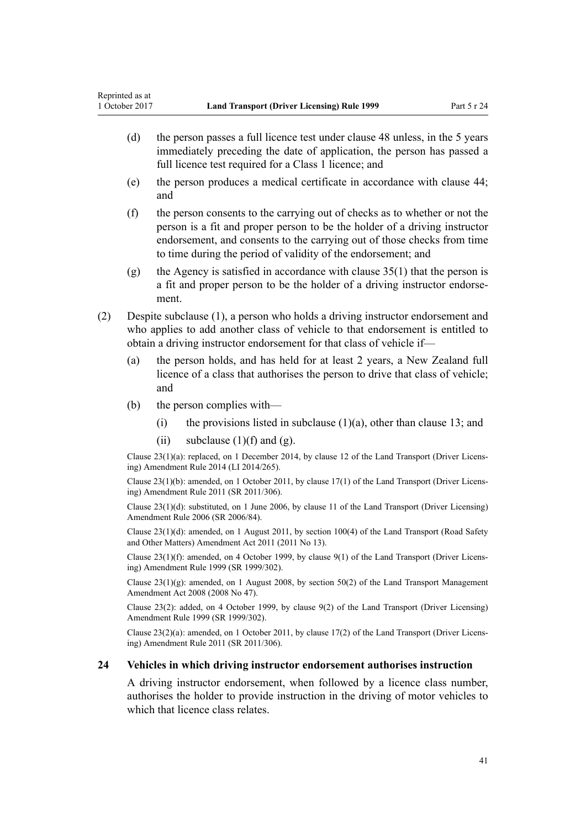- (d) the person passes a full licence test under [clause 48](#page-55-0) unless, in the 5 years immediately preceding the date of application, the person has passed a full licence test required for a Class 1 licence; and
- (e) the person produces a medical certificate in accordance with [clause 44;](#page-52-0) and
- (f) the person consents to the carrying out of checks as to whether or not the person is a fit and proper person to be the holder of a driving instructor endorsement, and consents to the carrying out of those checks from time to time during the period of validity of the endorsement; and
- (g) the Agency is satisfied in accordance with clause  $35(1)$  that the person is a fit and proper person to be the holder of a driving instructor endorsement.
- (2) Despite subclause (1), a person who holds a driving instructor endorsement and who applies to add another class of vehicle to that endorsement is entitled to obtain a driving instructor endorsement for that class of vehicle if—
	- (a) the person holds, and has held for at least 2 years, a New Zealand full licence of a class that authorises the person to drive that class of vehicle; and
	- (b) the person complies with—
		- (i) the provisions listed in subclause  $(1)(a)$ , other than [clause 13](#page-24-0); and
		- (ii) subclause  $(1)(f)$  and  $(g)$ .

Clause 23(1)(a): replaced, on 1 December 2014, by [clause 12](http://prd-lgnz-nlb.prd.pco.net.nz/pdflink.aspx?id=DLM6216925) of the Land Transport (Driver Licensing) Amendment Rule 2014 (LI 2014/265).

Clause 23(1)(b): amended, on 1 October 2011, by [clause 17\(1\)](http://prd-lgnz-nlb.prd.pco.net.nz/pdflink.aspx?id=DLM3956722) of the Land Transport (Driver Licensing) Amendment Rule 2011 (SR 2011/306).

Clause 23(1)(d): substituted, on 1 June 2006, by [clause 11](http://prd-lgnz-nlb.prd.pco.net.nz/pdflink.aspx?id=DLM375696) of the Land Transport (Driver Licensing) Amendment Rule 2006 (SR 2006/84).

Clause 23(1)(d): amended, on 1 August 2011, by [section 100\(4\)](http://prd-lgnz-nlb.prd.pco.net.nz/pdflink.aspx?id=DLM3231293) of the Land Transport (Road Safety and Other Matters) Amendment Act 2011 (2011 No 13).

Clause 23(1)(f): amended, on 4 October 1999, by [clause 9\(1\)](http://prd-lgnz-nlb.prd.pco.net.nz/pdflink.aspx?id=DLM293677) of the Land Transport (Driver Licensing) Amendment Rule 1999 (SR 1999/302).

Clause 23(1)(g): amended, on 1 August 2008, by [section 50\(2\)](http://prd-lgnz-nlb.prd.pco.net.nz/pdflink.aspx?id=DLM1313622) of the Land Transport Management Amendment Act 2008 (2008 No 47).

Clause 23(2): added, on 4 October 1999, by [clause 9\(2\)](http://prd-lgnz-nlb.prd.pco.net.nz/pdflink.aspx?id=DLM293677) of the Land Transport (Driver Licensing) Amendment Rule 1999 (SR 1999/302).

Clause 23(2)(a): amended, on 1 October 2011, by [clause 17\(2\)](http://prd-lgnz-nlb.prd.pco.net.nz/pdflink.aspx?id=DLM3956722) of the Land Transport (Driver Licensing) Amendment Rule 2011 (SR 2011/306).

#### **24 Vehicles in which driving instructor endorsement authorises instruction**

A driving instructor endorsement, when followed by a licence class number, authorises the holder to provide instruction in the driving of motor vehicles to which that licence class relates.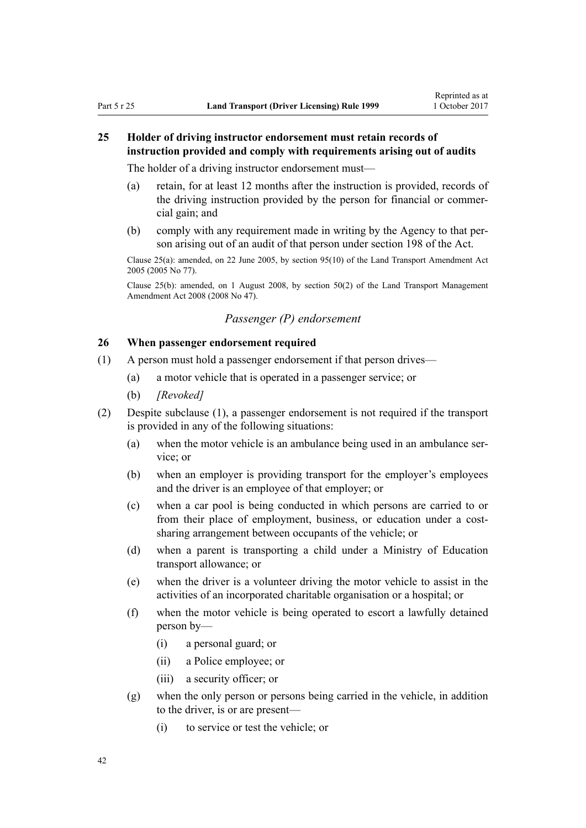# **25 Holder of driving instructor endorsement must retain records of instruction provided and comply with requirements arising out of audits**

The holder of a driving instructor endorsement must—

- (a) retain, for at least 12 months after the instruction is provided, records of the driving instruction provided by the person for financial or commercial gain; and
- (b) comply with any requirement made in writing by the Agency to that person arising out of an audit of that person under [section 198](http://prd-lgnz-nlb.prd.pco.net.nz/pdflink.aspx?id=DLM435602) of the Act.

Clause 25(a): amended, on 22 June 2005, by [section 95\(10\)](http://prd-lgnz-nlb.prd.pco.net.nz/pdflink.aspx?id=DLM353501) of the Land Transport Amendment Act 2005 (2005 No 77).

Clause 25(b): amended, on 1 August 2008, by [section 50\(2\)](http://prd-lgnz-nlb.prd.pco.net.nz/pdflink.aspx?id=DLM1313622) of the Land Transport Management Amendment Act 2008 (2008 No 47).

# *Passenger (P) endorsement*

# **26 When passenger endorsement required**

- (1) A person must hold a passenger endorsement if that person drives—
	- (a) a motor vehicle that is operated in a passenger service; or
	- (b) *[Revoked]*
- (2) Despite subclause (1), a passenger endorsement is not required if the transport is provided in any of the following situations:
	- (a) when the motor vehicle is an ambulance being used in an ambulance service; or
	- (b) when an employer is providing transport for the employer's employees and the driver is an employee of that employer; or
	- (c) when a car pool is being conducted in which persons are carried to or from their place of employment, business, or education under a costsharing arrangement between occupants of the vehicle; or
	- (d) when a parent is transporting a child under a Ministry of Education transport allowance; or
	- (e) when the driver is a volunteer driving the motor vehicle to assist in the activities of an incorporated charitable organisation or a hospital; or
	- (f) when the motor vehicle is being operated to escort a lawfully detained person by—
		- (i) a personal guard; or
		- (ii) a Police employee; or
		- (iii) a security officer; or
	- (g) when the only person or persons being carried in the vehicle, in addition to the driver, is or are present—
		- (i) to service or test the vehicle; or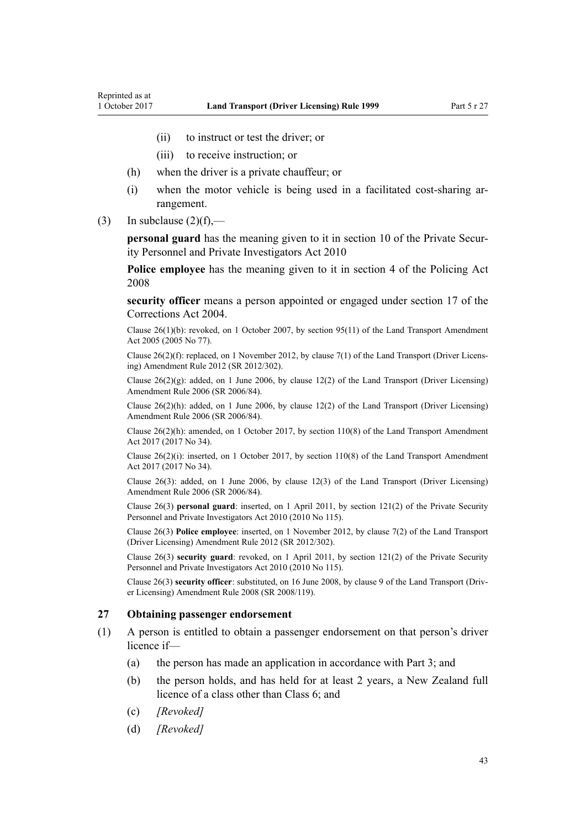- (ii) to instruct or test the driver; or
- (iii) to receive instruction; or
- (h) when the driver is a private chauffeur; or
- (i) when the motor vehicle is being used in a facilitated cost-sharing arrangement.
- (3) In subclause  $(2)(f)$ ,—

**personal guard** has the meaning given to it in [section 10](http://prd-lgnz-nlb.prd.pco.net.nz/pdflink.aspx?id=DLM1594507) of the Private Security Personnel and Private Investigators Act 2010

**Police employee** has the meaning given to it in [section 4](http://prd-lgnz-nlb.prd.pco.net.nz/pdflink.aspx?id=DLM1102132) of the Policing Act 2008

**security officer** means a person appointed or engaged under [section 17](http://prd-lgnz-nlb.prd.pco.net.nz/pdflink.aspx?id=DLM295415) of the Corrections Act 2004.

Clause 26(1)(b): revoked, on 1 October 2007, by [section 95\(11\)](http://prd-lgnz-nlb.prd.pco.net.nz/pdflink.aspx?id=DLM353501) of the Land Transport Amendment Act 2005 (2005 No 77).

Clause 26(2)(f): replaced, on 1 November 2012, by [clause 7\(1\)](http://prd-lgnz-nlb.prd.pco.net.nz/pdflink.aspx?id=DLM4773437) of the Land Transport (Driver Licensing) Amendment Rule 2012 (SR 2012/302).

Clause 26(2)(g): added, on 1 June 2006, by [clause 12\(2\)](http://prd-lgnz-nlb.prd.pco.net.nz/pdflink.aspx?id=DLM375697) of the Land Transport (Driver Licensing) Amendment Rule 2006 (SR 2006/84).

Clause  $26(2)(h)$ : added, on 1 June 2006, by [clause 12\(2\)](http://prd-lgnz-nlb.prd.pco.net.nz/pdflink.aspx?id=DLM375697) of the Land Transport (Driver Licensing) Amendment Rule 2006 (SR 2006/84).

Clause 26(2)(h): amended, on 1 October 2017, by [section 110\(8\)](http://prd-lgnz-nlb.prd.pco.net.nz/pdflink.aspx?id=DLM6960929) of the Land Transport Amendment Act 2017 (2017 No 34).

Clause 26(2)(i): inserted, on 1 October 2017, by [section 110\(8\)](http://prd-lgnz-nlb.prd.pco.net.nz/pdflink.aspx?id=DLM6960929) of the Land Transport Amendment Act 2017 (2017 No 34).

Clause 26(3): added, on 1 June 2006, by [clause 12\(3\)](http://prd-lgnz-nlb.prd.pco.net.nz/pdflink.aspx?id=DLM375697) of the Land Transport (Driver Licensing) Amendment Rule 2006 (SR 2006/84).

Clause 26(3) **personal guard**: inserted, on 1 April 2011, by [section 121\(2\)](http://prd-lgnz-nlb.prd.pco.net.nz/pdflink.aspx?id=DLM1594656) of the Private Security Personnel and Private Investigators Act 2010 (2010 No 115).

Clause 26(3) **Police employee**: inserted, on 1 November 2012, by [clause 7\(2\)](http://prd-lgnz-nlb.prd.pco.net.nz/pdflink.aspx?id=DLM4773437) of the Land Transport (Driver Licensing) Amendment Rule 2012 (SR 2012/302).

Clause 26(3) **security guard**: revoked, on 1 April 2011, by [section 121\(2\)](http://prd-lgnz-nlb.prd.pco.net.nz/pdflink.aspx?id=DLM1594656) of the Private Security Personnel and Private Investigators Act 2010 (2010 No 115).

Clause 26(3) **security officer**: substituted, on 16 June 2008, by [clause 9](http://prd-lgnz-nlb.prd.pco.net.nz/pdflink.aspx?id=DLM1317912) of the Land Transport (Driver Licensing) Amendment Rule 2008 (SR 2008/119).

#### **27 Obtaining passenger endorsement**

- (1) A person is entitled to obtain a passenger endorsement on that person's driver licence if—
	- (a) the person has made an application in accordance with [Part 3](#page-20-0); and
	- (b) the person holds, and has held for at least 2 years, a New Zealand full licence of a class other than Class 6; and
	- (c) *[Revoked]*
	- (d) *[Revoked]*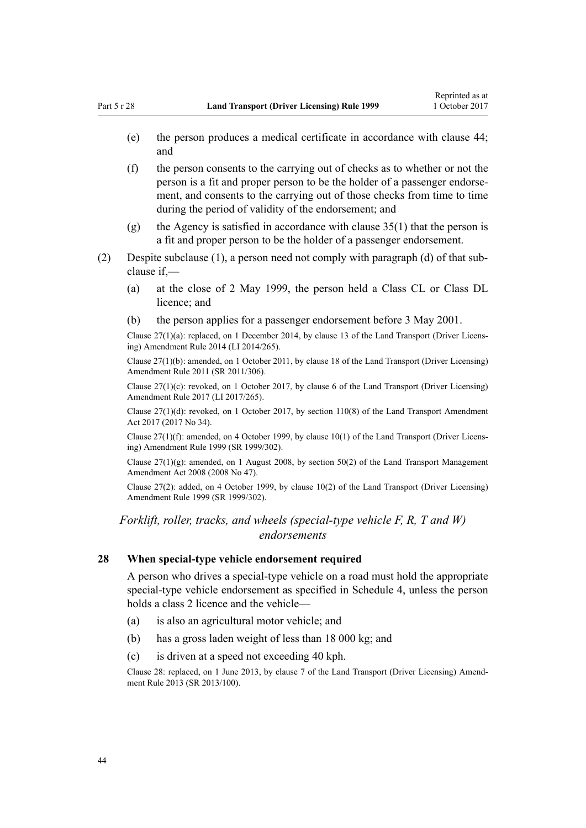- (e) the person produces a medical certificate in accordance with [clause 44;](#page-52-0) and
- (f) the person consents to the carrying out of checks as to whether or not the person is a fit and proper person to be the holder of a passenger endorsement, and consents to the carrying out of those checks from time to time during the period of validity of the endorsement; and
- (g) the Agency is satisfied in accordance with [clause 35\(1\)](#page-46-0) that the person is a fit and proper person to be the holder of a passenger endorsement.
- (2) Despite subclause (1), a person need not comply with paragraph (d) of that subclause if,—
	- (a) at the close of 2 May 1999, the person held a Class CL or Class DL licence; and
	- (b) the person applies for a passenger endorsement before 3 May 2001.

Clause 27(1)(a): replaced, on 1 December 2014, by [clause 13](http://prd-lgnz-nlb.prd.pco.net.nz/pdflink.aspx?id=DLM6216926) of the Land Transport (Driver Licensing) Amendment Rule 2014 (LI 2014/265).

Clause 27(1)(b): amended, on 1 October 2011, by [clause 18](http://prd-lgnz-nlb.prd.pco.net.nz/pdflink.aspx?id=DLM3956723) of the Land Transport (Driver Licensing) Amendment Rule 2011 (SR 2011/306).

Clause  $27(1)(c)$ : revoked, on 1 October 2017, by [clause 6](http://prd-lgnz-nlb.prd.pco.net.nz/pdflink.aspx?id=DLM7420930) of the Land Transport (Driver Licensing) Amendment Rule 2017 (LI 2017/265).

Clause  $27(1)(d)$ : revoked, on 1 October 2017, by [section 110\(8\)](http://prd-lgnz-nlb.prd.pco.net.nz/pdflink.aspx?id=DLM6960929) of the Land Transport Amendment Act 2017 (2017 No 34).

Clause 27(1)(f): amended, on 4 October 1999, by [clause 10\(1\)](http://prd-lgnz-nlb.prd.pco.net.nz/pdflink.aspx?id=DLM293678) of the Land Transport (Driver Licensing) Amendment Rule 1999 (SR 1999/302).

Clause  $27(1)(g)$ : amended, on 1 August 2008, by [section 50\(2\)](http://prd-lgnz-nlb.prd.pco.net.nz/pdflink.aspx?id=DLM1313622) of the Land Transport Management Amendment Act 2008 (2008 No 47).

Clause 27(2): added, on 4 October 1999, by [clause 10\(2\)](http://prd-lgnz-nlb.prd.pco.net.nz/pdflink.aspx?id=DLM293678) of the Land Transport (Driver Licensing) Amendment Rule 1999 (SR 1999/302).

*Forklift, roller, tracks, and wheels (special-type vehicle F, R, T and W) endorsements*

# **28 When special-type vehicle endorsement required**

A person who drives a special-type vehicle on a road must hold the appropriate special-type vehicle endorsement as specified in [Schedule 4](#page-112-0), unless the person holds a class 2 licence and the vehicle—

- (a) is also an agricultural motor vehicle; and
- (b) has a gross laden weight of less than 18 000 kg; and
- (c) is driven at a speed not exceeding 40 kph.

Clause 28: replaced, on 1 June 2013, by [clause 7](http://prd-lgnz-nlb.prd.pco.net.nz/pdflink.aspx?id=DLM5102242) of the Land Transport (Driver Licensing) Amendment Rule 2013 (SR 2013/100).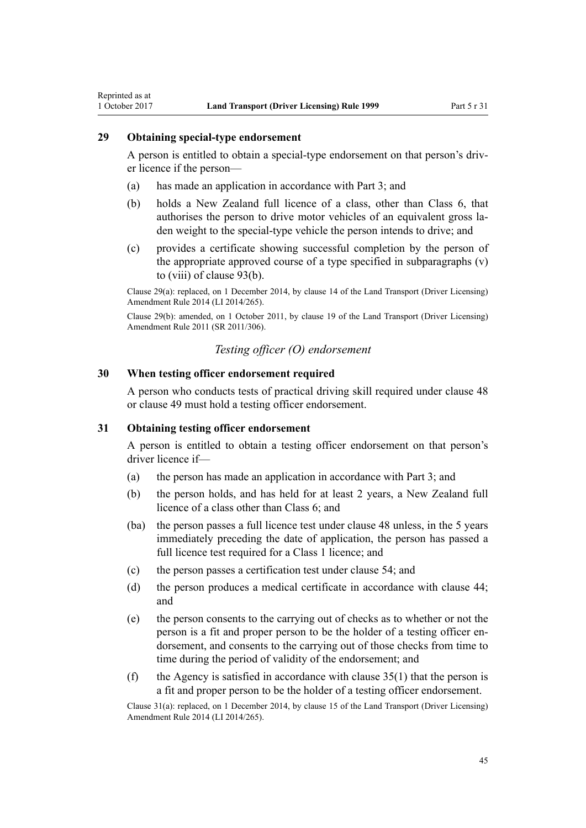#### **29 Obtaining special-type endorsement**

Reprinted as at

A person is entitled to obtain a special-type endorsement on that person's driver licence if the person—

- (a) has made an application in accordance with [Part 3;](#page-20-0) and
- (b) holds a New Zealand full licence of a class, other than Class 6, that authorises the person to drive motor vehicles of an equivalent gross laden weight to the special-type vehicle the person intends to drive; and
- (c) provides a certificate showing successful completion by the person of the appropriate approved course of a type specified in subparagraphs (v) to (viii) of [clause 93\(b\).](#page-91-0)

Clause 29(a): replaced, on 1 December 2014, by [clause 14](http://prd-lgnz-nlb.prd.pco.net.nz/pdflink.aspx?id=DLM6216927) of the Land Transport (Driver Licensing) Amendment Rule 2014 (LI 2014/265).

Clause 29(b): amended, on 1 October 2011, by [clause 19](http://prd-lgnz-nlb.prd.pco.net.nz/pdflink.aspx?id=DLM3956724) of the Land Transport (Driver Licensing) Amendment Rule 2011 (SR 2011/306).

# *Testing officer (O) endorsement*

# **30 When testing officer endorsement required**

A person who conducts tests of practical driving skill required under [clause 48](#page-55-0) or [clause 49](#page-55-0) must hold a testing officer endorsement.

# **31 Obtaining testing officer endorsement**

A person is entitled to obtain a testing officer endorsement on that person's driver licence if—

- (a) the person has made an application in accordance with [Part 3](#page-20-0); and
- (b) the person holds, and has held for at least 2 years, a New Zealand full licence of a class other than Class 6; and
- (ba) the person passes a full licence test under [clause 48](#page-55-0) unless, in the 5 years immediately preceding the date of application, the person has passed a full licence test required for a Class 1 licence; and
- (c) the person passes a certification test under [clause 54](#page-57-0); and
- (d) the person produces a medical certificate in accordance with [clause 44;](#page-52-0) and
- (e) the person consents to the carrying out of checks as to whether or not the person is a fit and proper person to be the holder of a testing officer endorsement, and consents to the carrying out of those checks from time to time during the period of validity of the endorsement; and
- (f) the Agency is satisfied in accordance with clause  $35(1)$  that the person is a fit and proper person to be the holder of a testing officer endorsement.

Clause 31(a): replaced, on 1 December 2014, by [clause 15](http://prd-lgnz-nlb.prd.pco.net.nz/pdflink.aspx?id=DLM6216928) of the Land Transport (Driver Licensing) Amendment Rule 2014 (LI 2014/265).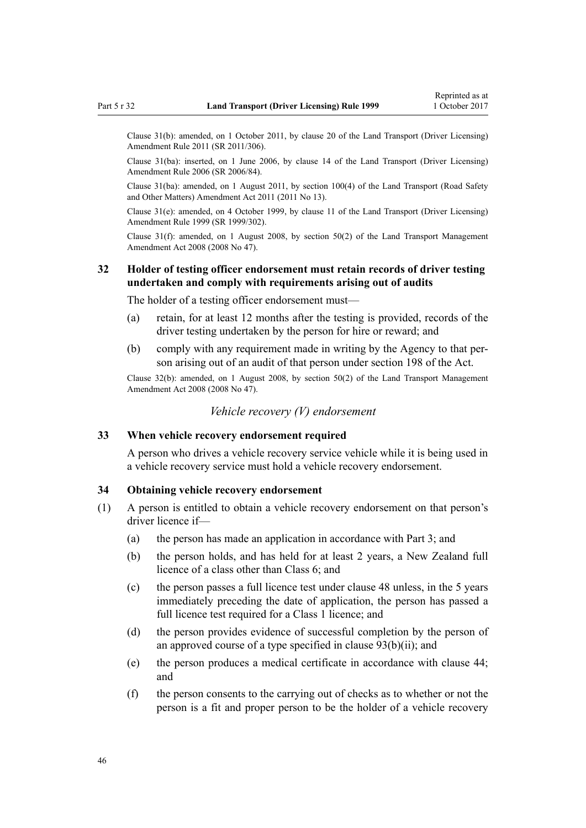Clause 31(b): amended, on 1 October 2011, by [clause 20](http://prd-lgnz-nlb.prd.pco.net.nz/pdflink.aspx?id=DLM3956725) of the Land Transport (Driver Licensing) Amendment Rule 2011 (SR 2011/306).

Clause 31(ba): inserted, on 1 June 2006, by [clause 14](http://prd-lgnz-nlb.prd.pco.net.nz/pdflink.aspx?id=DLM376103) of the Land Transport (Driver Licensing) Amendment Rule 2006 (SR 2006/84).

Clause 31(ba): amended, on 1 August 2011, by [section 100\(4\)](http://prd-lgnz-nlb.prd.pco.net.nz/pdflink.aspx?id=DLM3231293) of the Land Transport (Road Safety and Other Matters) Amendment Act 2011 (2011 No 13).

Clause 31(e): amended, on 4 October 1999, by [clause 11](http://prd-lgnz-nlb.prd.pco.net.nz/pdflink.aspx?id=DLM293679) of the Land Transport (Driver Licensing) Amendment Rule 1999 (SR 1999/302).

Clause 31(f): amended, on 1 August 2008, by [section 50\(2\)](http://prd-lgnz-nlb.prd.pco.net.nz/pdflink.aspx?id=DLM1313622) of the Land Transport Management Amendment Act 2008 (2008 No 47).

# **32 Holder of testing officer endorsement must retain records of driver testing undertaken and comply with requirements arising out of audits**

The holder of a testing officer endorsement must—

- (a) retain, for at least 12 months after the testing is provided, records of the driver testing undertaken by the person for hire or reward; and
- (b) comply with any requirement made in writing by the Agency to that person arising out of an audit of that person under [section 198](http://prd-lgnz-nlb.prd.pco.net.nz/pdflink.aspx?id=DLM435602) of the Act.

Clause 32(b): amended, on 1 August 2008, by [section 50\(2\)](http://prd-lgnz-nlb.prd.pco.net.nz/pdflink.aspx?id=DLM1313622) of the Land Transport Management Amendment Act 2008 (2008 No 47).

# *Vehicle recovery (V) endorsement*

## **33 When vehicle recovery endorsement required**

A person who drives a vehicle recovery service vehicle while it is being used in a vehicle recovery service must hold a vehicle recovery endorsement.

# **34 Obtaining vehicle recovery endorsement**

- (1) A person is entitled to obtain a vehicle recovery endorsement on that person's driver licence if—
	- (a) the person has made an application in accordance with [Part 3](#page-20-0); and
	- (b) the person holds, and has held for at least 2 years, a New Zealand full licence of a class other than Class 6; and
	- (c) the person passes a full licence test under [clause 48](#page-55-0) unless, in the 5 years immediately preceding the date of application, the person has passed a full licence test required for a Class 1 licence; and
	- (d) the person provides evidence of successful completion by the person of an approved course of a type specified in clause  $93(b)(ii)$ ; and
	- (e) the person produces a medical certificate in accordance with [clause 44;](#page-52-0) and
	- (f) the person consents to the carrying out of checks as to whether or not the person is a fit and proper person to be the holder of a vehicle recovery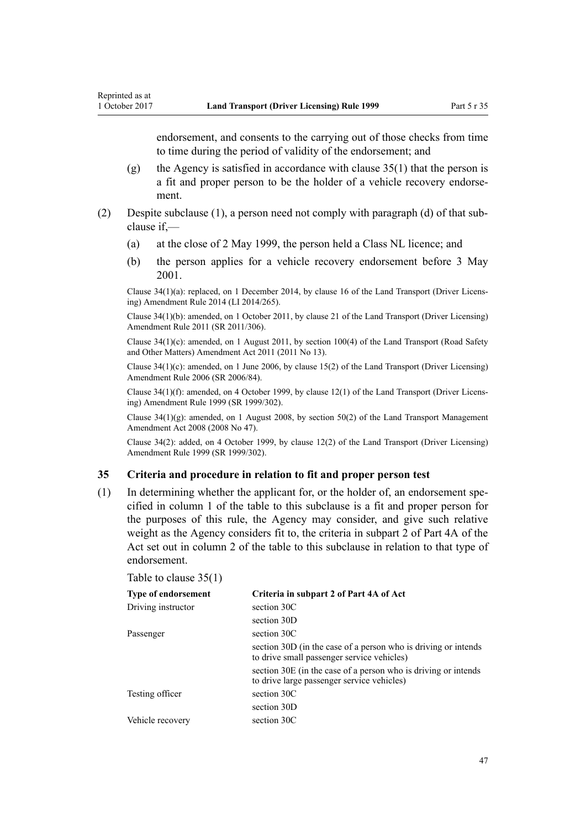<span id="page-46-0"></span>endorsement, and consents to the carrying out of those checks from time to time during the period of validity of the endorsement; and

- (g) the Agency is satisfied in accordance with clause  $35(1)$  that the person is a fit and proper person to be the holder of a vehicle recovery endorsement.
- (2) Despite subclause (1), a person need not comply with paragraph (d) of that subclause if,—
	- (a) at the close of 2 May 1999, the person held a Class NL licence; and
	- (b) the person applies for a vehicle recovery endorsement before 3 May 2001.

Clause 34(1)(a): replaced, on 1 December 2014, by [clause 16](http://prd-lgnz-nlb.prd.pco.net.nz/pdflink.aspx?id=DLM6216929) of the Land Transport (Driver Licensing) Amendment Rule 2014 (LI 2014/265).

Clause 34(1)(b): amended, on 1 October 2011, by [clause 21](http://prd-lgnz-nlb.prd.pco.net.nz/pdflink.aspx?id=DLM3956726) of the Land Transport (Driver Licensing) Amendment Rule 2011 (SR 2011/306).

Clause 34(1)(c): amended, on 1 August 2011, by [section 100\(4\)](http://prd-lgnz-nlb.prd.pco.net.nz/pdflink.aspx?id=DLM3231293) of the Land Transport (Road Safety and Other Matters) Amendment Act 2011 (2011 No 13).

Clause 34(1)(c): amended, on 1 June 2006, by [clause 15\(2\)](http://prd-lgnz-nlb.prd.pco.net.nz/pdflink.aspx?id=DLM376104) of the Land Transport (Driver Licensing) Amendment Rule 2006 (SR 2006/84).

Clause 34(1)(f): amended, on 4 October 1999, by [clause 12\(1\)](http://prd-lgnz-nlb.prd.pco.net.nz/pdflink.aspx?id=DLM293680) of the Land Transport (Driver Licensing) Amendment Rule 1999 (SR 1999/302).

Clause 34(1)(g): amended, on 1 August 2008, by [section 50\(2\)](http://prd-lgnz-nlb.prd.pco.net.nz/pdflink.aspx?id=DLM1313622) of the Land Transport Management Amendment Act 2008 (2008 No 47).

Clause 34(2): added, on 4 October 1999, by [clause 12\(2\)](http://prd-lgnz-nlb.prd.pco.net.nz/pdflink.aspx?id=DLM293680) of the Land Transport (Driver Licensing) Amendment Rule 1999 (SR 1999/302).

#### **35 Criteria and procedure in relation to fit and proper person test**

(1) In determining whether the applicant for, or the holder of, an endorsement specified in column 1 of the table to this subclause is a fit and proper person for the purposes of this rule, the Agency may consider, and give such relative weight as the Agency considers fit to, the criteria in subpart 2 of [Part 4A](http://prd-lgnz-nlb.prd.pco.net.nz/pdflink.aspx?id=DLM434587) of the Act set out in column 2 of the table to this subclause in relation to that type of endorsement.

| Table to clause $35(1)$ |  |  |  |  |  |
|-------------------------|--|--|--|--|--|
|-------------------------|--|--|--|--|--|

| <b>Type of endorsement</b> | Criteria in subpart 2 of Part 4A of Act                                                                      |
|----------------------------|--------------------------------------------------------------------------------------------------------------|
| Driving instructor         | section 30C                                                                                                  |
|                            | section 30D                                                                                                  |
| Passenger                  | section 30C                                                                                                  |
|                            | section 30D (in the case of a person who is driving or intends<br>to drive small passenger service vehicles) |
|                            | section 30E (in the case of a person who is driving or intends<br>to drive large passenger service vehicles) |
| Testing officer            | section 30C                                                                                                  |
|                            | section 30D                                                                                                  |
| Vehicle recovery           | section 30C                                                                                                  |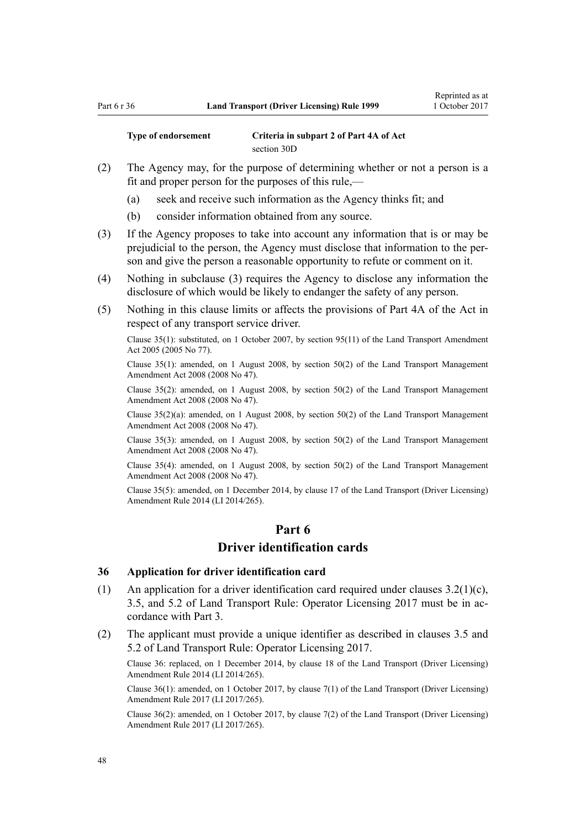**Type of endorsement Criteria in subpart 2 of [Part 4A](http://prd-lgnz-nlb.prd.pco.net.nz/pdflink.aspx?id=DLM434587) of Act** [section 30D](http://prd-lgnz-nlb.prd.pco.net.nz/pdflink.aspx?id=DLM434594)

- (2) The Agency may, for the purpose of determining whether or not a person is a fit and proper person for the purposes of this rule,—
	- (a) seek and receive such information as the Agency thinks fit; and
	- (b) consider information obtained from any source.
- (3) If the Agency proposes to take into account any information that is or may be prejudicial to the person, the Agency must disclose that information to the person and give the person a reasonable opportunity to refute or comment on it.
- (4) Nothing in subclause (3) requires the Agency to disclose any information the disclosure of which would be likely to endanger the safety of any person.
- (5) Nothing in this clause limits or affects the provisions of [Part 4A](http://prd-lgnz-nlb.prd.pco.net.nz/pdflink.aspx?id=DLM434587) of the Act in respect of any transport service driver.

Clause 35(1): substituted, on 1 October 2007, by [section 95\(11\)](http://prd-lgnz-nlb.prd.pco.net.nz/pdflink.aspx?id=DLM353501) of the Land Transport Amendment Act 2005 (2005 No 77).

Clause 35(1): amended, on 1 August 2008, by [section 50\(2\)](http://prd-lgnz-nlb.prd.pco.net.nz/pdflink.aspx?id=DLM1313622) of the Land Transport Management Amendment Act 2008 (2008 No 47).

Clause 35(2): amended, on 1 August 2008, by [section 50\(2\)](http://prd-lgnz-nlb.prd.pco.net.nz/pdflink.aspx?id=DLM1313622) of the Land Transport Management Amendment Act 2008 (2008 No 47).

Clause 35(2)(a): amended, on 1 August 2008, by [section 50\(2\)](http://prd-lgnz-nlb.prd.pco.net.nz/pdflink.aspx?id=DLM1313622) of the Land Transport Management Amendment Act 2008 (2008 No 47).

Clause 35(3): amended, on 1 August 2008, by [section 50\(2\)](http://prd-lgnz-nlb.prd.pco.net.nz/pdflink.aspx?id=DLM1313622) of the Land Transport Management Amendment Act 2008 (2008 No 47).

Clause 35(4): amended, on 1 August 2008, by [section 50\(2\)](http://prd-lgnz-nlb.prd.pco.net.nz/pdflink.aspx?id=DLM1313622) of the Land Transport Management Amendment Act 2008 (2008 No 47).

Clause 35(5): amended, on 1 December 2014, by [clause 17](http://prd-lgnz-nlb.prd.pco.net.nz/pdflink.aspx?id=DLM6216930) of the Land Transport (Driver Licensing) Amendment Rule 2014 (LI 2014/265).

# **Part 6 Driver identification cards**

#### **36 Application for driver identification card**

- (1) An application for a driver identification card required under clauses 3.2(1)(c), 3.5, and 5.2 of Land Transport Rule: Operator Licensing 2017 must be in accordance with [Part 3](#page-20-0).
- (2) The applicant must provide a unique identifier as described in clauses 3.5 and 5.2 of Land Transport Rule: Operator Licensing 2017.

Clause 36: replaced, on 1 December 2014, by [clause 18](http://prd-lgnz-nlb.prd.pco.net.nz/pdflink.aspx?id=DLM6216931) of the Land Transport (Driver Licensing) Amendment Rule 2014 (LI 2014/265).

Clause 36(1): amended, on 1 October 2017, by [clause 7\(1\)](http://prd-lgnz-nlb.prd.pco.net.nz/pdflink.aspx?id=DLM7420931) of the Land Transport (Driver Licensing) Amendment Rule 2017 (LI 2017/265).

Clause 36(2): amended, on 1 October 2017, by [clause 7\(2\)](http://prd-lgnz-nlb.prd.pco.net.nz/pdflink.aspx?id=DLM7420931) of the Land Transport (Driver Licensing) Amendment Rule 2017 (LI 2017/265).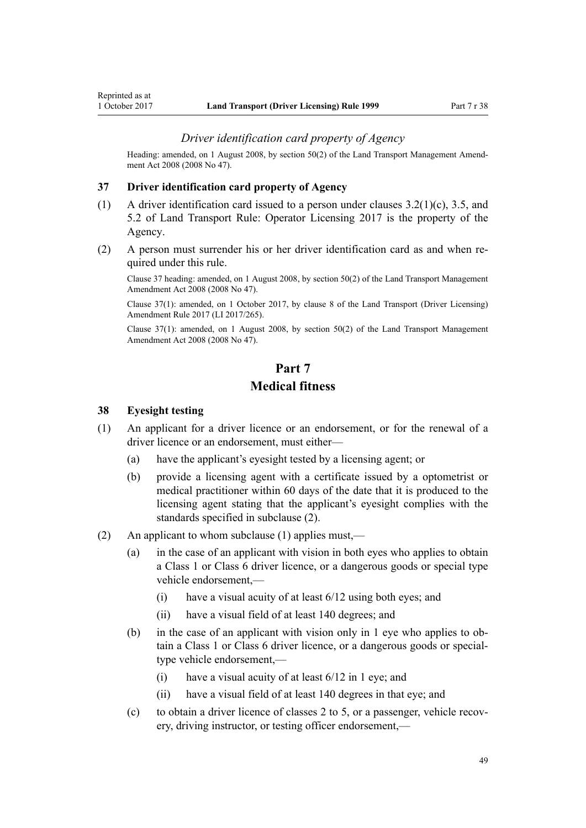### *Driver identification card property of Agency*

<span id="page-48-0"></span>Heading: amended, on 1 August 2008, by [section 50\(2\)](http://prd-lgnz-nlb.prd.pco.net.nz/pdflink.aspx?id=DLM1313622) of the Land Transport Management Amendment Act 2008 (2008 No 47).

#### **37 Driver identification card property of Agency**

- (1) A driver identification card issued to a person under clauses 3.2(1)(c), 3.5, and 5.2 of Land Transport Rule: Operator Licensing 2017 is the property of the Agency.
- (2) A person must surrender his or her driver identification card as and when required under this rule.

Clause 37 heading: amended, on 1 August 2008, by [section 50\(2\)](http://prd-lgnz-nlb.prd.pco.net.nz/pdflink.aspx?id=DLM1313622) of the Land Transport Management Amendment Act 2008 (2008 No 47).

Clause 37(1): amended, on 1 October 2017, by [clause 8](http://prd-lgnz-nlb.prd.pco.net.nz/pdflink.aspx?id=DLM7420932) of the Land Transport (Driver Licensing) Amendment Rule 2017 (LI 2017/265).

Clause 37(1): amended, on 1 August 2008, by [section 50\(2\)](http://prd-lgnz-nlb.prd.pco.net.nz/pdflink.aspx?id=DLM1313622) of the Land Transport Management Amendment Act 2008 (2008 No 47).

# **Part 7 Medical fitness**

#### **38 Eyesight testing**

- (1) An applicant for a driver licence or an endorsement, or for the renewal of a driver licence or an endorsement, must either—
	- (a) have the applicant's eyesight tested by a licensing agent; or
	- (b) provide a licensing agent with a certificate issued by a optometrist or medical practitioner within 60 days of the date that it is produced to the licensing agent stating that the applicant's eyesight complies with the standards specified in subclause (2).
- (2) An applicant to whom subclause (1) applies must,—
	- (a) in the case of an applicant with vision in both eyes who applies to obtain a Class 1 or Class 6 driver licence, or a dangerous goods or special type vehicle endorsement $-$ 
		- (i) have a visual acuity of at least 6/12 using both eyes; and
		- (ii) have a visual field of at least 140 degrees; and
	- (b) in the case of an applicant with vision only in 1 eye who applies to obtain a Class 1 or Class 6 driver licence, or a dangerous goods or specialtype vehicle endorsement,—
		- (i) have a visual acuity of at least  $6/12$  in 1 eye; and
		- (ii) have a visual field of at least 140 degrees in that eye; and
	- (c) to obtain a driver licence of classes 2 to 5, or a passenger, vehicle recovery, driving instructor, or testing officer endorsement,—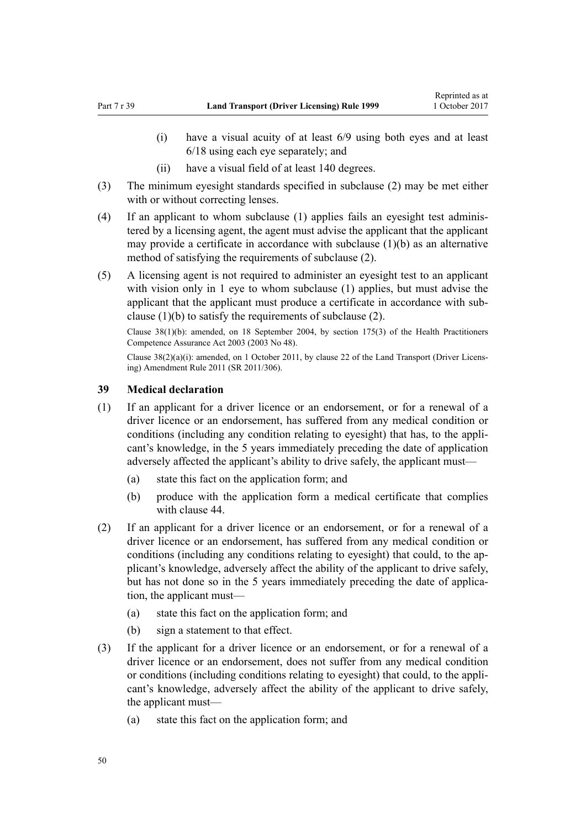- (i) have a visual acuity of at least 6/9 using both eyes and at least 6/18 using each eye separately; and
- (ii) have a visual field of at least 140 degrees.
- (3) The minimum eyesight standards specified in subclause (2) may be met either with or without correcting lenses.
- (4) If an applicant to whom subclause (1) applies fails an eyesight test administered by a licensing agent, the agent must advise the applicant that the applicant may provide a certificate in accordance with subclause (1)(b) as an alternative method of satisfying the requirements of subclause (2).
- (5) A licensing agent is not required to administer an eyesight test to an applicant with vision only in 1 eye to whom subclause (1) applies, but must advise the applicant that the applicant must produce a certificate in accordance with subclause (1)(b) to satisfy the requirements of subclause (2).

Clause  $38(1)(b)$ : amended, on 18 September 2004, by [section 175\(3\)](http://prd-lgnz-nlb.prd.pco.net.nz/pdflink.aspx?id=DLM205009) of the Health Practitioners Competence Assurance Act 2003 (2003 No 48).

Clause 38(2)(a)(i): amended, on 1 October 2011, by [clause 22](http://prd-lgnz-nlb.prd.pco.net.nz/pdflink.aspx?id=DLM3956727) of the Land Transport (Driver Licensing) Amendment Rule 2011 (SR 2011/306).

### **39 Medical declaration**

- (1) If an applicant for a driver licence or an endorsement, or for a renewal of a driver licence or an endorsement, has suffered from any medical condition or conditions (including any condition relating to eyesight) that has, to the applicant's knowledge, in the 5 years immediately preceding the date of application adversely affected the applicant's ability to drive safely, the applicant must—
	- (a) state this fact on the application form; and
	- (b) produce with the application form a medical certificate that complies with [clause 44.](#page-52-0)
- (2) If an applicant for a driver licence or an endorsement, or for a renewal of a driver licence or an endorsement, has suffered from any medical condition or conditions (including any conditions relating to eyesight) that could, to the applicant's knowledge, adversely affect the ability of the applicant to drive safely, but has not done so in the 5 years immediately preceding the date of application, the applicant must—
	- (a) state this fact on the application form; and
	- (b) sign a statement to that effect.
- (3) If the applicant for a driver licence or an endorsement, or for a renewal of a driver licence or an endorsement, does not suffer from any medical condition or conditions (including conditions relating to eyesight) that could, to the applicant's knowledge, adversely affect the ability of the applicant to drive safely, the applicant must—
	- (a) state this fact on the application form; and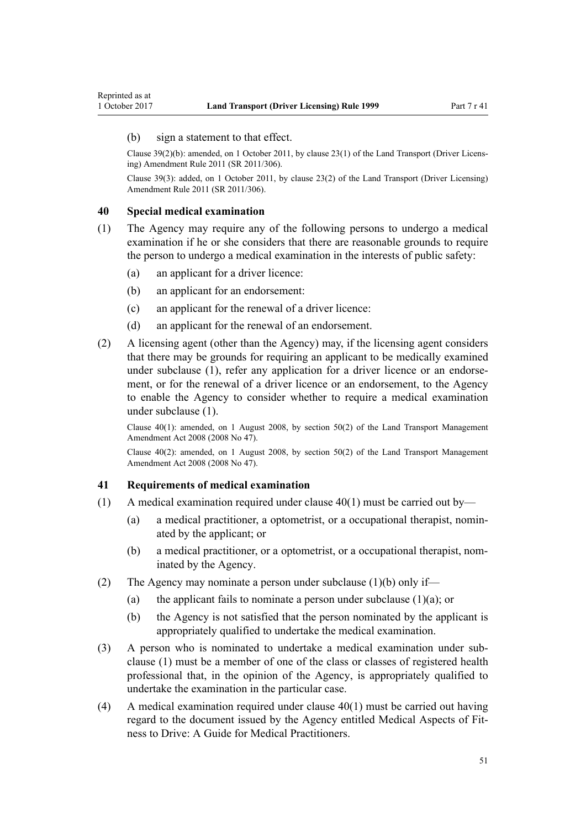### <span id="page-50-0"></span>(b) sign a statement to that effect.

Clause 39(2)(b): amended, on 1 October 2011, by [clause 23\(1\)](http://prd-lgnz-nlb.prd.pco.net.nz/pdflink.aspx?id=DLM3956728) of the Land Transport (Driver Licensing) Amendment Rule 2011 (SR 2011/306).

Clause 39(3): added, on 1 October 2011, by [clause 23\(2\)](http://prd-lgnz-nlb.prd.pco.net.nz/pdflink.aspx?id=DLM3956728) of the Land Transport (Driver Licensing) Amendment Rule 2011 (SR 2011/306).

#### **40 Special medical examination**

- (1) The Agency may require any of the following persons to undergo a medical examination if he or she considers that there are reasonable grounds to require the person to undergo a medical examination in the interests of public safety:
	- (a) an applicant for a driver licence:
	- (b) an applicant for an endorsement:
	- (c) an applicant for the renewal of a driver licence:
	- (d) an applicant for the renewal of an endorsement.
- (2) A licensing agent (other than the Agency) may, if the licensing agent considers that there may be grounds for requiring an applicant to be medically examined under subclause (1), refer any application for a driver licence or an endorsement, or for the renewal of a driver licence or an endorsement, to the Agency to enable the Agency to consider whether to require a medical examination under subclause (1).

Clause 40(1): amended, on 1 August 2008, by [section 50\(2\)](http://prd-lgnz-nlb.prd.pco.net.nz/pdflink.aspx?id=DLM1313622) of the Land Transport Management Amendment Act 2008 (2008 No 47).

Clause  $40(2)$ : amended, on 1 August 2008, by section  $50(2)$  of the Land Transport Management Amendment Act 2008 (2008 No 47).

#### **41 Requirements of medical examination**

- (1) A medical examination required under clause 40(1) must be carried out by—
	- (a) a medical practitioner, a optometrist, or a occupational therapist, nominated by the applicant; or
	- (b) a medical practitioner, or a optometrist, or a occupational therapist, nominated by the Agency.
- (2) The Agency may nominate a person under subclause (1)(b) only if—
	- (a) the applicant fails to nominate a person under subclause  $(1)(a)$ ; or
	- (b) the Agency is not satisfied that the person nominated by the applicant is appropriately qualified to undertake the medical examination.
- (3) A person who is nominated to undertake a medical examination under subclause (1) must be a member of one of the class or classes of registered health professional that, in the opinion of the Agency, is appropriately qualified to undertake the examination in the particular case.
- (4) A medical examination required under clause  $40(1)$  must be carried out having regard to the document issued by the Agency entitled Medical Aspects of Fitness to Drive: A Guide for Medical Practitioners.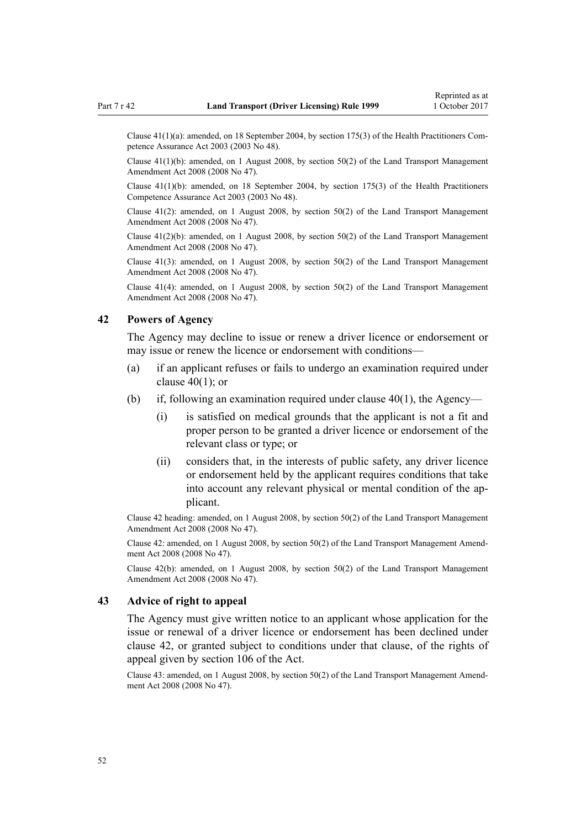Clause 41(1)(a): amended, on 18 September 2004, by [section 175\(3\)](http://prd-lgnz-nlb.prd.pco.net.nz/pdflink.aspx?id=DLM205009) of the Health Practitioners Competence Assurance Act 2003 (2003 No 48).

Clause 41(1)(b): amended, on 1 August 2008, by [section 50\(2\)](http://prd-lgnz-nlb.prd.pco.net.nz/pdflink.aspx?id=DLM1313622) of the Land Transport Management Amendment Act 2008 (2008 No 47).

Clause 41(1)(b): amended, on 18 September 2004, by [section 175\(3\)](http://prd-lgnz-nlb.prd.pco.net.nz/pdflink.aspx?id=DLM205009) of the Health Practitioners Competence Assurance Act 2003 (2003 No 48).

Clause  $41(2)$ : amended, on 1 August 2008, by section  $50(2)$  of the Land Transport Management Amendment Act 2008 (2008 No 47).

Clause  $41(2)(b)$ : amended, on 1 August 2008, by section  $50(2)$  of the Land Transport Management Amendment Act 2008 (2008 No 47).

Clause 41(3): amended, on 1 August 2008, by [section 50\(2\)](http://prd-lgnz-nlb.prd.pco.net.nz/pdflink.aspx?id=DLM1313622) of the Land Transport Management Amendment Act 2008 (2008 No 47).

Clause 41(4): amended, on 1 August 2008, by [section 50\(2\)](http://prd-lgnz-nlb.prd.pco.net.nz/pdflink.aspx?id=DLM1313622) of the Land Transport Management Amendment Act 2008 (2008 No 47).

# **42 Powers of Agency**

The Agency may decline to issue or renew a driver licence or endorsement or may issue or renew the licence or endorsement with conditions—

- (a) if an applicant refuses or fails to undergo an examination required under clause  $40(1)$ ; or
- (b) if, following an examination required under clause  $40(1)$ , the Agency—
	- (i) is satisfied on medical grounds that the applicant is not a fit and proper person to be granted a driver licence or endorsement of the relevant class or type; or
	- (ii) considers that, in the interests of public safety, any driver licence or endorsement held by the applicant requires conditions that take into account any relevant physical or mental condition of the applicant.

Clause 42 heading: amended, on 1 August 2008, by [section 50\(2\)](http://prd-lgnz-nlb.prd.pco.net.nz/pdflink.aspx?id=DLM1313622) of the Land Transport Management Amendment Act 2008 (2008 No 47).

Clause 42: amended, on 1 August 2008, by [section 50\(2\)](http://prd-lgnz-nlb.prd.pco.net.nz/pdflink.aspx?id=DLM1313622) of the Land Transport Management Amendment Act 2008 (2008 No 47).

Clause 42(b): amended, on 1 August 2008, by [section 50\(2\)](http://prd-lgnz-nlb.prd.pco.net.nz/pdflink.aspx?id=DLM1313622) of the Land Transport Management Amendment Act 2008 (2008 No 47).

# **43 Advice of right to appeal**

The Agency must give written notice to an applicant whose application for the issue or renewal of a driver licence or endorsement has been declined under clause 42, or granted subject to conditions under that clause, of the rights of appeal given by [section 106](http://prd-lgnz-nlb.prd.pco.net.nz/pdflink.aspx?id=DLM435083) of the Act.

Clause 43: amended, on 1 August 2008, by [section 50\(2\)](http://prd-lgnz-nlb.prd.pco.net.nz/pdflink.aspx?id=DLM1313622) of the Land Transport Management Amendment Act 2008 (2008 No 47).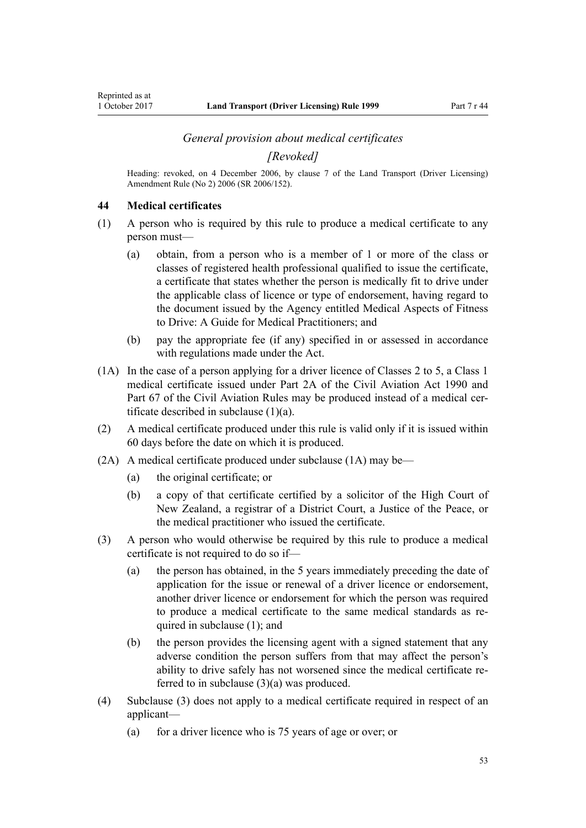#### *General provision about medical certificates*

*[Revoked]*

<span id="page-52-0"></span>Heading: revoked, on 4 December 2006, by [clause 7](http://prd-lgnz-nlb.prd.pco.net.nz/pdflink.aspx?id=DLM386144) of the Land Transport (Driver Licensing) Amendment Rule (No 2) 2006 (SR 2006/152).

#### **44 Medical certificates**

- (1) A person who is required by this rule to produce a medical certificate to any person must—
	- (a) obtain, from a person who is a member of 1 or more of the class or classes of registered health professional qualified to issue the certificate, a certificate that states whether the person is medically fit to drive under the applicable class of licence or type of endorsement, having regard to the document issued by the Agency entitled Medical Aspects of Fitness to Drive: A Guide for Medical Practitioners; and
	- (b) pay the appropriate fee (if any) specified in or assessed in accordance with regulations made under the Act.
- (1A) In the case of a person applying for a driver licence of Classes 2 to 5, a Class 1 medical certificate issued under [Part 2A](http://prd-lgnz-nlb.prd.pco.net.nz/pdflink.aspx?id=DLM216176) of the Civil Aviation Act 1990 and Part 67 of the Civil Aviation Rules may be produced instead of a medical certificate described in subclause (1)(a).
- (2) A medical certificate produced under this rule is valid only if it is issued within 60 days before the date on which it is produced.
- (2A) A medical certificate produced under subclause (1A) may be—
	- (a) the original certificate; or
	- (b) a copy of that certificate certified by a solicitor of the High Court of New Zealand, a registrar of a District Court, a Justice of the Peace, or the medical practitioner who issued the certificate.
- (3) A person who would otherwise be required by this rule to produce a medical certificate is not required to do so if—
	- (a) the person has obtained, in the 5 years immediately preceding the date of application for the issue or renewal of a driver licence or endorsement, another driver licence or endorsement for which the person was required to produce a medical certificate to the same medical standards as required in subclause (1); and
	- (b) the person provides the licensing agent with a signed statement that any adverse condition the person suffers from that may affect the person's ability to drive safely has not worsened since the medical certificate referred to in subclause (3)(a) was produced.
- (4) Subclause (3) does not apply to a medical certificate required in respect of an applicant—
	- (a) for a driver licence who is 75 years of age or over; or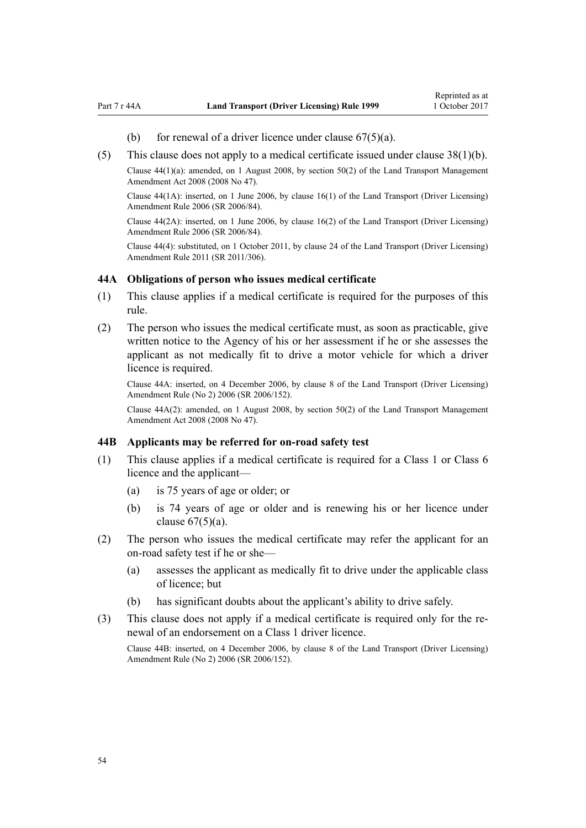- (b) for renewal of a driver licence under clause  $67(5)(a)$ .
- <span id="page-53-0"></span>(5) This clause does not apply to a medical certificate issued under [clause 38\(1\)\(b\).](#page-48-0)

Clause 44(1)(a): amended, on 1 August 2008, by [section 50\(2\)](http://prd-lgnz-nlb.prd.pco.net.nz/pdflink.aspx?id=DLM1313622) of the Land Transport Management Amendment Act 2008 (2008 No 47).

Clause 44(1A): inserted, on 1 June 2006, by [clause 16\(1\)](http://prd-lgnz-nlb.prd.pco.net.nz/pdflink.aspx?id=DLM376105) of the Land Transport (Driver Licensing) Amendment Rule 2006 (SR 2006/84).

Clause 44(2A): inserted, on 1 June 2006, by [clause 16\(2\)](http://prd-lgnz-nlb.prd.pco.net.nz/pdflink.aspx?id=DLM376105) of the Land Transport (Driver Licensing) Amendment Rule 2006 (SR 2006/84).

Clause 44(4): substituted, on 1 October 2011, by [clause 24](http://prd-lgnz-nlb.prd.pco.net.nz/pdflink.aspx?id=DLM3956729) of the Land Transport (Driver Licensing) Amendment Rule 2011 (SR 2011/306).

#### **44A Obligations of person who issues medical certificate**

- (1) This clause applies if a medical certificate is required for the purposes of this rule.
- (2) The person who issues the medical certificate must, as soon as practicable, give written notice to the Agency of his or her assessment if he or she assesses the applicant as not medically fit to drive a motor vehicle for which a driver licence is required.

Clause 44A: inserted, on 4 December 2006, by [clause 8](http://prd-lgnz-nlb.prd.pco.net.nz/pdflink.aspx?id=DLM386145) of the Land Transport (Driver Licensing) Amendment Rule (No 2) 2006 (SR 2006/152).

Clause 44A(2): amended, on 1 August 2008, by [section 50\(2\)](http://prd-lgnz-nlb.prd.pco.net.nz/pdflink.aspx?id=DLM1313622) of the Land Transport Management Amendment Act 2008 (2008 No 47).

#### **44B Applicants may be referred for on-road safety test**

- (1) This clause applies if a medical certificate is required for a Class 1 or Class 6 licence and the applicant—
	- (a) is 75 years of age or older; or
	- (b) is 74 years of age or older and is renewing his or her licence under clause  $67(5)(a)$ .
- (2) The person who issues the medical certificate may refer the applicant for an on-road safety test if he or she—
	- (a) assesses the applicant as medically fit to drive under the applicable class of licence; but
	- (b) has significant doubts about the applicant's ability to drive safely.
- (3) This clause does not apply if a medical certificate is required only for the renewal of an endorsement on a Class 1 driver licence.

Clause 44B: inserted, on 4 December 2006, by [clause 8](http://prd-lgnz-nlb.prd.pco.net.nz/pdflink.aspx?id=DLM386145) of the Land Transport (Driver Licensing) Amendment Rule (No 2) 2006 (SR 2006/152).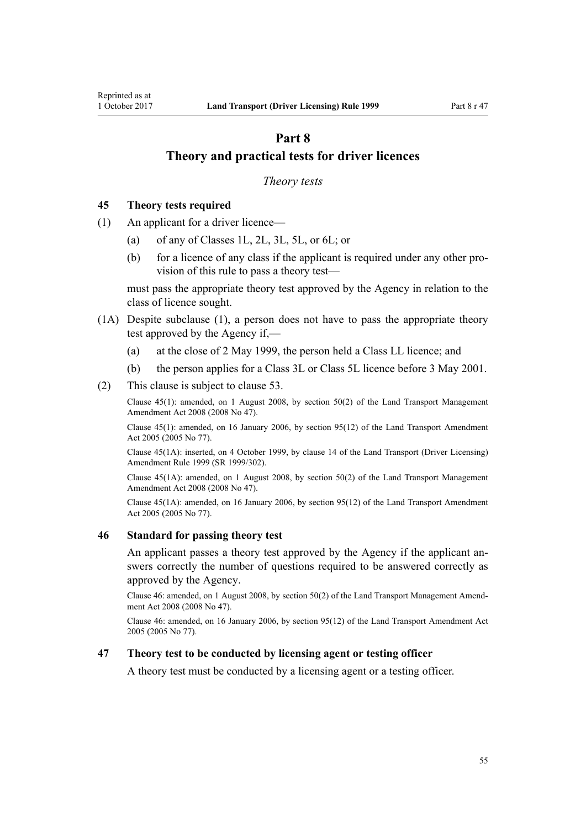# <span id="page-54-0"></span>**Part 8 Theory and practical tests for driver licences**

#### *Theory tests*

### **45 Theory tests required**

- (1) An applicant for a driver licence—
	- (a) of any of Classes 1L, 2L, 3L, 5L, or 6L; or
	- (b) for a licence of any class if the applicant is required under any other provision of this rule to pass a theory test—

must pass the appropriate theory test approved by the Agency in relation to the class of licence sought.

- (1A) Despite subclause (1), a person does not have to pass the appropriate theory test approved by the Agency if,—
	- (a) at the close of 2 May 1999, the person held a Class LL licence; and
	- (b) the person applies for a Class 3L or Class 5L licence before 3 May 2001.
- (2) This clause is subject to [clause 53](#page-57-0).

Clause 45(1): amended, on 1 August 2008, by [section 50\(2\)](http://prd-lgnz-nlb.prd.pco.net.nz/pdflink.aspx?id=DLM1313622) of the Land Transport Management Amendment Act 2008 (2008 No 47).

Clause 45(1): amended, on 16 January 2006, by [section 95\(12\)](http://prd-lgnz-nlb.prd.pco.net.nz/pdflink.aspx?id=DLM353501) of the Land Transport Amendment Act 2005 (2005 No 77).

Clause 45(1A): inserted, on 4 October 1999, by [clause 14](http://prd-lgnz-nlb.prd.pco.net.nz/pdflink.aspx?id=DLM293682) of the Land Transport (Driver Licensing) Amendment Rule 1999 (SR 1999/302).

Clause 45(1A): amended, on 1 August 2008, by [section 50\(2\)](http://prd-lgnz-nlb.prd.pco.net.nz/pdflink.aspx?id=DLM1313622) of the Land Transport Management Amendment Act 2008 (2008 No 47).

Clause 45(1A): amended, on 16 January 2006, by [section 95\(12\)](http://prd-lgnz-nlb.prd.pco.net.nz/pdflink.aspx?id=DLM353501) of the Land Transport Amendment Act 2005 (2005 No 77).

#### **46 Standard for passing theory test**

An applicant passes a theory test approved by the Agency if the applicant answers correctly the number of questions required to be answered correctly as approved by the Agency.

Clause 46: amended, on 1 August 2008, by [section 50\(2\)](http://prd-lgnz-nlb.prd.pco.net.nz/pdflink.aspx?id=DLM1313622) of the Land Transport Management Amendment Act 2008 (2008 No 47).

Clause 46: amended, on 16 January 2006, by [section 95\(12\)](http://prd-lgnz-nlb.prd.pco.net.nz/pdflink.aspx?id=DLM353501) of the Land Transport Amendment Act 2005 (2005 No 77).

## **47 Theory test to be conducted by licensing agent or testing officer**

A theory test must be conducted by a licensing agent or a testing officer.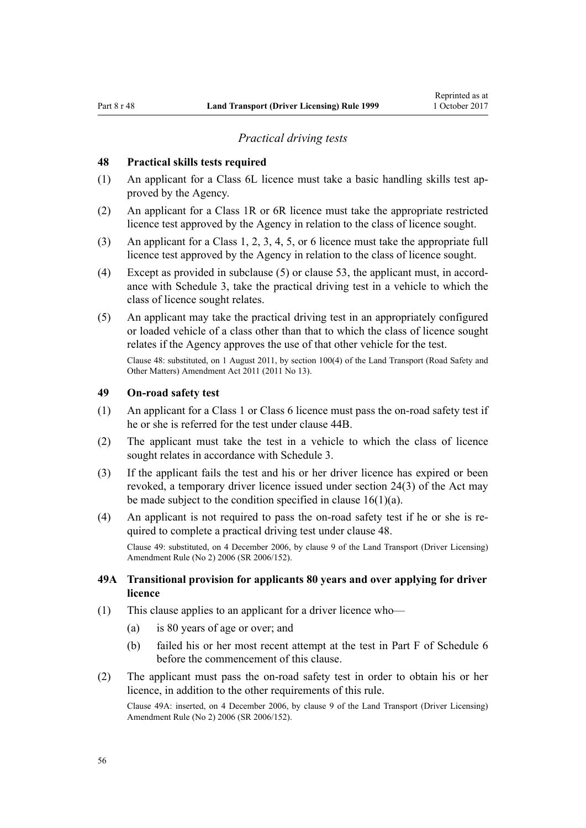# *Practical driving tests*

### <span id="page-55-0"></span>**48 Practical skills tests required**

- (1) An applicant for a Class 6L licence must take a basic handling skills test approved by the Agency.
- (2) An applicant for a Class 1R or 6R licence must take the appropriate restricted licence test approved by the Agency in relation to the class of licence sought.
- (3) An applicant for a Class 1, 2, 3, 4, 5, or 6 licence must take the appropriate full licence test approved by the Agency in relation to the class of licence sought.
- (4) Except as provided in subclause (5) or [clause 53](#page-57-0), the applicant must, in accordance with [Schedule 3](#page-110-0), take the practical driving test in a vehicle to which the class of licence sought relates.
- (5) An applicant may take the practical driving test in an appropriately configured or loaded vehicle of a class other than that to which the class of licence sought relates if the Agency approves the use of that other vehicle for the test.

Clause 48: substituted, on 1 August 2011, by [section 100\(4\)](http://prd-lgnz-nlb.prd.pco.net.nz/pdflink.aspx?id=DLM3231293) of the Land Transport (Road Safety and Other Matters) Amendment Act 2011 (2011 No 13).

# **49 On-road safety test**

- (1) An applicant for a Class 1 or Class 6 licence must pass the on-road safety test if he or she is referred for the test under [clause 44B](#page-53-0).
- (2) The applicant must take the test in a vehicle to which the class of licence sought relates in accordance with [Schedule 3](#page-110-0).
- (3) If the applicant fails the test and his or her driver licence has expired or been revoked, a temporary driver licence issued under [section 24\(3\)](http://prd-lgnz-nlb.prd.pco.net.nz/pdflink.aspx?id=DLM434553) of the Act may be made subject to the condition specified in clause  $16(1)(a)$ .
- (4) An applicant is not required to pass the on-road safety test if he or she is required to complete a practical driving test under clause 48.

Clause 49: substituted, on 4 December 2006, by [clause 9](http://prd-lgnz-nlb.prd.pco.net.nz/pdflink.aspx?id=DLM386148) of the Land Transport (Driver Licensing) Amendment Rule (No 2) 2006 (SR 2006/152).

# **49A Transitional provision for applicants 80 years and over applying for driver licence**

- (1) This clause applies to an applicant for a driver licence who—
	- (a) is 80 years of age or over; and
	- (b) failed his or her most recent attempt at the test in [Part F](http://prd-lgnz-nlb.prd.pco.net.nz/pdflink.aspx?id=DLM282294) of Schedule 6 before the commencement of this clause.
- (2) The applicant must pass the on-road safety test in order to obtain his or her licence, in addition to the other requirements of this rule.

Clause 49A: inserted, on 4 December 2006, by [clause 9](http://prd-lgnz-nlb.prd.pco.net.nz/pdflink.aspx?id=DLM386148) of the Land Transport (Driver Licensing) Amendment Rule (No 2) 2006 (SR 2006/152).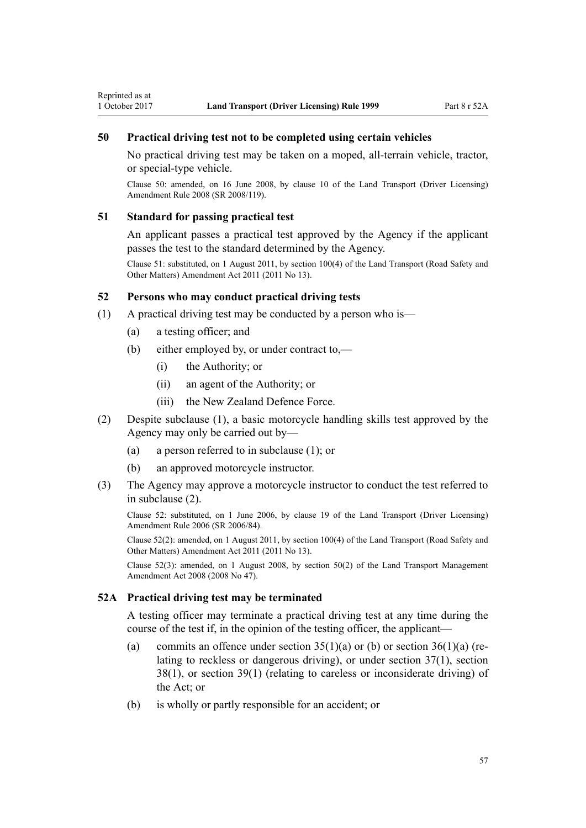# <span id="page-56-0"></span>**50 Practical driving test not to be completed using certain vehicles**

No practical driving test may be taken on a moped, all-terrain vehicle, tractor, or special-type vehicle.

Clause 50: amended, on 16 June 2008, by [clause 10](http://prd-lgnz-nlb.prd.pco.net.nz/pdflink.aspx?id=DLM1317916) of the Land Transport (Driver Licensing) Amendment Rule 2008 (SR 2008/119).

#### **51 Standard for passing practical test**

An applicant passes a practical test approved by the Agency if the applicant passes the test to the standard determined by the Agency.

Clause 51: substituted, on 1 August 2011, by [section 100\(4\)](http://prd-lgnz-nlb.prd.pco.net.nz/pdflink.aspx?id=DLM3231293) of the Land Transport (Road Safety and Other Matters) Amendment Act 2011 (2011 No 13).

# **52 Persons who may conduct practical driving tests**

- (1) A practical driving test may be conducted by a person who is—
	- (a) a testing officer; and
	- (b) either employed by, or under contract to,—
		- (i) the Authority; or
		- (ii) an agent of the Authority; or
		- (iii) the New Zealand Defence Force.
- (2) Despite subclause (1), a basic motorcycle handling skills test approved by the Agency may only be carried out by—
	- (a) a person referred to in subclause (1); or
	- (b) an approved motorcycle instructor.
- (3) The Agency may approve a motorcycle instructor to conduct the test referred to in subclause (2).

Clause 52: substituted, on 1 June 2006, by [clause 19](http://prd-lgnz-nlb.prd.pco.net.nz/pdflink.aspx?id=DLM376108) of the Land Transport (Driver Licensing) Amendment Rule 2006 (SR 2006/84).

Clause 52(2): amended, on 1 August 2011, by [section 100\(4\)](http://prd-lgnz-nlb.prd.pco.net.nz/pdflink.aspx?id=DLM3231293) of the Land Transport (Road Safety and Other Matters) Amendment Act 2011 (2011 No 13).

Clause 52(3): amended, on 1 August 2008, by [section 50\(2\)](http://prd-lgnz-nlb.prd.pco.net.nz/pdflink.aspx?id=DLM1313622) of the Land Transport Management Amendment Act 2008 (2008 No 47).

### **52A Practical driving test may be terminated**

A testing officer may terminate a practical driving test at any time during the course of the test if, in the opinion of the testing officer, the applicant—

- (a) commits an offence under section  $35(1)(a)$  or (b) or section  $36(1)(a)$  (relating to reckless or dangerous driving), or under [section 37\(1\),](http://prd-lgnz-nlb.prd.pco.net.nz/pdflink.aspx?id=DLM434658) [section](http://prd-lgnz-nlb.prd.pco.net.nz/pdflink.aspx?id=DLM434659) [38\(1\)](http://prd-lgnz-nlb.prd.pco.net.nz/pdflink.aspx?id=DLM434659), or [section 39\(1\)](http://prd-lgnz-nlb.prd.pco.net.nz/pdflink.aspx?id=DLM434662) (relating to careless or inconsiderate driving) of the Act; or
- (b) is wholly or partly responsible for an accident; or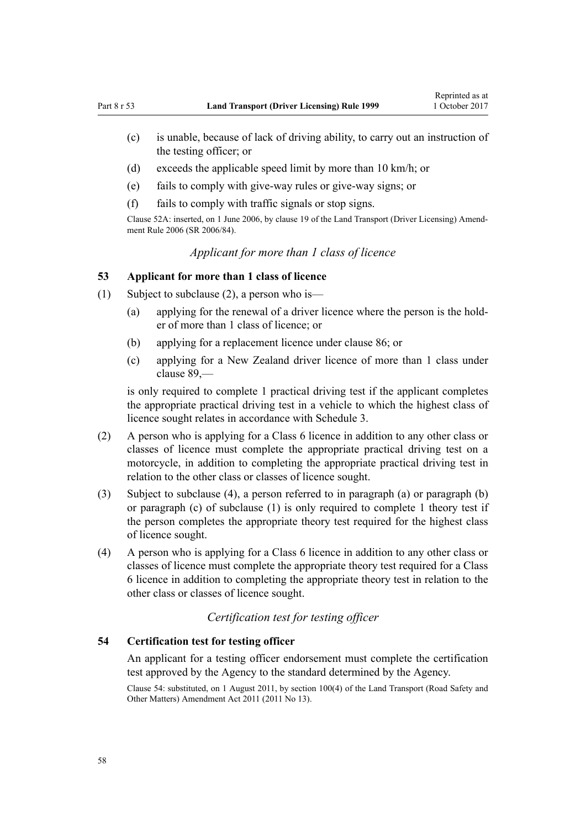- <span id="page-57-0"></span>(c) is unable, because of lack of driving ability, to carry out an instruction of the testing officer; or
- (d) exceeds the applicable speed limit by more than 10 km/h; or
- (e) fails to comply with give-way rules or give-way signs; or
- (f) fails to comply with traffic signals or stop signs.

Clause 52A: inserted, on 1 June 2006, by [clause 19](http://prd-lgnz-nlb.prd.pco.net.nz/pdflink.aspx?id=DLM376108) of the Land Transport (Driver Licensing) Amendment Rule 2006 (SR 2006/84).

# *Applicant for more than 1 class of licence*

### **53 Applicant for more than 1 class of licence**

- (1) Subject to subclause (2), a person who is—
	- (a) applying for the renewal of a driver licence where the person is the holder of more than 1 class of licence; or
	- (b) applying for a replacement licence under [clause 86](#page-84-0); or
	- (c) applying for a New Zealand driver licence of more than 1 class under [clause 89](#page-88-0),—

is only required to complete 1 practical driving test if the applicant completes the appropriate practical driving test in a vehicle to which the highest class of licence sought relates in accordance with [Schedule 3.](#page-110-0)

- (2) A person who is applying for a Class 6 licence in addition to any other class or classes of licence must complete the appropriate practical driving test on a motorcycle, in addition to completing the appropriate practical driving test in relation to the other class or classes of licence sought.
- (3) Subject to subclause (4), a person referred to in paragraph (a) or paragraph (b) or paragraph (c) of subclause (1) is only required to complete 1 theory test if the person completes the appropriate theory test required for the highest class of licence sought.
- (4) A person who is applying for a Class 6 licence in addition to any other class or classes of licence must complete the appropriate theory test required for a Class 6 licence in addition to completing the appropriate theory test in relation to the other class or classes of licence sought.

# *Certification test for testing officer*

# **54 Certification test for testing officer**

An applicant for a testing officer endorsement must complete the certification test approved by the Agency to the standard determined by the Agency.

Clause 54: substituted, on 1 August 2011, by [section 100\(4\)](http://prd-lgnz-nlb.prd.pco.net.nz/pdflink.aspx?id=DLM3231293) of the Land Transport (Road Safety and Other Matters) Amendment Act 2011 (2011 No 13).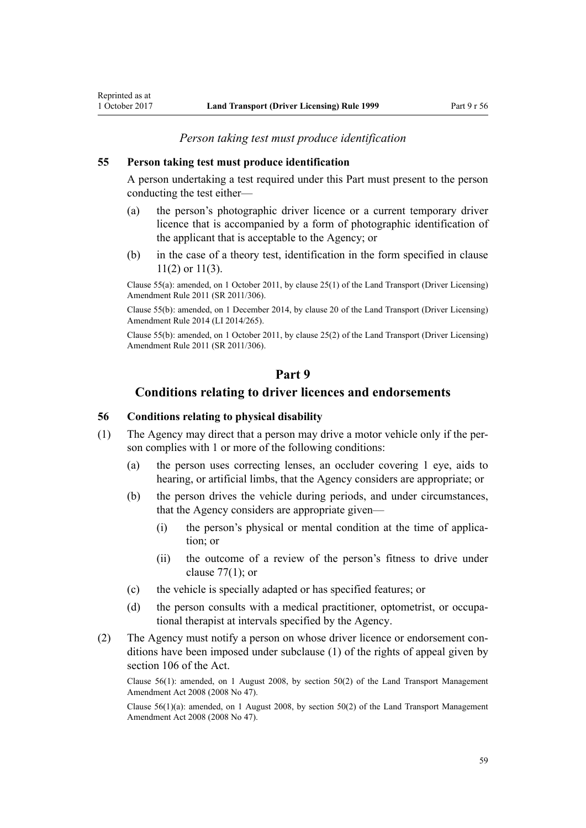## *Person taking test must produce identification*

#### **55 Person taking test must produce identification**

A person undertaking a test required under this Part must present to the person conducting the test either—

- (a) the person's photographic driver licence or a current temporary driver licence that is accompanied by a form of photographic identification of the applicant that is acceptable to the Agency; or
- (b) in the case of a theory test, identification in the form specified in [clause](#page-21-0) [11\(2\) or 11\(3\).](#page-21-0)

Clause 55(a): amended, on 1 October 2011, by [clause 25\(1\)](http://prd-lgnz-nlb.prd.pco.net.nz/pdflink.aspx?id=DLM3956730) of the Land Transport (Driver Licensing) Amendment Rule 2011 (SR 2011/306).

Clause 55(b): amended, on 1 December 2014, by [clause 20](http://prd-lgnz-nlb.prd.pco.net.nz/pdflink.aspx?id=DLM6216934) of the Land Transport (Driver Licensing) Amendment Rule 2014 (LI 2014/265).

Clause 55(b): amended, on 1 October 2011, by [clause 25\(2\)](http://prd-lgnz-nlb.prd.pco.net.nz/pdflink.aspx?id=DLM3956730) of the Land Transport (Driver Licensing) Amendment Rule 2011 (SR 2011/306).

# **Part 9**

# **Conditions relating to driver licences and endorsements**

# **56 Conditions relating to physical disability**

- (1) The Agency may direct that a person may drive a motor vehicle only if the person complies with 1 or more of the following conditions:
	- (a) the person uses correcting lenses, an occluder covering 1 eye, aids to hearing, or artificial limbs, that the Agency considers are appropriate; or
	- (b) the person drives the vehicle during periods, and under circumstances, that the Agency considers are appropriate given—
		- (i) the person's physical or mental condition at the time of application; or
		- (ii) the outcome of a review of the person's fitness to drive under clause  $77(1)$ ; or
	- (c) the vehicle is specially adapted or has specified features; or
	- (d) the person consults with a medical practitioner, optometrist, or occupational therapist at intervals specified by the Agency.
- (2) The Agency must notify a person on whose driver licence or endorsement conditions have been imposed under subclause (1) of the rights of appeal given by [section 106](http://prd-lgnz-nlb.prd.pco.net.nz/pdflink.aspx?id=DLM435083) of the Act.

Clause 56(1): amended, on 1 August 2008, by [section 50\(2\)](http://prd-lgnz-nlb.prd.pco.net.nz/pdflink.aspx?id=DLM1313622) of the Land Transport Management Amendment Act 2008 (2008 No 47).

Clause 56(1)(a): amended, on 1 August 2008, by [section 50\(2\)](http://prd-lgnz-nlb.prd.pco.net.nz/pdflink.aspx?id=DLM1313622) of the Land Transport Management Amendment Act 2008 (2008 No 47).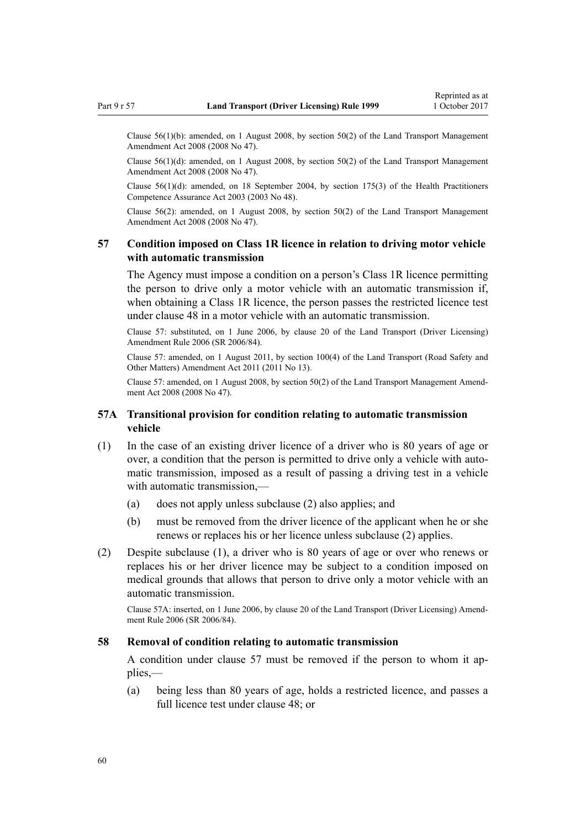<span id="page-59-0"></span>Clause 56(1)(b): amended, on 1 August 2008, by [section 50\(2\)](http://prd-lgnz-nlb.prd.pco.net.nz/pdflink.aspx?id=DLM1313622) of the Land Transport Management Amendment Act 2008 (2008 No 47).

Clause 56(1)(d): amended, on 1 August 2008, by [section 50\(2\)](http://prd-lgnz-nlb.prd.pco.net.nz/pdflink.aspx?id=DLM1313622) of the Land Transport Management Amendment Act 2008 (2008 No 47).

Clause 56(1)(d): amended, on 18 September 2004, by [section 175\(3\)](http://prd-lgnz-nlb.prd.pco.net.nz/pdflink.aspx?id=DLM205009) of the Health Practitioners Competence Assurance Act 2003 (2003 No 48).

Clause 56(2): amended, on 1 August 2008, by [section 50\(2\)](http://prd-lgnz-nlb.prd.pco.net.nz/pdflink.aspx?id=DLM1313622) of the Land Transport Management Amendment Act 2008 (2008 No 47).

# **57 Condition imposed on Class 1R licence in relation to driving motor vehicle with automatic transmission**

The Agency must impose a condition on a person's Class 1R licence permitting the person to drive only a motor vehicle with an automatic transmission if, when obtaining a Class 1R licence, the person passes the restricted licence test under [clause 48](#page-55-0) in a motor vehicle with an automatic transmission.

Clause 57: substituted, on 1 June 2006, by [clause 20](http://prd-lgnz-nlb.prd.pco.net.nz/pdflink.aspx?id=DLM376111) of the Land Transport (Driver Licensing) Amendment Rule 2006 (SR 2006/84).

Clause 57: amended, on 1 August 2011, by [section 100\(4\)](http://prd-lgnz-nlb.prd.pco.net.nz/pdflink.aspx?id=DLM3231293) of the Land Transport (Road Safety and Other Matters) Amendment Act 2011 (2011 No 13).

Clause 57: amended, on 1 August 2008, by [section 50\(2\)](http://prd-lgnz-nlb.prd.pco.net.nz/pdflink.aspx?id=DLM1313622) of the Land Transport Management Amendment Act 2008 (2008 No 47).

# **57A Transitional provision for condition relating to automatic transmission vehicle**

- (1) In the case of an existing driver licence of a driver who is 80 years of age or over, a condition that the person is permitted to drive only a vehicle with automatic transmission, imposed as a result of passing a driving test in a vehicle with automatic transmission,—
	- (a) does not apply unless subclause (2) also applies; and
	- (b) must be removed from the driver licence of the applicant when he or she renews or replaces his or her licence unless subclause (2) applies.
- (2) Despite subclause (1), a driver who is 80 years of age or over who renews or replaces his or her driver licence may be subject to a condition imposed on medical grounds that allows that person to drive only a motor vehicle with an automatic transmission.

Clause 57A: inserted, on 1 June 2006, by [clause 20](http://prd-lgnz-nlb.prd.pco.net.nz/pdflink.aspx?id=DLM376111) of the Land Transport (Driver Licensing) Amendment Rule 2006 (SR 2006/84).

#### **58 Removal of condition relating to automatic transmission**

A condition under clause 57 must be removed if the person to whom it applies,—

(a) being less than 80 years of age, holds a restricted licence, and passes a full licence test under [clause 48;](#page-55-0) or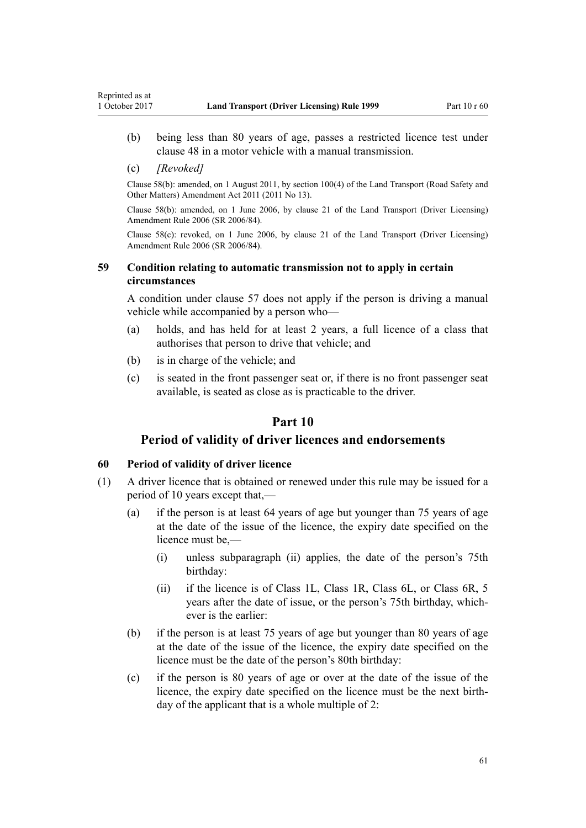- (b) being less than 80 years of age, passes a restricted licence test under [clause 48](#page-55-0) in a motor vehicle with a manual transmission.
- (c) *[Revoked]*

Reprinted as at

Clause 58(b): amended, on 1 August 2011, by [section 100\(4\)](http://prd-lgnz-nlb.prd.pco.net.nz/pdflink.aspx?id=DLM3231293) of the Land Transport (Road Safety and Other Matters) Amendment Act 2011 (2011 No 13).

Clause 58(b): amended, on 1 June 2006, by [clause 21](http://prd-lgnz-nlb.prd.pco.net.nz/pdflink.aspx?id=DLM376114) of the Land Transport (Driver Licensing) Amendment Rule 2006 (SR 2006/84).

Clause 58(c): revoked, on 1 June 2006, by [clause 21](http://prd-lgnz-nlb.prd.pco.net.nz/pdflink.aspx?id=DLM376114) of the Land Transport (Driver Licensing) Amendment Rule 2006 (SR 2006/84).

# **59 Condition relating to automatic transmission not to apply in certain circumstances**

A condition under [clause 57](#page-59-0) does not apply if the person is driving a manual vehicle while accompanied by a person who—

- (a) holds, and has held for at least 2 years, a full licence of a class that authorises that person to drive that vehicle; and
- (b) is in charge of the vehicle; and
- (c) is seated in the front passenger seat or, if there is no front passenger seat available, is seated as close as is practicable to the driver.

# **Part 10**

# **Period of validity of driver licences and endorsements**

### **60 Period of validity of driver licence**

- (1) A driver licence that is obtained or renewed under this rule may be issued for a period of 10 years except that,—
	- (a) if the person is at least 64 years of age but younger than 75 years of age at the date of the issue of the licence, the expiry date specified on the licence must be,—
		- (i) unless subparagraph (ii) applies, the date of the person's 75th birthday:
		- (ii) if the licence is of Class 1L, Class 1R, Class 6L, or Class 6R, 5 years after the date of issue, or the person's 75th birthday, whichever is the earlier:
	- (b) if the person is at least 75 years of age but younger than 80 years of age at the date of the issue of the licence, the expiry date specified on the licence must be the date of the person's 80th birthday:
	- (c) if the person is 80 years of age or over at the date of the issue of the licence, the expiry date specified on the licence must be the next birthday of the applicant that is a whole multiple of 2: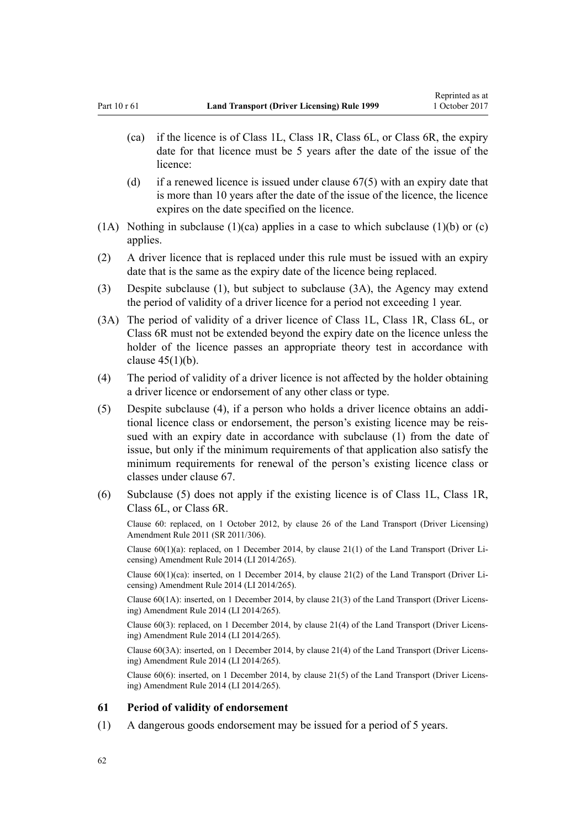- (ca) if the licence is of Class 1L, Class 1R, Class 6L, or Class 6R, the expiry date for that licence must be 5 years after the date of the issue of the licence:
- (d) if a renewed licence is issued under clause  $67(5)$  with an expiry date that is more than 10 years after the date of the issue of the licence, the licence expires on the date specified on the licence.
- (1A) Nothing in subclause (1)(ca) applies in a case to which subclause (1)(b) or (c) applies.
- (2) A driver licence that is replaced under this rule must be issued with an expiry date that is the same as the expiry date of the licence being replaced.
- (3) Despite subclause (1), but subject to subclause (3A), the Agency may extend the period of validity of a driver licence for a period not exceeding 1 year.
- (3A) The period of validity of a driver licence of Class 1L, Class 1R, Class 6L, or Class 6R must not be extended beyond the expiry date on the licence unless the holder of the licence passes an appropriate theory test in accordance with [clause 45\(1\)\(b\)](#page-54-0).
- (4) The period of validity of a driver licence is not affected by the holder obtaining a driver licence or endorsement of any other class or type.
- (5) Despite subclause (4), if a person who holds a driver licence obtains an additional licence class or endorsement, the person's existing licence may be reissued with an expiry date in accordance with subclause (1) from the date of issue, but only if the minimum requirements of that application also satisfy the minimum requirements for renewal of the person's existing licence class or classes under [clause 67](#page-67-0).
- (6) Subclause (5) does not apply if the existing licence is of Class 1L, Class 1R, Class 6L, or Class 6R.

Clause 60: replaced, on 1 October 2012, by [clause 26](http://prd-lgnz-nlb.prd.pco.net.nz/pdflink.aspx?id=DLM3956515) of the Land Transport (Driver Licensing) Amendment Rule 2011 (SR 2011/306).

Clause  $60(1)(a)$ : replaced, on 1 December 2014, by clause  $21(1)$  of the Land Transport (Driver Licensing) Amendment Rule 2014 (LI 2014/265).

Clause 60(1)(ca): inserted, on 1 December 2014, by [clause 21\(2\)](http://prd-lgnz-nlb.prd.pco.net.nz/pdflink.aspx?id=DLM6216935) of the Land Transport (Driver Licensing) Amendment Rule 2014 (LI 2014/265).

Clause 60(1A): inserted, on 1 December 2014, by [clause 21\(3\)](http://prd-lgnz-nlb.prd.pco.net.nz/pdflink.aspx?id=DLM6216935) of the Land Transport (Driver Licensing) Amendment Rule 2014 (LI 2014/265).

Clause 60(3): replaced, on 1 December 2014, by [clause 21\(4\)](http://prd-lgnz-nlb.prd.pco.net.nz/pdflink.aspx?id=DLM6216935) of the Land Transport (Driver Licensing) Amendment Rule 2014 (LI 2014/265).

Clause 60(3A): inserted, on 1 December 2014, by [clause 21\(4\)](http://prd-lgnz-nlb.prd.pco.net.nz/pdflink.aspx?id=DLM6216935) of the Land Transport (Driver Licensing) Amendment Rule 2014 (LI 2014/265).

Clause 60(6): inserted, on 1 December 2014, by [clause 21\(5\)](http://prd-lgnz-nlb.prd.pco.net.nz/pdflink.aspx?id=DLM6216935) of the Land Transport (Driver Licensing) Amendment Rule 2014 (LI 2014/265).

#### **61 Period of validity of endorsement**

(1) A dangerous goods endorsement may be issued for a period of 5 years.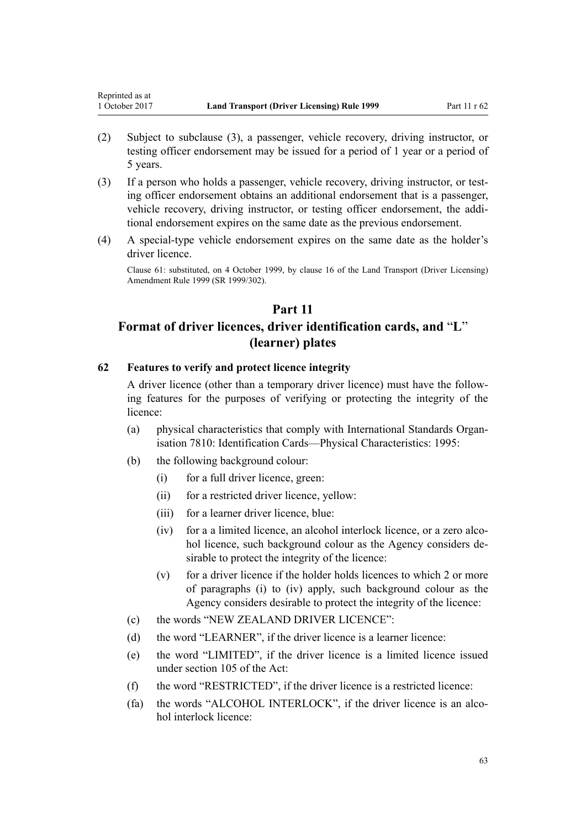<span id="page-62-0"></span>Reprinted as at

- (2) Subject to subclause (3), a passenger, vehicle recovery, driving instructor, or testing officer endorsement may be issued for a period of 1 year or a period of 5 years.
- (3) If a person who holds a passenger, vehicle recovery, driving instructor, or testing officer endorsement obtains an additional endorsement that is a passenger, vehicle recovery, driving instructor, or testing officer endorsement, the additional endorsement expires on the same date as the previous endorsement.
- (4) A special-type vehicle endorsement expires on the same date as the holder's driver licence.

Clause 61: substituted, on 4 October 1999, by [clause 16](http://prd-lgnz-nlb.prd.pco.net.nz/pdflink.aspx?id=DLM293684) of the Land Transport (Driver Licensing) Amendment Rule 1999 (SR 1999/302).

# **Part 11**

# **Format of driver licences, driver identification cards, and** "**L**" **(learner) plates**

### **62 Features to verify and protect licence integrity**

A driver licence (other than a temporary driver licence) must have the following features for the purposes of verifying or protecting the integrity of the licence:

- (a) physical characteristics that comply with International Standards Organisation 7810: Identification Cards—Physical Characteristics: 1995:
- (b) the following background colour:
	- (i) for a full driver licence, green:
	- (ii) for a restricted driver licence, yellow:
	- (iii) for a learner driver licence, blue:
	- (iv) for a a limited licence, an alcohol interlock licence, or a zero alcohol licence, such background colour as the Agency considers desirable to protect the integrity of the licence:
	- (v) for a driver licence if the holder holds licences to which 2 or more of paragraphs (i) to (iv) apply, such background colour as the Agency considers desirable to protect the integrity of the licence:
- (c) the words "NEW ZEALAND DRIVER LICENCE":
- (d) the word "LEARNER", if the driver licence is a learner licence:
- (e) the word "LIMITED", if the driver licence is a limited licence issued under [section 105](http://prd-lgnz-nlb.prd.pco.net.nz/pdflink.aspx?id=DLM435080) of the Act:
- (f) the word "RESTRICTED", if the driver licence is a restricted licence:
- (fa) the words "ALCOHOL INTERLOCK", if the driver licence is an alcohol interlock licence: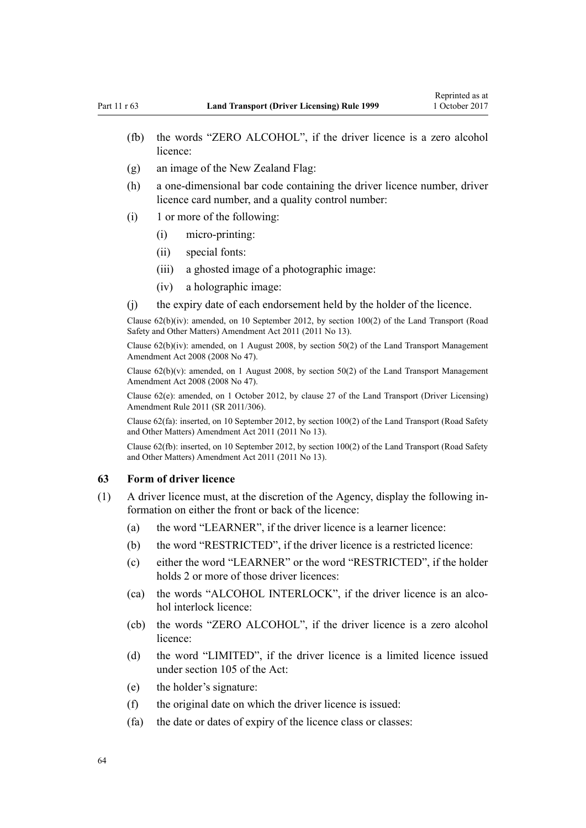- (fb) the words "ZERO ALCOHOL", if the driver licence is a zero alcohol licence:
- (g) an image of the New Zealand Flag:
- (h) a one-dimensional bar code containing the driver licence number, driver licence card number, and a quality control number:
- (i) 1 or more of the following:
	- (i) micro-printing:
	- (ii) special fonts:
	- (iii) a ghosted image of a photographic image:
	- (iv) a holographic image:
- (j) the expiry date of each endorsement held by the holder of the licence.

Clause 62(b)(iv): amended, on 10 September 2012, by [section 100\(2\)](http://prd-lgnz-nlb.prd.pco.net.nz/pdflink.aspx?id=DLM3231293) of the Land Transport (Road Safety and Other Matters) Amendment Act 2011 (2011 No 13).

Clause  $62(b)(iv)$ : amended, on 1 August 2008, by [section 50\(2\)](http://prd-lgnz-nlb.prd.pco.net.nz/pdflink.aspx?id=DLM1313622) of the Land Transport Management Amendment Act 2008 (2008 No 47).

Clause  $62(b)(v)$ : amended, on 1 August 2008, by [section 50\(2\)](http://prd-lgnz-nlb.prd.pco.net.nz/pdflink.aspx?id=DLM1313622) of the Land Transport Management Amendment Act 2008 (2008 No 47).

Clause 62(e): amended, on 1 October 2012, by [clause 27](http://prd-lgnz-nlb.prd.pco.net.nz/pdflink.aspx?id=DLM3956517) of the Land Transport (Driver Licensing) Amendment Rule 2011 (SR 2011/306).

Clause 62(fa): inserted, on 10 September 2012, by [section 100\(2\)](http://prd-lgnz-nlb.prd.pco.net.nz/pdflink.aspx?id=DLM3231293) of the Land Transport (Road Safety and Other Matters) Amendment Act 2011 (2011 No 13).

Clause 62(fb): inserted, on 10 September 2012, by [section 100\(2\)](http://prd-lgnz-nlb.prd.pco.net.nz/pdflink.aspx?id=DLM3231293) of the Land Transport (Road Safety and Other Matters) Amendment Act 2011 (2011 No 13).

# **63 Form of driver licence**

- (1) A driver licence must, at the discretion of the Agency, display the following information on either the front or back of the licence:
	- (a) the word "LEARNER", if the driver licence is a learner licence:
	- (b) the word "RESTRICTED", if the driver licence is a restricted licence:
	- (c) either the word "LEARNER" or the word "RESTRICTED", if the holder holds 2 or more of those driver licences:
	- (ca) the words "ALCOHOL INTERLOCK", if the driver licence is an alcohol interlock licence:
	- (cb) the words "ZERO ALCOHOL", if the driver licence is a zero alcohol licence:
	- (d) the word "LIMITED", if the driver licence is a limited licence issued under [section 105](http://prd-lgnz-nlb.prd.pco.net.nz/pdflink.aspx?id=DLM435080) of the Act:
	- (e) the holder's signature:
	- (f) the original date on which the driver licence is issued:
	- (fa) the date or dates of expiry of the licence class or classes: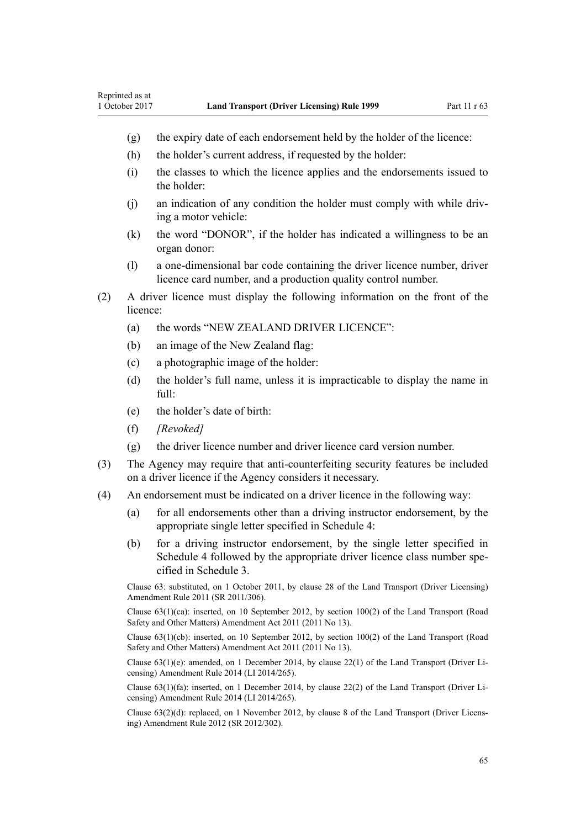- (g) the expiry date of each endorsement held by the holder of the licence:
- (h) the holder's current address, if requested by the holder:
- (i) the classes to which the licence applies and the endorsements issued to the holder:
- (j) an indication of any condition the holder must comply with while driving a motor vehicle:
- (k) the word "DONOR", if the holder has indicated a willingness to be an organ donor:
- (l) a one-dimensional bar code containing the driver licence number, driver licence card number, and a production quality control number.
- (2) A driver licence must display the following information on the front of the licence:
	- (a) the words "NEW ZEALAND DRIVER LICENCE":
	- (b) an image of the New Zealand flag:
	- (c) a photographic image of the holder:
	- (d) the holder's full name, unless it is impracticable to display the name in full:
	- (e) the holder's date of birth:
	- (f) *[Revoked]*
	- (g) the driver licence number and driver licence card version number.
- (3) The Agency may require that anti-counterfeiting security features be included on a driver licence if the Agency considers it necessary.
- (4) An endorsement must be indicated on a driver licence in the following way:
	- (a) for all endorsements other than a driving instructor endorsement, by the appropriate single letter specified in [Schedule 4](#page-112-0):
	- (b) for a driving instructor endorsement, by the single letter specified in [Schedule 4](#page-112-0) followed by the appropriate driver licence class number specified in [Schedule 3.](#page-110-0)

Clause 63: substituted, on 1 October 2011, by [clause 28](http://prd-lgnz-nlb.prd.pco.net.nz/pdflink.aspx?id=DLM3956732) of the Land Transport (Driver Licensing) Amendment Rule 2011 (SR 2011/306).

Clause 63(1)(ca): inserted, on 10 September 2012, by [section 100\(2\)](http://prd-lgnz-nlb.prd.pco.net.nz/pdflink.aspx?id=DLM3231293) of the Land Transport (Road Safety and Other Matters) Amendment Act 2011 (2011 No 13).

Clause 63(1)(cb): inserted, on 10 September 2012, by [section 100\(2\)](http://prd-lgnz-nlb.prd.pco.net.nz/pdflink.aspx?id=DLM3231293) of the Land Transport (Road Safety and Other Matters) Amendment Act 2011 (2011 No 13).

Clause 63(1)(e): amended, on 1 December 2014, by [clause 22\(1\)](http://prd-lgnz-nlb.prd.pco.net.nz/pdflink.aspx?id=DLM6216936) of the Land Transport (Driver Licensing) Amendment Rule 2014 (LI 2014/265).

Clause 63(1)(fa): inserted, on 1 December 2014, by [clause 22\(2\)](http://prd-lgnz-nlb.prd.pco.net.nz/pdflink.aspx?id=DLM6216936) of the Land Transport (Driver Licensing) Amendment Rule 2014 (LI 2014/265).

Clause 63(2)(d): replaced, on 1 November 2012, by [clause 8](http://prd-lgnz-nlb.prd.pco.net.nz/pdflink.aspx?id=DLM4773440) of the Land Transport (Driver Licensing) Amendment Rule 2012 (SR 2012/302).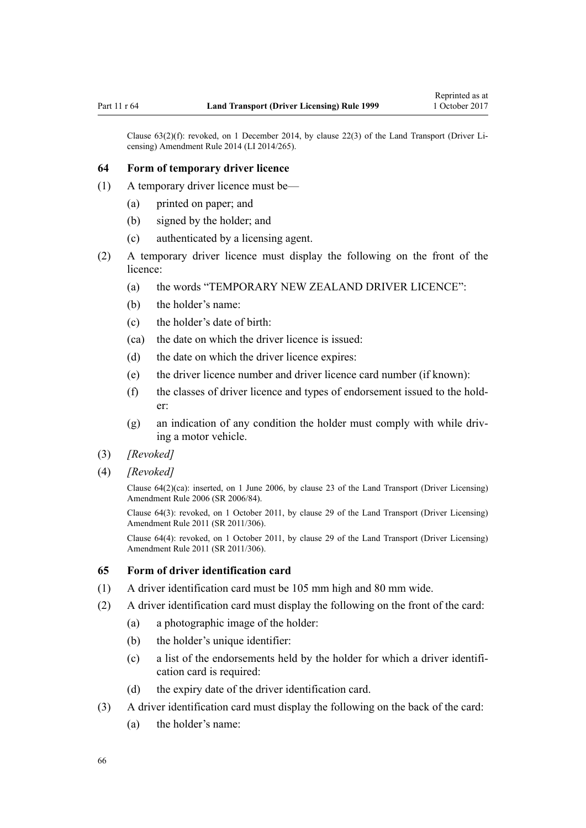Clause 63(2)(f): revoked, on 1 December 2014, by [clause 22\(3\)](http://prd-lgnz-nlb.prd.pco.net.nz/pdflink.aspx?id=DLM6216936) of the Land Transport (Driver Licensing) Amendment Rule 2014 (LI 2014/265).

### **64 Form of temporary driver licence**

- (1) A temporary driver licence must be—
	- (a) printed on paper; and
	- (b) signed by the holder; and
	- (c) authenticated by a licensing agent.
- (2) A temporary driver licence must display the following on the front of the licence:
	- (a) the words "TEMPORARY NEW ZEALAND DRIVER LICENCE":
	- (b) the holder's name:
	- (c) the holder's date of birth:
	- (ca) the date on which the driver licence is issued:
	- (d) the date on which the driver licence expires:
	- (e) the driver licence number and driver licence card number (if known):
	- (f) the classes of driver licence and types of endorsement issued to the holder:
	- (g) an indication of any condition the holder must comply with while driving a motor vehicle.
- (3) *[Revoked]*
- (4) *[Revoked]*

Clause 64(2)(ca): inserted, on 1 June 2006, by [clause 23](http://prd-lgnz-nlb.prd.pco.net.nz/pdflink.aspx?id=DLM376116) of the Land Transport (Driver Licensing) Amendment Rule 2006 (SR 2006/84).

Clause 64(3): revoked, on 1 October 2011, by [clause 29](http://prd-lgnz-nlb.prd.pco.net.nz/pdflink.aspx?id=DLM3956734) of the Land Transport (Driver Licensing) Amendment Rule 2011 (SR 2011/306).

Clause 64(4): revoked, on 1 October 2011, by [clause 29](http://prd-lgnz-nlb.prd.pco.net.nz/pdflink.aspx?id=DLM3956734) of the Land Transport (Driver Licensing) Amendment Rule 2011 (SR 2011/306).

# **65 Form of driver identification card**

- (1) A driver identification card must be 105 mm high and 80 mm wide.
- (2) A driver identification card must display the following on the front of the card:
	- (a) a photographic image of the holder:
	- (b) the holder's unique identifier:
	- (c) a list of the endorsements held by the holder for which a driver identification card is required:
	- (d) the expiry date of the driver identification card.
- (3) A driver identification card must display the following on the back of the card:
	- (a) the holder's name: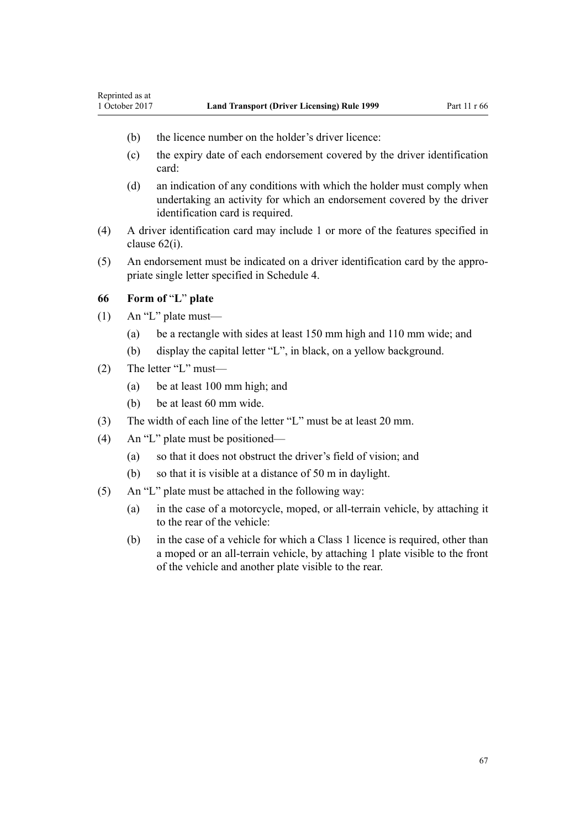- (b) the licence number on the holder's driver licence:
- (c) the expiry date of each endorsement covered by the driver identification card:
- (d) an indication of any conditions with which the holder must comply when undertaking an activity for which an endorsement covered by the driver identification card is required.
- (4) A driver identification card may include 1 or more of the features specified in [clause 62\(i\)](#page-62-0).
- (5) An endorsement must be indicated on a driver identification card by the appropriate single letter specified in [Schedule 4](#page-112-0).

# **66 Form of** "**L**" **plate**

Reprinted as at

- (1) An "L" plate must—
	- (a) be a rectangle with sides at least 150 mm high and 110 mm wide; and
	- (b) display the capital letter "L", in black, on a yellow background.
- (2) The letter "L" must—
	- (a) be at least 100 mm high; and
	- (b) be at least 60 mm wide.
- (3) The width of each line of the letter "L" must be at least 20 mm.
- (4) An "L" plate must be positioned—
	- (a) so that it does not obstruct the driver's field of vision; and
	- (b) so that it is visible at a distance of 50 m in daylight.
- (5) An "L" plate must be attached in the following way:
	- (a) in the case of a motorcycle, moped, or all-terrain vehicle, by attaching it to the rear of the vehicle:
	- (b) in the case of a vehicle for which a Class 1 licence is required, other than a moped or an all-terrain vehicle, by attaching 1 plate visible to the front of the vehicle and another plate visible to the rear.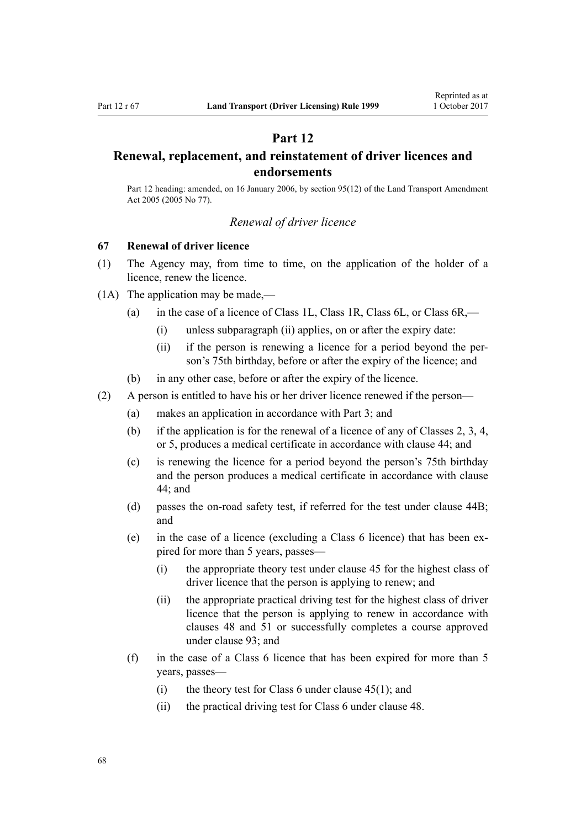# **Part 12**

# <span id="page-67-0"></span>**Renewal, replacement, and reinstatement of driver licences and endorsements**

Part 12 heading: amended, on 16 January 2006, by [section 95\(12\)](http://prd-lgnz-nlb.prd.pco.net.nz/pdflink.aspx?id=DLM353501) of the Land Transport Amendment Act 2005 (2005 No 77).

# *Renewal of driver licence*

# **67 Renewal of driver licence**

- (1) The Agency may, from time to time, on the application of the holder of a licence, renew the licence.
- (1A) The application may be made,—
	- (a) in the case of a licence of Class 1L, Class 1R, Class 6L, or Class 6R,—
		- (i) unless subparagraph (ii) applies, on or after the expiry date:
		- (ii) if the person is renewing a licence for a period beyond the person's 75th birthday, before or after the expiry of the licence; and
	- (b) in any other case, before or after the expiry of the licence.
- (2) A person is entitled to have his or her driver licence renewed if the person—
	- (a) makes an application in accordance with [Part 3](#page-20-0); and
	- (b) if the application is for the renewal of a licence of any of Classes 2, 3, 4, or 5, produces a medical certificate in accordance with [clause 44](#page-52-0); and
	- (c) is renewing the licence for a period beyond the person's 75th birthday and the person produces a medical certificate in accordance with [clause](#page-52-0) [44;](#page-52-0) and
	- (d) passes the on-road safety test, if referred for the test under [clause 44B;](#page-53-0) and
	- (e) in the case of a licence (excluding a Class 6 licence) that has been expired for more than 5 years, passes—
		- (i) the appropriate theory test under [clause 45](#page-54-0) for the highest class of driver licence that the person is applying to renew; and
		- (ii) the appropriate practical driving test for the highest class of driver licence that the person is applying to renew in accordance with [clauses 48](#page-55-0) and [51](#page-56-0) or successfully completes a course approved under [clause 93](#page-91-0); and
	- (f) in the case of a Class 6 licence that has been expired for more than 5 years, passes—
		- (i) the theory test for Class 6 under clause  $45(1)$ ; and
		- (ii) the practical driving test for Class 6 under [clause 48](#page-55-0).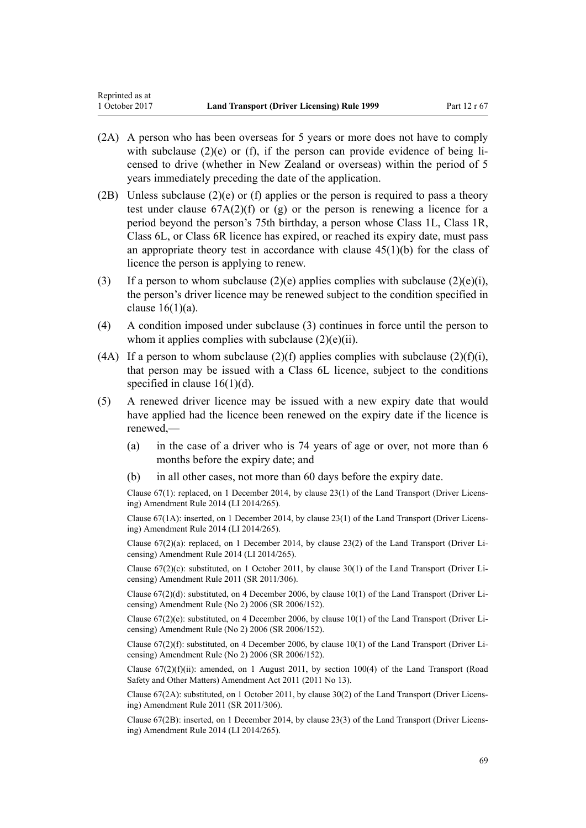- (2A) A person who has been overseas for 5 years or more does not have to comply with subclause  $(2)(e)$  or (f), if the person can provide evidence of being licensed to drive (whether in New Zealand or overseas) within the period of 5 years immediately preceding the date of the application.
- (2B) Unless subclause (2)(e) or (f) applies or the person is required to pass a theory test under clause  $67A(2)(f)$  or (g) or the person is renewing a licence for a period beyond the person's 75th birthday, a person whose Class 1L, Class 1R, Class 6L, or Class 6R licence has expired, or reached its expiry date, must pass an appropriate theory test in accordance with clause  $45(1)(b)$  for the class of licence the person is applying to renew.
- (3) If a person to whom subclause  $(2)(e)$  applies complies with subclause  $(2)(e)(i)$ , the person's driver licence may be renewed subject to the condition specified in clause  $16(1)(a)$ .
- (4) A condition imposed under subclause (3) continues in force until the person to whom it applies complies with subclause  $(2)(e)(ii)$ .
- (4A) If a person to whom subclause (2)(f) applies complies with subclause (2)(f)(i), that person may be issued with a Class 6L licence, subject to the conditions specified in clause  $16(1)(d)$ .
- (5) A renewed driver licence may be issued with a new expiry date that would have applied had the licence been renewed on the expiry date if the licence is renewed,—
	- (a) in the case of a driver who is 74 years of age or over, not more than 6 months before the expiry date; and
	- (b) in all other cases, not more than 60 days before the expiry date.

Clause 67(1): replaced, on 1 December 2014, by [clause 23\(1\)](http://prd-lgnz-nlb.prd.pco.net.nz/pdflink.aspx?id=DLM6216937) of the Land Transport (Driver Licensing) Amendment Rule 2014 (LI 2014/265).

Clause 67(1A): inserted, on 1 December 2014, by [clause 23\(1\)](http://prd-lgnz-nlb.prd.pco.net.nz/pdflink.aspx?id=DLM6216937) of the Land Transport (Driver Licensing) Amendment Rule 2014 (LI 2014/265).

Clause 67(2)(a): replaced, on 1 December 2014, by [clause 23\(2\)](http://prd-lgnz-nlb.prd.pco.net.nz/pdflink.aspx?id=DLM6216937) of the Land Transport (Driver Licensing) Amendment Rule 2014 (LI 2014/265).

Clause  $67(2)(c)$ : substituted, on 1 October 2011, by [clause 30\(1\)](http://prd-lgnz-nlb.prd.pco.net.nz/pdflink.aspx?id=DLM3956735) of the Land Transport (Driver Licensing) Amendment Rule 2011 (SR 2011/306).

Clause 67(2)(d): substituted, on 4 December 2006, by [clause 10\(1\)](http://prd-lgnz-nlb.prd.pco.net.nz/pdflink.aspx?id=DLM386151) of the Land Transport (Driver Licensing) Amendment Rule (No 2) 2006 (SR 2006/152).

Clause  $67(2)(e)$ : substituted, on 4 December 2006, by clause  $10(1)$  of the Land Transport (Driver Licensing) Amendment Rule (No 2) 2006 (SR 2006/152).

Clause 67(2)(f): substituted, on 4 December 2006, by [clause 10\(1\)](http://prd-lgnz-nlb.prd.pco.net.nz/pdflink.aspx?id=DLM386151) of the Land Transport (Driver Licensing) Amendment Rule (No 2) 2006 (SR 2006/152).

Clause  $67(2)(f)(ii)$ : amended, on 1 August 2011, by [section 100\(4\)](http://prd-lgnz-nlb.prd.pco.net.nz/pdflink.aspx?id=DLM3231293) of the Land Transport (Road Safety and Other Matters) Amendment Act 2011 (2011 No 13).

Clause 67(2A): substituted, on 1 October 2011, by [clause 30\(2\)](http://prd-lgnz-nlb.prd.pco.net.nz/pdflink.aspx?id=DLM3956735) of the Land Transport (Driver Licensing) Amendment Rule 2011 (SR 2011/306).

Clause 67(2B): inserted, on 1 December 2014, by [clause 23\(3\)](http://prd-lgnz-nlb.prd.pco.net.nz/pdflink.aspx?id=DLM6216937) of the Land Transport (Driver Licensing) Amendment Rule 2014 (LI 2014/265).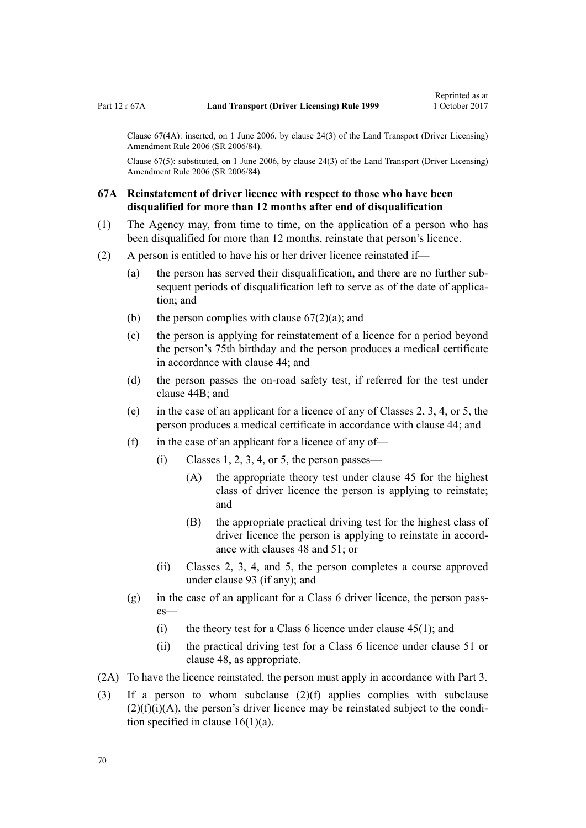<span id="page-69-0"></span>Clause 67(4A): inserted, on 1 June 2006, by [clause 24\(3\)](http://prd-lgnz-nlb.prd.pco.net.nz/pdflink.aspx?id=DLM376117) of the Land Transport (Driver Licensing) Amendment Rule 2006 (SR 2006/84).

Clause 67(5): substituted, on 1 June 2006, by [clause 24\(3\)](http://prd-lgnz-nlb.prd.pco.net.nz/pdflink.aspx?id=DLM376117) of the Land Transport (Driver Licensing) Amendment Rule 2006 (SR 2006/84).

# **67A Reinstatement of driver licence with respect to those who have been disqualified for more than 12 months after end of disqualification**

- (1) The Agency may, from time to time, on the application of a person who has been disqualified for more than 12 months, reinstate that person's licence.
- (2) A person is entitled to have his or her driver licence reinstated if—
	- (a) the person has served their disqualification, and there are no further subsequent periods of disqualification left to serve as of the date of application; and
	- (b) the person complies with clause  $67(2)(a)$ ; and
	- (c) the person is applying for reinstatement of a licence for a period beyond the person's 75th birthday and the person produces a medical certificate in accordance with [clause 44](#page-52-0); and
	- (d) the person passes the on-road safety test, if referred for the test under [clause 44B;](#page-53-0) and
	- (e) in the case of an applicant for a licence of any of Classes 2, 3, 4, or 5, the person produces a medical certificate in accordance with [clause 44](#page-52-0); and
	- (f) in the case of an applicant for a licence of any of—
		- $(i)$  Classes 1, 2, 3, 4, or 5, the person passes—
			- (A) the appropriate theory test under [clause 45](#page-54-0) for the highest class of driver licence the person is applying to reinstate; and
			- (B) the appropriate practical driving test for the highest class of driver licence the person is applying to reinstate in accordance with [clauses 48](#page-55-0) and [51;](#page-56-0) or
		- (ii) Classes 2, 3, 4, and 5, the person completes a course approved under [clause 93](#page-91-0) (if any); and
	- (g) in the case of an applicant for a Class 6 driver licence, the person passes—
		- (i) the theory test for a Class 6 licence under clause  $45(1)$ ; and
		- (ii) the practical driving test for a Class 6 licence under [clause 51](#page-56-0) or [clause 48](#page-55-0), as appropriate.
- (2A) To have the licence reinstated, the person must apply in accordance with [Part 3](#page-20-0).
- (3) If a person to whom subclause (2)(f) applies complies with subclause  $(2)(f)(i)(A)$ , the person's driver licence may be reinstated subject to the condition specified in clause  $16(1)(a)$ .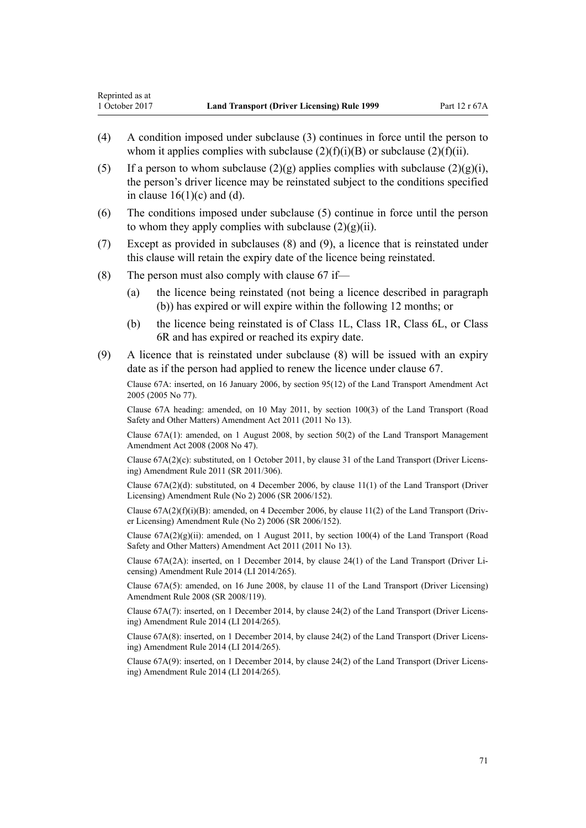- (4) A condition imposed under subclause (3) continues in force until the person to whom it applies complies with subclause  $(2)(f)(i)(B)$  or subclause  $(2)(f)(ii)$ .
- (5) If a person to whom subclause  $(2)(g)$  applies complies with subclause  $(2)(g)(i)$ . the person's driver licence may be reinstated subject to the conditions specified in clause  $16(1)(c)$  and (d).
- (6) The conditions imposed under subclause (5) continue in force until the person to whom they apply complies with subclause  $(2)(g)(ii)$ .
- (7) Except as provided in subclauses (8) and (9), a licence that is reinstated under this clause will retain the expiry date of the licence being reinstated.
- (8) The person must also comply with clause  $67$  if—
	- (a) the licence being reinstated (not being a licence described in paragraph (b)) has expired or will expire within the following 12 months; or
	- (b) the licence being reinstated is of Class 1L, Class 1R, Class 6L, or Class 6R and has expired or reached its expiry date.
- (9) A licence that is reinstated under subclause (8) will be issued with an expiry date as if the person had applied to renew the licence under [clause 67.](#page-67-0)

Clause 67A: inserted, on 16 January 2006, by [section 95\(12\)](http://prd-lgnz-nlb.prd.pco.net.nz/pdflink.aspx?id=DLM353501) of the Land Transport Amendment Act 2005 (2005 No 77).

Clause 67A heading: amended, on 10 May 2011, by [section 100\(3\)](http://prd-lgnz-nlb.prd.pco.net.nz/pdflink.aspx?id=DLM3231293) of the Land Transport (Road Safety and Other Matters) Amendment Act 2011 (2011 No 13).

Clause 67A(1): amended, on 1 August 2008, by [section 50\(2\)](http://prd-lgnz-nlb.prd.pco.net.nz/pdflink.aspx?id=DLM1313622) of the Land Transport Management Amendment Act 2008 (2008 No 47).

Clause 67A(2)(c): substituted, on 1 October 2011, by [clause 31](http://prd-lgnz-nlb.prd.pco.net.nz/pdflink.aspx?id=DLM3956736) of the Land Transport (Driver Licensing) Amendment Rule 2011 (SR 2011/306).

Clause 67A(2)(d): substituted, on 4 December 2006, by [clause 11\(1\)](http://prd-lgnz-nlb.prd.pco.net.nz/pdflink.aspx?id=DLM386152) of the Land Transport (Driver Licensing) Amendment Rule (No 2) 2006 (SR 2006/152).

Clause  $67A(2)(f)(i)(B)$ : amended, on 4 December 2006, by [clause 11\(2\)](http://prd-lgnz-nlb.prd.pco.net.nz/pdflink.aspx?id=DLM386152) of the Land Transport (Driver Licensing) Amendment Rule (No 2) 2006 (SR 2006/152).

Clause  $67A(2)(g)(ii)$ : amended, on 1 August 2011, by [section 100\(4\)](http://prd-lgnz-nlb.prd.pco.net.nz/pdflink.aspx?id=DLM3231293) of the Land Transport (Road Safety and Other Matters) Amendment Act 2011 (2011 No 13).

Clause 67A(2A): inserted, on 1 December 2014, by [clause 24\(1\)](http://prd-lgnz-nlb.prd.pco.net.nz/pdflink.aspx?id=DLM6216938) of the Land Transport (Driver Licensing) Amendment Rule 2014 (LI 2014/265).

Clause 67A(5): amended, on 16 June 2008, by [clause 11](http://prd-lgnz-nlb.prd.pco.net.nz/pdflink.aspx?id=DLM1317917) of the Land Transport (Driver Licensing) Amendment Rule 2008 (SR 2008/119).

Clause 67A(7): inserted, on 1 December 2014, by [clause 24\(2\)](http://prd-lgnz-nlb.prd.pco.net.nz/pdflink.aspx?id=DLM6216938) of the Land Transport (Driver Licensing) Amendment Rule 2014 (LI 2014/265).

Clause 67A(8): inserted, on 1 December 2014, by [clause 24\(2\)](http://prd-lgnz-nlb.prd.pco.net.nz/pdflink.aspx?id=DLM6216938) of the Land Transport (Driver Licensing) Amendment Rule 2014 (LI 2014/265).

Clause 67A(9): inserted, on 1 December 2014, by [clause 24\(2\)](http://prd-lgnz-nlb.prd.pco.net.nz/pdflink.aspx?id=DLM6216938) of the Land Transport (Driver Licensing) Amendment Rule 2014 (LI 2014/265).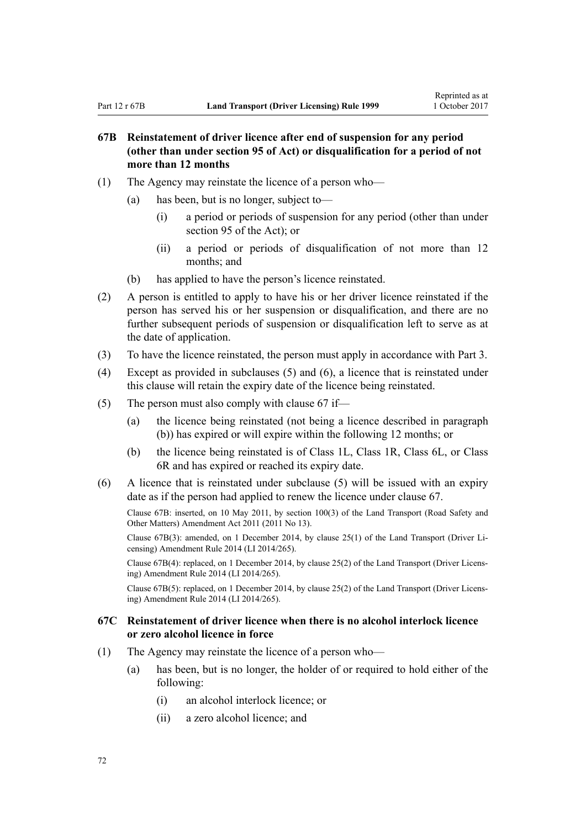# **67B Reinstatement of driver licence after end of suspension for any period (other than under section 95 of Act) or disqualification for a period of not more than 12 months**

- (1) The Agency may reinstate the licence of a person who—
	- (a) has been, but is no longer, subject to—
		- (i) a period or periods of suspension for any period (other than under [section 95](http://prd-lgnz-nlb.prd.pco.net.nz/pdflink.aspx?id=DLM435024) of the Act); or
		- (ii) a period or periods of disqualification of not more than 12 months; and
	- (b) has applied to have the person's licence reinstated.
- (2) A person is entitled to apply to have his or her driver licence reinstated if the person has served his or her suspension or disqualification, and there are no further subsequent periods of suspension or disqualification left to serve as at the date of application.
- (3) To have the licence reinstated, the person must apply in accordance with [Part 3](#page-20-0).
- (4) Except as provided in subclauses (5) and (6), a licence that is reinstated under this clause will retain the expiry date of the licence being reinstated.
- (5) The person must also comply with [clause 67](#page-67-0) if—
	- (a) the licence being reinstated (not being a licence described in paragraph (b)) has expired or will expire within the following 12 months; or
	- (b) the licence being reinstated is of Class 1L, Class 1R, Class 6L, or Class 6R and has expired or reached its expiry date.
- (6) A licence that is reinstated under subclause (5) will be issued with an expiry date as if the person had applied to renew the licence under [clause 67.](#page-67-0)

Clause 67B: inserted, on 10 May 2011, by [section 100\(3\)](http://prd-lgnz-nlb.prd.pco.net.nz/pdflink.aspx?id=DLM3231293) of the Land Transport (Road Safety and Other Matters) Amendment Act 2011 (2011 No 13).

Clause 67B(3): amended, on 1 December 2014, by [clause 25\(1\)](http://prd-lgnz-nlb.prd.pco.net.nz/pdflink.aspx?id=DLM6216939) of the Land Transport (Driver Licensing) Amendment Rule 2014 (LI 2014/265).

Clause 67B(4): replaced, on 1 December 2014, by [clause 25\(2\)](http://prd-lgnz-nlb.prd.pco.net.nz/pdflink.aspx?id=DLM6216939) of the Land Transport (Driver Licensing) Amendment Rule 2014 (LI 2014/265).

Clause 67B(5): replaced, on 1 December 2014, by [clause 25\(2\)](http://prd-lgnz-nlb.prd.pco.net.nz/pdflink.aspx?id=DLM6216939) of the Land Transport (Driver Licensing) Amendment Rule 2014 (LI 2014/265).

# **67C Reinstatement of driver licence when there is no alcohol interlock licence or zero alcohol licence in force**

- (1) The Agency may reinstate the licence of a person who—
	- (a) has been, but is no longer, the holder of or required to hold either of the following:
		- (i) an alcohol interlock licence; or
		- (ii) a zero alcohol licence; and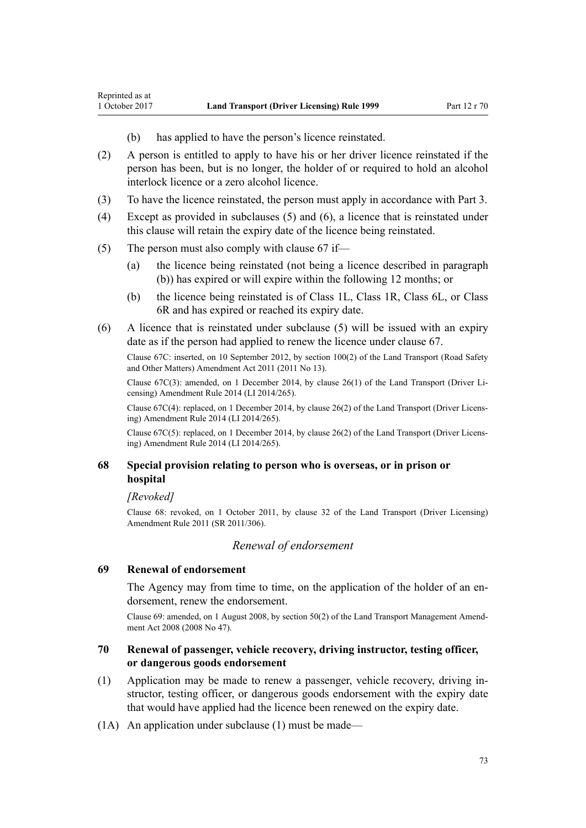- (b) has applied to have the person's licence reinstated.
- (2) A person is entitled to apply to have his or her driver licence reinstated if the person has been, but is no longer, the holder of or required to hold an alcohol interlock licence or a zero alcohol licence.
- (3) To have the licence reinstated, the person must apply in accordance with [Part 3](#page-20-0).
- (4) Except as provided in subclauses (5) and (6), a licence that is reinstated under this clause will retain the expiry date of the licence being reinstated.
- (5) The person must also comply with [clause 67](#page-67-0) if—
	- (a) the licence being reinstated (not being a licence described in paragraph (b)) has expired or will expire within the following 12 months; or
	- (b) the licence being reinstated is of Class 1L, Class 1R, Class 6L, or Class 6R and has expired or reached its expiry date.
- (6) A licence that is reinstated under subclause (5) will be issued with an expiry date as if the person had applied to renew the licence under [clause 67.](#page-67-0)

Clause 67C: inserted, on 10 September 2012, by [section 100\(2\)](http://prd-lgnz-nlb.prd.pco.net.nz/pdflink.aspx?id=DLM3231293) of the Land Transport (Road Safety and Other Matters) Amendment Act 2011 (2011 No 13).

Clause 67C(3): amended, on 1 December 2014, by [clause 26\(1\)](http://prd-lgnz-nlb.prd.pco.net.nz/pdflink.aspx?id=DLM6216940) of the Land Transport (Driver Licensing) Amendment Rule 2014 (LI 2014/265).

Clause 67C(4): replaced, on 1 December 2014, by [clause 26\(2\)](http://prd-lgnz-nlb.prd.pco.net.nz/pdflink.aspx?id=DLM6216940) of the Land Transport (Driver Licensing) Amendment Rule 2014 (LI 2014/265).

Clause 67C(5): replaced, on 1 December 2014, by [clause 26\(2\)](http://prd-lgnz-nlb.prd.pco.net.nz/pdflink.aspx?id=DLM6216940) of the Land Transport (Driver Licensing) Amendment Rule 2014 (LI 2014/265).

# **68 Special provision relating to person who is overseas, or in prison or hospital**

*[Revoked]*

<span id="page-72-0"></span>Reprinted as at

Clause 68: revoked, on 1 October 2011, by [clause 32](http://prd-lgnz-nlb.prd.pco.net.nz/pdflink.aspx?id=DLM3956737) of the Land Transport (Driver Licensing) Amendment Rule 2011 (SR 2011/306).

# *Renewal of endorsement*

### **69 Renewal of endorsement**

The Agency may from time to time, on the application of the holder of an endorsement, renew the endorsement.

Clause 69: amended, on 1 August 2008, by [section 50\(2\)](http://prd-lgnz-nlb.prd.pco.net.nz/pdflink.aspx?id=DLM1313622) of the Land Transport Management Amendment Act 2008 (2008 No 47).

# **70 Renewal of passenger, vehicle recovery, driving instructor, testing officer, or dangerous goods endorsement**

- (1) Application may be made to renew a passenger, vehicle recovery, driving instructor, testing officer, or dangerous goods endorsement with the expiry date that would have applied had the licence been renewed on the expiry date.
- (1A) An application under subclause (1) must be made—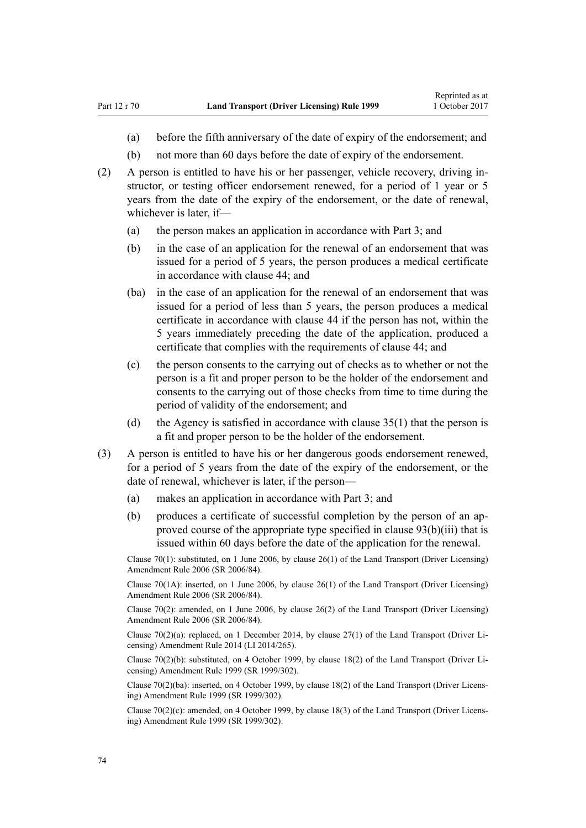- (a) before the fifth anniversary of the date of expiry of the endorsement; and
- (b) not more than 60 days before the date of expiry of the endorsement.
- (2) A person is entitled to have his or her passenger, vehicle recovery, driving instructor, or testing officer endorsement renewed, for a period of 1 year or 5 years from the date of the expiry of the endorsement, or the date of renewal, whichever is later, if—
	- (a) the person makes an application in accordance with [Part 3](#page-20-0); and
	- (b) in the case of an application for the renewal of an endorsement that was issued for a period of 5 years, the person produces a medical certificate in accordance with [clause 44](#page-52-0); and
	- (ba) in the case of an application for the renewal of an endorsement that was issued for a period of less than 5 years, the person produces a medical certificate in accordance with [clause 44](#page-52-0) if the person has not, within the 5 years immediately preceding the date of the application, produced a certificate that complies with the requirements of clause 44; and
	- (c) the person consents to the carrying out of checks as to whether or not the person is a fit and proper person to be the holder of the endorsement and consents to the carrying out of those checks from time to time during the period of validity of the endorsement; and
	- (d) the Agency is satisfied in accordance with [clause 35\(1\)](#page-46-0) that the person is a fit and proper person to be the holder of the endorsement.
- (3) A person is entitled to have his or her dangerous goods endorsement renewed, for a period of 5 years from the date of the expiry of the endorsement, or the date of renewal, whichever is later, if the person—
	- (a) makes an application in accordance with [Part 3](#page-20-0); and
	- (b) produces a certificate of successful completion by the person of an approved course of the appropriate type specified in [clause 93\(b\)\(iii\)](#page-91-0) that is issued within 60 days before the date of the application for the renewal.

Clause 70(1): substituted, on 1 June 2006, by [clause 26\(1\)](http://prd-lgnz-nlb.prd.pco.net.nz/pdflink.aspx?id=DLM376119) of the Land Transport (Driver Licensing) Amendment Rule 2006 (SR 2006/84).

Clause 70(1A): inserted, on 1 June 2006, by [clause 26\(1\)](http://prd-lgnz-nlb.prd.pco.net.nz/pdflink.aspx?id=DLM376119) of the Land Transport (Driver Licensing) Amendment Rule 2006 (SR 2006/84).

Clause 70(2): amended, on 1 June 2006, by [clause 26\(2\)](http://prd-lgnz-nlb.prd.pco.net.nz/pdflink.aspx?id=DLM376119) of the Land Transport (Driver Licensing) Amendment Rule 2006 (SR 2006/84).

Clause  $70(2)(a)$ : replaced, on 1 December 2014, by clause  $27(1)$  of the Land Transport (Driver Licensing) Amendment Rule 2014 (LI 2014/265).

Clause 70(2)(b): substituted, on 4 October 1999, by [clause 18\(2\)](http://prd-lgnz-nlb.prd.pco.net.nz/pdflink.aspx?id=DLM293687) of the Land Transport (Driver Licensing) Amendment Rule 1999 (SR 1999/302).

Clause 70(2)(ba): inserted, on 4 October 1999, by [clause 18\(2\)](http://prd-lgnz-nlb.prd.pco.net.nz/pdflink.aspx?id=DLM293687) of the Land Transport (Driver Licensing) Amendment Rule 1999 (SR 1999/302).

Clause 70(2)(c): amended, on 4 October 1999, by [clause 18\(3\)](http://prd-lgnz-nlb.prd.pco.net.nz/pdflink.aspx?id=DLM293687) of the Land Transport (Driver Licensing) Amendment Rule 1999 (SR 1999/302).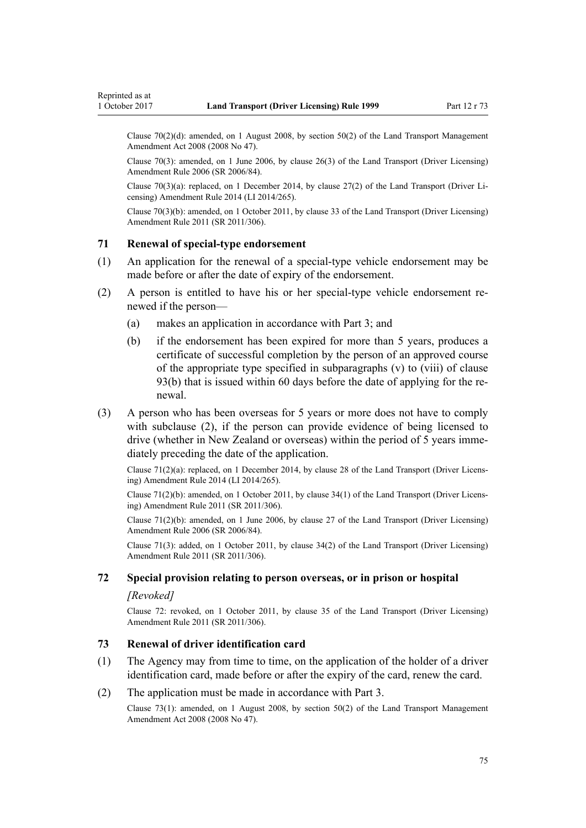<span id="page-74-0"></span>Clause 70(2)(d): amended, on 1 August 2008, by [section 50\(2\)](http://prd-lgnz-nlb.prd.pco.net.nz/pdflink.aspx?id=DLM1313622) of the Land Transport Management Amendment Act 2008 (2008 No 47).

Clause 70(3): amended, on 1 June 2006, by [clause 26\(3\)](http://prd-lgnz-nlb.prd.pco.net.nz/pdflink.aspx?id=DLM376119) of the Land Transport (Driver Licensing) Amendment Rule 2006 (SR 2006/84).

Clause 70(3)(a): replaced, on 1 December 2014, by [clause 27\(2\)](http://prd-lgnz-nlb.prd.pco.net.nz/pdflink.aspx?id=DLM6216941) of the Land Transport (Driver Licensing) Amendment Rule 2014 (LI 2014/265).

Clause 70(3)(b): amended, on 1 October 2011, by [clause 33](http://prd-lgnz-nlb.prd.pco.net.nz/pdflink.aspx?id=DLM3956738) of the Land Transport (Driver Licensing) Amendment Rule 2011 (SR 2011/306).

# **71 Renewal of special-type endorsement**

- (1) An application for the renewal of a special-type vehicle endorsement may be made before or after the date of expiry of the endorsement.
- (2) A person is entitled to have his or her special-type vehicle endorsement renewed if the person—
	- (a) makes an application in accordance with [Part 3](#page-20-0); and
	- (b) if the endorsement has been expired for more than 5 years, produces a certificate of successful completion by the person of an approved course of the appropriate type specified in subparagraphs (v) to (viii) of [clause](#page-91-0) [93\(b\)](#page-91-0) that is issued within 60 days before the date of applying for the renewal.
- (3) A person who has been overseas for 5 years or more does not have to comply with subclause (2), if the person can provide evidence of being licensed to drive (whether in New Zealand or overseas) within the period of 5 years immediately preceding the date of the application.

Clause 71(2)(a): replaced, on 1 December 2014, by [clause 28](http://prd-lgnz-nlb.prd.pco.net.nz/pdflink.aspx?id=DLM6216942) of the Land Transport (Driver Licensing) Amendment Rule 2014 (LI 2014/265).

Clause 71(2)(b): amended, on 1 October 2011, by [clause 34\(1\)](http://prd-lgnz-nlb.prd.pco.net.nz/pdflink.aspx?id=DLM3956739) of the Land Transport (Driver Licensing) Amendment Rule 2011 (SR 2011/306).

Clause  $71(2)(b)$ : amended, on 1 June 2006, by [clause 27](http://prd-lgnz-nlb.prd.pco.net.nz/pdflink.aspx?id=DLM376120) of the Land Transport (Driver Licensing) Amendment Rule 2006 (SR 2006/84).

Clause 71(3): added, on 1 October 2011, by [clause 34\(2\)](http://prd-lgnz-nlb.prd.pco.net.nz/pdflink.aspx?id=DLM3956739) of the Land Transport (Driver Licensing) Amendment Rule 2011 (SR 2011/306).

# **72 Special provision relating to person overseas, or in prison or hospital**

#### *[Revoked]*

Clause 72: revoked, on 1 October 2011, by [clause 35](http://prd-lgnz-nlb.prd.pco.net.nz/pdflink.aspx?id=DLM3956740) of the Land Transport (Driver Licensing) Amendment Rule 2011 (SR 2011/306).

# **73 Renewal of driver identification card**

- (1) The Agency may from time to time, on the application of the holder of a driver identification card, made before or after the expiry of the card, renew the card.
- (2) The application must be made in accordance with [Part 3.](#page-20-0)

Clause 73(1): amended, on 1 August 2008, by [section 50\(2\)](http://prd-lgnz-nlb.prd.pco.net.nz/pdflink.aspx?id=DLM1313622) of the Land Transport Management Amendment Act 2008 (2008 No 47).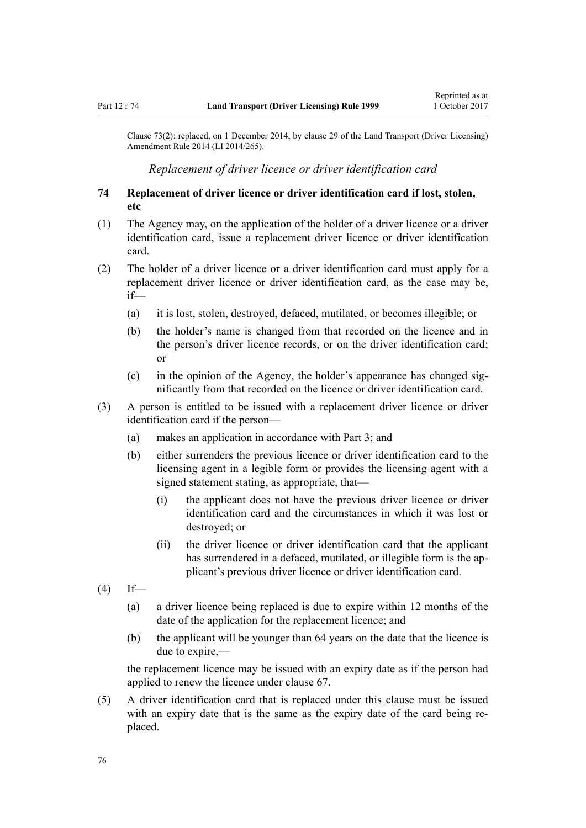<span id="page-75-0"></span>Clause 73(2): replaced, on 1 December 2014, by [clause 29](http://prd-lgnz-nlb.prd.pco.net.nz/pdflink.aspx?id=DLM6216943) of the Land Transport (Driver Licensing) Amendment Rule 2014 (LI 2014/265).

*Replacement of driver licence or driver identification card*

# **74 Replacement of driver licence or driver identification card if lost, stolen, etc**

- (1) The Agency may, on the application of the holder of a driver licence or a driver identification card, issue a replacement driver licence or driver identification card.
- (2) The holder of a driver licence or a driver identification card must apply for a replacement driver licence or driver identification card, as the case may be, if—
	- (a) it is lost, stolen, destroyed, defaced, mutilated, or becomes illegible; or
	- (b) the holder's name is changed from that recorded on the licence and in the person's driver licence records, or on the driver identification card; or
	- (c) in the opinion of the Agency, the holder's appearance has changed significantly from that recorded on the licence or driver identification card.
- (3) A person is entitled to be issued with a replacement driver licence or driver identification card if the person—
	- (a) makes an application in accordance with [Part 3](#page-20-0); and
	- (b) either surrenders the previous licence or driver identification card to the licensing agent in a legible form or provides the licensing agent with a signed statement stating, as appropriate, that—
		- (i) the applicant does not have the previous driver licence or driver identification card and the circumstances in which it was lost or destroyed; or
		- (ii) the driver licence or driver identification card that the applicant has surrendered in a defaced, mutilated, or illegible form is the applicant's previous driver licence or driver identification card.
- $(4)$  If—
	- (a) a driver licence being replaced is due to expire within 12 months of the date of the application for the replacement licence; and
	- (b) the applicant will be younger than 64 years on the date that the licence is due to expire,—

the replacement licence may be issued with an expiry date as if the person had applied to renew the licence under [clause 67](#page-67-0).

(5) A driver identification card that is replaced under this clause must be issued with an expiry date that is the same as the expiry date of the card being replaced.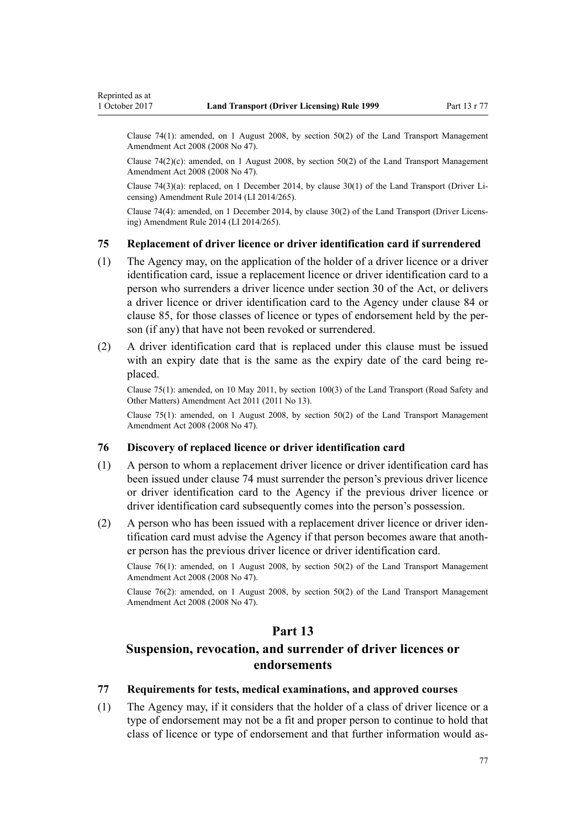<span id="page-76-0"></span>Clause 74(1): amended, on 1 August 2008, by [section 50\(2\)](http://prd-lgnz-nlb.prd.pco.net.nz/pdflink.aspx?id=DLM1313622) of the Land Transport Management Amendment Act 2008 (2008 No 47).

Clause  $74(2)(c)$ : amended, on 1 August 2008, by [section 50\(2\)](http://prd-lgnz-nlb.prd.pco.net.nz/pdflink.aspx?id=DLM1313622) of the Land Transport Management Amendment Act 2008 (2008 No 47).

Clause 74(3)(a): replaced, on 1 December 2014, by [clause 30\(1\)](http://prd-lgnz-nlb.prd.pco.net.nz/pdflink.aspx?id=DLM6216944) of the Land Transport (Driver Licensing) Amendment Rule 2014 (LI 2014/265).

Clause 74(4): amended, on 1 December 2014, by [clause 30\(2\)](http://prd-lgnz-nlb.prd.pco.net.nz/pdflink.aspx?id=DLM6216944) of the Land Transport (Driver Licensing) Amendment Rule 2014 (LI 2014/265).

### **75 Replacement of driver licence or driver identification card if surrendered**

- (1) The Agency may, on the application of the holder of a driver licence or a driver identification card, issue a replacement licence or driver identification card to a person who surrenders a driver licence under [section 30](http://prd-lgnz-nlb.prd.pco.net.nz/pdflink.aspx?id=DLM434583) of the Act, or delivers a driver licence or driver identification card to the Agency under [clause 84](#page-82-0) or [clause 85,](#page-82-0) for those classes of licence or types of endorsement held by the person (if any) that have not been revoked or surrendered.
- (2) A driver identification card that is replaced under this clause must be issued with an expiry date that is the same as the expiry date of the card being replaced.

Clause 75(1): amended, on 10 May 2011, by [section 100\(3\)](http://prd-lgnz-nlb.prd.pco.net.nz/pdflink.aspx?id=DLM3231293) of the Land Transport (Road Safety and Other Matters) Amendment Act 2011 (2011 No 13).

Clause 75(1): amended, on 1 August 2008, by [section 50\(2\)](http://prd-lgnz-nlb.prd.pco.net.nz/pdflink.aspx?id=DLM1313622) of the Land Transport Management Amendment Act 2008 (2008 No 47).

# **76 Discovery of replaced licence or driver identification card**

- (1) A person to whom a replacement driver licence or driver identification card has been issued under [clause 74](#page-75-0) must surrender the person's previous driver licence or driver identification card to the Agency if the previous driver licence or driver identification card subsequently comes into the person's possession.
- (2) A person who has been issued with a replacement driver licence or driver identification card must advise the Agency if that person becomes aware that another person has the previous driver licence or driver identification card.

Clause 76(1): amended, on 1 August 2008, by [section 50\(2\)](http://prd-lgnz-nlb.prd.pco.net.nz/pdflink.aspx?id=DLM1313622) of the Land Transport Management Amendment Act 2008 (2008 No 47).

Clause 76(2): amended, on 1 August 2008, by [section 50\(2\)](http://prd-lgnz-nlb.prd.pco.net.nz/pdflink.aspx?id=DLM1313622) of the Land Transport Management Amendment Act 2008 (2008 No 47).

# **Part 13**

# **Suspension, revocation, and surrender of driver licences or endorsements**

# **77 Requirements for tests, medical examinations, and approved courses**

(1) The Agency may, if it considers that the holder of a class of driver licence or a type of endorsement may not be a fit and proper person to continue to hold that class of licence or type of endorsement and that further information would as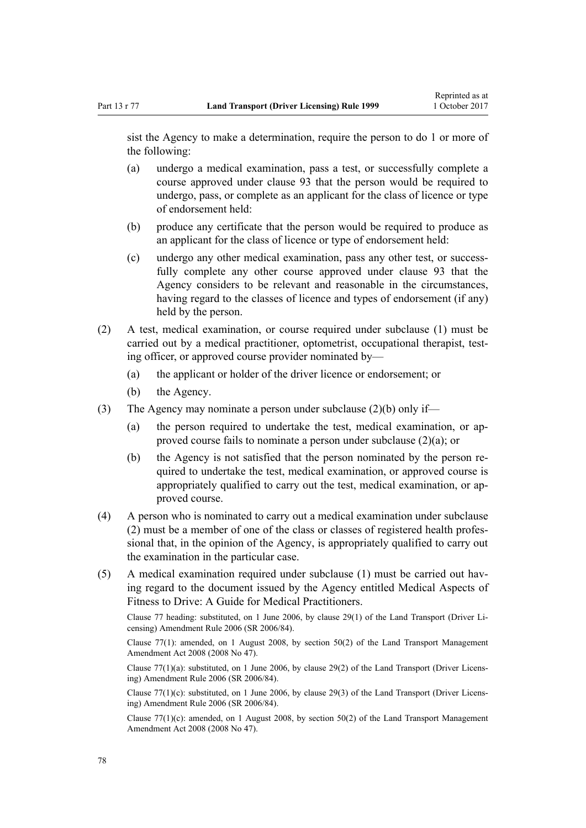sist the Agency to make a determination, require the person to do 1 or more of the following:

- (a) undergo a medical examination, pass a test, or successfully complete a course approved under [clause 93](#page-91-0) that the person would be required to undergo, pass, or complete as an applicant for the class of licence or type of endorsement held:
- (b) produce any certificate that the person would be required to produce as an applicant for the class of licence or type of endorsement held:
- (c) undergo any other medical examination, pass any other test, or successfully complete any other course approved under [clause 93](#page-91-0) that the Agency considers to be relevant and reasonable in the circumstances, having regard to the classes of licence and types of endorsement (if any) held by the person.
- (2) A test, medical examination, or course required under subclause (1) must be carried out by a medical practitioner, optometrist, occupational therapist, testing officer, or approved course provider nominated by—
	- (a) the applicant or holder of the driver licence or endorsement; or
	- (b) the Agency.
- (3) The Agency may nominate a person under subclause (2)(b) only if—
	- (a) the person required to undertake the test, medical examination, or approved course fails to nominate a person under subclause (2)(a); or
	- (b) the Agency is not satisfied that the person nominated by the person required to undertake the test, medical examination, or approved course is appropriately qualified to carry out the test, medical examination, or approved course.
- (4) A person who is nominated to carry out a medical examination under subclause (2) must be a member of one of the class or classes of registered health professional that, in the opinion of the Agency, is appropriately qualified to carry out the examination in the particular case.
- (5) A medical examination required under subclause (1) must be carried out having regard to the document issued by the Agency entitled Medical Aspects of Fitness to Drive: A Guide for Medical Practitioners.

Clause 77 heading: substituted, on 1 June 2006, by [clause 29\(1\)](http://prd-lgnz-nlb.prd.pco.net.nz/pdflink.aspx?id=DLM376122) of the Land Transport (Driver Licensing) Amendment Rule 2006 (SR 2006/84).

Clause  $77(1)$ : amended, on 1 August 2008, by section  $50(2)$  of the Land Transport Management Amendment Act 2008 (2008 No 47).

Clause  $77(1)(a)$ : substituted, on 1 June 2006, by [clause 29\(2\)](http://prd-lgnz-nlb.prd.pco.net.nz/pdflink.aspx?id=DLM376122) of the Land Transport (Driver Licensing) Amendment Rule 2006 (SR 2006/84).

Clause 77(1)(c): substituted, on 1 June 2006, by [clause 29\(3\)](http://prd-lgnz-nlb.prd.pco.net.nz/pdflink.aspx?id=DLM376122) of the Land Transport (Driver Licensing) Amendment Rule 2006 (SR 2006/84).

Clause 77(1)(c): amended, on 1 August 2008, by [section 50\(2\)](http://prd-lgnz-nlb.prd.pco.net.nz/pdflink.aspx?id=DLM1313622) of the Land Transport Management Amendment Act 2008 (2008 No 47).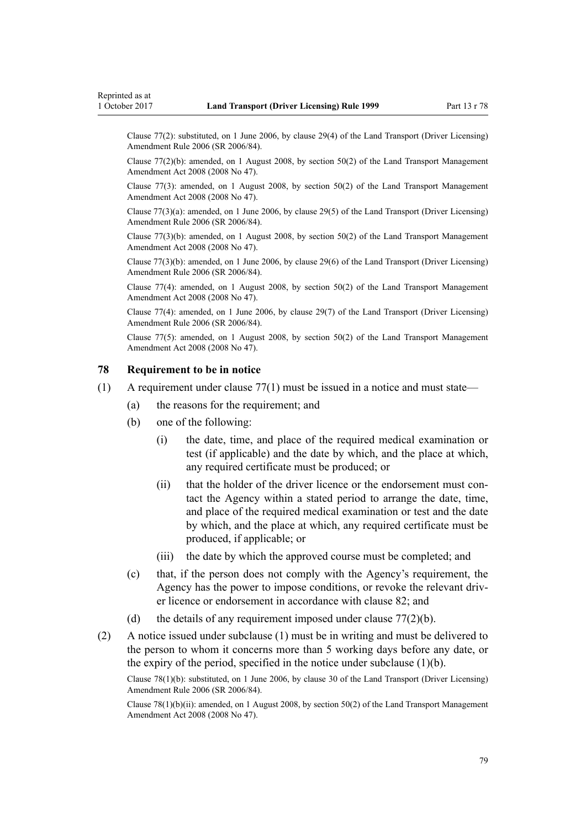<span id="page-78-0"></span>Clause 77(2): substituted, on 1 June 2006, by [clause 29\(4\)](http://prd-lgnz-nlb.prd.pco.net.nz/pdflink.aspx?id=DLM376122) of the Land Transport (Driver Licensing) Amendment Rule 2006 (SR 2006/84).

Clause 77(2)(b): amended, on 1 August 2008, by [section 50\(2\)](http://prd-lgnz-nlb.prd.pco.net.nz/pdflink.aspx?id=DLM1313622) of the Land Transport Management Amendment Act 2008 (2008 No 47).

Clause 77(3): amended, on 1 August 2008, by [section 50\(2\)](http://prd-lgnz-nlb.prd.pco.net.nz/pdflink.aspx?id=DLM1313622) of the Land Transport Management Amendment Act 2008 (2008 No 47).

Clause 77(3)(a): amended, on 1 June 2006, by [clause 29\(5\)](http://prd-lgnz-nlb.prd.pco.net.nz/pdflink.aspx?id=DLM376122) of the Land Transport (Driver Licensing) Amendment Rule 2006 (SR 2006/84).

Clause  $77(3)(b)$ : amended, on 1 August 2008, by section  $50(2)$  of the Land Transport Management Amendment Act 2008 (2008 No 47).

Clause 77(3)(b): amended, on 1 June 2006, by [clause 29\(6\)](http://prd-lgnz-nlb.prd.pco.net.nz/pdflink.aspx?id=DLM376122) of the Land Transport (Driver Licensing) Amendment Rule 2006 (SR 2006/84).

Clause 77(4): amended, on 1 August 2008, by [section 50\(2\)](http://prd-lgnz-nlb.prd.pco.net.nz/pdflink.aspx?id=DLM1313622) of the Land Transport Management Amendment Act 2008 (2008 No 47).

Clause 77(4): amended, on 1 June 2006, by [clause 29\(7\)](http://prd-lgnz-nlb.prd.pco.net.nz/pdflink.aspx?id=DLM376122) of the Land Transport (Driver Licensing) Amendment Rule 2006 (SR 2006/84).

Clause 77(5): amended, on 1 August 2008, by [section 50\(2\)](http://prd-lgnz-nlb.prd.pco.net.nz/pdflink.aspx?id=DLM1313622) of the Land Transport Management Amendment Act 2008 (2008 No 47).

# **78 Requirement to be in notice**

- (1) A requirement under [clause 77\(1\)](#page-76-0) must be issued in a notice and must state—
	- (a) the reasons for the requirement; and
	- (b) one of the following:
		- (i) the date, time, and place of the required medical examination or test (if applicable) and the date by which, and the place at which, any required certificate must be produced; or
		- (ii) that the holder of the driver licence or the endorsement must contact the Agency within a stated period to arrange the date, time, and place of the required medical examination or test and the date by which, and the place at which, any required certificate must be produced, if applicable; or
		- (iii) the date by which the approved course must be completed; and
	- (c) that, if the person does not comply with the Agency's requirement, the Agency has the power to impose conditions, or revoke the relevant driver licence or endorsement in accordance with [clause 82](#page-80-0); and
	- (d) the details of any requirement imposed under clause  $77(2)(b)$ .
- (2) A notice issued under subclause (1) must be in writing and must be delivered to the person to whom it concerns more than 5 working days before any date, or the expiry of the period, specified in the notice under subclause (1)(b).

Clause 78(1)(b): substituted, on 1 June 2006, by [clause 30](http://prd-lgnz-nlb.prd.pco.net.nz/pdflink.aspx?id=DLM376123) of the Land Transport (Driver Licensing) Amendment Rule 2006 (SR 2006/84).

Clause 78(1)(b)(ii): amended, on 1 August 2008, by [section 50\(2\)](http://prd-lgnz-nlb.prd.pco.net.nz/pdflink.aspx?id=DLM1313622) of the Land Transport Management Amendment Act 2008 (2008 No 47).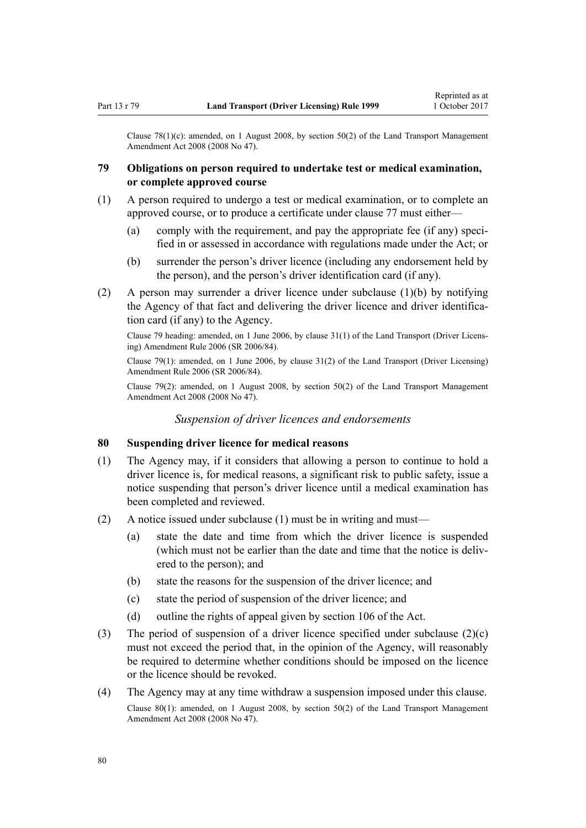Clause 78(1)(c): amended, on 1 August 2008, by [section 50\(2\)](http://prd-lgnz-nlb.prd.pco.net.nz/pdflink.aspx?id=DLM1313622) of the Land Transport Management Amendment Act 2008 (2008 No 47).

# **79 Obligations on person required to undertake test or medical examination, or complete approved course**

- (1) A person required to undergo a test or medical examination, or to complete an approved course, or to produce a certificate under [clause 77](#page-76-0) must either—
	- (a) comply with the requirement, and pay the appropriate fee (if any) specified in or assessed in accordance with regulations made under the Act; or
	- (b) surrender the person's driver licence (including any endorsement held by the person), and the person's driver identification card (if any).
- (2) A person may surrender a driver licence under subclause (1)(b) by notifying the Agency of that fact and delivering the driver licence and driver identification card (if any) to the Agency.

Clause 79 heading: amended, on 1 June 2006, by [clause 31\(1\)](http://prd-lgnz-nlb.prd.pco.net.nz/pdflink.aspx?id=DLM376124) of the Land Transport (Driver Licensing) Amendment Rule 2006 (SR 2006/84).

Clause 79(1): amended, on 1 June 2006, by clause  $31(2)$  of the Land Transport (Driver Licensing) Amendment Rule 2006 (SR 2006/84).

Clause 79(2): amended, on 1 August 2008, by section  $50(2)$  of the Land Transport Management Amendment Act 2008 (2008 No 47).

*Suspension of driver licences and endorsements*

# **80 Suspending driver licence for medical reasons**

- (1) The Agency may, if it considers that allowing a person to continue to hold a driver licence is, for medical reasons, a significant risk to public safety, issue a notice suspending that person's driver licence until a medical examination has been completed and reviewed.
- (2) A notice issued under subclause (1) must be in writing and must—
	- (a) state the date and time from which the driver licence is suspended (which must not be earlier than the date and time that the notice is delivered to the person); and
	- (b) state the reasons for the suspension of the driver licence; and
	- (c) state the period of suspension of the driver licence; and
	- (d) outline the rights of appeal given by [section 106](http://prd-lgnz-nlb.prd.pco.net.nz/pdflink.aspx?id=DLM435083) of the Act.
- (3) The period of suspension of a driver licence specified under subclause  $(2)(c)$ must not exceed the period that, in the opinion of the Agency, will reasonably be required to determine whether conditions should be imposed on the licence or the licence should be revoked.
- (4) The Agency may at any time withdraw a suspension imposed under this clause. Clause 80(1): amended, on 1 August 2008, by [section 50\(2\)](http://prd-lgnz-nlb.prd.pco.net.nz/pdflink.aspx?id=DLM1313622) of the Land Transport Management Amendment Act 2008 (2008 No 47).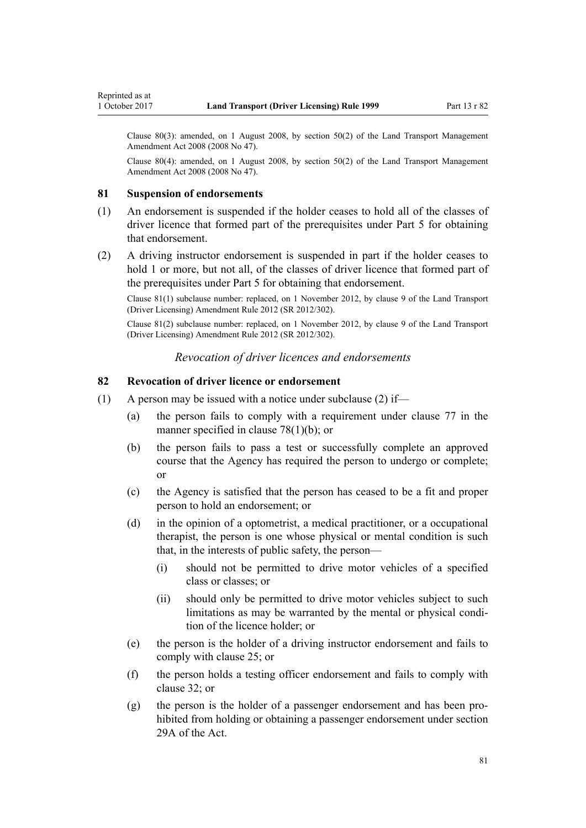<span id="page-80-0"></span>Clause 80(3): amended, on 1 August 2008, by [section 50\(2\)](http://prd-lgnz-nlb.prd.pco.net.nz/pdflink.aspx?id=DLM1313622) of the Land Transport Management Amendment Act 2008 (2008 No 47).

Clause 80(4): amended, on 1 August 2008, by [section 50\(2\)](http://prd-lgnz-nlb.prd.pco.net.nz/pdflink.aspx?id=DLM1313622) of the Land Transport Management Amendment Act 2008 (2008 No 47).

### **81 Suspension of endorsements**

- (1) An endorsement is suspended if the holder ceases to hold all of the classes of driver licence that formed part of the prerequisites under [Part 5](#page-39-0) for obtaining that endorsement.
- (2) A driving instructor endorsement is suspended in part if the holder ceases to hold 1 or more, but not all, of the classes of driver licence that formed part of the prerequisites under [Part 5](#page-39-0) for obtaining that endorsement.

Clause 81(1) subclause number: replaced, on 1 November 2012, by [clause 9](http://prd-lgnz-nlb.prd.pco.net.nz/pdflink.aspx?id=DLM4773441) of the Land Transport (Driver Licensing) Amendment Rule 2012 (SR 2012/302).

Clause 81(2) subclause number: replaced, on 1 November 2012, by [clause 9](http://prd-lgnz-nlb.prd.pco.net.nz/pdflink.aspx?id=DLM4773441) of the Land Transport (Driver Licensing) Amendment Rule 2012 (SR 2012/302).

## *Revocation of driver licences and endorsements*

# **82 Revocation of driver licence or endorsement**

- (1) A person may be issued with a notice under subclause (2) if—
	- (a) the person fails to comply with a requirement under [clause 77](#page-76-0) in the manner specified in [clause 78\(1\)\(b\);](#page-78-0) or
	- (b) the person fails to pass a test or successfully complete an approved course that the Agency has required the person to undergo or complete; or
	- (c) the Agency is satisfied that the person has ceased to be a fit and proper person to hold an endorsement; or
	- (d) in the opinion of a optometrist, a medical practitioner, or a occupational therapist, the person is one whose physical or mental condition is such that, in the interests of public safety, the person—
		- (i) should not be permitted to drive motor vehicles of a specified class or classes; or
		- (ii) should only be permitted to drive motor vehicles subject to such limitations as may be warranted by the mental or physical condition of the licence holder; or
	- (e) the person is the holder of a driving instructor endorsement and fails to comply with [clause 25](#page-41-0); or
	- (f) the person holds a testing officer endorsement and fails to comply with [clause 32](#page-45-0); or
	- (g) the person is the holder of a passenger endorsement and has been prohibited from holding or obtaining a passenger endorsement under [section](http://prd-lgnz-nlb.prd.pco.net.nz/pdflink.aspx?id=DLM434566) [29A](http://prd-lgnz-nlb.prd.pco.net.nz/pdflink.aspx?id=DLM434566) of the Act.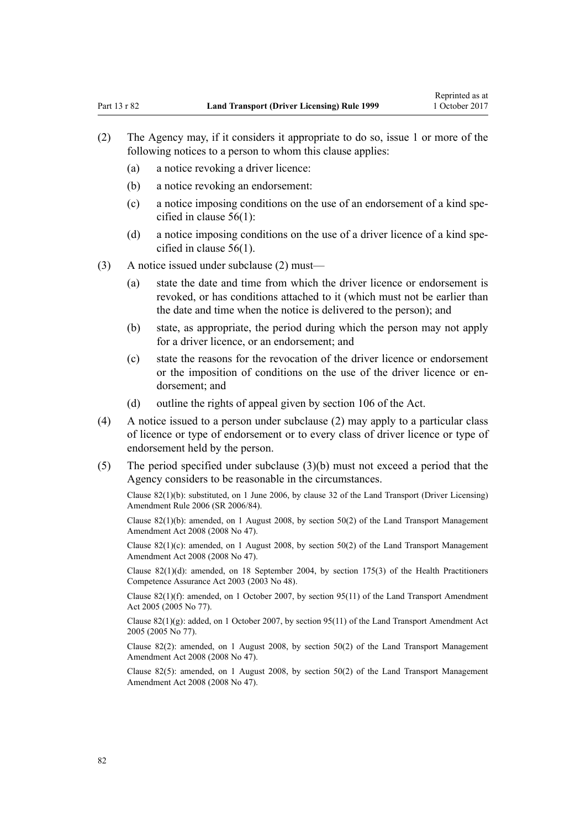- (2) The Agency may, if it considers it appropriate to do so, issue 1 or more of the following notices to a person to whom this clause applies:
	- (a) a notice revoking a driver licence:
	- (b) a notice revoking an endorsement:
	- (c) a notice imposing conditions on the use of an endorsement of a kind specified in [clause 56\(1\):](#page-58-0)
	- (d) a notice imposing conditions on the use of a driver licence of a kind specified in [clause 56\(1\).](#page-58-0)
- (3) A notice issued under subclause (2) must—
	- (a) state the date and time from which the driver licence or endorsement is revoked, or has conditions attached to it (which must not be earlier than the date and time when the notice is delivered to the person); and
	- (b) state, as appropriate, the period during which the person may not apply for a driver licence, or an endorsement; and
	- (c) state the reasons for the revocation of the driver licence or endorsement or the imposition of conditions on the use of the driver licence or endorsement; and
	- (d) outline the rights of appeal given by [section 106](http://prd-lgnz-nlb.prd.pco.net.nz/pdflink.aspx?id=DLM435083) of the Act.
- (4) A notice issued to a person under subclause (2) may apply to a particular class of licence or type of endorsement or to every class of driver licence or type of endorsement held by the person.
- (5) The period specified under subclause (3)(b) must not exceed a period that the Agency considers to be reasonable in the circumstances.

Clause 82(1)(b): substituted, on 1 June 2006, by [clause 32](http://prd-lgnz-nlb.prd.pco.net.nz/pdflink.aspx?id=DLM376125) of the Land Transport (Driver Licensing) Amendment Rule 2006 (SR 2006/84).

Clause 82(1)(b): amended, on 1 August 2008, by [section 50\(2\)](http://prd-lgnz-nlb.prd.pco.net.nz/pdflink.aspx?id=DLM1313622) of the Land Transport Management Amendment Act 2008 (2008 No 47).

Clause  $82(1)(c)$ : amended, on 1 August 2008, by [section 50\(2\)](http://prd-lgnz-nlb.prd.pco.net.nz/pdflink.aspx?id=DLM1313622) of the Land Transport Management Amendment Act 2008 (2008 No 47).

Clause 82(1)(d): amended, on 18 September 2004, by [section 175\(3\)](http://prd-lgnz-nlb.prd.pco.net.nz/pdflink.aspx?id=DLM205009) of the Health Practitioners Competence Assurance Act 2003 (2003 No 48).

Clause  $82(1)(f)$ : amended, on 1 October 2007, by [section 95\(11\)](http://prd-lgnz-nlb.prd.pco.net.nz/pdflink.aspx?id=DLM353501) of the Land Transport Amendment Act 2005 (2005 No 77).

Clause  $82(1)(g)$ : added, on 1 October 2007, by [section 95\(11\)](http://prd-lgnz-nlb.prd.pco.net.nz/pdflink.aspx?id=DLM353501) of the Land Transport Amendment Act 2005 (2005 No 77).

Clause 82(2): amended, on 1 August 2008, by [section 50\(2\)](http://prd-lgnz-nlb.prd.pco.net.nz/pdflink.aspx?id=DLM1313622) of the Land Transport Management Amendment Act 2008 (2008 No 47).

Clause 82(5): amended, on 1 August 2008, by [section 50\(2\)](http://prd-lgnz-nlb.prd.pco.net.nz/pdflink.aspx?id=DLM1313622) of the Land Transport Management Amendment Act 2008 (2008 No 47).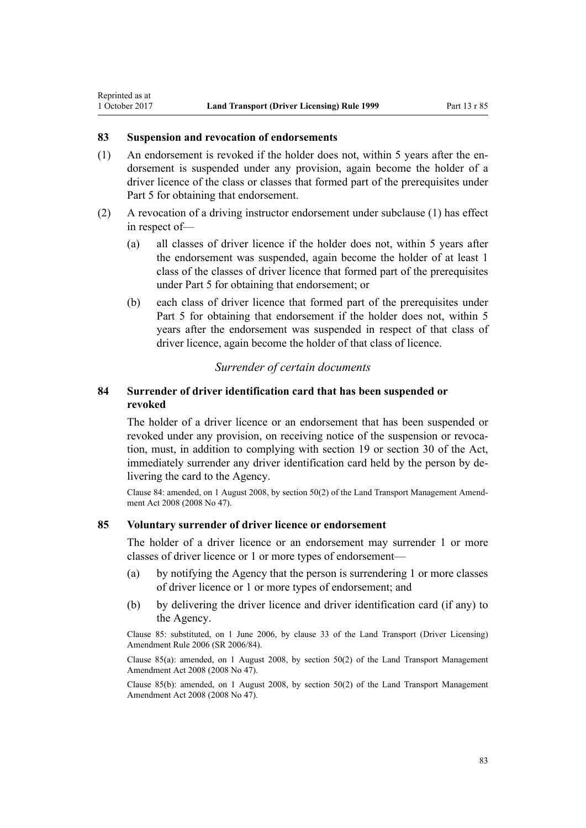# **83 Suspension and revocation of endorsements**

<span id="page-82-0"></span>Reprinted as at

- (1) An endorsement is revoked if the holder does not, within 5 years after the endorsement is suspended under any provision, again become the holder of a driver licence of the class or classes that formed part of the prerequisites under [Part 5](#page-39-0) for obtaining that endorsement.
- (2) A revocation of a driving instructor endorsement under subclause (1) has effect in respect of—
	- (a) all classes of driver licence if the holder does not, within 5 years after the endorsement was suspended, again become the holder of at least 1 class of the classes of driver licence that formed part of the prerequisites under [Part 5](#page-39-0) for obtaining that endorsement; or
	- (b) each class of driver licence that formed part of the prerequisites under [Part 5](#page-39-0) for obtaining that endorsement if the holder does not, within 5 years after the endorsement was suspended in respect of that class of driver licence, again become the holder of that class of licence.

#### *Surrender of certain documents*

# **84 Surrender of driver identification card that has been suspended or revoked**

The holder of a driver licence or an endorsement that has been suspended or revoked under any provision, on receiving notice of the suspension or revocation, must, in addition to complying with [section 19](http://prd-lgnz-nlb.prd.pco.net.nz/pdflink.aspx?id=DLM434536) or [section 30](http://prd-lgnz-nlb.prd.pco.net.nz/pdflink.aspx?id=DLM434583) of the Act, immediately surrender any driver identification card held by the person by delivering the card to the Agency.

Clause 84: amended, on 1 August 2008, by [section 50\(2\)](http://prd-lgnz-nlb.prd.pco.net.nz/pdflink.aspx?id=DLM1313622) of the Land Transport Management Amendment Act 2008 (2008 No 47).

# **85 Voluntary surrender of driver licence or endorsement**

The holder of a driver licence or an endorsement may surrender 1 or more classes of driver licence or 1 or more types of endorsement—

- (a) by notifying the Agency that the person is surrendering 1 or more classes of driver licence or 1 or more types of endorsement; and
- (b) by delivering the driver licence and driver identification card (if any) to the Agency.

Clause 85: substituted, on 1 June 2006, by [clause 33](http://prd-lgnz-nlb.prd.pco.net.nz/pdflink.aspx?id=DLM376126) of the Land Transport (Driver Licensing) Amendment Rule 2006 (SR 2006/84).

Clause 85(a): amended, on 1 August 2008, by [section 50\(2\)](http://prd-lgnz-nlb.prd.pco.net.nz/pdflink.aspx?id=DLM1313622) of the Land Transport Management Amendment Act 2008 (2008 No 47).

Clause 85(b): amended, on 1 August 2008, by [section 50\(2\)](http://prd-lgnz-nlb.prd.pco.net.nz/pdflink.aspx?id=DLM1313622) of the Land Transport Management Amendment Act 2008 (2008 No 47).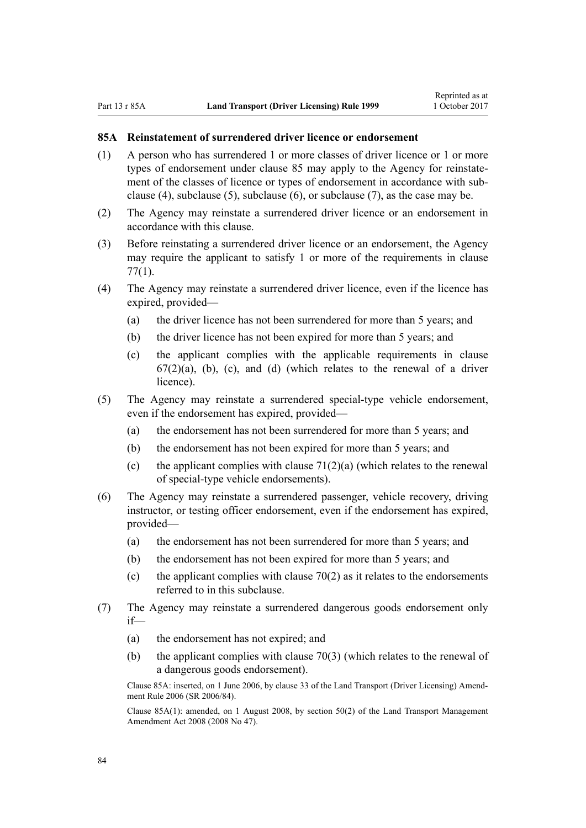# **85A Reinstatement of surrendered driver licence or endorsement**

- (1) A person who has surrendered 1 or more classes of driver licence or 1 or more types of endorsement under [clause 85](#page-82-0) may apply to the Agency for reinstatement of the classes of licence or types of endorsement in accordance with subclause (4), subclause (5), subclause (6), or subclause (7), as the case may be.
- (2) The Agency may reinstate a surrendered driver licence or an endorsement in accordance with this clause.
- (3) Before reinstating a surrendered driver licence or an endorsement, the Agency may require the applicant to satisfy 1 or more of the requirements in [clause](#page-76-0) [77\(1\)](#page-76-0).
- (4) The Agency may reinstate a surrendered driver licence, even if the licence has expired, provided—
	- (a) the driver licence has not been surrendered for more than 5 years; and
	- (b) the driver licence has not been expired for more than 5 years; and
	- (c) the applicant complies with the applicable requirements in [clause](#page-67-0)  $67(2)(a)$ , (b), (c), and (d) (which relates to the renewal of a driver licence).
- (5) The Agency may reinstate a surrendered special-type vehicle endorsement, even if the endorsement has expired, provided—
	- (a) the endorsement has not been surrendered for more than 5 years; and
	- (b) the endorsement has not been expired for more than 5 years; and
	- (c) the applicant complies with clause  $71(2)(a)$  (which relates to the renewal of special-type vehicle endorsements).
- (6) The Agency may reinstate a surrendered passenger, vehicle recovery, driving instructor, or testing officer endorsement, even if the endorsement has expired, provided—
	- (a) the endorsement has not been surrendered for more than 5 years; and
	- (b) the endorsement has not been expired for more than 5 years; and
	- (c) the applicant complies with clause  $70(2)$  as it relates to the endorsements referred to in this subclause.
- (7) The Agency may reinstate a surrendered dangerous goods endorsement only if—
	- (a) the endorsement has not expired; and
	- (b) the applicant complies with [clause 70\(3\)](#page-72-0) (which relates to the renewal of a dangerous goods endorsement).

Clause 85A: inserted, on 1 June 2006, by [clause 33](http://prd-lgnz-nlb.prd.pco.net.nz/pdflink.aspx?id=DLM376126) of the Land Transport (Driver Licensing) Amendment Rule 2006 (SR 2006/84).

Clause 85A(1): amended, on 1 August 2008, by [section 50\(2\)](http://prd-lgnz-nlb.prd.pco.net.nz/pdflink.aspx?id=DLM1313622) of the Land Transport Management Amendment Act 2008 (2008 No 47).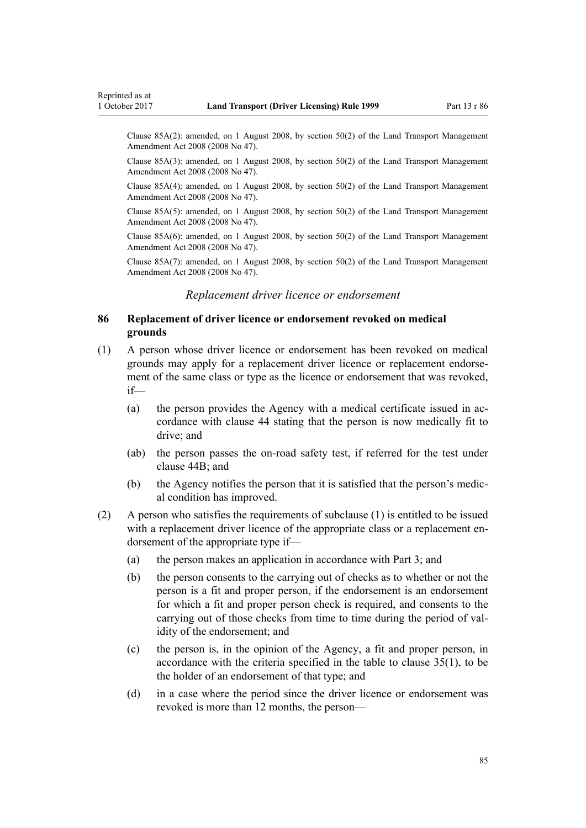Clause 85A(2): amended, on 1 August 2008, by [section 50\(2\)](http://prd-lgnz-nlb.prd.pco.net.nz/pdflink.aspx?id=DLM1313622) of the Land Transport Management Amendment Act 2008 (2008 No 47).

Clause 85A(3): amended, on 1 August 2008, by [section 50\(2\)](http://prd-lgnz-nlb.prd.pco.net.nz/pdflink.aspx?id=DLM1313622) of the Land Transport Management Amendment Act 2008 (2008 No 47).

Clause 85A(4): amended, on 1 August 2008, by [section 50\(2\)](http://prd-lgnz-nlb.prd.pco.net.nz/pdflink.aspx?id=DLM1313622) of the Land Transport Management Amendment Act 2008 (2008 No 47).

Clause 85A(5): amended, on 1 August 2008, by [section 50\(2\)](http://prd-lgnz-nlb.prd.pco.net.nz/pdflink.aspx?id=DLM1313622) of the Land Transport Management Amendment Act 2008 (2008 No 47).

Clause 85A(6): amended, on 1 August 2008, by [section 50\(2\)](http://prd-lgnz-nlb.prd.pco.net.nz/pdflink.aspx?id=DLM1313622) of the Land Transport Management Amendment Act 2008 (2008 No 47).

Clause 85A(7): amended, on 1 August 2008, by [section 50\(2\)](http://prd-lgnz-nlb.prd.pco.net.nz/pdflink.aspx?id=DLM1313622) of the Land Transport Management Amendment Act 2008 (2008 No 47).

#### *Replacement driver licence or endorsement*

# **86 Replacement of driver licence or endorsement revoked on medical grounds**

- (1) A person whose driver licence or endorsement has been revoked on medical grounds may apply for a replacement driver licence or replacement endorsement of the same class or type as the licence or endorsement that was revoked, if—
	- (a) the person provides the Agency with a medical certificate issued in accordance with [clause 44](#page-52-0) stating that the person is now medically fit to drive; and
	- (ab) the person passes the on-road safety test, if referred for the test under [clause 44B;](#page-53-0) and
	- (b) the Agency notifies the person that it is satisfied that the person's medical condition has improved.
- (2) A person who satisfies the requirements of subclause (1) is entitled to be issued with a replacement driver licence of the appropriate class or a replacement endorsement of the appropriate type if—
	- (a) the person makes an application in accordance with [Part 3](#page-20-0); and
	- (b) the person consents to the carrying out of checks as to whether or not the person is a fit and proper person, if the endorsement is an endorsement for which a fit and proper person check is required, and consents to the carrying out of those checks from time to time during the period of validity of the endorsement; and
	- (c) the person is, in the opinion of the Agency, a fit and proper person, in accordance with the criteria specified in the table to [clause 35\(1\),](#page-46-0) to be the holder of an endorsement of that type; and
	- (d) in a case where the period since the driver licence or endorsement was revoked is more than 12 months, the person—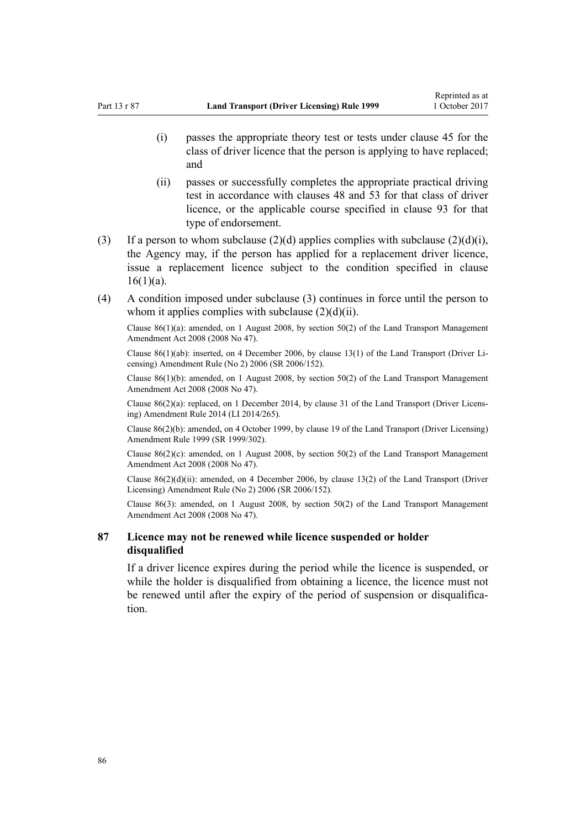- (i) passes the appropriate theory test or tests under [clause 45](#page-54-0) for the class of driver licence that the person is applying to have replaced; and
- (ii) passes or successfully completes the appropriate practical driving test in accordance with [clauses 48](#page-55-0) and [53](#page-57-0) for that class of driver licence, or the applicable course specified in [clause 93](#page-91-0) for that type of endorsement.
- (3) If a person to whom subclause  $(2)(d)$  applies complies with subclause  $(2)(d)(i)$ , the Agency may, if the person has applied for a replacement driver licence, issue a replacement licence subject to the condition specified in [clause](#page-26-0)  $16(1)(a)$ .
- (4) A condition imposed under subclause (3) continues in force until the person to whom it applies complies with subclause  $(2)(d)(ii)$ .

Clause 86(1)(a): amended, on 1 August 2008, by [section 50\(2\)](http://prd-lgnz-nlb.prd.pco.net.nz/pdflink.aspx?id=DLM1313622) of the Land Transport Management Amendment Act 2008 (2008 No 47).

Clause 86(1)(ab): inserted, on 4 December 2006, by [clause 13\(1\)](http://prd-lgnz-nlb.prd.pco.net.nz/pdflink.aspx?id=DLM386154) of the Land Transport (Driver Licensing) Amendment Rule (No 2) 2006 (SR 2006/152).

Clause 86(1)(b): amended, on 1 August 2008, by [section 50\(2\)](http://prd-lgnz-nlb.prd.pco.net.nz/pdflink.aspx?id=DLM1313622) of the Land Transport Management Amendment Act 2008 (2008 No 47).

Clause 86(2)(a): replaced, on 1 December 2014, by [clause 31](http://prd-lgnz-nlb.prd.pco.net.nz/pdflink.aspx?id=DLM6216944) of the Land Transport (Driver Licensing) Amendment Rule 2014 (LI 2014/265).

Clause 86(2)(b): amended, on 4 October 1999, by [clause 19](http://prd-lgnz-nlb.prd.pco.net.nz/pdflink.aspx?id=DLM293688) of the Land Transport (Driver Licensing) Amendment Rule 1999 (SR 1999/302).

Clause 86(2)(c): amended, on 1 August 2008, by [section 50\(2\)](http://prd-lgnz-nlb.prd.pco.net.nz/pdflink.aspx?id=DLM1313622) of the Land Transport Management Amendment Act 2008 (2008 No 47).

Clause  $86(2)(d)(ii)$ : amended, on 4 December 2006, by [clause 13\(2\)](http://prd-lgnz-nlb.prd.pco.net.nz/pdflink.aspx?id=DLM386154) of the Land Transport (Driver Licensing) Amendment Rule (No 2) 2006 (SR 2006/152).

Clause 86(3): amended, on 1 August 2008, by [section 50\(2\)](http://prd-lgnz-nlb.prd.pco.net.nz/pdflink.aspx?id=DLM1313622) of the Land Transport Management Amendment Act 2008 (2008 No 47).

# **87 Licence may not be renewed while licence suspended or holder disqualified**

If a driver licence expires during the period while the licence is suspended, or while the holder is disqualified from obtaining a licence, the licence must not be renewed until after the expiry of the period of suspension or disqualification.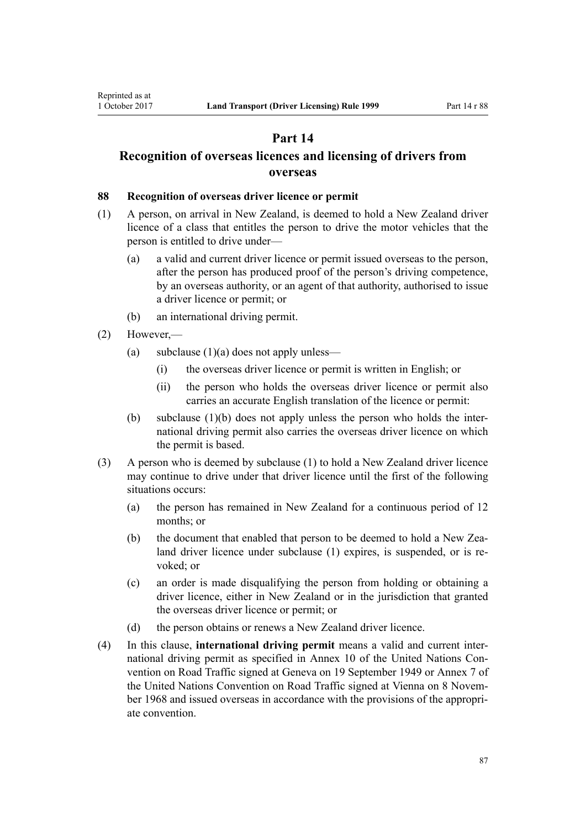# **Part 14**

# <span id="page-86-0"></span>**Recognition of overseas licences and licensing of drivers from overseas**

# **88 Recognition of overseas driver licence or permit**

- (1) A person, on arrival in New Zealand, is deemed to hold a New Zealand driver licence of a class that entitles the person to drive the motor vehicles that the person is entitled to drive under—
	- (a) a valid and current driver licence or permit issued overseas to the person, after the person has produced proof of the person's driving competence, by an overseas authority, or an agent of that authority, authorised to issue a driver licence or permit; or
	- (b) an international driving permit.
- (2) However,—
	- (a) subclause  $(1)(a)$  does not apply unless—
		- (i) the overseas driver licence or permit is written in English; or
		- (ii) the person who holds the overseas driver licence or permit also carries an accurate English translation of the licence or permit:
	- (b) subclause (1)(b) does not apply unless the person who holds the international driving permit also carries the overseas driver licence on which the permit is based.
- (3) A person who is deemed by subclause (1) to hold a New Zealand driver licence may continue to drive under that driver licence until the first of the following situations occurs:
	- (a) the person has remained in New Zealand for a continuous period of 12 months; or
	- (b) the document that enabled that person to be deemed to hold a New Zealand driver licence under subclause (1) expires, is suspended, or is revoked; or
	- (c) an order is made disqualifying the person from holding or obtaining a driver licence, either in New Zealand or in the jurisdiction that granted the overseas driver licence or permit; or
	- (d) the person obtains or renews a New Zealand driver licence.
- (4) In this clause, **international driving permit** means a valid and current international driving permit as specified in Annex 10 of the United Nations Convention on Road Traffic signed at Geneva on 19 September 1949 or Annex 7 of the United Nations Convention on Road Traffic signed at Vienna on 8 November 1968 and issued overseas in accordance with the provisions of the appropriate convention.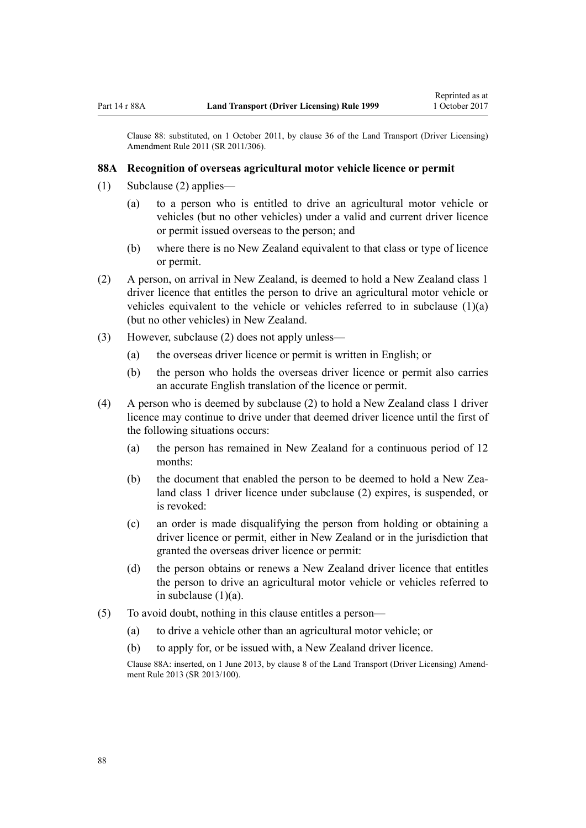Clause 88: substituted, on 1 October 2011, by [clause 36](http://prd-lgnz-nlb.prd.pco.net.nz/pdflink.aspx?id=DLM3956741) of the Land Transport (Driver Licensing) Amendment Rule 2011 (SR 2011/306).

#### **88A Recognition of overseas agricultural motor vehicle licence or permit**

- (1) Subclause (2) applies—
	- (a) to a person who is entitled to drive an agricultural motor vehicle or vehicles (but no other vehicles) under a valid and current driver licence or permit issued overseas to the person; and
	- (b) where there is no New Zealand equivalent to that class or type of licence or permit.
- (2) A person, on arrival in New Zealand, is deemed to hold a New Zealand class 1 driver licence that entitles the person to drive an agricultural motor vehicle or vehicles equivalent to the vehicle or vehicles referred to in subclause  $(1)(a)$ (but no other vehicles) in New Zealand.
- (3) However, subclause (2) does not apply unless—
	- (a) the overseas driver licence or permit is written in English; or
	- (b) the person who holds the overseas driver licence or permit also carries an accurate English translation of the licence or permit.
- (4) A person who is deemed by subclause (2) to hold a New Zealand class 1 driver licence may continue to drive under that deemed driver licence until the first of the following situations occurs:
	- (a) the person has remained in New Zealand for a continuous period of 12 months:
	- (b) the document that enabled the person to be deemed to hold a New Zealand class 1 driver licence under subclause (2) expires, is suspended, or is revoked:
	- (c) an order is made disqualifying the person from holding or obtaining a driver licence or permit, either in New Zealand or in the jurisdiction that granted the overseas driver licence or permit:
	- (d) the person obtains or renews a New Zealand driver licence that entitles the person to drive an agricultural motor vehicle or vehicles referred to in subclause  $(1)(a)$ .
- (5) To avoid doubt, nothing in this clause entitles a person—
	- (a) to drive a vehicle other than an agricultural motor vehicle; or
	- (b) to apply for, or be issued with, a New Zealand driver licence.

Clause 88A: inserted, on 1 June 2013, by [clause 8](http://prd-lgnz-nlb.prd.pco.net.nz/pdflink.aspx?id=DLM5102244) of the Land Transport (Driver Licensing) Amendment Rule 2013 (SR 2013/100).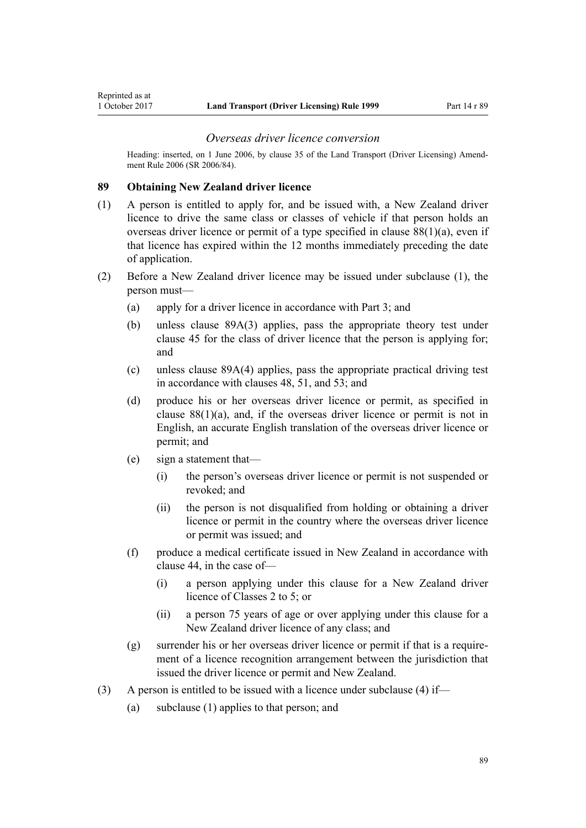Heading: inserted, on 1 June 2006, by [clause 35](http://prd-lgnz-nlb.prd.pco.net.nz/pdflink.aspx?id=DLM376131) of the Land Transport (Driver Licensing) Amendment Rule 2006 (SR 2006/84).

#### **89 Obtaining New Zealand driver licence**

<span id="page-88-0"></span>Reprinted as at

- (1) A person is entitled to apply for, and be issued with, a New Zealand driver licence to drive the same class or classes of vehicle if that person holds an overseas driver licence or permit of a type specified in [clause 88\(1\)\(a\),](#page-86-0) even if that licence has expired within the 12 months immediately preceding the date of application.
- (2) Before a New Zealand driver licence may be issued under subclause (1), the person must—
	- (a) apply for a driver licence in accordance with [Part 3;](#page-20-0) and
	- (b) unless [clause 89A\(3\)](#page-89-0) applies, pass the appropriate theory test under [clause 45](#page-54-0) for the class of driver licence that the person is applying for; and
	- (c) unless [clause 89A\(4\)](#page-89-0) applies, pass the appropriate practical driving test in accordance with [clauses 48,](#page-55-0) [51,](#page-56-0) and [53](#page-57-0); and
	- (d) produce his or her overseas driver licence or permit, as specified in clause  $88(1)(a)$ , and, if the overseas driver licence or permit is not in English, an accurate English translation of the overseas driver licence or permit; and
	- (e) sign a statement that—
		- (i) the person's overseas driver licence or permit is not suspended or revoked; and
		- (ii) the person is not disqualified from holding or obtaining a driver licence or permit in the country where the overseas driver licence or permit was issued; and
	- (f) produce a medical certificate issued in New Zealand in accordance with [clause 44](#page-52-0), in the case of—
		- (i) a person applying under this clause for a New Zealand driver licence of Classes 2 to 5; or
		- (ii) a person 75 years of age or over applying under this clause for a New Zealand driver licence of any class; and
	- (g) surrender his or her overseas driver licence or permit if that is a requirement of a licence recognition arrangement between the jurisdiction that issued the driver licence or permit and New Zealand.
- (3) A person is entitled to be issued with a licence under subclause (4) if—
	- (a) subclause (1) applies to that person; and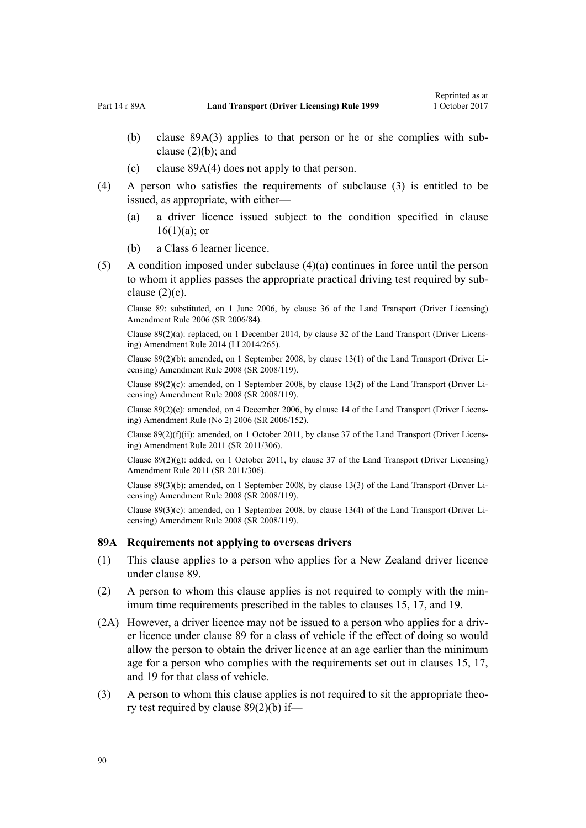- <span id="page-89-0"></span>(b) clause 89A(3) applies to that person or he or she complies with subclause  $(2)(b)$ ; and
- (c) clause 89A(4) does not apply to that person.
- (4) A person who satisfies the requirements of subclause (3) is entitled to be issued, as appropriate, with either—
	- (a) a driver licence issued subject to the condition specified in [clause](#page-26-0)  $16(1)(a)$ ; or
	- (b) a Class 6 learner licence.
- (5) A condition imposed under subclause (4)(a) continues in force until the person to whom it applies passes the appropriate practical driving test required by subclause  $(2)(c)$ .

Clause 89: substituted, on 1 June 2006, by [clause 36](http://prd-lgnz-nlb.prd.pco.net.nz/pdflink.aspx?id=DLM376133) of the Land Transport (Driver Licensing) Amendment Rule 2006 (SR 2006/84).

Clause 89(2)(a): replaced, on 1 December 2014, by [clause 32](http://prd-lgnz-nlb.prd.pco.net.nz/pdflink.aspx?id=DLM6216946) of the Land Transport (Driver Licensing) Amendment Rule 2014 (LI 2014/265).

Clause 89(2)(b): amended, on 1 September 2008, by [clause 13\(1\)](http://prd-lgnz-nlb.prd.pco.net.nz/pdflink.aspx?id=DLM1317919) of the Land Transport (Driver Licensing) Amendment Rule 2008 (SR 2008/119).

Clause 89(2)(c): amended, on 1 September 2008, by [clause 13\(2\)](http://prd-lgnz-nlb.prd.pco.net.nz/pdflink.aspx?id=DLM1317919) of the Land Transport (Driver Licensing) Amendment Rule 2008 (SR 2008/119).

Clause 89(2)(c): amended, on 4 December 2006, by [clause 14](http://prd-lgnz-nlb.prd.pco.net.nz/pdflink.aspx?id=DLM386155) of the Land Transport (Driver Licensing) Amendment Rule (No 2) 2006 (SR 2006/152).

Clause 89(2)(f)(ii): amended, on 1 October 2011, by [clause 37](http://prd-lgnz-nlb.prd.pco.net.nz/pdflink.aspx?id=DLM3956744) of the Land Transport (Driver Licensing) Amendment Rule 2011 (SR 2011/306).

Clause 89(2)(g): added, on 1 October 2011, by [clause 37](http://prd-lgnz-nlb.prd.pco.net.nz/pdflink.aspx?id=DLM3956744) of the Land Transport (Driver Licensing) Amendment Rule 2011 (SR 2011/306).

Clause 89(3)(b): amended, on 1 September 2008, by [clause 13\(3\)](http://prd-lgnz-nlb.prd.pco.net.nz/pdflink.aspx?id=DLM1317919) of the Land Transport (Driver Licensing) Amendment Rule 2008 (SR 2008/119).

Clause 89(3)(c): amended, on 1 September 2008, by [clause 13\(4\)](http://prd-lgnz-nlb.prd.pco.net.nz/pdflink.aspx?id=DLM1317919) of the Land Transport (Driver Licensing) Amendment Rule 2008 (SR 2008/119).

#### **89A Requirements not applying to overseas drivers**

- (1) This clause applies to a person who applies for a New Zealand driver licence under [clause 89](#page-88-0).
- (2) A person to whom this clause applies is not required to comply with the minimum time requirements prescribed in the tables to [clauses 15,](#page-25-0) [17](#page-28-0), and [19.](#page-30-0)
- (2A) However, a driver licence may not be issued to a person who applies for a driver licence under [clause 89](#page-88-0) for a class of vehicle if the effect of doing so would allow the person to obtain the driver licence at an age earlier than the minimum age for a person who complies with the requirements set out in [clauses 15](#page-25-0), [17](#page-28-0), and [19](#page-30-0) for that class of vehicle.
- (3) A person to whom this clause applies is not required to sit the appropriate theory test required by [clause 89\(2\)\(b\)](#page-88-0) if—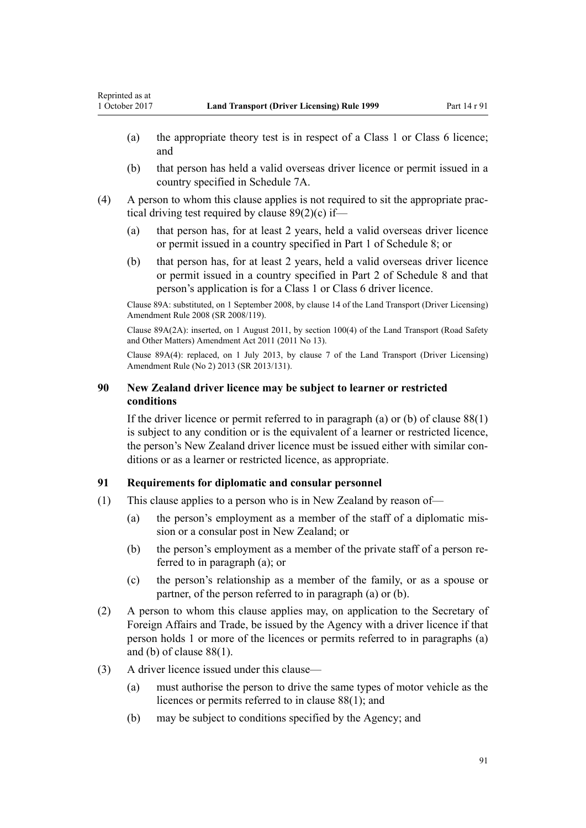- (a) the appropriate theory test is in respect of a Class 1 or Class 6 licence; and
- (b) that person has held a valid overseas driver licence or permit issued in a country specified in [Schedule 7A.](#page-114-0)
- (4) A person to whom this clause applies is not required to sit the appropriate practical driving test required by [clause 89\(2\)\(c\)](#page-88-0) if—
	- (a) that person has, for at least 2 years, held a valid overseas driver licence or permit issued in a country specified in [Part 1](#page-115-0) of Schedule 8; or
	- (b) that person has, for at least 2 years, held a valid overseas driver licence or permit issued in a country specified in [Part 2](#page-116-0) of Schedule 8 and that person's application is for a Class 1 or Class 6 driver licence.

Clause 89A: substituted, on 1 September 2008, by [clause 14](http://prd-lgnz-nlb.prd.pco.net.nz/pdflink.aspx?id=DLM1317920) of the Land Transport (Driver Licensing) Amendment Rule 2008 (SR 2008/119).

Clause 89A(2A): inserted, on 1 August 2011, by [section 100\(4\)](http://prd-lgnz-nlb.prd.pco.net.nz/pdflink.aspx?id=DLM3231293) of the Land Transport (Road Safety and Other Matters) Amendment Act 2011 (2011 No 13).

Clause 89A(4): replaced, on 1 July 2013, by [clause 7](http://prd-lgnz-nlb.prd.pco.net.nz/pdflink.aspx?id=DLM5159812) of the Land Transport (Driver Licensing) Amendment Rule (No 2) 2013 (SR 2013/131).

# **90 New Zealand driver licence may be subject to learner or restricted conditions**

If the driver licence or permit referred to in paragraph (a) or (b) of clause  $88(1)$ is subject to any condition or is the equivalent of a learner or restricted licence, the person's New Zealand driver licence must be issued either with similar conditions or as a learner or restricted licence, as appropriate.

# **91 Requirements for diplomatic and consular personnel**

- (1) This clause applies to a person who is in New Zealand by reason of—
	- (a) the person's employment as a member of the staff of a diplomatic mission or a consular post in New Zealand; or
	- (b) the person's employment as a member of the private staff of a person referred to in paragraph (a); or
	- (c) the person's relationship as a member of the family, or as a spouse or partner, of the person referred to in paragraph (a) or (b).
- (2) A person to whom this clause applies may, on application to the Secretary of Foreign Affairs and Trade, be issued by the Agency with a driver licence if that person holds 1 or more of the licences or permits referred to in paragraphs (a) and (b) of [clause 88\(1\).](#page-86-0)
- (3) A driver licence issued under this clause—
	- (a) must authorise the person to drive the same types of motor vehicle as the licences or permits referred to in [clause 88\(1\)](#page-86-0); and
	- (b) may be subject to conditions specified by the Agency; and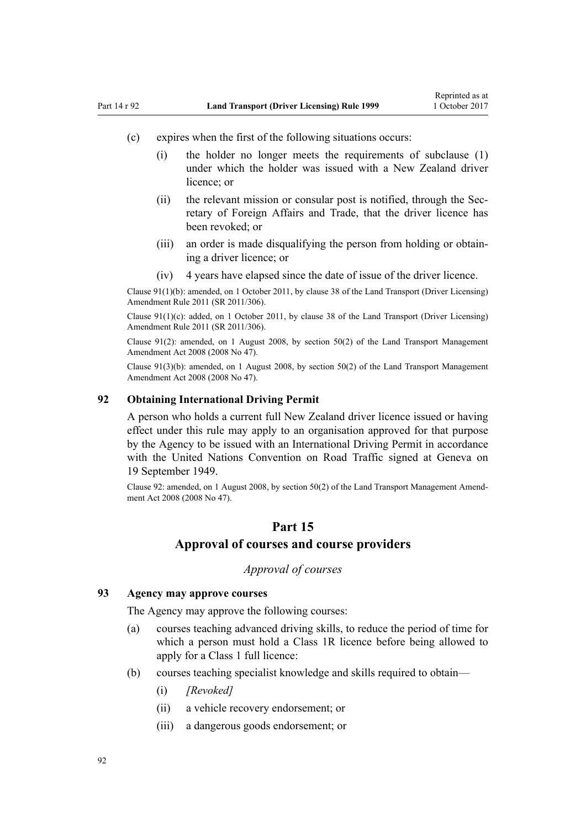- <span id="page-91-0"></span>(c) expires when the first of the following situations occurs:
	- (i) the holder no longer meets the requirements of subclause (1) under which the holder was issued with a New Zealand driver licence; or
	- (ii) the relevant mission or consular post is notified, through the Secretary of Foreign Affairs and Trade, that the driver licence has been revoked; or
	- (iii) an order is made disqualifying the person from holding or obtaining a driver licence; or
	- (iv) 4 years have elapsed since the date of issue of the driver licence.

Clause 91(1)(b): amended, on 1 October 2011, by [clause 38](http://prd-lgnz-nlb.prd.pco.net.nz/pdflink.aspx?id=DLM3956745) of the Land Transport (Driver Licensing) Amendment Rule 2011 (SR 2011/306).

Clause 91(1)(c): added, on 1 October 2011, by [clause 38](http://prd-lgnz-nlb.prd.pco.net.nz/pdflink.aspx?id=DLM3956745) of the Land Transport (Driver Licensing) Amendment Rule 2011 (SR 2011/306).

Clause 91(2): amended, on 1 August 2008, by [section 50\(2\)](http://prd-lgnz-nlb.prd.pco.net.nz/pdflink.aspx?id=DLM1313622) of the Land Transport Management Amendment Act 2008 (2008 No 47).

Clause  $91(3)(b)$ : amended, on 1 August 2008, by section  $50(2)$  of the Land Transport Management Amendment Act 2008 (2008 No 47).

# **92 Obtaining International Driving Permit**

A person who holds a current full New Zealand driver licence issued or having effect under this rule may apply to an organisation approved for that purpose by the Agency to be issued with an International Driving Permit in accordance with the United Nations Convention on Road Traffic signed at Geneva on 19 September 1949.

Clause 92: amended, on 1 August 2008, by [section 50\(2\)](http://prd-lgnz-nlb.prd.pco.net.nz/pdflink.aspx?id=DLM1313622) of the Land Transport Management Amendment Act 2008 (2008 No 47).

# **Part 15**

# **Approval of courses and course providers**

# *Approval of courses*

#### **93 Agency may approve courses**

The Agency may approve the following courses:

- (a) courses teaching advanced driving skills, to reduce the period of time for which a person must hold a Class 1R licence before being allowed to apply for a Class 1 full licence:
- (b) courses teaching specialist knowledge and skills required to obtain—
	- (i) *[Revoked]*
	- (ii) a vehicle recovery endorsement; or
	- (iii) a dangerous goods endorsement; or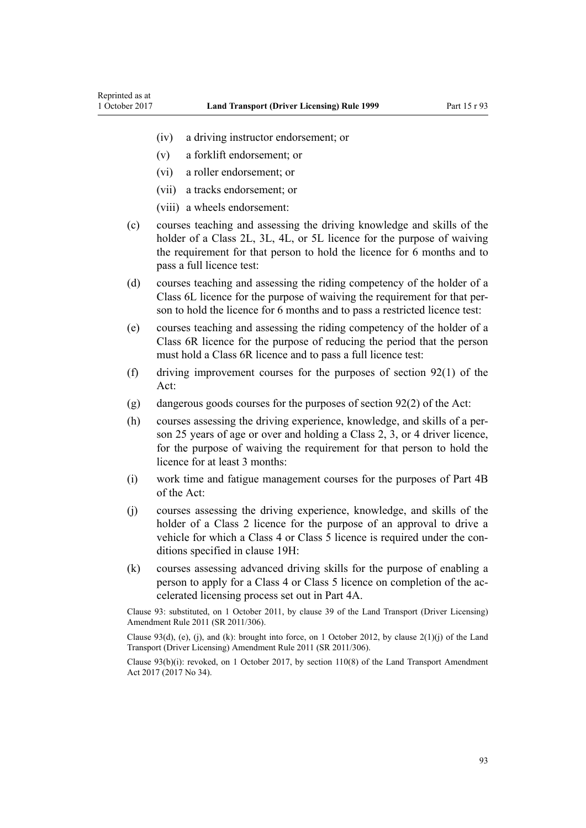- (iv) a driving instructor endorsement; or
- (v) a forklift endorsement; or
- (vi) a roller endorsement; or
- (vii) a tracks endorsement; or
- (viii) a wheels endorsement:
- (c) courses teaching and assessing the driving knowledge and skills of the holder of a Class 2L, 3L, 4L, or 5L licence for the purpose of waiving the requirement for that person to hold the licence for 6 months and to pass a full licence test:
- (d) courses teaching and assessing the riding competency of the holder of a Class 6L licence for the purpose of waiving the requirement for that person to hold the licence for 6 months and to pass a restricted licence test:
- (e) courses teaching and assessing the riding competency of the holder of a Class 6R licence for the purpose of reducing the period that the person must hold a Class 6R licence and to pass a full licence test:
- (f) driving improvement courses for the purposes of [section 92\(1\)](http://prd-lgnz-nlb.prd.pco.net.nz/pdflink.aspx?id=DLM435016) of the Act:
- (g) dangerous goods courses for the purposes of [section 92\(2\)](http://prd-lgnz-nlb.prd.pco.net.nz/pdflink.aspx?id=DLM435016) of the Act:
- (h) courses assessing the driving experience, knowledge, and skills of a person 25 years of age or over and holding a Class 2, 3, or 4 driver licence, for the purpose of waiving the requirement for that person to hold the licence for at least 3 months:
- (i) work time and fatigue management courses for the purposes of [Part 4B](http://prd-lgnz-nlb.prd.pco.net.nz/pdflink.aspx?id=DLM434620) of the Act:
- (j) courses assessing the driving experience, knowledge, and skills of the holder of a Class 2 licence for the purpose of an approval to drive a vehicle for which a Class 4 or Class 5 licence is required under the conditions specified in [clause 19H](#page-35-0):
- (k) courses assessing advanced driving skills for the purpose of enabling a person to apply for a Class 4 or Class 5 licence on completion of the accelerated licensing process set out in [Part 4A.](#page-32-0)

Clause 93: substituted, on 1 October 2011, by [clause 39](http://prd-lgnz-nlb.prd.pco.net.nz/pdflink.aspx?id=DLM3956519) of the Land Transport (Driver Licensing) Amendment Rule 2011 (SR 2011/306).

Clause 93(d), (e), (j), and (k): brought into force, on 1 October 2012, by clause  $2(1)(i)$  of the Land Transport (Driver Licensing) Amendment Rule 2011 (SR 2011/306).

Clause 93(b)(i): revoked, on 1 October 2017, by [section 110\(8\)](http://prd-lgnz-nlb.prd.pco.net.nz/pdflink.aspx?id=DLM6960929) of the Land Transport Amendment Act 2017 (2017 No 34).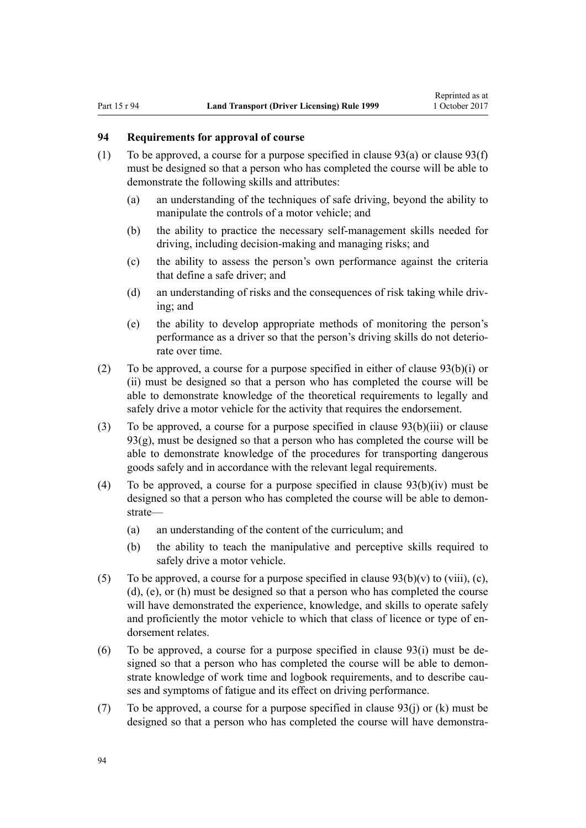# <span id="page-93-0"></span>**94 Requirements for approval of course**

- (1) To be approved, a course for a purpose specified in clause  $93(a)$  or clause  $93(f)$ must be designed so that a person who has completed the course will be able to demonstrate the following skills and attributes:
	- (a) an understanding of the techniques of safe driving, beyond the ability to manipulate the controls of a motor vehicle; and
	- (b) the ability to practice the necessary self-management skills needed for driving, including decision-making and managing risks; and
	- (c) the ability to assess the person's own performance against the criteria that define a safe driver; and
	- (d) an understanding of risks and the consequences of risk taking while driving; and
	- (e) the ability to develop appropriate methods of monitoring the person's performance as a driver so that the person's driving skills do not deteriorate over time.
- (2) To be approved, a course for a purpose specified in either of [clause 93\(b\)\(i\) or](#page-91-0) [\(ii\)](#page-91-0) must be designed so that a person who has completed the course will be able to demonstrate knowledge of the theoretical requirements to legally and safely drive a motor vehicle for the activity that requires the endorsement.
- (3) To be approved, a course for a purpose specified in [clause 93\(b\)\(iii\)](#page-91-0) or clause 93(g), must be designed so that a person who has completed the course will be able to demonstrate knowledge of the procedures for transporting dangerous goods safely and in accordance with the relevant legal requirements.
- (4) To be approved, a course for a purpose specified in clause  $93(b)(iv)$  must be designed so that a person who has completed the course will be able to demonstrate—
	- (a) an understanding of the content of the curriculum; and
	- (b) the ability to teach the manipulative and perceptive skills required to safely drive a motor vehicle.
- (5) To be approved, a course for a purpose specified in clause  $93(b)(v)$  to (viii), (c), [\(d\), \(e\), or \(h\)](#page-91-0) must be designed so that a person who has completed the course will have demonstrated the experience, knowledge, and skills to operate safely and proficiently the motor vehicle to which that class of licence or type of endorsement relates.
- (6) To be approved, a course for a purpose specified in [clause 93\(i\)](#page-91-0) must be designed so that a person who has completed the course will be able to demonstrate knowledge of work time and logbook requirements, and to describe causes and symptoms of fatigue and its effect on driving performance.
- (7) To be approved, a course for a purpose specified in [clause 93\(j\) or \(k\)](#page-91-0) must be designed so that a person who has completed the course will have demonstra-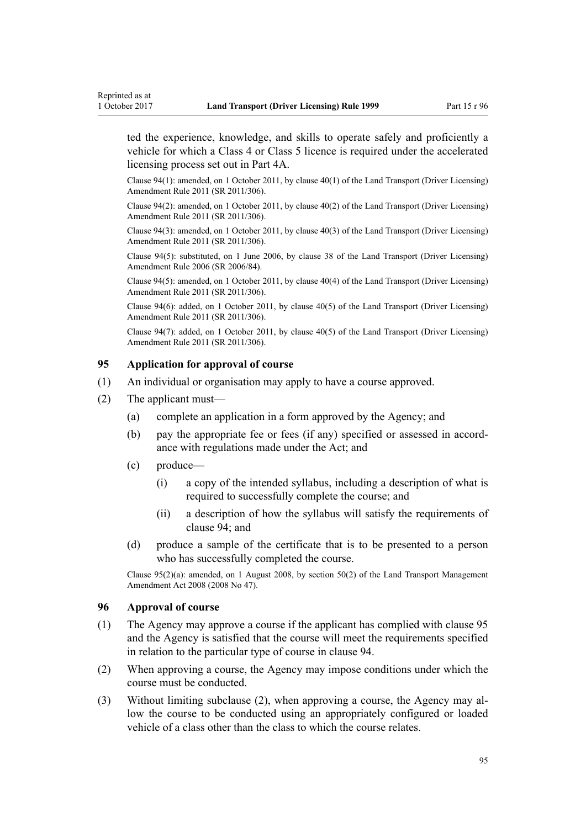<span id="page-94-0"></span>ted the experience, knowledge, and skills to operate safely and proficiently a vehicle for which a Class 4 or Class 5 licence is required under the accelerated licensing process set out in [Part 4A](#page-32-0).

Clause 94(1): amended, on 1 October 2011, by [clause 40\(1\)](http://prd-lgnz-nlb.prd.pco.net.nz/pdflink.aspx?id=DLM3956521) of the Land Transport (Driver Licensing) Amendment Rule 2011 (SR 2011/306).

Clause 94(2): amended, on 1 October 2011, by [clause 40\(2\)](http://prd-lgnz-nlb.prd.pco.net.nz/pdflink.aspx?id=DLM3956521) of the Land Transport (Driver Licensing) Amendment Rule 2011 (SR 2011/306).

Clause 94(3): amended, on 1 October 2011, by [clause 40\(3\)](http://prd-lgnz-nlb.prd.pco.net.nz/pdflink.aspx?id=DLM3956521) of the Land Transport (Driver Licensing) Amendment Rule 2011 (SR 2011/306).

Clause 94(5): substituted, on 1 June 2006, by [clause 38](http://prd-lgnz-nlb.prd.pco.net.nz/pdflink.aspx?id=DLM376137) of the Land Transport (Driver Licensing) Amendment Rule 2006 (SR 2006/84).

Clause 94(5): amended, on 1 October 2011, by [clause 40\(4\)](http://prd-lgnz-nlb.prd.pco.net.nz/pdflink.aspx?id=DLM3956521) of the Land Transport (Driver Licensing) Amendment Rule 2011 (SR 2011/306).

Clause 94(6): added, on 1 October 2011, by [clause 40\(5\)](http://prd-lgnz-nlb.prd.pco.net.nz/pdflink.aspx?id=DLM3956521) of the Land Transport (Driver Licensing) Amendment Rule 2011 (SR 2011/306).

Clause 94(7): added, on 1 October 2011, by [clause 40\(5\)](http://prd-lgnz-nlb.prd.pco.net.nz/pdflink.aspx?id=DLM3956521) of the Land Transport (Driver Licensing) Amendment Rule 2011 (SR 2011/306).

# **95 Application for approval of course**

- (1) An individual or organisation may apply to have a course approved.
- (2) The applicant must—
	- (a) complete an application in a form approved by the Agency; and
	- (b) pay the appropriate fee or fees (if any) specified or assessed in accordance with regulations made under the Act; and
	- (c) produce—
		- (i) a copy of the intended syllabus, including a description of what is required to successfully complete the course; and
		- (ii) a description of how the syllabus will satisfy the requirements of [clause 94](#page-93-0); and
	- (d) produce a sample of the certificate that is to be presented to a person who has successfully completed the course.

Clause 95(2)(a): amended, on 1 August 2008, by [section 50\(2\)](http://prd-lgnz-nlb.prd.pco.net.nz/pdflink.aspx?id=DLM1313622) of the Land Transport Management Amendment Act 2008 (2008 No 47).

### **96 Approval of course**

- (1) The Agency may approve a course if the applicant has complied with clause 95 and the Agency is satisfied that the course will meet the requirements specified in relation to the particular type of course in [clause 94.](#page-93-0)
- (2) When approving a course, the Agency may impose conditions under which the course must be conducted.
- (3) Without limiting subclause (2), when approving a course, the Agency may allow the course to be conducted using an appropriately configured or loaded vehicle of a class other than the class to which the course relates.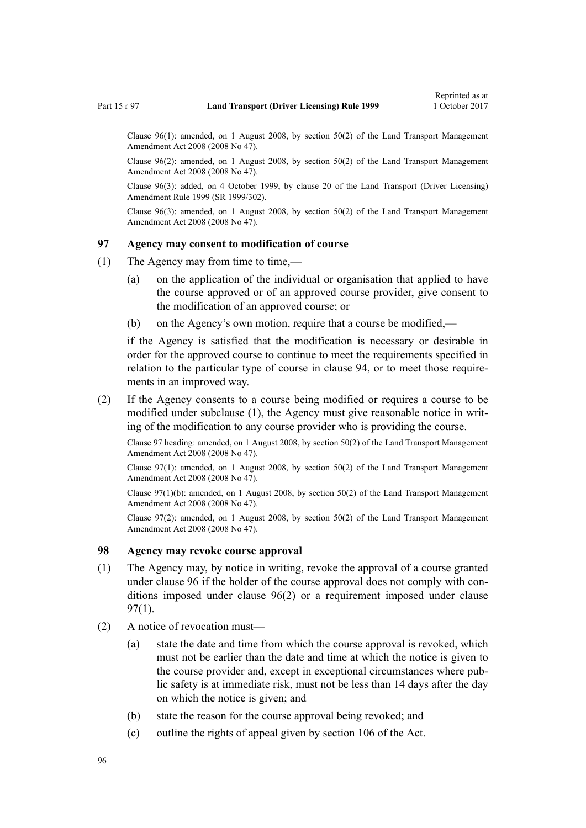Clause 96(1): amended, on 1 August 2008, by [section 50\(2\)](http://prd-lgnz-nlb.prd.pco.net.nz/pdflink.aspx?id=DLM1313622) of the Land Transport Management Amendment Act 2008 (2008 No 47).

Clause 96(2): amended, on 1 August 2008, by [section 50\(2\)](http://prd-lgnz-nlb.prd.pco.net.nz/pdflink.aspx?id=DLM1313622) of the Land Transport Management Amendment Act 2008 (2008 No 47).

Clause 96(3): added, on 4 October 1999, by [clause 20](http://prd-lgnz-nlb.prd.pco.net.nz/pdflink.aspx?id=DLM293689) of the Land Transport (Driver Licensing) Amendment Rule 1999 (SR 1999/302).

Clause  $96(3)$ : amended, on 1 August 2008, by [section 50\(2\)](http://prd-lgnz-nlb.prd.pco.net.nz/pdflink.aspx?id=DLM1313622) of the Land Transport Management Amendment Act 2008 (2008 No 47).

# **97 Agency may consent to modification of course**

- (1) The Agency may from time to time,—
	- (a) on the application of the individual or organisation that applied to have the course approved or of an approved course provider, give consent to the modification of an approved course; or
	- (b) on the Agency's own motion, require that a course be modified,—

if the Agency is satisfied that the modification is necessary or desirable in order for the approved course to continue to meet the requirements specified in relation to the particular type of course in [clause 94](#page-93-0), or to meet those requirements in an improved way.

(2) If the Agency consents to a course being modified or requires a course to be modified under subclause (1), the Agency must give reasonable notice in writing of the modification to any course provider who is providing the course.

Clause 97 heading: amended, on 1 August 2008, by [section 50\(2\)](http://prd-lgnz-nlb.prd.pco.net.nz/pdflink.aspx?id=DLM1313622) of the Land Transport Management Amendment Act 2008 (2008 No 47).

Clause 97(1): amended, on 1 August 2008, by [section 50\(2\)](http://prd-lgnz-nlb.prd.pco.net.nz/pdflink.aspx?id=DLM1313622) of the Land Transport Management Amendment Act 2008 (2008 No 47).

Clause 97(1)(b): amended, on 1 August 2008, by [section 50\(2\)](http://prd-lgnz-nlb.prd.pco.net.nz/pdflink.aspx?id=DLM1313622) of the Land Transport Management Amendment Act 2008 (2008 No 47).

Clause 97(2): amended, on 1 August 2008, by [section 50\(2\)](http://prd-lgnz-nlb.prd.pco.net.nz/pdflink.aspx?id=DLM1313622) of the Land Transport Management Amendment Act 2008 (2008 No 47).

## **98 Agency may revoke course approval**

- (1) The Agency may, by notice in writing, revoke the approval of a course granted under [clause 96](#page-94-0) if the holder of the course approval does not comply with conditions imposed under [clause 96\(2\)](#page-94-0) or a requirement imposed under clause 97(1).
- (2) A notice of revocation must—
	- (a) state the date and time from which the course approval is revoked, which must not be earlier than the date and time at which the notice is given to the course provider and, except in exceptional circumstances where public safety is at immediate risk, must not be less than 14 days after the day on which the notice is given; and
	- (b) state the reason for the course approval being revoked; and
	- (c) outline the rights of appeal given by [section 106](http://prd-lgnz-nlb.prd.pco.net.nz/pdflink.aspx?id=DLM435083) of the Act.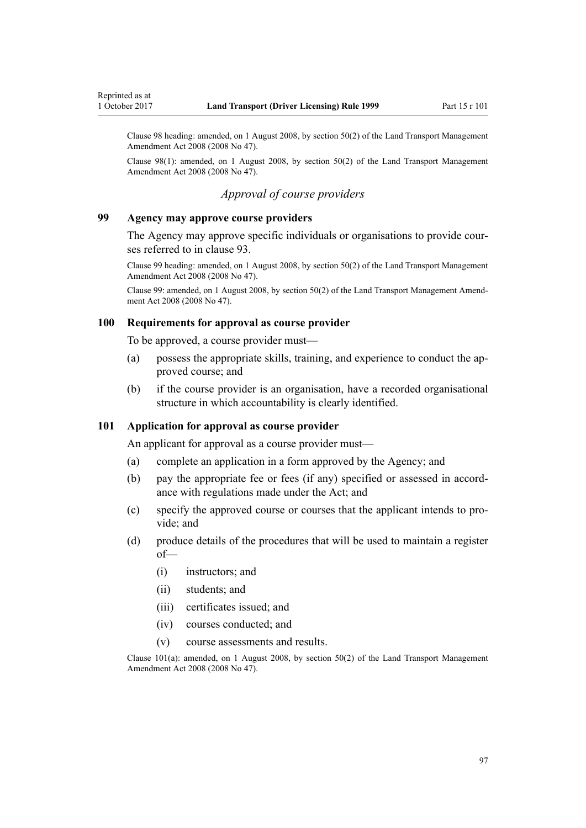<span id="page-96-0"></span>Clause 98 heading: amended, on 1 August 2008, by [section 50\(2\)](http://prd-lgnz-nlb.prd.pco.net.nz/pdflink.aspx?id=DLM1313622) of the Land Transport Management Amendment Act 2008 (2008 No 47).

Clause 98(1): amended, on 1 August 2008, by [section 50\(2\)](http://prd-lgnz-nlb.prd.pco.net.nz/pdflink.aspx?id=DLM1313622) of the Land Transport Management Amendment Act 2008 (2008 No 47).

# *Approval of course providers*

## **99 Agency may approve course providers**

The Agency may approve specific individuals or organisations to provide courses referred to in [clause 93](#page-91-0).

Clause 99 heading: amended, on 1 August 2008, by [section 50\(2\)](http://prd-lgnz-nlb.prd.pco.net.nz/pdflink.aspx?id=DLM1313622) of the Land Transport Management Amendment Act 2008 (2008 No 47).

Clause 99: amended, on 1 August 2008, by [section 50\(2\)](http://prd-lgnz-nlb.prd.pco.net.nz/pdflink.aspx?id=DLM1313622) of the Land Transport Management Amendment Act 2008 (2008 No 47).

#### **100 Requirements for approval as course provider**

To be approved, a course provider must—

- (a) possess the appropriate skills, training, and experience to conduct the approved course; and
- (b) if the course provider is an organisation, have a recorded organisational structure in which accountability is clearly identified.

# **101 Application for approval as course provider**

An applicant for approval as a course provider must—

- (a) complete an application in a form approved by the Agency; and
- (b) pay the appropriate fee or fees (if any) specified or assessed in accordance with regulations made under the Act; and
- (c) specify the approved course or courses that the applicant intends to provide; and
- (d) produce details of the procedures that will be used to maintain a register of—
	- (i) instructors; and
	- (ii) students; and
	- (iii) certificates issued; and
	- (iv) courses conducted; and
	- (v) course assessments and results.

Clause  $101(a)$ : amended, on 1 August 2008, by [section 50\(2\)](http://prd-lgnz-nlb.prd.pco.net.nz/pdflink.aspx?id=DLM1313622) of the Land Transport Management Amendment Act 2008 (2008 No 47).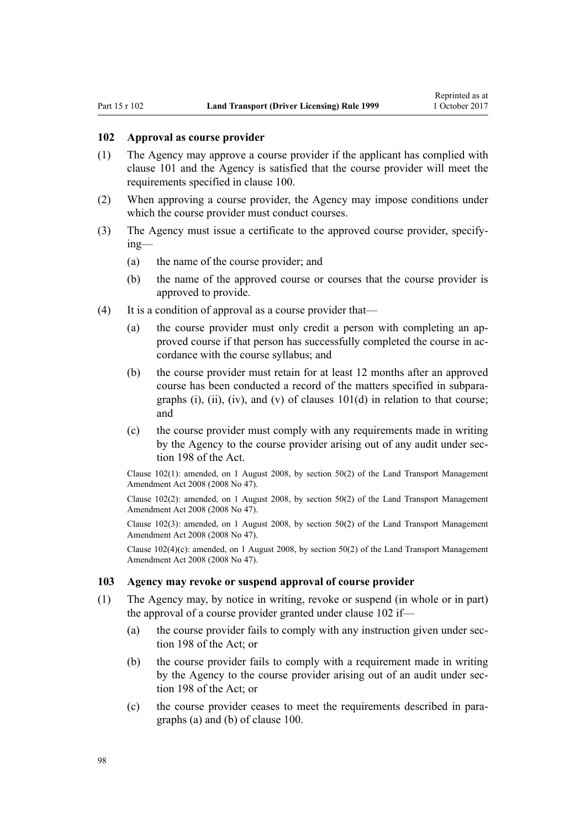### **102 Approval as course provider**

- (1) The Agency may approve a course provider if the applicant has complied with [clause 101](#page-96-0) and the Agency is satisfied that the course provider will meet the requirements specified in [clause 100](#page-96-0).
- (2) When approving a course provider, the Agency may impose conditions under which the course provider must conduct courses.
- (3) The Agency must issue a certificate to the approved course provider, specifying—
	- (a) the name of the course provider; and
	- (b) the name of the approved course or courses that the course provider is approved to provide.
- (4) It is a condition of approval as a course provider that—
	- (a) the course provider must only credit a person with completing an approved course if that person has successfully completed the course in accordance with the course syllabus; and
	- (b) the course provider must retain for at least 12 months after an approved course has been conducted a record of the matters specified in subparagraphs (i), (ii), (iv), and (v) of clauses  $101(d)$  in relation to that course; and
	- (c) the course provider must comply with any requirements made in writing by the Agency to the course provider arising out of any audit under [sec](http://prd-lgnz-nlb.prd.pco.net.nz/pdflink.aspx?id=DLM435602)[tion 198](http://prd-lgnz-nlb.prd.pco.net.nz/pdflink.aspx?id=DLM435602) of the Act.

Clause 102(1): amended, on 1 August 2008, by [section 50\(2\)](http://prd-lgnz-nlb.prd.pco.net.nz/pdflink.aspx?id=DLM1313622) of the Land Transport Management Amendment Act 2008 (2008 No 47).

Clause 102(2): amended, on 1 August 2008, by [section 50\(2\)](http://prd-lgnz-nlb.prd.pco.net.nz/pdflink.aspx?id=DLM1313622) of the Land Transport Management Amendment Act 2008 (2008 No 47).

Clause 102(3): amended, on 1 August 2008, by [section 50\(2\)](http://prd-lgnz-nlb.prd.pco.net.nz/pdflink.aspx?id=DLM1313622) of the Land Transport Management Amendment Act 2008 (2008 No 47).

Clause  $102(4)(c)$ : amended, on 1 August 2008, by [section 50\(2\)](http://prd-lgnz-nlb.prd.pco.net.nz/pdflink.aspx?id=DLM1313622) of the Land Transport Management Amendment Act 2008 (2008 No 47).

#### **103 Agency may revoke or suspend approval of course provider**

- (1) The Agency may, by notice in writing, revoke or suspend (in whole or in part) the approval of a course provider granted under clause 102 if—
	- (a) the course provider fails to comply with any instruction given under [sec](http://prd-lgnz-nlb.prd.pco.net.nz/pdflink.aspx?id=DLM435602)[tion 198](http://prd-lgnz-nlb.prd.pco.net.nz/pdflink.aspx?id=DLM435602) of the Act; or
	- (b) the course provider fails to comply with a requirement made in writing by the Agency to the course provider arising out of an audit under [sec](http://prd-lgnz-nlb.prd.pco.net.nz/pdflink.aspx?id=DLM435602)[tion 198](http://prd-lgnz-nlb.prd.pco.net.nz/pdflink.aspx?id=DLM435602) of the Act; or
	- (c) the course provider ceases to meet the requirements described in paragraphs (a) and (b) of [clause 100](#page-96-0).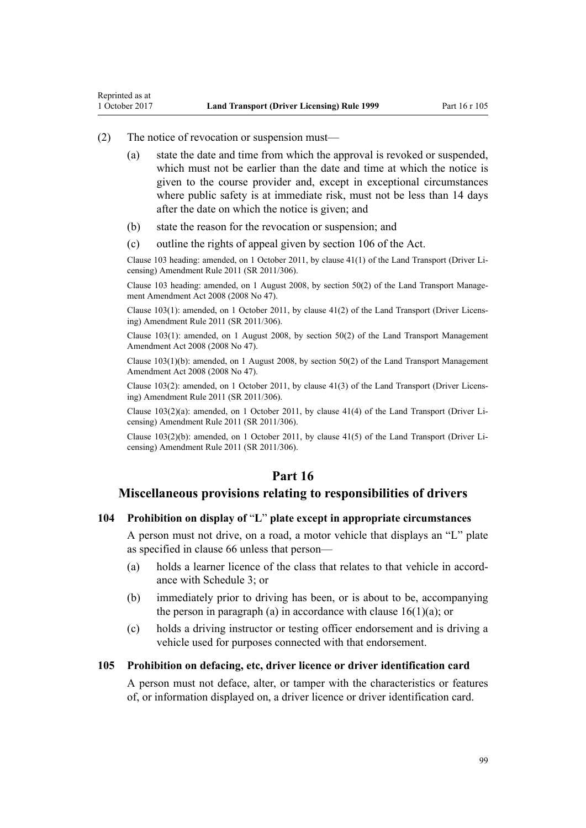## (2) The notice of revocation or suspension must—

Reprinted as at

- (a) state the date and time from which the approval is revoked or suspended, which must not be earlier than the date and time at which the notice is given to the course provider and, except in exceptional circumstances where public safety is at immediate risk, must not be less than 14 days after the date on which the notice is given; and
- (b) state the reason for the revocation or suspension; and
- (c) outline the rights of appeal given by [section 106](http://prd-lgnz-nlb.prd.pco.net.nz/pdflink.aspx?id=DLM435083) of the Act.

Clause 103 heading: amended, on 1 October 2011, by [clause 41\(1\)](http://prd-lgnz-nlb.prd.pco.net.nz/pdflink.aspx?id=DLM3956747) of the Land Transport (Driver Licensing) Amendment Rule 2011 (SR 2011/306).

Clause 103 heading: amended, on 1 August 2008, by [section 50\(2\)](http://prd-lgnz-nlb.prd.pco.net.nz/pdflink.aspx?id=DLM1313622) of the Land Transport Management Amendment Act 2008 (2008 No 47).

Clause 103(1): amended, on 1 October 2011, by [clause 41\(2\)](http://prd-lgnz-nlb.prd.pco.net.nz/pdflink.aspx?id=DLM3956747) of the Land Transport (Driver Licensing) Amendment Rule 2011 (SR 2011/306).

Clause 103(1): amended, on 1 August 2008, by [section 50\(2\)](http://prd-lgnz-nlb.prd.pco.net.nz/pdflink.aspx?id=DLM1313622) of the Land Transport Management Amendment Act 2008 (2008 No 47).

Clause 103(1)(b): amended, on 1 August 2008, by [section 50\(2\)](http://prd-lgnz-nlb.prd.pco.net.nz/pdflink.aspx?id=DLM1313622) of the Land Transport Management Amendment Act 2008 (2008 No 47).

Clause 103(2): amended, on 1 October 2011, by [clause 41\(3\)](http://prd-lgnz-nlb.prd.pco.net.nz/pdflink.aspx?id=DLM3956747) of the Land Transport (Driver Licensing) Amendment Rule 2011 (SR 2011/306).

Clause 103(2)(a): amended, on 1 October 2011, by [clause 41\(4\)](http://prd-lgnz-nlb.prd.pco.net.nz/pdflink.aspx?id=DLM3956747) of the Land Transport (Driver Licensing) Amendment Rule 2011 (SR 2011/306).

Clause 103(2)(b): amended, on 1 October 2011, by [clause 41\(5\)](http://prd-lgnz-nlb.prd.pco.net.nz/pdflink.aspx?id=DLM3956747) of the Land Transport (Driver Licensing) Amendment Rule 2011 (SR 2011/306).

# **Part 16**

# **Miscellaneous provisions relating to responsibilities of drivers**

#### **104 Prohibition on display of** "**L**" **plate except in appropriate circumstances**

A person must not drive, on a road, a motor vehicle that displays an "L" plate as specified in [clause 66](#page-66-0) unless that person—

- (a) holds a learner licence of the class that relates to that vehicle in accordance with [Schedule 3](#page-110-0); or
- (b) immediately prior to driving has been, or is about to be, accompanying the person in paragraph (a) in accordance with clause  $16(1)(a)$ ; or
- (c) holds a driving instructor or testing officer endorsement and is driving a vehicle used for purposes connected with that endorsement.

### **105 Prohibition on defacing, etc, driver licence or driver identification card**

A person must not deface, alter, or tamper with the characteristics or features of, or information displayed on, a driver licence or driver identification card.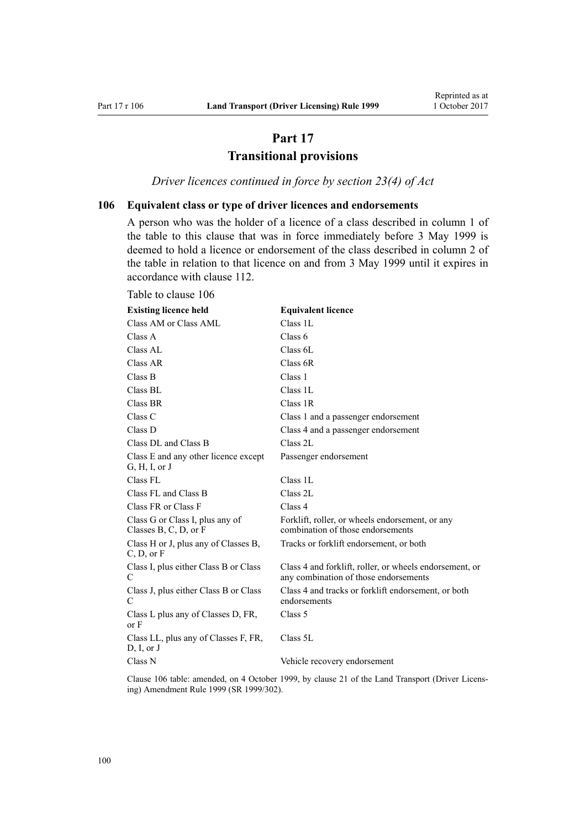# **Part 17 Transitional provisions**

*Driver licences continued in force by section 23(4) of Act*

# <span id="page-99-0"></span>**106 Equivalent class or type of driver licences and endorsements**

A person who was the holder of a licence of a class described in column 1 of the table to this clause that was in force immediately before 3 May 1999 is deemed to hold a licence or endorsement of the class described in column 2 of the table in relation to that licence on and from 3 May 1999 until it expires in accordance with [clause 112.](#page-101-0)

| <b>Existing licence held</b>                             | <b>Equivalent licence</b>                                                                        |
|----------------------------------------------------------|--------------------------------------------------------------------------------------------------|
| Class AM or Class AML                                    | Class 1L                                                                                         |
| Class A                                                  | Class $6$                                                                                        |
| Class AL                                                 | Class 6L                                                                                         |
| Class AR                                                 | Class 6R                                                                                         |
| Class B                                                  | Class 1                                                                                          |
| Class BL                                                 | Class 1L                                                                                         |
| Class BR                                                 | Class 1R                                                                                         |
| Class <sub>C</sub>                                       | Class 1 and a passenger endorsement                                                              |
| Class D                                                  | Class 4 and a passenger endorsement                                                              |
| Class DL and Class B                                     | Class 2L                                                                                         |
| Class E and any other licence except<br>G, H, I, or J    | Passenger endorsement                                                                            |
| Class FL                                                 | Class 1L                                                                                         |
| Class FL and Class B                                     | Class 2L                                                                                         |
| Class FR or Class F                                      | Class 4                                                                                          |
| Class G or Class I, plus any of<br>Classes B, C, D, or F | Forklift, roller, or wheels endorsement, or any<br>combination of those endorsements             |
| Class H or J, plus any of Classes B,<br>C, D, or F       | Tracks or forklift endorsement, or both                                                          |
| Class I, plus either Class B or Class<br>C               | Class 4 and forklift, roller, or wheels endorsement, or<br>any combination of those endorsements |
| Class J, plus either Class B or Class<br>C               | Class 4 and tracks or forklift endorsement, or both<br>endorsements                              |
| Class L plus any of Classes D, FR,<br>or <b>F</b>        | Class 5                                                                                          |
| Class LL, plus any of Classes F, FR,<br>D, I, or J       | Class 5L                                                                                         |
| Class N                                                  | Vehicle recovery endorsement                                                                     |

Clause 106 table: amended, on 4 October 1999, by [clause 21](http://prd-lgnz-nlb.prd.pco.net.nz/pdflink.aspx?id=DLM293690) of the Land Transport (Driver Licensing) Amendment Rule 1999 (SR 1999/302).

# Table to clause 106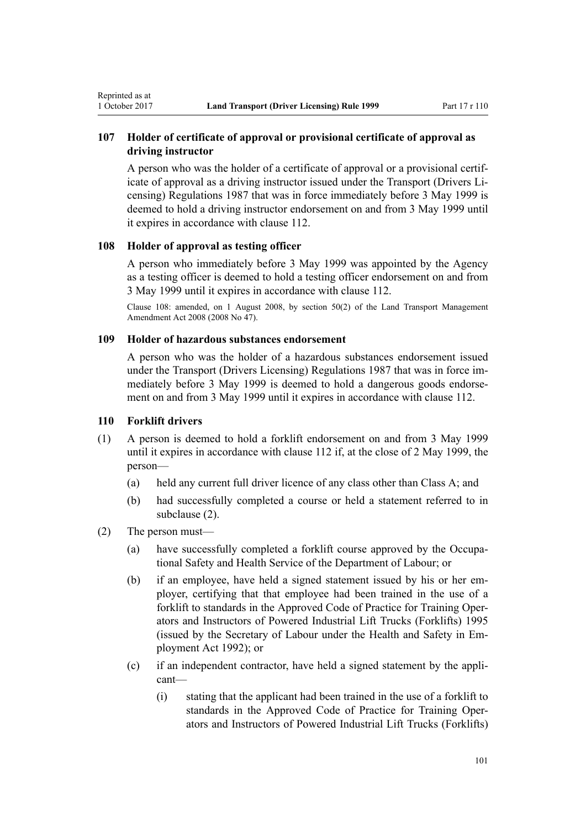# <span id="page-100-0"></span>**107 Holder of certificate of approval or provisional certificate of approval as driving instructor**

A person who was the holder of a certificate of approval or a provisional certificate of approval as a driving instructor issued under the Transport (Drivers Licensing) Regulations 1987 that was in force immediately before 3 May 1999 is deemed to hold a driving instructor endorsement on and from 3 May 1999 until it expires in accordance with [clause 112.](#page-101-0)

# **108 Holder of approval as testing officer**

A person who immediately before 3 May 1999 was appointed by the Agency as a testing officer is deemed to hold a testing officer endorsement on and from 3 May 1999 until it expires in accordance with [clause 112](#page-101-0).

Clause 108: amended, on 1 August 2008, by [section 50\(2\)](http://prd-lgnz-nlb.prd.pco.net.nz/pdflink.aspx?id=DLM1313622) of the Land Transport Management Amendment Act 2008 (2008 No 47).

# **109 Holder of hazardous substances endorsement**

A person who was the holder of a hazardous substances endorsement issued under the Transport (Drivers Licensing) Regulations 1987 that was in force immediately before 3 May 1999 is deemed to hold a dangerous goods endorsement on and from 3 May 1999 until it expires in accordance with [clause 112](#page-101-0).

## **110 Forklift drivers**

- (1) A person is deemed to hold a forklift endorsement on and from 3 May 1999 until it expires in accordance with [clause 112](#page-101-0) if, at the close of 2 May 1999, the person—
	- (a) held any current full driver licence of any class other than Class A; and
	- (b) had successfully completed a course or held a statement referred to in subclause (2).
- (2) The person must—
	- (a) have successfully completed a forklift course approved by the Occupational Safety and Health Service of the Department of Labour; or
	- (b) if an employee, have held a signed statement issued by his or her employer, certifying that that employee had been trained in the use of a forklift to standards in the Approved Code of Practice for Training Operators and Instructors of Powered Industrial Lift Trucks (Forklifts) 1995 (issued by the Secretary of Labour under the [Health and Safety in Em](http://prd-lgnz-nlb.prd.pco.net.nz/pdflink.aspx?id=DLM278828)[ployment Act 1992](http://prd-lgnz-nlb.prd.pco.net.nz/pdflink.aspx?id=DLM278828)); or
	- (c) if an independent contractor, have held a signed statement by the applicant—
		- (i) stating that the applicant had been trained in the use of a forklift to standards in the Approved Code of Practice for Training Operators and Instructors of Powered Industrial Lift Trucks (Forklifts)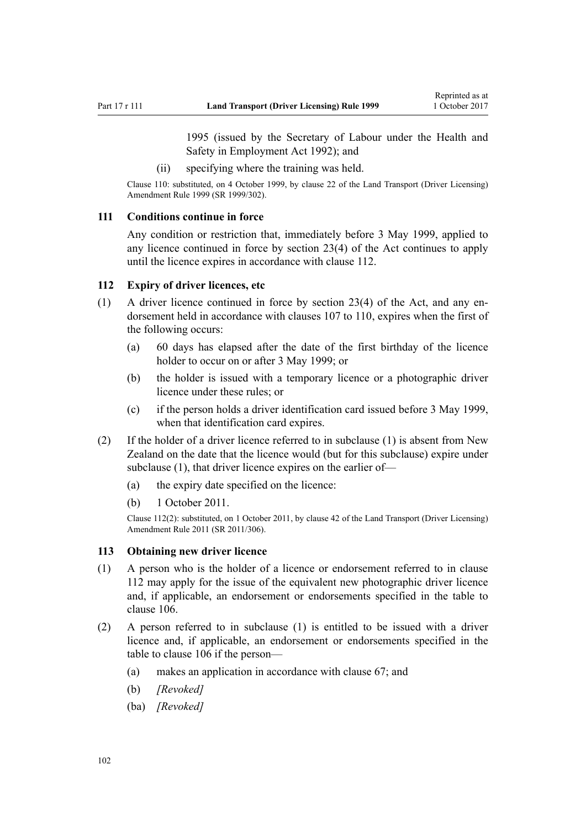1995 (issued by the Secretary of Labour under the [Health and](http://prd-lgnz-nlb.prd.pco.net.nz/pdflink.aspx?id=DLM278828) [Safety in Employment Act 1992](http://prd-lgnz-nlb.prd.pco.net.nz/pdflink.aspx?id=DLM278828)); and

(ii) specifying where the training was held.

<span id="page-101-0"></span>Clause 110: substituted, on 4 October 1999, by [clause 22](http://prd-lgnz-nlb.prd.pco.net.nz/pdflink.aspx?id=DLM293692) of the Land Transport (Driver Licensing) Amendment Rule 1999 (SR 1999/302).

#### **111 Conditions continue in force**

Any condition or restriction that, immediately before 3 May 1999, applied to any licence continued in force by [section 23\(4\)](http://prd-lgnz-nlb.prd.pco.net.nz/pdflink.aspx?id=DLM434552) of the Act continues to apply until the licence expires in accordance with clause 112.

## **112 Expiry of driver licences, etc**

- (1) A driver licence continued in force by [section 23\(4\)](http://prd-lgnz-nlb.prd.pco.net.nz/pdflink.aspx?id=DLM434552) of the Act, and any endorsement held in accordance with [clauses 107 to 110](#page-100-0), expires when the first of the following occurs:
	- (a) 60 days has elapsed after the date of the first birthday of the licence holder to occur on or after 3 May 1999; or
	- (b) the holder is issued with a temporary licence or a photographic driver licence under these rules; or
	- (c) if the person holds a driver identification card issued before 3 May 1999, when that identification card expires.
- (2) If the holder of a driver licence referred to in subclause (1) is absent from New Zealand on the date that the licence would (but for this subclause) expire under subclause (1), that driver licence expires on the earlier of—
	- (a) the expiry date specified on the licence:
	- (b) 1 October 2011.

Clause 112(2): substituted, on 1 October 2011, by [clause 42](http://prd-lgnz-nlb.prd.pco.net.nz/pdflink.aspx?id=DLM3956748) of the Land Transport (Driver Licensing) Amendment Rule 2011 (SR 2011/306).

#### **113 Obtaining new driver licence**

- (1) A person who is the holder of a licence or endorsement referred to in clause 112 may apply for the issue of the equivalent new photographic driver licence and, if applicable, an endorsement or endorsements specified in the table to [clause 106](#page-99-0).
- (2) A person referred to in subclause (1) is entitled to be issued with a driver licence and, if applicable, an endorsement or endorsements specified in the table to [clause 106](#page-99-0) if the person—
	- (a) makes an application in accordance with [clause 67;](#page-67-0) and
	- (b) *[Revoked]*
	- (ba) *[Revoked]*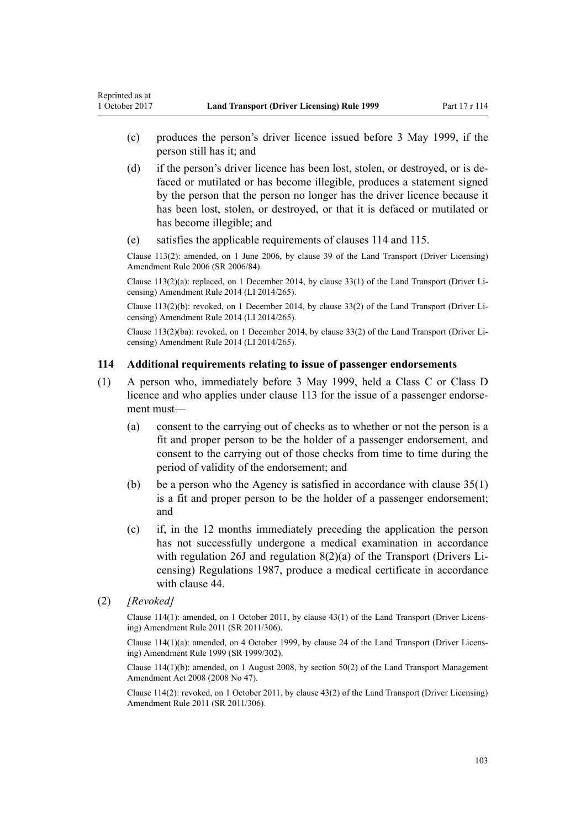- (c) produces the person's driver licence issued before 3 May 1999, if the person still has it; and
- (d) if the person's driver licence has been lost, stolen, or destroyed, or is defaced or mutilated or has become illegible, produces a statement signed by the person that the person no longer has the driver licence because it has been lost, stolen, or destroyed, or that it is defaced or mutilated or has become illegible; and
- (e) satisfies the applicable requirements of clauses 114 and [115.](#page-103-0)

Clause 113(2): amended, on 1 June 2006, by [clause 39](http://prd-lgnz-nlb.prd.pco.net.nz/pdflink.aspx?id=DLM376138) of the Land Transport (Driver Licensing) Amendment Rule 2006 (SR 2006/84).

Clause 113(2)(a): replaced, on 1 December 2014, by [clause 33\(1\)](http://prd-lgnz-nlb.prd.pco.net.nz/pdflink.aspx?id=DLM6216947) of the Land Transport (Driver Licensing) Amendment Rule 2014 (LI 2014/265).

Clause 113(2)(b): revoked, on 1 December 2014, by [clause 33\(2\)](http://prd-lgnz-nlb.prd.pco.net.nz/pdflink.aspx?id=DLM6216947) of the Land Transport (Driver Licensing) Amendment Rule 2014 (LI 2014/265).

Clause 113(2)(ba): revoked, on 1 December 2014, by [clause 33\(2\)](http://prd-lgnz-nlb.prd.pco.net.nz/pdflink.aspx?id=DLM6216947) of the Land Transport (Driver Licensing) Amendment Rule 2014 (LI 2014/265).

#### **114 Additional requirements relating to issue of passenger endorsements**

- (1) A person who, immediately before 3 May 1999, held a Class C or Class D licence and who applies under [clause 113](#page-101-0) for the issue of a passenger endorsement must—
	- (a) consent to the carrying out of checks as to whether or not the person is a fit and proper person to be the holder of a passenger endorsement, and consent to the carrying out of those checks from time to time during the period of validity of the endorsement; and
	- (b) be a person who the Agency is satisfied in accordance with [clause 35\(1\)](#page-46-0) is a fit and proper person to be the holder of a passenger endorsement; and
	- (c) if, in the 12 months immediately preceding the application the person has not successfully undergone a medical examination in accordance with regulation 26J and regulation 8(2)(a) of the Transport (Drivers Licensing) Regulations 1987, produce a medical certificate in accordance with [clause 44.](#page-52-0)
- (2) *[Revoked]*

Reprinted as at

Clause 114(1): amended, on 1 October 2011, by [clause 43\(1\)](http://prd-lgnz-nlb.prd.pco.net.nz/pdflink.aspx?id=DLM3956749) of the Land Transport (Driver Licensing) Amendment Rule 2011 (SR 2011/306).

Clause 114(1)(a): amended, on 4 October 1999, by [clause 24](http://prd-lgnz-nlb.prd.pco.net.nz/pdflink.aspx?id=DLM293695) of the Land Transport (Driver Licensing) Amendment Rule 1999 (SR 1999/302).

Clause 114(1)(b): amended, on 1 August 2008, by [section 50\(2\)](http://prd-lgnz-nlb.prd.pco.net.nz/pdflink.aspx?id=DLM1313622) of the Land Transport Management Amendment Act 2008 (2008 No 47).

Clause 114(2): revoked, on 1 October 2011, by [clause 43\(2\)](http://prd-lgnz-nlb.prd.pco.net.nz/pdflink.aspx?id=DLM3956749) of the Land Transport (Driver Licensing) Amendment Rule 2011 (SR 2011/306).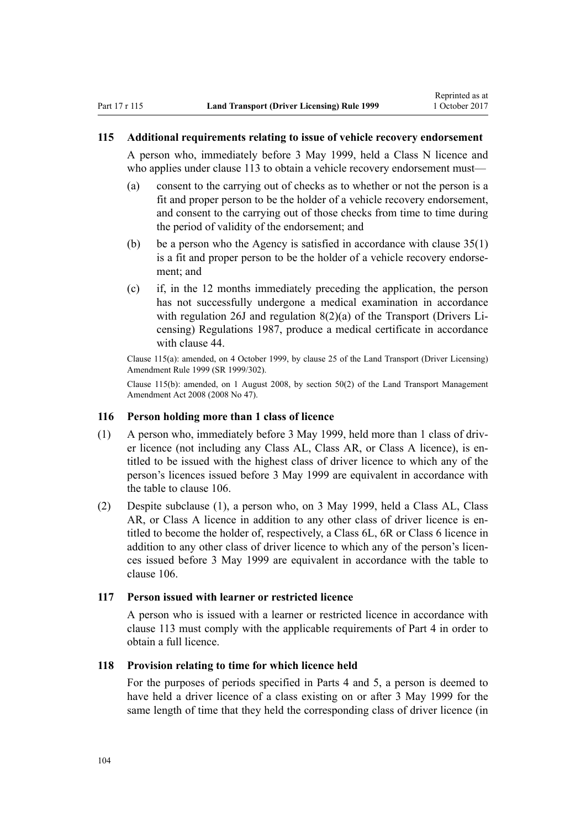#### <span id="page-103-0"></span>**115 Additional requirements relating to issue of vehicle recovery endorsement**

A person who, immediately before 3 May 1999, held a Class N licence and who applies under [clause 113](#page-101-0) to obtain a vehicle recovery endorsement must—

- (a) consent to the carrying out of checks as to whether or not the person is a fit and proper person to be the holder of a vehicle recovery endorsement, and consent to the carrying out of those checks from time to time during the period of validity of the endorsement; and
- (b) be a person who the Agency is satisfied in accordance with [clause 35\(1\)](#page-46-0) is a fit and proper person to be the holder of a vehicle recovery endorsement; and
- (c) if, in the 12 months immediately preceding the application, the person has not successfully undergone a medical examination in accordance with regulation 26J and regulation 8(2)(a) of the Transport (Drivers Licensing) Regulations 1987, produce a medical certificate in accordance with clause 44

Clause 115(a): amended, on 4 October 1999, by [clause 25](http://prd-lgnz-nlb.prd.pco.net.nz/pdflink.aspx?id=DLM293696) of the Land Transport (Driver Licensing) Amendment Rule 1999 (SR 1999/302).

Clause 115(b): amended, on 1 August 2008, by [section 50\(2\)](http://prd-lgnz-nlb.prd.pco.net.nz/pdflink.aspx?id=DLM1313622) of the Land Transport Management Amendment Act 2008 (2008 No 47).

#### **116 Person holding more than 1 class of licence**

- (1) A person who, immediately before 3 May 1999, held more than 1 class of driver licence (not including any Class AL, Class AR, or Class A licence), is entitled to be issued with the highest class of driver licence to which any of the person's licences issued before 3 May 1999 are equivalent in accordance with the table to [clause 106](#page-99-0).
- (2) Despite subclause (1), a person who, on 3 May 1999, held a Class AL, Class AR, or Class A licence in addition to any other class of driver licence is entitled to become the holder of, respectively, a Class 6L, 6R or Class 6 licence in addition to any other class of driver licence to which any of the person's licences issued before 3 May 1999 are equivalent in accordance with the table to [clause 106](#page-99-0).

# **117 Person issued with learner or restricted licence**

A person who is issued with a learner or restricted licence in accordance with [clause 113](#page-101-0) must comply with the applicable requirements of [Part 4](#page-25-0) in order to obtain a full licence.

# **118 Provision relating to time for which licence held**

For the purposes of periods specified in [Parts 4](#page-25-0) and [5](#page-39-0), a person is deemed to have held a driver licence of a class existing on or after 3 May 1999 for the same length of time that they held the corresponding class of driver licence (in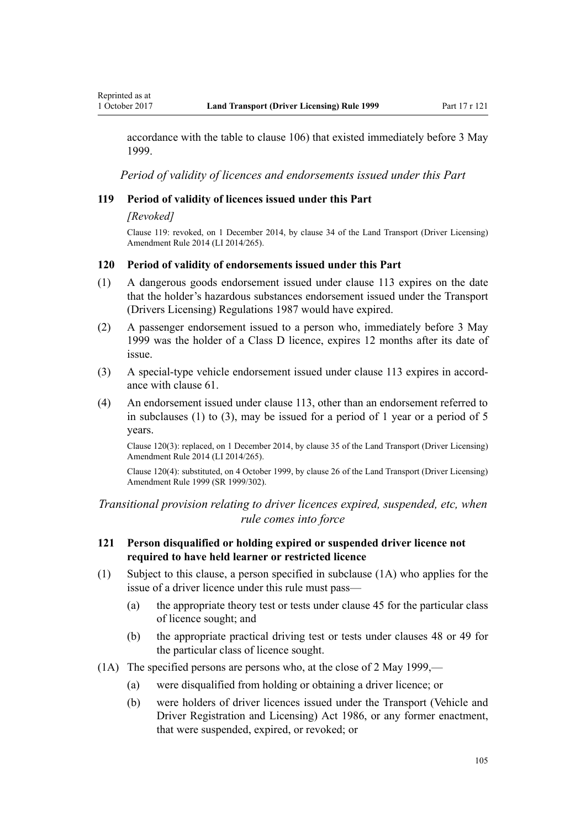accordance with the table to [clause 106\)](#page-99-0) that existed immediately before 3 May 1999.

*Period of validity of licences and endorsements issued under this Part*

# **119 Period of validity of licences issued under this Part**

#### *[Revoked]*

Clause 119: revoked, on 1 December 2014, by [clause 34](http://prd-lgnz-nlb.prd.pco.net.nz/pdflink.aspx?id=DLM6216948) of the Land Transport (Driver Licensing) Amendment Rule 2014 (LI 2014/265).

#### **120 Period of validity of endorsements issued under this Part**

- (1) A dangerous goods endorsement issued under [clause 113](#page-101-0) expires on the date that the holder's hazardous substances endorsement issued under the Transport (Drivers Licensing) Regulations 1987 would have expired.
- (2) A passenger endorsement issued to a person who, immediately before 3 May 1999 was the holder of a Class D licence, expires 12 months after its date of issue.
- (3) A special-type vehicle endorsement issued under [clause 113](#page-101-0) expires in accordance with [clause 61.](#page-61-0)
- (4) An endorsement issued under [clause 113](#page-101-0), other than an endorsement referred to in subclauses (1) to (3), may be issued for a period of 1 year or a period of 5 years.

Clause 120(3): replaced, on 1 December 2014, by [clause 35](http://prd-lgnz-nlb.prd.pco.net.nz/pdflink.aspx?id=DLM6216949) of the Land Transport (Driver Licensing) Amendment Rule 2014 (LI 2014/265).

Clause 120(4): substituted, on 4 October 1999, by [clause 26](http://prd-lgnz-nlb.prd.pco.net.nz/pdflink.aspx?id=DLM293697) of the Land Transport (Driver Licensing) Amendment Rule 1999 (SR 1999/302).

*Transitional provision relating to driver licences expired, suspended, etc, when rule comes into force*

# **121 Person disqualified or holding expired or suspended driver licence not required to have held learner or restricted licence**

- (1) Subject to this clause, a person specified in subclause (1A) who applies for the issue of a driver licence under this rule must pass—
	- (a) the appropriate theory test or tests under [clause 45](#page-54-0) for the particular class of licence sought; and
	- (b) the appropriate practical driving test or tests under [clauses 48](#page-55-0) or [49](#page-55-0) for the particular class of licence sought.
- (1A) The specified persons are persons who, at the close of 2 May 1999,—
	- (a) were disqualified from holding or obtaining a driver licence; or
	- (b) were holders of driver licences issued under the [Transport \(Vehicle and](http://prd-lgnz-nlb.prd.pco.net.nz/pdflink.aspx?id=DLM90414) [Driver Registration and Licensing\) Act 1986](http://prd-lgnz-nlb.prd.pco.net.nz/pdflink.aspx?id=DLM90414), or any former enactment, that were suspended, expired, or revoked; or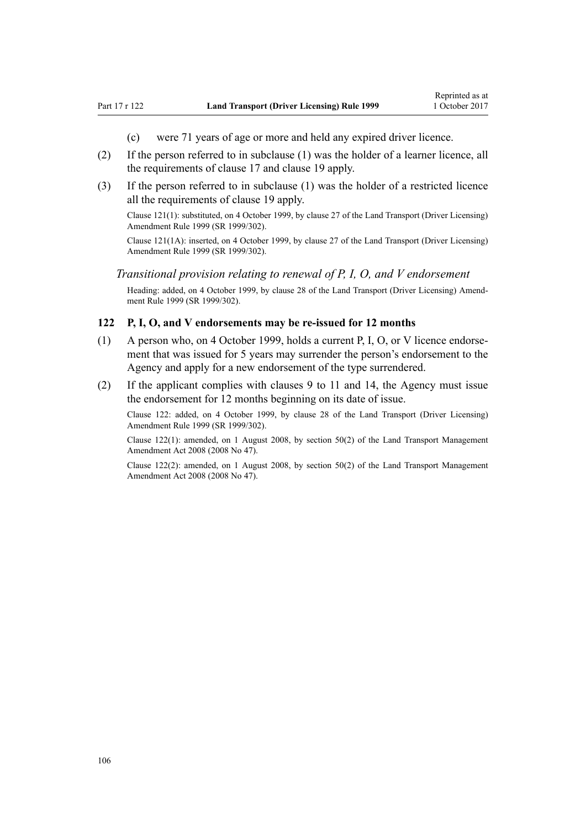- (c) were 71 years of age or more and held any expired driver licence.
- (2) If the person referred to in subclause (1) was the holder of a learner licence, all the requirements of [clause 17](#page-28-0) and [clause 19](#page-30-0) apply.
- (3) If the person referred to in subclause (1) was the holder of a restricted licence all the requirements of [clause 19](#page-30-0) apply.

Clause 121(1): substituted, on 4 October 1999, by [clause 27](http://prd-lgnz-nlb.prd.pco.net.nz/pdflink.aspx?id=DLM293698) of the Land Transport (Driver Licensing) Amendment Rule 1999 (SR 1999/302).

Clause 121(1A): inserted, on 4 October 1999, by [clause 27](http://prd-lgnz-nlb.prd.pco.net.nz/pdflink.aspx?id=DLM293698) of the Land Transport (Driver Licensing) Amendment Rule 1999 (SR 1999/302).

# *Transitional provision relating to renewal of P, I, O, and V endorsement*

Heading: added, on 4 October 1999, by [clause 28](http://prd-lgnz-nlb.prd.pco.net.nz/pdflink.aspx?id=DLM293699) of the Land Transport (Driver Licensing) Amendment Rule 1999 (SR 1999/302).

#### **122 P, I, O, and V endorsements may be re-issued for 12 months**

- (1) A person who, on 4 October 1999, holds a current P, I, O, or V licence endorsement that was issued for 5 years may surrender the person's endorsement to the Agency and apply for a new endorsement of the type surrendered.
- (2) If the applicant complies with [clauses 9 to 11](#page-20-0) and [14](#page-25-0), the Agency must issue the endorsement for 12 months beginning on its date of issue.

Clause 122: added, on 4 October 1999, by [clause 28](http://prd-lgnz-nlb.prd.pco.net.nz/pdflink.aspx?id=DLM293699) of the Land Transport (Driver Licensing) Amendment Rule 1999 (SR 1999/302).

Clause 122(1): amended, on 1 August 2008, by [section 50\(2\)](http://prd-lgnz-nlb.prd.pco.net.nz/pdflink.aspx?id=DLM1313622) of the Land Transport Management Amendment Act 2008 (2008 No 47).

Clause 122(2): amended, on 1 August 2008, by [section 50\(2\)](http://prd-lgnz-nlb.prd.pco.net.nz/pdflink.aspx?id=DLM1313622) of the Land Transport Management Amendment Act 2008 (2008 No 47).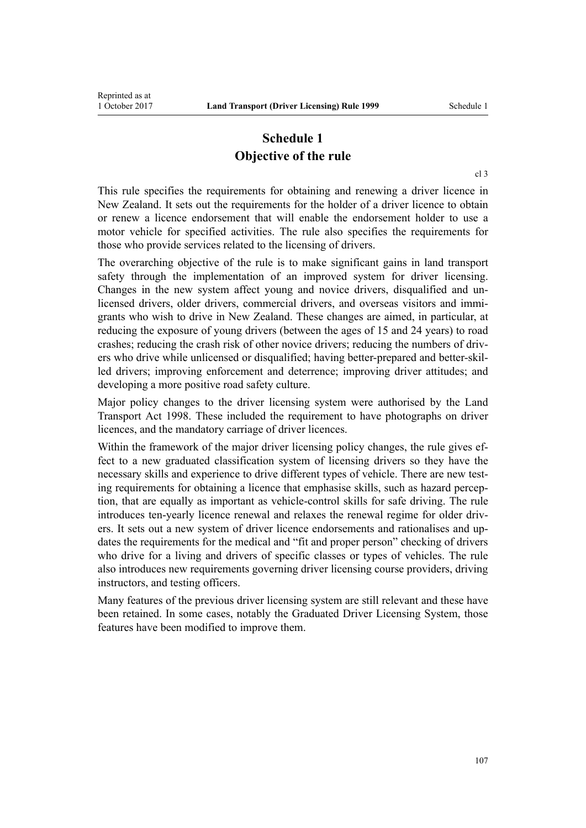# **Schedule 1 Objective of the rule**

This rule specifies the requirements for obtaining and renewing a driver licence in New Zealand. It sets out the requirements for the holder of a driver licence to obtain or renew a licence endorsement that will enable the endorsement holder to use a motor vehicle for specified activities. The rule also specifies the requirements for those who provide services related to the licensing of drivers.

The overarching objective of the rule is to make significant gains in land transport safety through the implementation of an improved system for driver licensing. Changes in the new system affect young and novice drivers, disqualified and unlicensed drivers, older drivers, commercial drivers, and overseas visitors and immigrants who wish to drive in New Zealand. These changes are aimed, in particular, at reducing the exposure of young drivers (between the ages of 15 and 24 years) to road crashes; reducing the crash risk of other novice drivers; reducing the numbers of drivers who drive while unlicensed or disqualified; having better-prepared and better-skilled drivers; improving enforcement and deterrence; improving driver attitudes; and developing a more positive road safety culture.

Major policy changes to the driver licensing system were authorised by the [Land](http://prd-lgnz-nlb.prd.pco.net.nz/pdflink.aspx?id=DLM433612) [Transport Act 1998.](http://prd-lgnz-nlb.prd.pco.net.nz/pdflink.aspx?id=DLM433612) These included the requirement to have photographs on driver licences, and the mandatory carriage of driver licences.

Within the framework of the major driver licensing policy changes, the rule gives effect to a new graduated classification system of licensing drivers so they have the necessary skills and experience to drive different types of vehicle. There are new testing requirements for obtaining a licence that emphasise skills, such as hazard perception, that are equally as important as vehicle-control skills for safe driving. The rule introduces ten-yearly licence renewal and relaxes the renewal regime for older drivers. It sets out a new system of driver licence endorsements and rationalises and updates the requirements for the medical and "fit and proper person" checking of drivers who drive for a living and drivers of specific classes or types of vehicles. The rule also introduces new requirements governing driver licensing course providers, driving instructors, and testing officers.

Many features of the previous driver licensing system are still relevant and these have been retained. In some cases, notably the Graduated Driver Licensing System, those features have been modified to improve them.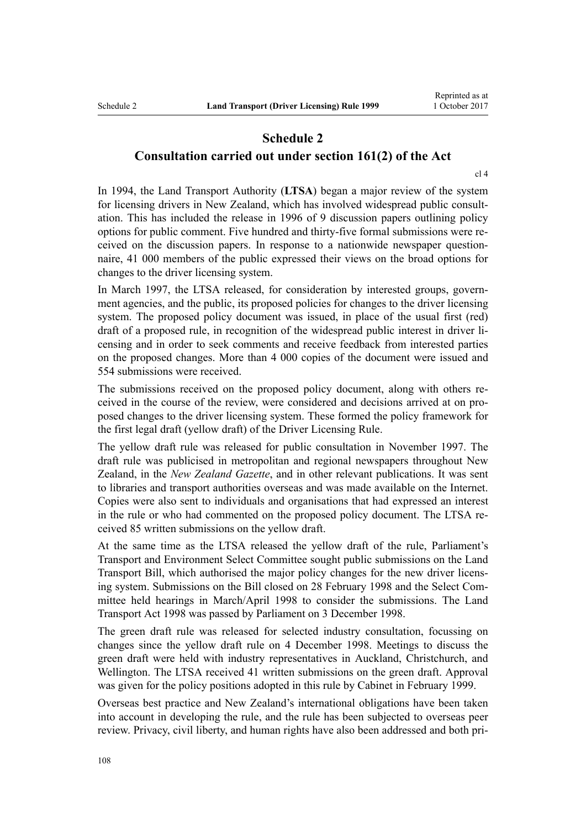# **Schedule 2 Consultation carried out under section 161(2) of the Act**

[cl 4](#page-18-0)

In 1994, the Land Transport Authority (**LTSA**) began a major review of the system for licensing drivers in New Zealand, which has involved widespread public consultation. This has included the release in 1996 of 9 discussion papers outlining policy options for public comment. Five hundred and thirty-five formal submissions were received on the discussion papers. In response to a nationwide newspaper questionnaire, 41 000 members of the public expressed their views on the broad options for changes to the driver licensing system.

In March 1997, the LTSA released, for consideration by interested groups, government agencies, and the public, its proposed policies for changes to the driver licensing system. The proposed policy document was issued, in place of the usual first (red) draft of a proposed rule, in recognition of the widespread public interest in driver licensing and in order to seek comments and receive feedback from interested parties on the proposed changes. More than 4 000 copies of the document were issued and 554 submissions were received.

The submissions received on the proposed policy document, along with others received in the course of the review, were considered and decisions arrived at on proposed changes to the driver licensing system. These formed the policy framework for the first legal draft (yellow draft) of the Driver Licensing Rule.

The yellow draft rule was released for public consultation in November 1997. The draft rule was publicised in metropolitan and regional newspapers throughout New Zealand, in the *New Zealand Gazette*, and in other relevant publications. It was sent to libraries and transport authorities overseas and was made available on the Internet. Copies were also sent to individuals and organisations that had expressed an interest in the rule or who had commented on the proposed policy document. The LTSA received 85 written submissions on the yellow draft.

At the same time as the LTSA released the yellow draft of the rule, Parliament's Transport and Environment Select Committee sought public submissions on the Land Transport Bill, which authorised the major policy changes for the new driver licensing system. Submissions on the Bill closed on 28 February 1998 and the Select Committee held hearings in March/April 1998 to consider the submissions. The [Land](http://prd-lgnz-nlb.prd.pco.net.nz/pdflink.aspx?id=DLM433612) [Transport Act 1998](http://prd-lgnz-nlb.prd.pco.net.nz/pdflink.aspx?id=DLM433612) was passed by Parliament on 3 December 1998.

The green draft rule was released for selected industry consultation, focussing on changes since the yellow draft rule on 4 December 1998. Meetings to discuss the green draft were held with industry representatives in Auckland, Christchurch, and Wellington. The LTSA received 41 written submissions on the green draft. Approval was given for the policy positions adopted in this rule by Cabinet in February 1999.

Overseas best practice and New Zealand's international obligations have been taken into account in developing the rule, and the rule has been subjected to overseas peer review. Privacy, civil liberty, and human rights have also been addressed and both pri-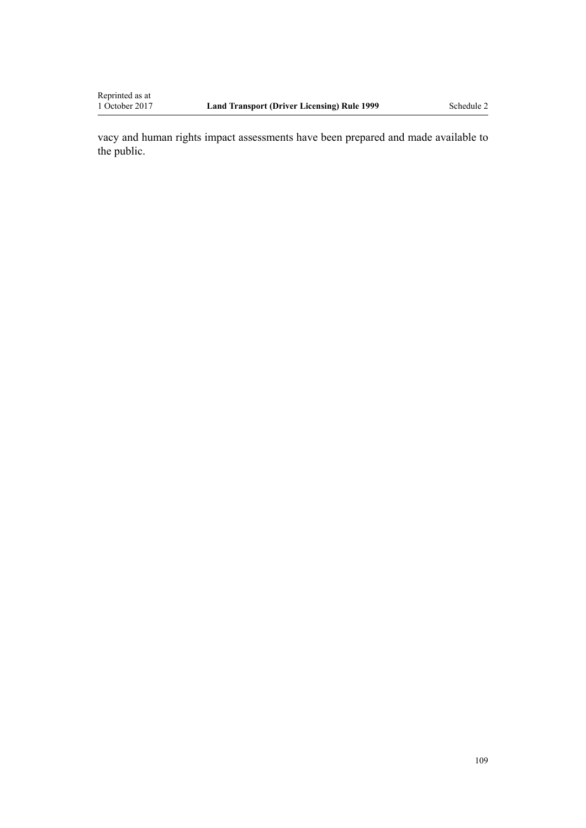vacy and human rights impact assessments have been prepared and made available to the public.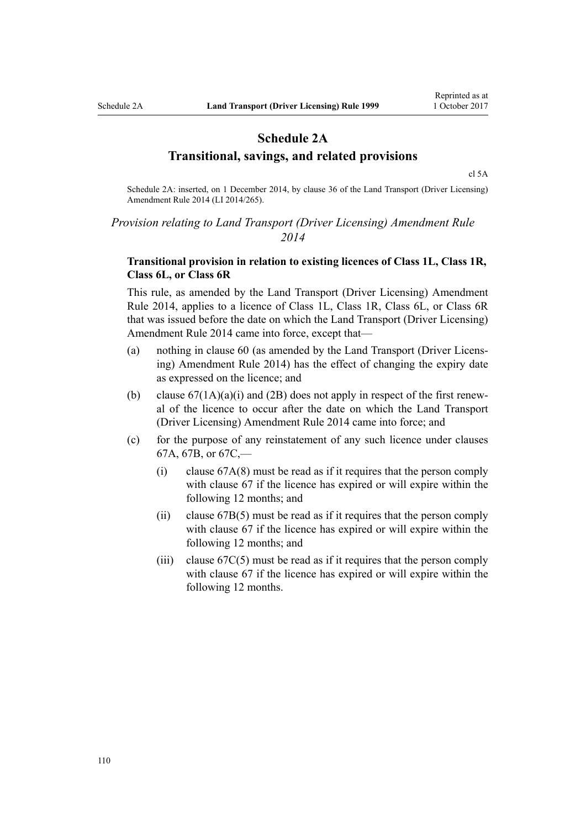### **Schedule 2A Transitional, savings, and related provisions**

[cl 5A](#page-20-0)

Schedule 2A: inserted, on 1 December 2014, by [clause 36](http://prd-lgnz-nlb.prd.pco.net.nz/pdflink.aspx?id=DLM6216950) of the Land Transport (Driver Licensing) Amendment Rule 2014 (LI 2014/265).

### *Provision relating to Land Transport (Driver Licensing) Amendment Rule 2014*

### **Transitional provision in relation to existing licences of Class 1L, Class 1R, Class 6L, or Class 6R**

This rule, as amended by the [Land Transport \(Driver Licensing\) Amendment](http://prd-lgnz-nlb.prd.pco.net.nz/pdflink.aspx?id=DLM6216900) [Rule 2014,](http://prd-lgnz-nlb.prd.pco.net.nz/pdflink.aspx?id=DLM6216900) applies to a licence of Class 1L, Class 1R, Class 6L, or Class 6R that was issued before the date on which the Land Transport (Driver Licensing) Amendment Rule 2014 came into force, except that—

- (a) nothing in [clause 60](#page-60-0) (as amended by the [Land Transport \(Driver Licens](http://prd-lgnz-nlb.prd.pco.net.nz/pdflink.aspx?id=DLM6216900)[ing\) Amendment Rule 2014](http://prd-lgnz-nlb.prd.pco.net.nz/pdflink.aspx?id=DLM6216900)) has the effect of changing the expiry date as expressed on the licence; and
- (b) clause  $67(1A)(a)(i)$  and (2B) does not apply in respect of the first renewal of the licence to occur after the date on which the [Land Transport](http://prd-lgnz-nlb.prd.pco.net.nz/pdflink.aspx?id=DLM6216900) [\(Driver Licensing\) Amendment Rule 2014](http://prd-lgnz-nlb.prd.pco.net.nz/pdflink.aspx?id=DLM6216900) came into force; and
- (c) for the purpose of any reinstatement of any such licence under [clauses](#page-69-0) [67A](#page-69-0), [67B,](#page-71-0) or [67C](#page-71-0),—
	- (i) [clause 67A\(8\)](#page-69-0) must be read as if it requires that the person comply with [clause 67](#page-67-0) if the licence has expired or will expire within the following 12 months; and
	- (ii) [clause 67B\(5\)](#page-71-0) must be read as if it requires that the person comply with [clause 67](#page-67-0) if the licence has expired or will expire within the following 12 months; and
	- (iii) clause  $67C(5)$  must be read as if it requires that the person comply with [clause 67](#page-67-0) if the licence has expired or will expire within the following 12 months.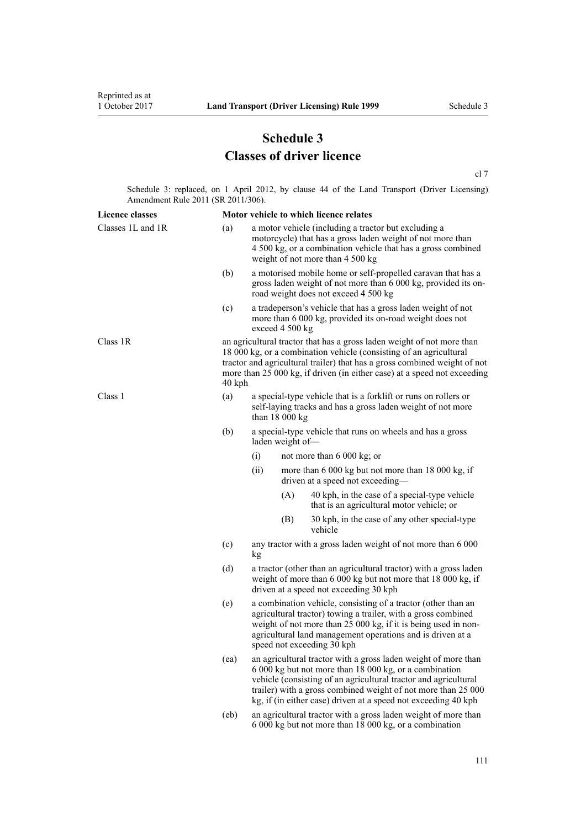# **Schedule 3 Classes of driver licence**

[cl 7](#page-20-0)

Schedule 3: replaced, on 1 April 2012, by [clause 44](http://prd-lgnz-nlb.prd.pco.net.nz/pdflink.aspx?id=DLM3956523) of the Land Transport (Driver Licensing) Amendment Rule 2011 (SR 2011/306).

| <b>Licence classes</b> |      |                                                                                                                                                                                                                                                                                                                                |     | Motor vehicle to which licence relates                                                                                                                                 |  |
|------------------------|------|--------------------------------------------------------------------------------------------------------------------------------------------------------------------------------------------------------------------------------------------------------------------------------------------------------------------------------|-----|------------------------------------------------------------------------------------------------------------------------------------------------------------------------|--|
| Classes 1L and 1R      | (a)  | a motor vehicle (including a tractor but excluding a<br>motorcycle) that has a gross laden weight of not more than<br>4 500 kg, or a combination vehicle that has a gross combined<br>weight of not more than 4 500 kg                                                                                                         |     |                                                                                                                                                                        |  |
|                        | (b)  |                                                                                                                                                                                                                                                                                                                                |     | a motorised mobile home or self-propelled caravan that has a<br>gross laden weight of not more than 6 000 kg, provided its on-<br>road weight does not exceed 4 500 kg |  |
|                        | (c)  | a tradeperson's vehicle that has a gross laden weight of not<br>more than 6 000 kg, provided its on-road weight does not<br>exceed 4 500 kg                                                                                                                                                                                    |     |                                                                                                                                                                        |  |
| Class 1R               |      | an agricultural tractor that has a gross laden weight of not more than<br>18 000 kg, or a combination vehicle (consisting of an agricultural<br>tractor and agricultural trailer) that has a gross combined weight of not<br>more than 25 000 kg, if driven (in either case) at a speed not exceeding<br>40 kph                |     |                                                                                                                                                                        |  |
| Class 1                | (a)  | a special-type vehicle that is a forklift or runs on rollers or<br>self-laying tracks and has a gross laden weight of not more<br>than $18000 kg$                                                                                                                                                                              |     |                                                                                                                                                                        |  |
|                        | (b)  | a special-type vehicle that runs on wheels and has a gross<br>laden weight of-                                                                                                                                                                                                                                                 |     |                                                                                                                                                                        |  |
|                        |      | (i)                                                                                                                                                                                                                                                                                                                            |     | not more than $6000 \text{ kg}$ ; or                                                                                                                                   |  |
|                        |      | (ii)                                                                                                                                                                                                                                                                                                                           |     | more than 6 000 kg but not more than 18 000 kg, if<br>driven at a speed not exceeding-                                                                                 |  |
|                        |      |                                                                                                                                                                                                                                                                                                                                | (A) | 40 kph, in the case of a special-type vehicle<br>that is an agricultural motor vehicle; or                                                                             |  |
|                        |      |                                                                                                                                                                                                                                                                                                                                | (B) | 30 kph, in the case of any other special-type<br>vehicle                                                                                                               |  |
|                        | (c)  | any tractor with a gross laden weight of not more than 6 000<br>kg                                                                                                                                                                                                                                                             |     |                                                                                                                                                                        |  |
|                        | (d)  | a tractor (other than an agricultural tractor) with a gross laden<br>weight of more than 6 000 kg but not more that 18 000 kg, if<br>driven at a speed not exceeding 30 kph                                                                                                                                                    |     |                                                                                                                                                                        |  |
|                        | (e)  | a combination vehicle, consisting of a tractor (other than an<br>agricultural tractor) towing a trailer, with a gross combined<br>weight of not more than 25 000 kg, if it is being used in non-<br>agricultural land management operations and is driven at a<br>speed not exceeding 30 kph                                   |     |                                                                                                                                                                        |  |
|                        | (ea) | an agricultural tractor with a gross laden weight of more than<br>6 000 kg but not more than 18 000 kg, or a combination<br>vehicle (consisting of an agricultural tractor and agricultural<br>trailer) with a gross combined weight of not more than 25 000<br>kg, if (in either case) driven at a speed not exceeding 40 kph |     |                                                                                                                                                                        |  |
|                        | (eb) | an agricultural tractor with a gross laden weight of more than<br>6 000 kg but not more than 18 000 kg, or a combination                                                                                                                                                                                                       |     |                                                                                                                                                                        |  |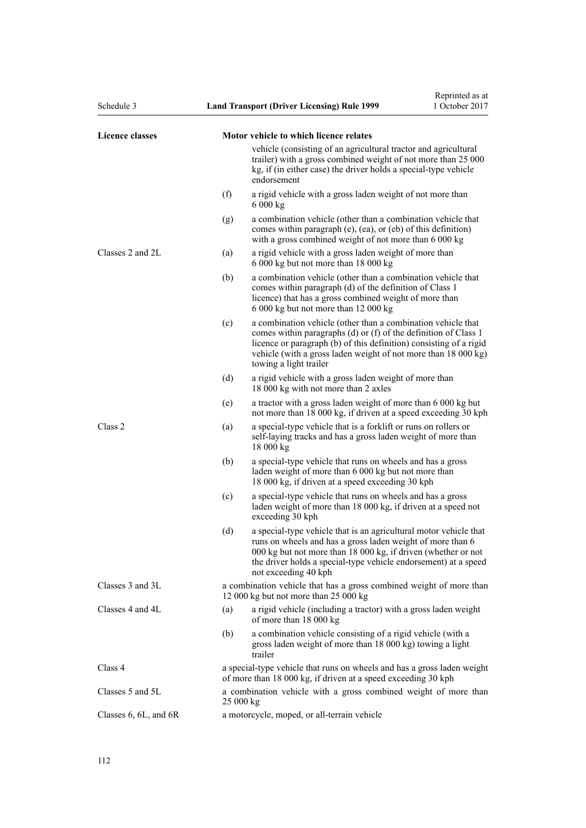| Schedule 3                |     | <b>Land Transport (Driver Licensing) Rule 1999</b>                                                                                                                                                                                                                                                | Reprinted as at<br>1 October 2017 |  |  |
|---------------------------|-----|---------------------------------------------------------------------------------------------------------------------------------------------------------------------------------------------------------------------------------------------------------------------------------------------------|-----------------------------------|--|--|
| Licence classes           |     | Motor vehicle to which licence relates                                                                                                                                                                                                                                                            |                                   |  |  |
|                           |     | vehicle (consisting of an agricultural tractor and agricultural<br>trailer) with a gross combined weight of not more than 25 000<br>kg, if (in either case) the driver holds a special-type vehicle<br>endorsement                                                                                |                                   |  |  |
|                           | (f) | a rigid vehicle with a gross laden weight of not more than<br>6000 kg                                                                                                                                                                                                                             |                                   |  |  |
|                           | (g) | a combination vehicle (other than a combination vehicle that<br>comes within paragraph (e), (ea), or (eb) of this definition)<br>with a gross combined weight of not more than 6 000 kg                                                                                                           |                                   |  |  |
| Classes 2 and 2L          | (a) | a rigid vehicle with a gross laden weight of more than<br>6 000 kg but not more than 18 000 kg                                                                                                                                                                                                    |                                   |  |  |
|                           | (b) | a combination vehicle (other than a combination vehicle that<br>comes within paragraph (d) of the definition of Class 1<br>licence) that has a gross combined weight of more than<br>6 000 kg but not more than 12 000 kg                                                                         |                                   |  |  |
|                           | (c) | a combination vehicle (other than a combination vehicle that<br>comes within paragraphs (d) or (f) of the definition of Class 1<br>licence or paragraph (b) of this definition) consisting of a rigid<br>vehicle (with a gross laden weight of not more than 18 000 kg)<br>towing a light trailer |                                   |  |  |
|                           | (d) | a rigid vehicle with a gross laden weight of more than<br>18 000 kg with not more than 2 axles                                                                                                                                                                                                    |                                   |  |  |
|                           | (e) | a tractor with a gross laden weight of more than 6 000 kg but<br>not more than 18 000 kg, if driven at a speed exceeding 30 kph                                                                                                                                                                   |                                   |  |  |
| Class 2                   | (a) | a special-type vehicle that is a forklift or runs on rollers or<br>self-laying tracks and has a gross laden weight of more than<br>18 000 kg                                                                                                                                                      |                                   |  |  |
|                           | (b) | a special-type vehicle that runs on wheels and has a gross<br>laden weight of more than 6 000 kg but not more than<br>18 000 kg, if driven at a speed exceeding 30 kph                                                                                                                            |                                   |  |  |
|                           | (c) | a special-type vehicle that runs on wheels and has a gross<br>laden weight of more than 18 000 kg, if driven at a speed not<br>exceeding 30 kph                                                                                                                                                   |                                   |  |  |
|                           | (d) | a special-type vehicle that is an agricultural motor vehicle that<br>runs on wheels and has a gross laden weight of more than 6<br>000 kg but not more than 18 000 kg, if driven (whether or not<br>the driver holds a special-type vehicle endorsement) at a speed<br>not exceeding 40 kph       |                                   |  |  |
| Classes 3 and 3L          |     | a combination vehicle that has a gross combined weight of more than<br>12 000 kg but not more than 25 000 kg                                                                                                                                                                                      |                                   |  |  |
| Classes 4 and 4L          | (a) | a rigid vehicle (including a tractor) with a gross laden weight<br>of more than 18 000 kg                                                                                                                                                                                                         |                                   |  |  |
|                           | (b) | a combination vehicle consisting of a rigid vehicle (with a<br>gross laden weight of more than 18 000 kg) towing a light<br>trailer                                                                                                                                                               |                                   |  |  |
| Class 4                   |     | a special-type vehicle that runs on wheels and has a gross laden weight<br>of more than 18 000 kg, if driven at a speed exceeding 30 kph                                                                                                                                                          |                                   |  |  |
| Classes 5 and 5L          |     | a combination vehicle with a gross combined weight of more than<br>25 000 kg                                                                                                                                                                                                                      |                                   |  |  |
| Classes $6, 6L,$ and $6R$ |     | a motorcycle, moped, or all-terrain vehicle                                                                                                                                                                                                                                                       |                                   |  |  |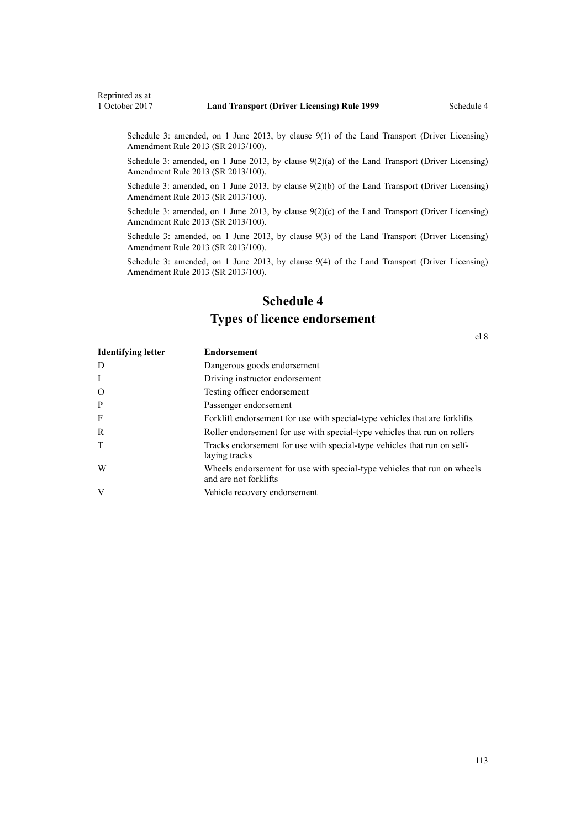Schedule 3: amended, on 1 June 2013, by [clause 9\(1\)](http://prd-lgnz-nlb.prd.pco.net.nz/pdflink.aspx?id=DLM5102246) of the Land Transport (Driver Licensing) Amendment Rule 2013 (SR 2013/100).

Schedule 3: amended, on 1 June 2013, by [clause 9\(2\)\(a\)](http://prd-lgnz-nlb.prd.pco.net.nz/pdflink.aspx?id=DLM5102246) of the Land Transport (Driver Licensing) Amendment Rule 2013 (SR 2013/100).

Schedule 3: amended, on 1 June 2013, by [clause 9\(2\)\(b\)](http://prd-lgnz-nlb.prd.pco.net.nz/pdflink.aspx?id=DLM5102246) of the Land Transport (Driver Licensing) Amendment Rule 2013 (SR 2013/100).

Schedule 3: amended, on 1 June 2013, by clause  $9(2)(c)$  of the Land Transport (Driver Licensing) Amendment Rule 2013 (SR 2013/100).

Schedule 3: amended, on 1 June 2013, by [clause 9\(3\)](http://prd-lgnz-nlb.prd.pco.net.nz/pdflink.aspx?id=DLM5102246) of the Land Transport (Driver Licensing) Amendment Rule 2013 (SR 2013/100).

Schedule 3: amended, on 1 June 2013, by [clause 9\(4\)](http://prd-lgnz-nlb.prd.pco.net.nz/pdflink.aspx?id=DLM5102246) of the Land Transport (Driver Licensing) Amendment Rule 2013 (SR 2013/100).

# **Schedule 4 Types of licence endorsement**

[cl 8](#page-20-0)

| <b>Identifying letter</b> | <b>Endorsement</b>                                                                                |
|---------------------------|---------------------------------------------------------------------------------------------------|
| D                         | Dangerous goods endorsement                                                                       |
| $\mathbf{I}$              | Driving instructor endorsement                                                                    |
| $\Omega$                  | Testing officer endorsement                                                                       |
| P                         | Passenger endorsement                                                                             |
| F                         | Forklift endorsement for use with special-type vehicles that are forklifts                        |
| R                         | Roller endorsement for use with special-type vehicles that run on rollers                         |
| T                         | Tracks endorsement for use with special-type vehicles that run on self-<br>laying tracks          |
| W                         | Wheels endorsement for use with special-type vehicles that run on wheels<br>and are not forklifts |
| V                         | Vehicle recovery endorsement                                                                      |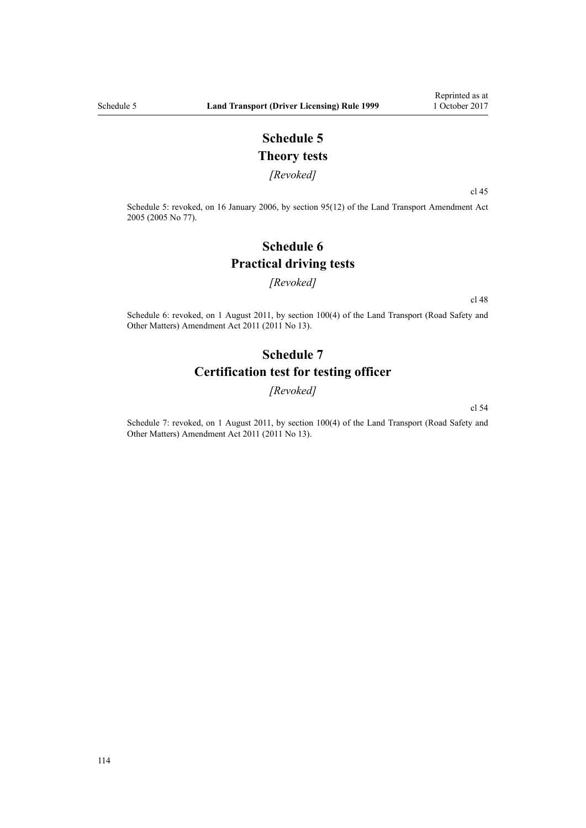## **Schedule 5 Theory tests**

*[Revoked]*

[cl 45](#page-54-0)

Schedule 5: revoked, on 16 January 2006, by [section 95\(12\)](http://prd-lgnz-nlb.prd.pco.net.nz/pdflink.aspx?id=DLM353501) of the Land Transport Amendment Act 2005 (2005 No 77).

# **Schedule 6 Practical driving tests**

#### *[Revoked]*

[cl 48](#page-55-0)

Schedule 6: revoked, on 1 August 2011, by [section 100\(4\)](http://prd-lgnz-nlb.prd.pco.net.nz/pdflink.aspx?id=DLM3231293) of the Land Transport (Road Safety and Other Matters) Amendment Act 2011 (2011 No 13).

## **Schedule 7 Certification test for testing officer**

*[Revoked]*

[cl 54](#page-57-0)

Schedule 7: revoked, on 1 August 2011, by [section 100\(4\)](http://prd-lgnz-nlb.prd.pco.net.nz/pdflink.aspx?id=DLM3231293) of the Land Transport (Road Safety and Other Matters) Amendment Act 2011 (2011 No 13).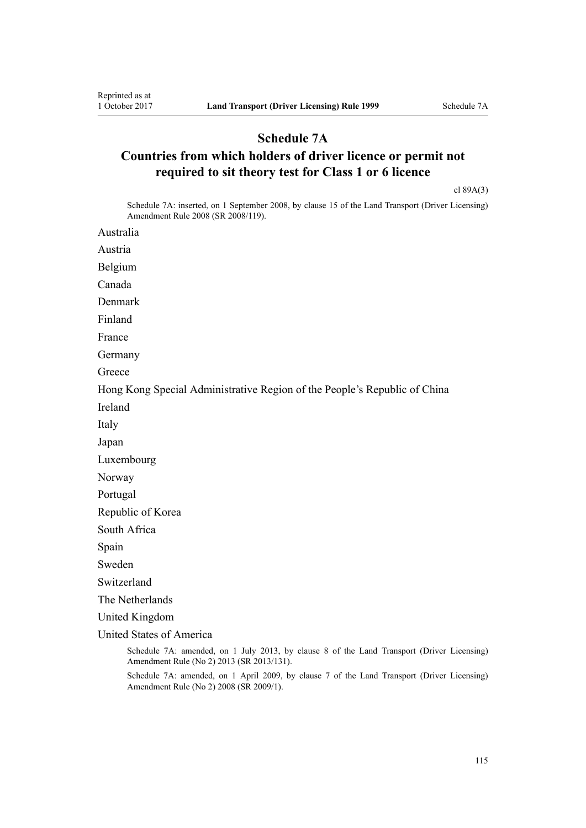### **Schedule 7A**

# **Countries from which holders of driver licence or permit not required to sit theory test for Class 1 or 6 licence**

[cl 89A\(3\)](#page-89-0)

Schedule 7A: inserted, on 1 September 2008, by [clause 15](http://prd-lgnz-nlb.prd.pco.net.nz/pdflink.aspx?id=DLM1317922) of the Land Transport (Driver Licensing) Amendment Rule 2008 (SR 2008/119).

Australia

Austria

Belgium

Canada

Denmark

Finland

France

Germany

**Greece** 

Hong Kong Special Administrative Region of the People's Republic of China

Ireland

Italy

Japan

Luxembourg

Norway

Portugal

Republic of Korea

South Africa

Spain

Sweden

Switzerland

The Netherlands

United Kingdom

United States of America

Schedule 7A: amended, on 1 July 2013, by [clause 8](http://prd-lgnz-nlb.prd.pco.net.nz/pdflink.aspx?id=DLM5159813) of the Land Transport (Driver Licensing) Amendment Rule (No 2) 2013 (SR 2013/131).

Schedule 7A: amended, on 1 April 2009, by [clause 7](http://prd-lgnz-nlb.prd.pco.net.nz/pdflink.aspx?id=DLM1783613) of the Land Transport (Driver Licensing) Amendment Rule (No 2) 2008 (SR 2009/1).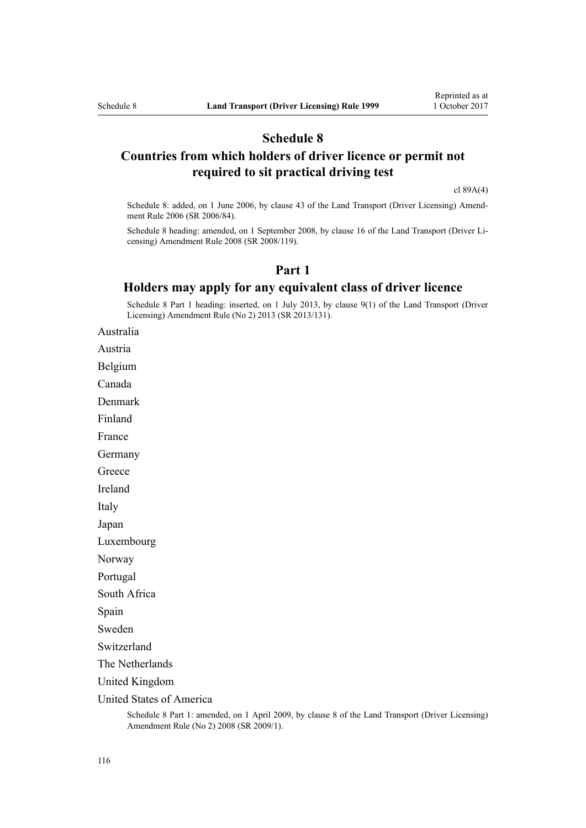### **Schedule 8**

### **Countries from which holders of driver licence or permit not required to sit practical driving test**

[cl 89A\(4\)](#page-89-0)

Schedule 8: added, on 1 June 2006, by [clause 43](http://prd-lgnz-nlb.prd.pco.net.nz/pdflink.aspx?id=DLM376146) of the Land Transport (Driver Licensing) Amendment Rule 2006 (SR 2006/84).

Schedule 8 heading: amended, on 1 September 2008, by [clause 16](http://prd-lgnz-nlb.prd.pco.net.nz/pdflink.aspx?id=DLM1317923) of the Land Transport (Driver Licensing) Amendment Rule 2008 (SR 2008/119).

### **Part 1**

### **Holders may apply for any equivalent class of driver licence**

Schedule 8 Part 1 heading: inserted, on 1 July 2013, by [clause 9\(1\)](http://prd-lgnz-nlb.prd.pco.net.nz/pdflink.aspx?id=DLM5159814) of the Land Transport (Driver Licensing) Amendment Rule (No 2) 2013 (SR 2013/131).

Australia

Austria

Belgium

Canada

Denmark

Finland

France

Germany

**Greece** 

Ireland

Italy

Japan

Luxembourg

Norway

Portugal

South Africa

Spain

Sweden

Switzerland

The Netherlands

United Kingdom

United States of America

Schedule 8 Part 1: amended, on 1 April 2009, by [clause 8](http://prd-lgnz-nlb.prd.pco.net.nz/pdflink.aspx?id=DLM1783614) of the Land Transport (Driver Licensing) Amendment Rule (No 2) 2008 (SR 2009/1).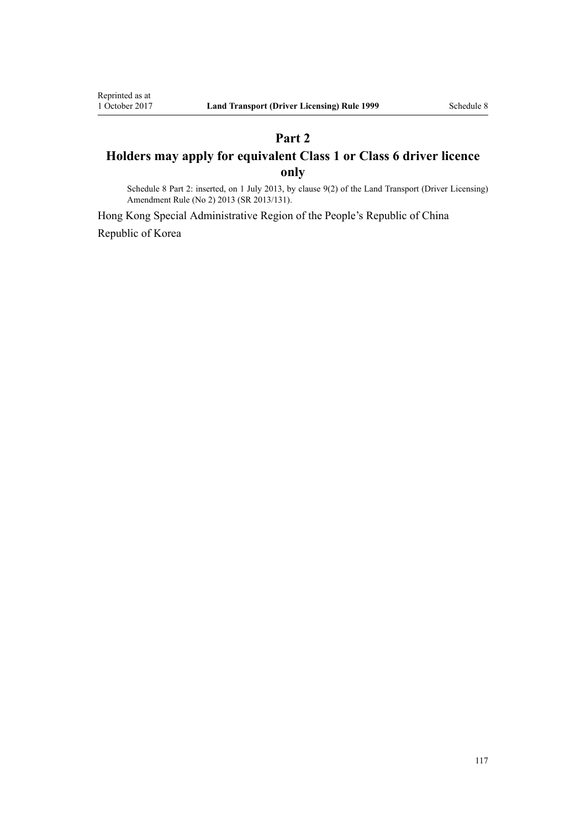# **Part 2 Holders may apply for equivalent Class 1 or Class 6 driver licence only**

Schedule 8 Part 2: inserted, on 1 July 2013, by [clause 9\(2\)](http://prd-lgnz-nlb.prd.pco.net.nz/pdflink.aspx?id=DLM5159814) of the Land Transport (Driver Licensing) Amendment Rule (No 2) 2013 (SR 2013/131).

Hong Kong Special Administrative Region of the People's Republic of China Republic of Korea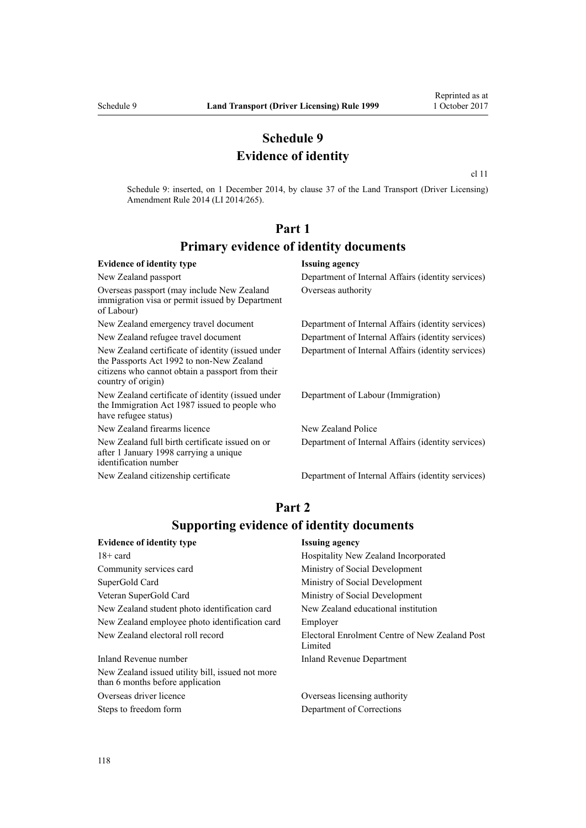### **Schedule 9 Evidence of identity**

[cl 11](http://prd-lgnz-nlb.prd.pco.net.nz/pdflink.aspx?id=DLM6216924)

Schedule 9: inserted, on 1 December 2014, by [clause 37](http://prd-lgnz-nlb.prd.pco.net.nz/pdflink.aspx?id=DLM6216951) of the Land Transport (Driver Licensing) Amendment Rule 2014 (LI 2014/265).

## **Part 1 Primary evidence of identity documents**

#### **Evidence of identity type Issuing agency** New Zealand passport Department of Internal Affairs (identity services) Overseas passport (may include New Zealand immigration visa or permit issued by Department of Labour) Overseas authority New Zealand emergency travel document Department of Internal Affairs (identity services) New Zealand refugee travel document Department of Internal Affairs (identity services) New Zealand certificate of identity (issued under the [Passports Act 1992](http://prd-lgnz-nlb.prd.pco.net.nz/pdflink.aspx?id=DLM277432) to non-New Zealand citizens who cannot obtain a passport from their country of origin) Department of Internal Affairs (identity services) New Zealand certificate of identity (issued under the [Immigration Act 1987](http://prd-lgnz-nlb.prd.pco.net.nz/pdflink.aspx?id=DLM108017) issued to people who have refugee status) Department of Labour (Immigration) New Zealand firearms licence New Zealand Police New Zealand full birth certificate issued on or after 1 January 1998 carrying a unique identification number Department of Internal Affairs (identity services) New Zealand citizenship certificate Department of Internal Affairs (identity services)

### **Part 2 Supporting evidence of identity documents**

| <b>Evidence of identity type</b>                                                     | <b>Issuing agency</b>                                     |
|--------------------------------------------------------------------------------------|-----------------------------------------------------------|
| $18 + \text{card}$                                                                   | Hospitality New Zealand Incorporated                      |
| Community services card                                                              | Ministry of Social Development                            |
| SuperGold Card                                                                       | Ministry of Social Development                            |
| Veteran SuperGold Card                                                               | Ministry of Social Development                            |
| New Zealand student photo identification card                                        | New Zealand educational institution                       |
| New Zealand employee photo identification card                                       | Employer                                                  |
| New Zealand electoral roll record                                                    | Electoral Enrolment Centre of New Zealand Post<br>Limited |
| Inland Revenue number                                                                | <b>Inland Revenue Department</b>                          |
| New Zealand issued utility bill, issued not more<br>than 6 months before application |                                                           |
|                                                                                      |                                                           |

Overseas driver licence Overseas licensing authority Steps to freedom form Department of Corrections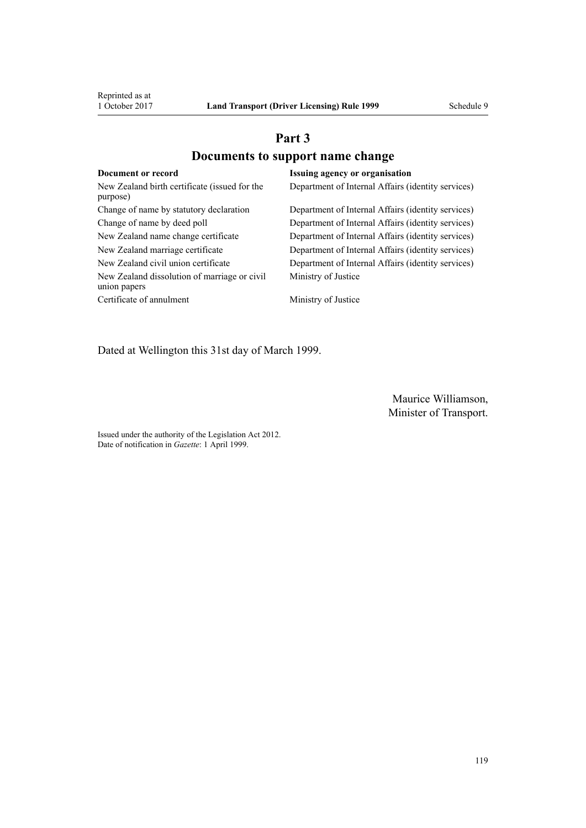# **Part 3 Documents to support name change**

| Document or record                                           | <b>Issuing agency or organisation</b>              |
|--------------------------------------------------------------|----------------------------------------------------|
| New Zealand birth certificate (issued for the<br>purpose)    | Department of Internal Affairs (identity services) |
| Change of name by statutory declaration                      | Department of Internal Affairs (identity services) |
| Change of name by deed poll                                  | Department of Internal Affairs (identity services) |
| New Zealand name change certificate                          | Department of Internal Affairs (identity services) |
| New Zealand marriage certificate                             | Department of Internal Affairs (identity services) |
| New Zealand civil union certificate                          | Department of Internal Affairs (identity services) |
| New Zealand dissolution of marriage or civil<br>union papers | Ministry of Justice                                |
| Certificate of annulment                                     | Ministry of Justice                                |

Dated at Wellington this 31st day of March 1999.

Maurice Williamson, Minister of Transport.

Issued under the authority of the [Legislation Act 2012](http://prd-lgnz-nlb.prd.pco.net.nz/pdflink.aspx?id=DLM2997643). Date of notification in *Gazette*: 1 April 1999.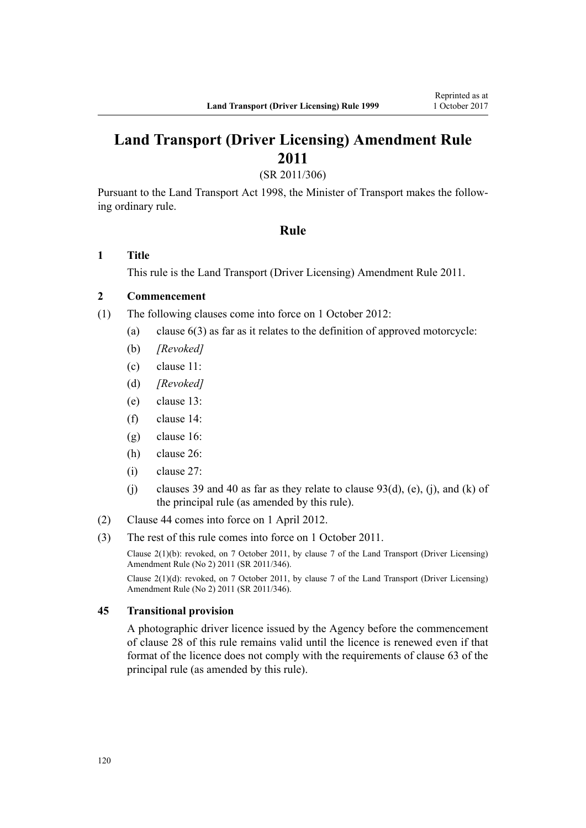# **Land Transport (Driver Licensing) Amendment Rule 2011**

(SR 2011/306)

Pursuant to the Land Transport Act 1998, the Minister of Transport makes the following ordinary rule.

#### **Rule**

#### **1 Title**

This rule is the [Land Transport \(Driver Licensing\) Amendment Rule 2011](http://prd-lgnz-nlb.prd.pco.net.nz/pdflink.aspx?id=DLM3956573).

### **2 Commencement**

- (1) The following clauses come into force on 1 October 2012:
	- (a) clause 6(3) as far as it relates to the definition of approved motorcycle:
	- (b) *[Revoked]*
	- (c) clause 11:
	- (d) *[Revoked]*
	- (e) clause 13:
	- (f) clause 14:
	- (g) clause 16:
	- (h) clause 26:
	- (i) clause 27:
	- (j) clauses 39 and 40 as far as they relate to clause  $93(d)$ , (e), (j), and (k) of the principal rule (as amended by this rule).
- (2) Clause 44 comes into force on 1 April 2012.
- (3) The rest of this rule comes into force on 1 October 2011.

Clause 2(1)(b): revoked, on 7 October 2011, by [clause 7](http://prd-lgnz-nlb.prd.pco.net.nz/pdflink.aspx?id=DLM4067013) of the Land Transport (Driver Licensing) Amendment Rule (No 2) 2011 (SR 2011/346).

Clause 2(1)(d): revoked, on 7 October 2011, by [clause 7](http://prd-lgnz-nlb.prd.pco.net.nz/pdflink.aspx?id=DLM4067013) of the Land Transport (Driver Licensing) Amendment Rule (No 2) 2011 (SR 2011/346).

#### **45 Transitional provision**

A photographic driver licence issued by the Agency before the commencement of clause 28 of this rule remains valid until the licence is renewed even if that format of the licence does not comply with the requirements of clause 63 of the principal rule (as amended by this rule).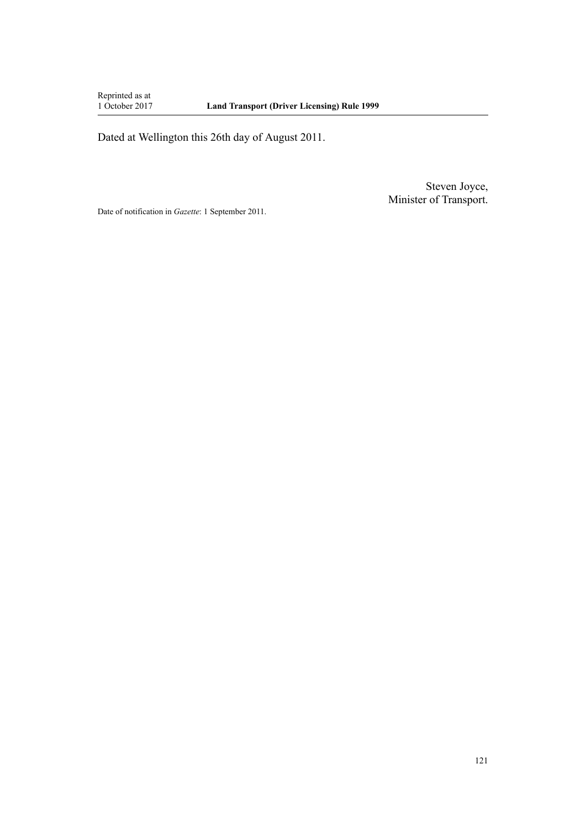Reprinted as at<br>1 October 2017

Dated at Wellington this 26th day of August 2011.

Steven Joyce, Minister of Transport.

Date of notification in *Gazette*: 1 September 2011.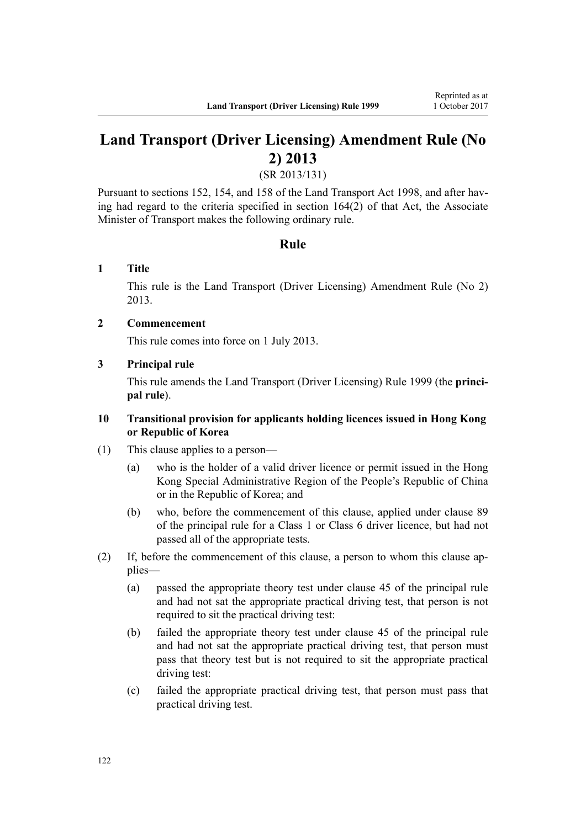# **Land Transport (Driver Licensing) Amendment Rule (No 2) 2013**

(SR 2013/131)

Pursuant to sections 152, 154, and 158 of the Land Transport Act 1998, and after having had regard to the criteria specified in section 164(2) of that Act, the Associate Minister of Transport makes the following ordinary rule.

### **Rule**

### **1 Title**

This rule is the [Land Transport \(Driver Licensing\) Amendment Rule \(No 2\)](http://prd-lgnz-nlb.prd.pco.net.nz/pdflink.aspx?id=DLM5159800) [2013](http://prd-lgnz-nlb.prd.pco.net.nz/pdflink.aspx?id=DLM5159800).

### **2 Commencement**

This rule comes into force on 1 July 2013.

#### **3 Principal rule**

This rule amends the Land Transport (Driver Licensing) Rule 1999 (the **principal rule**).

#### **10 Transitional provision for applicants holding licences issued in Hong Kong or Republic of Korea**

- (1) This clause applies to a person—
	- (a) who is the holder of a valid driver licence or permit issued in the Hong Kong Special Administrative Region of the People's Republic of China or in the Republic of Korea; and
	- (b) who, before the commencement of this clause, applied under clause 89 of the principal rule for a Class 1 or Class 6 driver licence, but had not passed all of the appropriate tests.
- (2) If, before the commencement of this clause, a person to whom this clause applies—
	- (a) passed the appropriate theory test under clause 45 of the principal rule and had not sat the appropriate practical driving test, that person is not required to sit the practical driving test:
	- (b) failed the appropriate theory test under clause 45 of the principal rule and had not sat the appropriate practical driving test, that person must pass that theory test but is not required to sit the appropriate practical driving test:
	- (c) failed the appropriate practical driving test, that person must pass that practical driving test.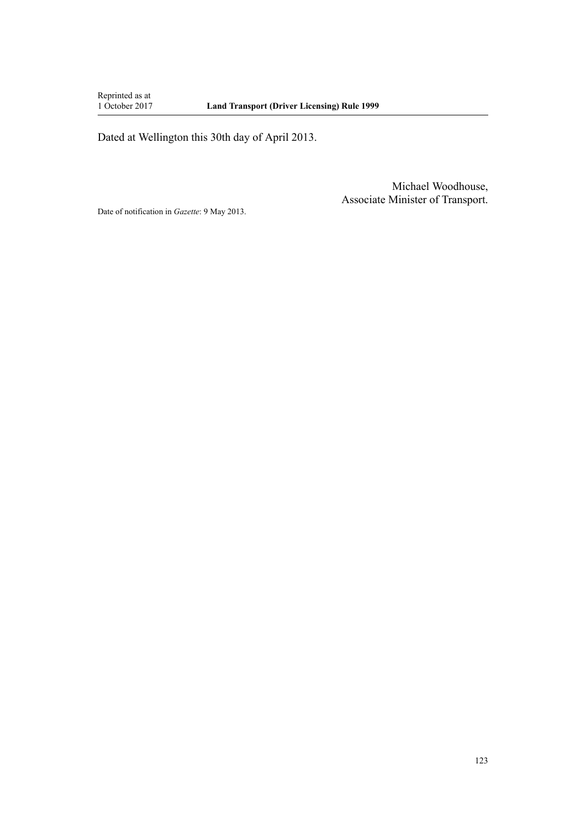Reprinted as at<br>1 October 2017

Dated at Wellington this 30th day of April 2013.

Michael Woodhouse, Associate Minister of Transport.

Date of notification in *Gazette*: 9 May 2013.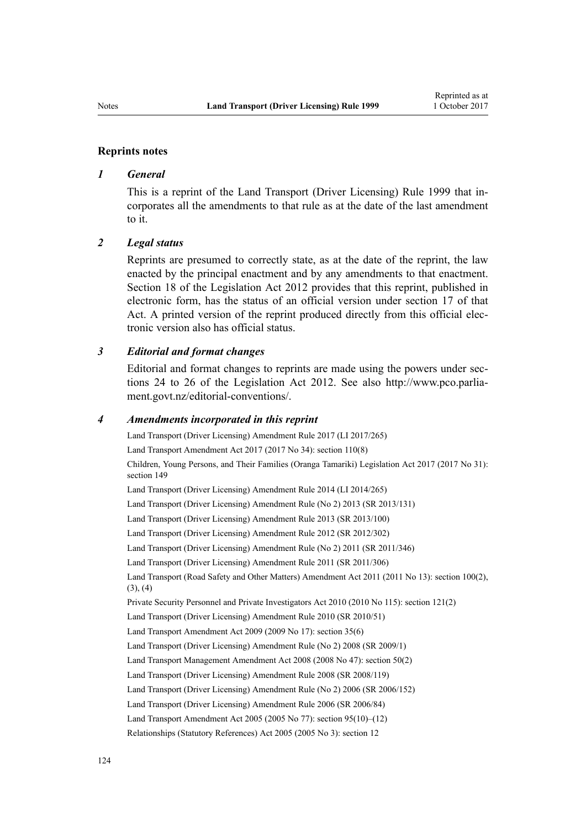#### **Reprints notes**

#### *1 General*

This is a reprint of the Land Transport (Driver Licensing) Rule 1999 that incorporates all the amendments to that rule as at the date of the last amendment to it.

#### *2 Legal status*

Reprints are presumed to correctly state, as at the date of the reprint, the law enacted by the principal enactment and by any amendments to that enactment. [Section 18](http://prd-lgnz-nlb.prd.pco.net.nz/pdflink.aspx?id=DLM2998516) of the Legislation Act 2012 provides that this reprint, published in electronic form, has the status of an official version under [section 17](http://prd-lgnz-nlb.prd.pco.net.nz/pdflink.aspx?id=DLM2998515) of that Act. A printed version of the reprint produced directly from this official electronic version also has official status.

#### *3 Editorial and format changes*

Editorial and format changes to reprints are made using the powers under [sec](http://prd-lgnz-nlb.prd.pco.net.nz/pdflink.aspx?id=DLM2998532)[tions 24 to 26](http://prd-lgnz-nlb.prd.pco.net.nz/pdflink.aspx?id=DLM2998532) of the Legislation Act 2012. See also [http://www.pco.parlia](http://www.pco.parliament.govt.nz/editorial-conventions/)[ment.govt.nz/editorial-conventions/](http://www.pco.parliament.govt.nz/editorial-conventions/).

#### *4 Amendments incorporated in this reprint*

[Land Transport \(Driver Licensing\) Amendment Rule 2017](http://prd-lgnz-nlb.prd.pco.net.nz/pdflink.aspx?id=DLM7420922) (LI 2017/265) Land Transport Amendment Act 2017 (2017 No 34): [section 110\(8\)](http://prd-lgnz-nlb.prd.pco.net.nz/pdflink.aspx?id=DLM6960929) Children, Young Persons, and Their Families (Oranga Tamariki) Legislation Act 2017 (2017 No 31): [section 149](http://prd-lgnz-nlb.prd.pco.net.nz/pdflink.aspx?id=DLM7287401) [Land Transport \(Driver Licensing\) Amendment Rule 2014](http://prd-lgnz-nlb.prd.pco.net.nz/pdflink.aspx?id=DLM6216900) (LI 2014/265) [Land Transport \(Driver Licensing\) Amendment Rule \(No 2\) 2013](http://prd-lgnz-nlb.prd.pco.net.nz/pdflink.aspx?id=DLM5159800) (SR 2013/131) [Land Transport \(Driver Licensing\) Amendment Rule 2013](http://prd-lgnz-nlb.prd.pco.net.nz/pdflink.aspx?id=DLM5102226) (SR 2013/100) [Land Transport \(Driver Licensing\) Amendment Rule 2012](http://prd-lgnz-nlb.prd.pco.net.nz/pdflink.aspx?id=DLM4773428) (SR 2012/302) [Land Transport \(Driver Licensing\) Amendment Rule \(No 2\) 2011](http://prd-lgnz-nlb.prd.pco.net.nz/pdflink.aspx?id=DLM4067006) (SR 2011/346) [Land Transport \(Driver Licensing\) Amendment Rule 2011](http://prd-lgnz-nlb.prd.pco.net.nz/pdflink.aspx?id=DLM3956573) (SR 2011/306) Land Transport (Road Safety and Other Matters) Amendment Act 2011 (2011 No 13): [section 100\(2\),](http://prd-lgnz-nlb.prd.pco.net.nz/pdflink.aspx?id=DLM3231293) [\(3\), \(4\)](http://prd-lgnz-nlb.prd.pco.net.nz/pdflink.aspx?id=DLM3231293) Private Security Personnel and Private Investigators Act 2010 (2010 No 115): [section 121\(2\)](http://prd-lgnz-nlb.prd.pco.net.nz/pdflink.aspx?id=DLM1594656) [Land Transport \(Driver Licensing\) Amendment Rule 2010](http://prd-lgnz-nlb.prd.pco.net.nz/pdflink.aspx?id=DLM2740170) (SR 2010/51) Land Transport Amendment Act 2009 (2009 No 17): [section 35\(6\)](http://prd-lgnz-nlb.prd.pco.net.nz/pdflink.aspx?id=DLM2015063) [Land Transport \(Driver Licensing\) Amendment Rule \(No 2\) 2008](http://prd-lgnz-nlb.prd.pco.net.nz/pdflink.aspx?id=DLM1783600) (SR 2009/1) Land Transport Management Amendment Act 2008 (2008 No 47): [section 50\(2\)](http://prd-lgnz-nlb.prd.pco.net.nz/pdflink.aspx?id=DLM1313622) [Land Transport \(Driver Licensing\) Amendment Rule 2008](http://prd-lgnz-nlb.prd.pco.net.nz/pdflink.aspx?id=DLM1317900) (SR 2008/119) [Land Transport \(Driver Licensing\) Amendment Rule \(No 2\) 2006](http://prd-lgnz-nlb.prd.pco.net.nz/pdflink.aspx?id=DLM386132) (SR 2006/152) [Land Transport \(Driver Licensing\) Amendment Rule 2006](http://prd-lgnz-nlb.prd.pco.net.nz/pdflink.aspx?id=DLM375672) (SR 2006/84) Land Transport Amendment Act 2005 (2005 No 77): [section 95\(10\)–\(12\)](http://prd-lgnz-nlb.prd.pco.net.nz/pdflink.aspx?id=DLM353501) Relationships (Statutory References) Act 2005 (2005 No 3): [section 12](http://prd-lgnz-nlb.prd.pco.net.nz/pdflink.aspx?id=DLM334004)